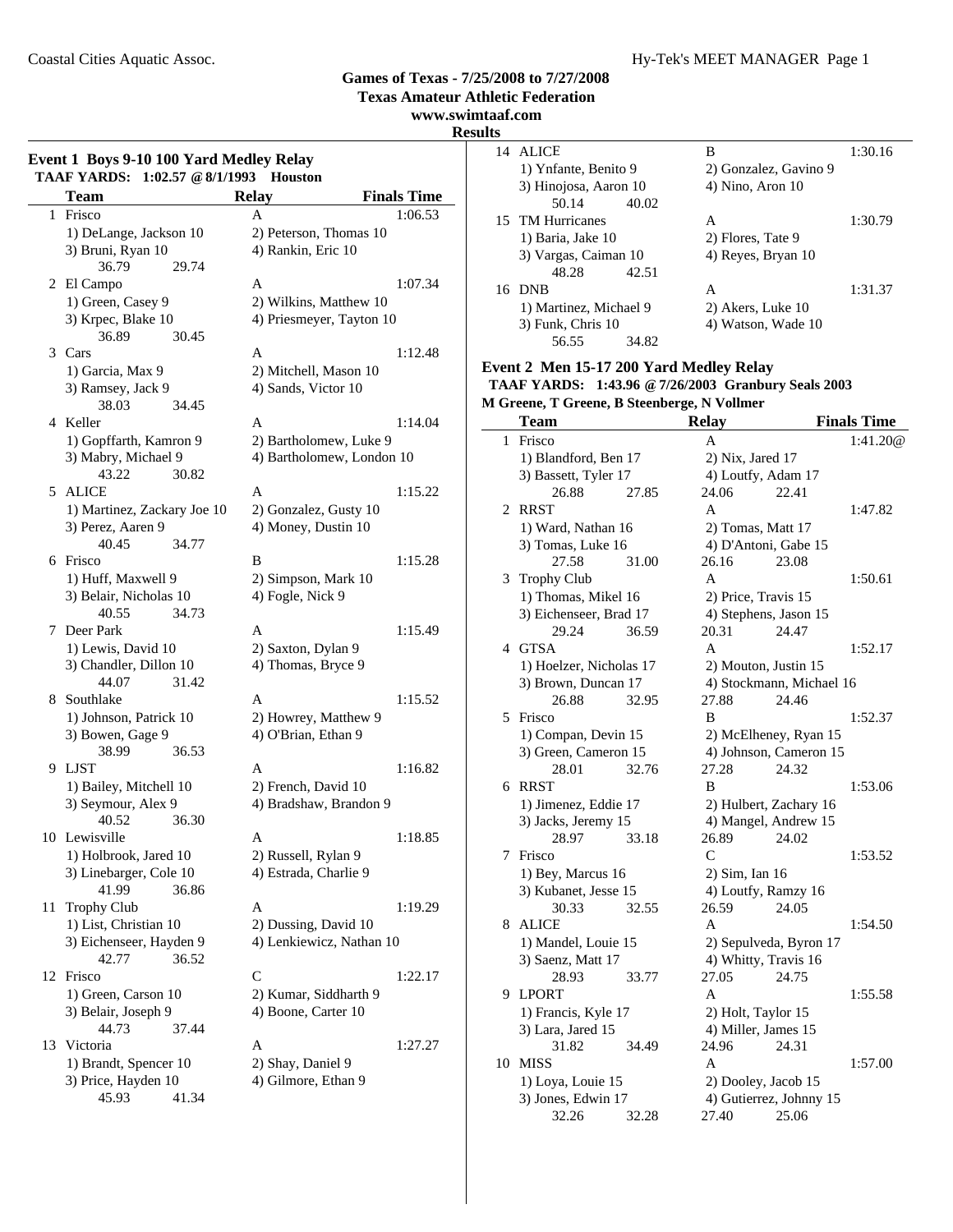### Coastal Cities Aquatic Assoc. Hy-Tek's MEET MANAGER Page 1

### **Games of Texas - 7/25/2008 to 7/27/2008**

**Texas Amateur Athletic Federation**

**www.swimtaaf.com**

### **Results**

|    | Event 1 Boys 9-10 100 Yard Medley Relay<br>TAAF YARDS: 1:02.57 @ 8/1/1993 Houston |                           |                    |
|----|-----------------------------------------------------------------------------------|---------------------------|--------------------|
|    | <b>Team</b>                                                                       | <b>Relay</b>              | <b>Finals Time</b> |
| 1  | Frisco                                                                            | A                         | 1:06.53            |
|    | 1) DeLange, Jackson 10                                                            | 2) Peterson, Thomas 10    |                    |
|    | 3) Bruni, Ryan 10                                                                 | 4) Rankin, Eric 10        |                    |
|    | 36.79<br>29.74                                                                    |                           |                    |
| 2  | El Campo                                                                          | A                         | 1:07.34            |
|    | 1) Green, Casey 9                                                                 | 2) Wilkins, Matthew 10    |                    |
|    | 3) Krpec, Blake 10                                                                | 4) Priesmeyer, Tayton 10  |                    |
|    | 36.89<br>30.45                                                                    |                           |                    |
|    | 3 Cars                                                                            | A                         | 1:12.48            |
|    |                                                                                   |                           |                    |
|    | 1) Garcia, Max 9                                                                  | 2) Mitchell, Mason 10     |                    |
|    | 3) Ramsey, Jack 9                                                                 | 4) Sands, Victor 10       |                    |
|    | 38.03<br>34.45                                                                    |                           |                    |
|    | 4 Keller                                                                          | A                         | 1:14.04            |
|    | 1) Gopffarth, Kamron 9                                                            | 2) Bartholomew, Luke 9    |                    |
|    | 3) Mabry, Michael 9                                                               | 4) Bartholomew, London 10 |                    |
|    | 43.22<br>30.82                                                                    |                           |                    |
| 5  | ALICE                                                                             | A                         | 1:15.22            |
|    | 1) Martinez, Zackary Joe 10                                                       | 2) Gonzalez, Gusty 10     |                    |
|    | 3) Perez, Aaren 9                                                                 | 4) Money, Dustin 10       |                    |
|    | 40.45<br>34.77                                                                    |                           |                    |
|    | 6 Frisco                                                                          | B                         | 1:15.28            |
|    | 1) Huff, Maxwell 9                                                                | 2) Simpson, Mark 10       |                    |
|    | 3) Belair, Nicholas 10                                                            | 4) Fogle, Nick 9          |                    |
|    | 40.55<br>34.73                                                                    |                           |                    |
| 7  | Deer Park                                                                         | A                         | 1:15.49            |
|    | 1) Lewis, David 10                                                                | 2) Saxton, Dylan 9        |                    |
|    |                                                                                   |                           |                    |
|    | 3) Chandler, Dillon 10                                                            | 4) Thomas, Bryce 9        |                    |
|    | 44.07<br>31.42                                                                    |                           |                    |
| 8  | Southlake                                                                         | A                         | 1:15.52            |
|    | 1) Johnson, Patrick 10                                                            | 2) Howrey, Matthew 9      |                    |
|    | 3) Bowen, Gage 9                                                                  | 4) O'Brian, Ethan 9       |                    |
|    | 38.99<br>36.53                                                                    |                           |                    |
| 9  | LJST                                                                              | A                         | 1:16.82            |
|    | 1) Bailey, Mitchell 10                                                            | 2) French, David 10       |                    |
|    | 3) Seymour, Alex 9                                                                | 4) Bradshaw, Brandon 9    |                    |
|    | 40.52<br>36.30                                                                    |                           |                    |
|    | 10 Lewisville                                                                     | A                         | 1:18.85            |
|    | 1) Holbrook, Jared 10                                                             | 2) Russell, Rylan 9       |                    |
|    | 3) Linebarger, Cole 10                                                            | 4) Estrada, Charlie 9     |                    |
|    | 41.99<br>36.86                                                                    |                           |                    |
| 11 | <b>Trophy Club</b>                                                                | A                         | 1:19.29            |
|    | 1) List, Christian 10                                                             | 2) Dussing, David 10      |                    |
|    | 3) Eichenseer, Hayden 9                                                           | 4) Lenkiewicz, Nathan 10  |                    |
|    | 42.77<br>36.52                                                                    |                           |                    |
| 12 | Frisco                                                                            | C                         | 1:22.17            |
|    | 1) Green, Carson 10                                                               | 2) Kumar, Siddharth 9     |                    |
|    | 3) Belair, Joseph 9                                                               | 4) Boone, Carter 10       |                    |
|    |                                                                                   |                           |                    |
|    | 44.73<br>37.44                                                                    |                           |                    |
| 13 | Victoria                                                                          | A                         | 1:27.27            |
|    | 1) Brandt, Spencer 10                                                             | 2) Shay, Daniel 9         |                    |
|    | 3) Price, Hayden 10                                                               | 4) Gilmore, Ethan 9       |                    |
|    | 45.93<br>41.34                                                                    |                           |                    |

| 14 | ALICE                  |       | В                     | 1:30.16 |
|----|------------------------|-------|-----------------------|---------|
|    | 1) Ynfante, Benito 9   |       | 2) Gonzalez, Gavino 9 |         |
|    | 3) Hinojosa, Aaron 10  |       | 4) Nino, Aron 10      |         |
|    | 50.14                  | 40.02 |                       |         |
|    | 15 TM Hurricanes       |       | A                     | 1:30.79 |
|    | 1) Baria, Jake 10      |       | 2) Flores, Tate 9     |         |
|    | 3) Vargas, Caiman 10   |       | 4) Reyes, Bryan 10    |         |
|    | 48.28                  | 42.51 |                       |         |
|    | 16 DNB                 |       | A                     | 1:31.37 |
|    | 1) Martinez, Michael 9 |       | 2) Akers, Luke 10     |         |
|    | 3) Funk, Chris 10      |       | 4) Watson, Wade 10    |         |
|    | 56.55                  | 34.82 |                       |         |

### **Event 2 Men 15-17 200 Yard Medley Relay**

|                                             | TAAF YARDS: 1:43.96 @ 7/26/2003 Granbury Seals 2003 |
|---------------------------------------------|-----------------------------------------------------|
| M Greene, T Greene, B Steenberge, N Vollmer |                                                     |

|    | Team                    |       | <b>Relay</b>        |                          | <b>Finals Time</b> |
|----|-------------------------|-------|---------------------|--------------------------|--------------------|
| 1  | Frisco                  |       | A                   |                          | 1:41.20@           |
|    | 1) Blandford, Ben 17    |       | $2)$ Nix, Jared 17  |                          |                    |
|    | 3) Bassett, Tyler 17    |       |                     | 4) Loutfy, Adam 17       |                    |
|    | 26.88                   | 27.85 | 24.06               | 22.41                    |                    |
| 2  | <b>RRST</b>             |       | A                   |                          | 1:47.82            |
|    | 1) Ward, Nathan 16      |       | 2) Tomas, Matt 17   |                          |                    |
|    | 3) Tomas, Luke 16       |       |                     | 4) D'Antoni, Gabe 15     |                    |
|    | 27.58                   | 31.00 | 26.16               | 23.08                    |                    |
| 3  | <b>Trophy Club</b>      |       | $\mathsf{A}$        |                          | 1:50.61            |
|    | 1) Thomas, Mikel 16     |       | 2) Price, Travis 15 |                          |                    |
|    | 3) Eichenseer, Brad 17  |       |                     | 4) Stephens, Jason 15    |                    |
|    | 29.24                   | 36.59 | 20.31               | 24.47                    |                    |
| 4  | <b>GTSA</b>             |       | $\mathbf{A}$        |                          | 1:52.17            |
|    | 1) Hoelzer, Nicholas 17 |       |                     | 2) Mouton, Justin 15     |                    |
|    | 3) Brown, Duncan 17     |       |                     | 4) Stockmann, Michael 16 |                    |
|    | 26.88                   | 32.95 | 27.88               | 24.46                    |                    |
| 5. | Frisco                  |       | B                   |                          | 1:52.37            |
|    | 1) Compan, Devin 15     |       |                     | 2) McElheney, Ryan 15    |                    |
|    | 3) Green, Cameron 15    |       |                     | 4) Johnson, Cameron 15   |                    |
|    | 28.01                   | 32.76 | 27.28               | 24.32                    |                    |
| 6  | <b>RRST</b>             |       | B                   |                          | 1:53.06            |
|    | 1) Jimenez, Eddie 17    |       |                     | 2) Hulbert, Zachary 16   |                    |
|    | 3) Jacks, Jeremy 15     |       |                     | 4) Mangel, Andrew 15     |                    |
|    | 28.97                   | 33.18 | 26.89               | 24.02                    |                    |
| 7  | Frisco                  |       | $\mathcal{C}$       |                          | 1:53.52            |
|    | 1) Bey, Marcus 16       |       | 2) Sim, Ian 16      |                          |                    |
|    | 3) Kubanet, Jesse 15    |       |                     | 4) Loutfy, Ramzy 16      |                    |
|    | 30.33                   | 32.55 | 26.59               | 24.05                    |                    |
| 8  | <b>ALICE</b>            |       | A                   |                          | 1:54.50            |
|    | 1) Mandel, Louie 15     |       |                     | 2) Sepulveda, Byron 17   |                    |
|    | 3) Saenz, Matt 17       |       |                     | 4) Whitty, Travis 16     |                    |
|    | 28.93                   | 33.77 | 27.05               | 24.75                    |                    |
| 9  | <b>LPORT</b>            |       | A                   |                          | 1:55.58            |
|    | 1) Francis, Kyle 17     |       | 2) Holt, Taylor 15  |                          |                    |
|    | 3) Lara, Jared 15       |       |                     | 4) Miller, James 15      |                    |
|    | 31.82                   | 34.49 | 24.96               | 24.31                    |                    |
| 10 | <b>MISS</b>             |       | A                   |                          | 1:57.00            |
|    | 1) Loya, Louie 15       |       |                     | 2) Dooley, Jacob 15      |                    |
|    | 3) Jones, Edwin 17      |       |                     | 4) Gutierrez, Johnny 15  |                    |
|    | 32.26                   | 32.28 | 27.40 25.06         |                          |                    |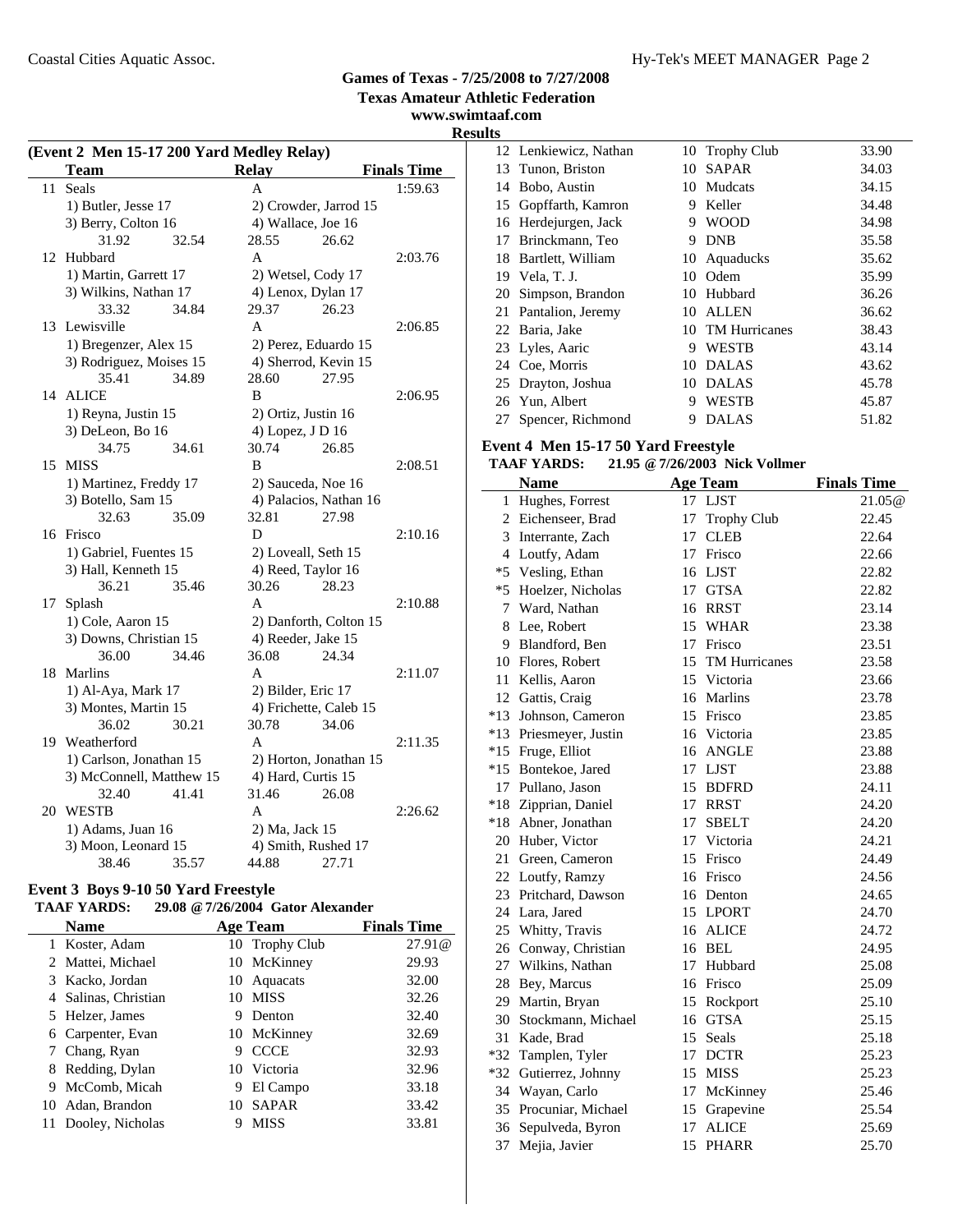**Texas Amateur Athletic Federation**

**www.swimtaaf.com Results**

|    | (Event 2 Men 15-17 200 Yard Medley Relay) |                        |                    |  |  |  |
|----|-------------------------------------------|------------------------|--------------------|--|--|--|
|    | <b>Team</b>                               | <b>Relay</b>           | <b>Finals Time</b> |  |  |  |
| 11 | Seals                                     | A                      | 1:59.63            |  |  |  |
|    | 1) Butler, Jesse 17                       | 2) Crowder, Jarrod 15  |                    |  |  |  |
|    | 3) Berry, Colton 16                       | 4) Wallace, Joe 16     |                    |  |  |  |
|    | 31.92<br>32.54                            | 26.62<br>28.55         |                    |  |  |  |
| 12 | Hubbard                                   | A                      | 2:03.76            |  |  |  |
|    | 1) Martin, Garrett 17                     | 2) Wetsel, Cody 17     |                    |  |  |  |
|    | 3) Wilkins, Nathan 17                     | 4) Lenox, Dylan 17     |                    |  |  |  |
|    | 33.32<br>34.84                            | 29.37<br>26.23         |                    |  |  |  |
| 13 | Lewisville                                | A                      | 2:06.85            |  |  |  |
|    | 1) Bregenzer, Alex 15                     | 2) Perez, Eduardo 15   |                    |  |  |  |
|    | 3) Rodriguez, Moises 15                   | 4) Sherrod, Kevin 15   |                    |  |  |  |
|    | 35.41<br>34.89                            | 28.60<br>27.95         |                    |  |  |  |
| 14 | <b>ALICE</b>                              | B                      | 2:06.95            |  |  |  |
|    | 1) Reyna, Justin 15                       | 2) Ortiz, Justin 16    |                    |  |  |  |
|    | 3) DeLeon, Bo 16                          | 4) Lopez, J D 16       |                    |  |  |  |
|    | 34.75<br>34.61                            | 30.74<br>26.85         |                    |  |  |  |
|    | 15 MISS                                   | B                      | 2:08.51            |  |  |  |
|    | 1) Martinez, Freddy 17                    | 2) Sauceda, Noe 16     |                    |  |  |  |
|    | 3) Botello, Sam 15                        | 4) Palacios, Nathan 16 |                    |  |  |  |
|    | 32.63<br>35.09                            | 32.81<br>27.98         |                    |  |  |  |
|    | 16 Frisco                                 | D                      | 2:10.16            |  |  |  |
|    | 1) Gabriel, Fuentes 15                    | 2) Loveall, Seth 15    |                    |  |  |  |
|    | 3) Hall, Kenneth 15                       | 4) Reed, Taylor 16     |                    |  |  |  |
|    | 36.21<br>35.46                            | 28.23<br>30.26         |                    |  |  |  |
| 17 | Splash                                    | A                      | 2:10.88            |  |  |  |
|    | 1) Cole, Aaron 15                         | 2) Danforth, Colton 15 |                    |  |  |  |
|    | 3) Downs, Christian 15                    | 4) Reeder, Jake 15     |                    |  |  |  |
|    | 34.46<br>36.00                            | 36.08<br>24.34         |                    |  |  |  |
| 18 | Marlins                                   | A                      | 2:11.07            |  |  |  |
|    | 1) Al-Aya, Mark 17                        | 2) Bilder, Eric 17     |                    |  |  |  |
|    | 3) Montes, Martin 15                      | 4) Frichette, Caleb 15 |                    |  |  |  |
|    | 36.02<br>30.21                            | 30.78<br>34.06         |                    |  |  |  |
|    | 19 Weatherford                            | A                      | 2:11.35            |  |  |  |
|    | 1) Carlson, Jonathan 15                   | 2) Horton, Jonathan 15 |                    |  |  |  |
|    | 3) McConnell, Matthew 15                  | 4) Hard, Curtis 15     |                    |  |  |  |
|    | 32.40<br>41.41                            | 31.46<br>26.08         |                    |  |  |  |
| 20 | <b>WESTB</b>                              | A                      | 2:26.62            |  |  |  |
|    | 1) Adams, Juan 16                         | 2) Ma, Jack 15         |                    |  |  |  |
|    | 3) Moon, Leonard 15                       | 4) Smith, Rushed 17    |                    |  |  |  |
|    | 38.46<br>35.57                            | 44.88<br>27.71         |                    |  |  |  |

### **Event 3 Boys 9-10 50 Yard Freestyle**

### **TAAF YARDS: 29.08 @7/26/2004 Gator Alexander**

|    | Name                 |    | <b>Age Team</b> | <b>Finals Time</b> |
|----|----------------------|----|-----------------|--------------------|
|    | 1 Koster, Adam       |    | 10 Trophy Club  | 27.91@             |
|    | 2 Mattei, Michael    |    | 10 McKinney     | 29.93              |
|    | 3 Kacko, Jordan      | 10 | Aquacats        | 32.00              |
|    | 4 Salinas, Christian | 10 | <b>MISS</b>     | 32.26              |
|    | 5 Helzer, James      | 9  | Denton          | 32.40              |
|    | 6 Carpenter, Evan    |    | 10 McKinney     | 32.69              |
|    | 7 Chang, Ryan        | 9  | <b>CCCE</b>     | 32.93              |
| 8  | Redding, Dylan       | 10 | Victoria        | 32.96              |
| 9  | McComb, Micah        | 9  | El Campo        | 33.18              |
| 10 | Adan, Brandon        | 10 | <b>SAPAR</b>    | 33.42              |
|    | Dooley, Nicholas     |    | <b>MISS</b>     | 33.81              |

| w  |                       |    |                  |       |
|----|-----------------------|----|------------------|-------|
|    | 12 Lenkiewicz, Nathan |    | 10 Trophy Club   | 33.90 |
|    | 13 Tunon, Briston     | 10 | <b>SAPAR</b>     | 34.03 |
| 14 | Bobo, Austin          | 10 | Mudcats          | 34.15 |
|    | 15 Gopffarth, Kamron  | 9  | Keller           | 34.48 |
| 16 | Herdejurgen, Jack     | 9  | <b>WOOD</b>      | 34.98 |
| 17 | Brinckmann, Teo       | 9  | DNB              | 35.58 |
| 18 | Bartlett, William     | 10 | Aquaducks        | 35.62 |
| 19 | Vela, T. J.           | 10 | Odem             | 35.99 |
| 20 | Simpson, Brandon      | 10 | Hubbard          | 36.26 |
| 21 | Pantalion, Jeremy     | 10 | <b>ALLEN</b>     | 36.62 |
|    | 22 Baria, Jake        |    | 10 TM Hurricanes | 38.43 |
|    | 23 Lyles, Aaric       | 9  | <b>WESTB</b>     | 43.14 |
|    | 24 Coe, Morris        | 10 | <b>DALAS</b>     | 43.62 |
|    | 25 Drayton, Joshua    | 10 | <b>DALAS</b>     | 45.78 |
| 26 | Yun, Albert           | 9  | <b>WESTB</b>     | 45.87 |
|    | 27 Spencer, Richmond  | 9  | <b>DALAS</b>     | 51.82 |

### **Event 4 Men 15-17 50 Yard Freestyle**

### **TAAF YARDS: 21.95 @7/26/2003 Nick Vollmer**

|       | <b>Name</b>            | <b>Age Team</b>            | <b>Finals Time</b> |
|-------|------------------------|----------------------------|--------------------|
| 1     | Hughes, Forrest        | 17 LJST                    | 21.05@             |
|       | 2 Eichenseer, Brad     | 17<br><b>Trophy Club</b>   | 22.45              |
|       | 3 Interrante, Zach     | <b>CLEB</b><br>17          | 22.64              |
|       | 4 Loutfy, Adam         | Frisco<br>17               | 22.66              |
|       | *5 Vesling, Ethan      | 16 LJST                    | 22.82              |
|       | *5 Hoelzer, Nicholas   | 17 GTSA                    | 22.82              |
| 7     | Ward, Nathan           | 16 RRST                    | 23.14              |
| 8     | Lee, Robert            | 15<br><b>WHAR</b>          | 23.38              |
| 9     | Blandford, Ben         | 17<br>Frisco               | 23.51              |
|       | 10 Flores, Robert      | <b>TM Hurricanes</b><br>15 | 23.58              |
| 11    | Kellis, Aaron          | 15 Victoria                | 23.66              |
|       | 12 Gattis, Craig       | 16 Marlins                 | 23.78              |
|       | *13 Johnson, Cameron   | 15<br>Frisco               | 23.85              |
|       | *13 Priesmeyer, Justin | 16 Victoria                | 23.85              |
|       | *15 Fruge, Elliot      | <b>ANGLE</b><br>16         | 23.88              |
| $*15$ | Bontekoe, Jared        | <b>LJST</b><br>17          | 23.88              |
|       | 17 Pullano, Jason      | 15<br><b>BDFRD</b>         | 24.11              |
|       | *18 Zipprian, Daniel   | 17<br><b>RRST</b>          | 24.20              |
|       | *18 Abner, Jonathan    | <b>SBELT</b><br>17         | 24.20              |
|       | 20 Huber, Victor       | Victoria<br>17             | 24.21              |
|       | 21 Green, Cameron      | 15<br>Frisco               | 24.49              |
|       | 22 Loutfy, Ramzy       | Frisco<br>16               | 24.56              |
|       | 23 Pritchard, Dawson   | 16<br>Denton               | 24.65              |
|       | 24 Lara, Jared         | 15<br><b>LPORT</b>         | 24.70              |
|       | 25 Whitty, Travis      | <b>ALICE</b><br>16         | 24.72              |
|       | 26 Conway, Christian   | 16 BEL                     | 24.95              |
|       | 27 Wilkins, Nathan     | 17 Hubbard                 | 25.08              |
| 28    | Bey, Marcus            | 16 Frisco                  | 25.09              |
|       | 29 Martin, Bryan       | 15<br>Rockport             | 25.10              |
|       | 30 Stockmann, Michael  | <b>GTSA</b><br>16          | 25.15              |
| 31    | Kade, Brad             | 15<br>Seals                | 25.18              |
|       | *32 Tamplen, Tyler     | <b>DCTR</b><br>17          | 25.23              |
|       | *32 Gutierrez, Johnny  | <b>MISS</b><br>15          | 25.23              |
|       | 34 Wayan, Carlo        | 17<br>McKinney             | 25.46              |
|       | 35 Procuniar, Michael  | Grapevine<br>15            | 25.54              |
| 36    | Sepulveda, Byron       | <b>ALICE</b><br>17         | 25.69              |
| 37    | Mejia, Javier          | <b>PHARR</b><br>15         | 25.70              |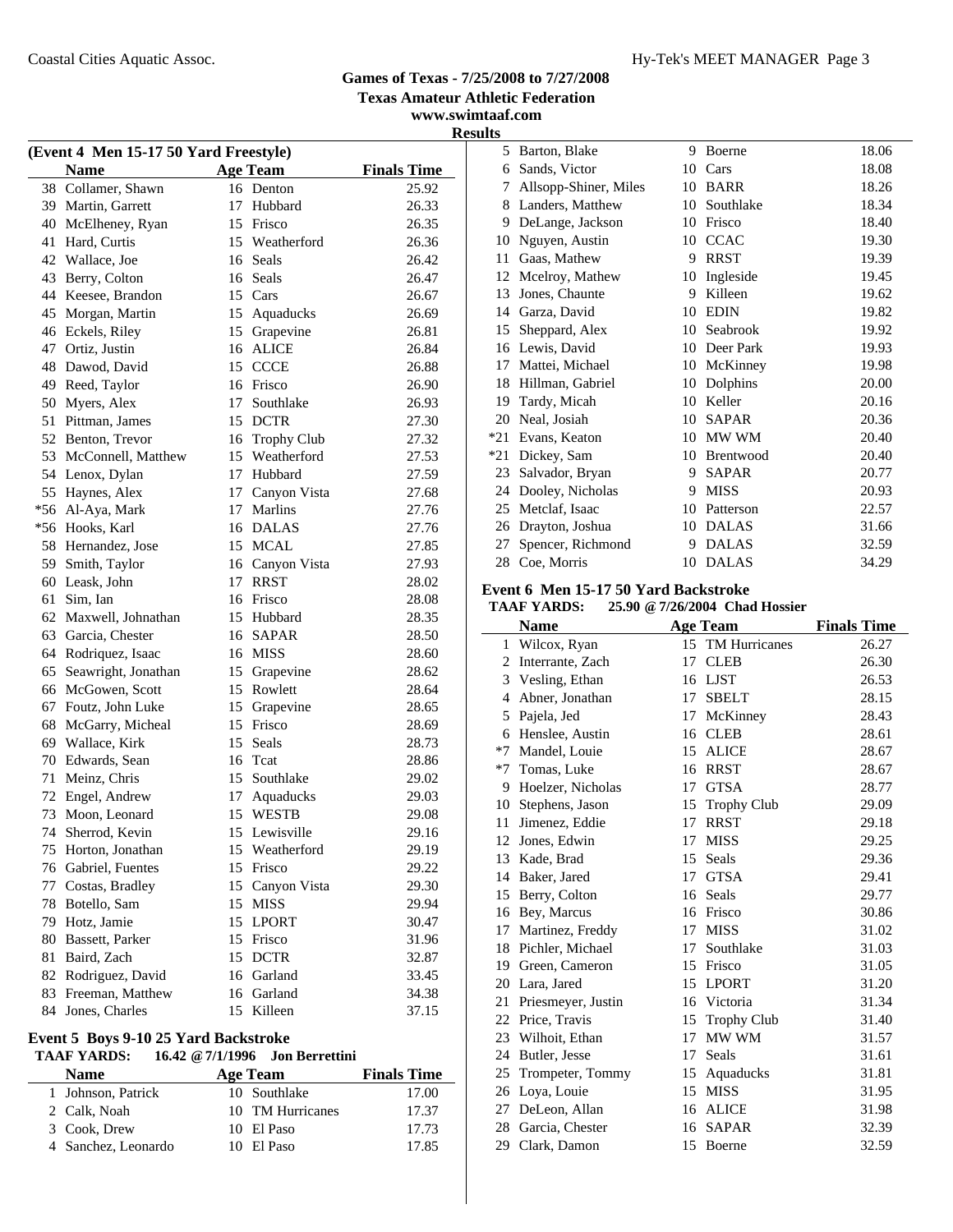**www.swimtaaf.com Results**

| (Event 4 Men 15-17 50 Yard Freestyle) |                       |    |                    |                    |  |
|---------------------------------------|-----------------------|----|--------------------|--------------------|--|
|                                       | <b>Name</b>           |    | <b>Age Team</b>    | <b>Finals Time</b> |  |
|                                       | 38 Collamer, Shawn    |    | 16 Denton          | 25.92              |  |
|                                       | 39 Martin, Garrett    | 17 | Hubbard            | 26.33              |  |
| 40                                    | McElheney, Ryan       |    | 15 Frisco          | 26.35              |  |
| 41                                    | Hard, Curtis          |    | 15 Weatherford     | 26.36              |  |
| 42                                    | Wallace, Joe          | 16 | Seals              | 26.42              |  |
| 43                                    | Berry, Colton         |    | 16 Seals           | 26.47              |  |
|                                       | 44 Keesee, Brandon    |    | 15 Cars            | 26.67              |  |
| 45                                    | Morgan, Martin        |    | 15 Aquaducks       | 26.69              |  |
|                                       | 46 Eckels, Riley      |    | 15 Grapevine       | 26.81              |  |
| 47                                    | Ortiz, Justin         |    | 16 ALICE           | 26.84              |  |
| 48                                    | Dawod, David          |    | 15 CCCE            | 26.88              |  |
| 49                                    | Reed, Taylor          |    | 16 Frisco          | 26.90              |  |
| 50                                    | Myers, Alex           | 17 | Southlake          | 26.93              |  |
| 51                                    | Pittman, James        |    | 15 DCTR            | 27.30              |  |
| 52                                    | Benton, Trevor        | 16 | <b>Trophy Club</b> | 27.32              |  |
| 53                                    | McConnell, Matthew    | 15 | Weatherford        | 27.53              |  |
| 54                                    | Lenox, Dylan          | 17 | Hubbard            | 27.59              |  |
| 55                                    | Haynes, Alex          | 17 | Canyon Vista       | 27.68              |  |
| $*56$                                 | Al-Aya, Mark          | 17 | Marlins            | 27.76              |  |
|                                       | *56 Hooks, Karl       |    | 16 DALAS           | 27.76              |  |
| 58                                    | Hernandez, Jose       | 15 | MCAL               | 27.85              |  |
|                                       | 59 Smith, Taylor      |    | 16 Canyon Vista    | 27.93              |  |
|                                       | 60 Leask, John        | 17 | <b>RRST</b>        | 28.02              |  |
| 61                                    | Sim, Ian              |    | 16 Frisco          | 28.08              |  |
|                                       | 62 Maxwell, Johnathan |    | 15 Hubbard         | 28.35              |  |
| 63                                    | Garcia, Chester       |    | 16 SAPAR           | 28.50              |  |
| 64                                    | Rodriquez, Isaac      |    | 16 MISS            | 28.60              |  |
| 65                                    | Seawright, Jonathan   | 15 | Grapevine          | 28.62              |  |
| 66                                    | McGowen, Scott        |    | 15 Rowlett         | 28.64              |  |
| 67                                    | Foutz, John Luke      |    | 15 Grapevine       | 28.65              |  |
| 68                                    | McGarry, Micheal      |    | 15 Frisco          | 28.69              |  |
| 69                                    | Wallace, Kirk         | 15 | Seals              | 28.73              |  |
| 70                                    | Edwards, Sean         |    | 16 Tcat            | 28.86              |  |
| 71                                    | Meinz, Chris          |    | 15 Southlake       | 29.02              |  |
|                                       | 72 Engel, Andrew      | 17 | Aquaducks          | 29.03              |  |
| 73                                    | Moon, Leonard         |    | 15 WESTB           | 29.08              |  |
|                                       | 74 Sherrod, Kevin     |    | 15 Lewisville      | 29.16              |  |
| 75                                    | Horton, Jonathan      | 15 | Weatherford        | 29.19              |  |
| 76                                    | Gabriel, Fuentes      | 15 | Frisco             | 29.22              |  |
| 77                                    | Costas, Bradley       | 15 | Canyon Vista       | 29.30              |  |
| 78                                    | Botello, Sam          | 15 | <b>MISS</b>        | 29.94              |  |
| 79                                    | Hotz, Jamie           | 15 | <b>LPORT</b>       | 30.47              |  |
| 80                                    | Bassett, Parker       | 15 | Frisco             | 31.96              |  |
| 81                                    | Baird, Zach           | 15 | <b>DCTR</b>        | 32.87              |  |
| 82                                    | Rodriguez, David      | 16 | Garland            | 33.45              |  |
| 83                                    | Freeman, Matthew      |    | 16 Garland         | 34.38              |  |
| 84                                    | Jones, Charles        | 15 | Killeen            | 37.15              |  |

### **Event 5 Boys 9-10 25 Yard Backstroke**

### **TAAF YARDS: 16.42 @7/1/1996 Jon Berrettini**

| <b>Name</b>         | Age Team         | <b>Finals Time</b> |
|---------------------|------------------|--------------------|
| 1 Johnson, Patrick  | 10 Southlake     | 17.00              |
| 2 Calk, Noah        | 10 TM Hurricanes | 17.37              |
| 3 Cook, Drew        | 10 El Paso       | 17.73              |
| 4 Sanchez, Leonardo | 10 El Paso       | 17.85              |

| 5     | Barton, Blake         | 9  | Boerne       | 18.06 |
|-------|-----------------------|----|--------------|-------|
| 6     | Sands, Victor         | 10 | Cars         | 18.08 |
| 7     | Allsopp-Shiner, Miles | 10 | <b>BARR</b>  | 18.26 |
| 8     | Landers, Matthew      | 10 | Southlake    | 18.34 |
| 9     | DeLange, Jackson      | 10 | Frisco       | 18.40 |
| 10    | Nguyen, Austin        | 10 | <b>CCAC</b>  | 19.30 |
| 11    | Gaas, Mathew          | 9  | <b>RRST</b>  | 19.39 |
| 12    | Mcelroy, Mathew       | 10 | Ingleside    | 19.45 |
| 13    | Jones, Chaunte        | 9  | Killeen      | 19.62 |
| 14    | Garza, David          | 10 | <b>EDIN</b>  | 19.82 |
| 15    | Sheppard, Alex        | 10 | Seabrook     | 19.92 |
| 16    | Lewis, David          | 10 | Deer Park    | 19.93 |
| 17    | Mattei, Michael       | 10 | McKinney     | 19.98 |
| 18    | Hillman, Gabriel      | 10 | Dolphins     | 20.00 |
| 19    | Tardy, Micah          | 10 | Keller       | 20.16 |
| 20    | Neal, Josiah          | 10 | <b>SAPAR</b> | 20.36 |
| $*21$ | Evans, Keaton         | 10 | MW WM        | 20.40 |
| *21   | Dickey, Sam           | 10 | Brentwood    | 20.40 |
| 23    | Salvador, Bryan       | 9  | <b>SAPAR</b> | 20.77 |
| 24    | Dooley, Nicholas      | 9  | <b>MISS</b>  | 20.93 |
| 25    | Metclaf, Isaac        | 10 | Patterson    | 22.57 |
| 26    | Drayton, Joshua       | 10 | <b>DALAS</b> | 31.66 |
| 27    | Spencer, Richmond     | 9  | <b>DALAS</b> | 32.59 |
| 28    | Coe, Morris           | 10 | <b>DALAS</b> | 34.29 |

### **Event 6 Men 15-17 50 Yard Backstroke**

### **TAAF YARDS: 25.90 @7/26/2004 Chad Hossier**

|                | <b>Name</b>        |    | <b>Age Team</b>    | <b>Finals Time</b> |
|----------------|--------------------|----|--------------------|--------------------|
| 1              | Wilcox, Ryan       |    | 15 TM Hurricanes   | 26.27              |
| 2              | Interrante, Zach   | 17 | <b>CLEB</b>        | 26.30              |
|                | 3 Vesling, Ethan   | 16 | <b>LJST</b>        | 26.53              |
| $\overline{4}$ | Abner, Jonathan    | 17 | <b>SBELT</b>       | 28.15              |
| 5              | Pajela, Jed        | 17 | McKinney           | 28.43              |
| 6              | Henslee, Austin    | 16 | <b>CLEB</b>        | 28.61              |
| $*7$           | Mandel, Louie      | 15 | <b>ALICE</b>       | 28.67              |
| $*7$           | Tomas, Luke        | 16 | <b>RRST</b>        | 28.67              |
| 9              | Hoelzer, Nicholas  | 17 | <b>GTSA</b>        | 28.77              |
| 10             | Stephens, Jason    | 15 | <b>Trophy Club</b> | 29.09              |
| 11             | Jimenez, Eddie     | 17 | <b>RRST</b>        | 29.18              |
|                | 12 Jones, Edwin    | 17 | <b>MISS</b>        | 29.25              |
| 13             | Kade, Brad         | 15 | Seals              | 29.36              |
| 14             | Baker, Jared       | 17 | <b>GTSA</b>        | 29.41              |
|                | 15 Berry, Colton   |    | 16 Seals           | 29.77              |
|                | 16 Bey, Marcus     |    | 16 Frisco          | 30.86              |
| 17             | Martinez, Freddy   | 17 | MISS               | 31.02              |
| 18             | Pichler, Michael   | 17 | Southlake          | 31.03              |
|                | 19 Green, Cameron  |    | 15 Frisco          | 31.05              |
|                | 20 Lara, Jared     | 15 | <b>LPORT</b>       | 31.20              |
| 21             | Priesmeyer, Justin |    | 16 Victoria        | 31.34              |
| 22             | Price, Travis      | 15 | <b>Trophy Club</b> | 31.40              |
| 23             | Wilhoit, Ethan     | 17 | MW WM              | 31.57              |
| 24             | Butler, Jesse      | 17 | <b>Seals</b>       | 31.61              |
| 25             | Trompeter, Tommy   |    | 15 Aquaducks       | 31.81              |
| 26             | Loya, Louie        | 15 | <b>MISS</b>        | 31.95              |
| 27             | DeLeon, Allan      |    | 16 ALICE           | 31.98              |
| 28             | Garcia, Chester    | 16 | <b>SAPAR</b>       | 32.39              |
| 29             | Clark, Damon       |    | 15 Boerne          | 32.59              |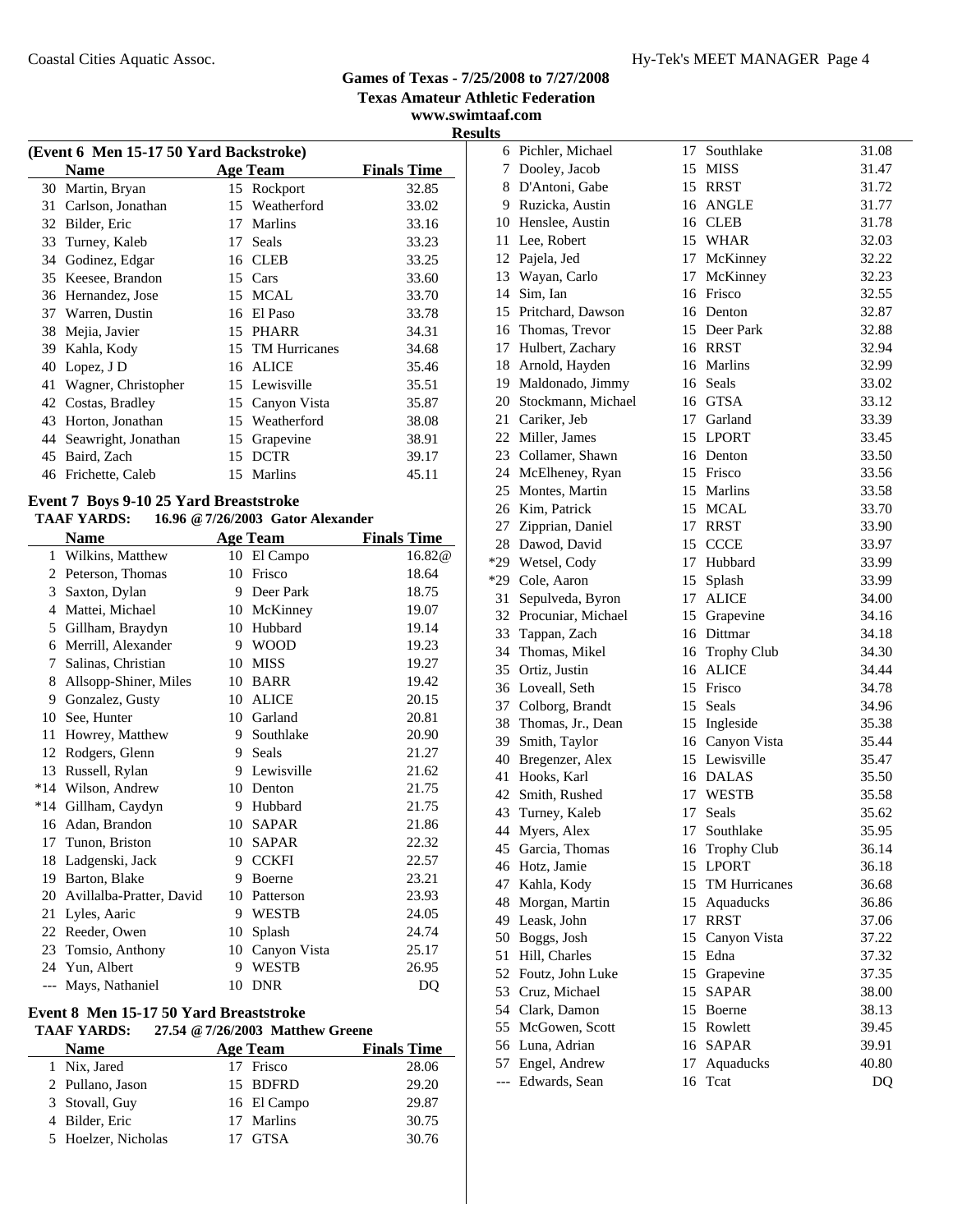**www.swimtaaf.com Results**

| (Event 6 Men 15-17 50 Yard Backstroke) |                     |    |                  |                    |  |  |
|----------------------------------------|---------------------|----|------------------|--------------------|--|--|
|                                        | <b>Name</b>         |    | <b>Age Team</b>  | <b>Finals Time</b> |  |  |
| 30                                     | Martin, Bryan       | 15 | Rockport         | 32.85              |  |  |
| 31                                     | Carlson, Jonathan   | 15 | Weatherford      | 33.02              |  |  |
| 32                                     | Bilder, Eric        | 17 | Marlins          | 33.16              |  |  |
| 33                                     | Turney, Kaleb       | 17 | Seals            | 33.23              |  |  |
| 34                                     | Godinez, Edgar      |    | 16 CLEB          | 33.25              |  |  |
| 35                                     | Keesee, Brandon     |    | 15 Cars          | 33.60              |  |  |
| 36                                     | Hernandez, Jose     |    | 15 MCAL          | 33.70              |  |  |
| 37                                     | Warren, Dustin      | 16 | El Paso          | 33.78              |  |  |
| 38                                     | Mejia, Javier       |    | 15 PHARR         | 34.31              |  |  |
| 39                                     | Kahla, Kody         |    | 15 TM Hurricanes | 34.68              |  |  |
| 40                                     | Lopez, J D          | 16 | ALICE            | 35.46              |  |  |
| 41                                     | Wagner, Christopher |    | 15 Lewisville    | 35.51              |  |  |
| 42                                     | Costas, Bradley     |    | 15 Canyon Vista  | 35.87              |  |  |
| 43                                     | Horton, Jonathan    | 15 | Weatherford      | 38.08              |  |  |
| 44                                     | Seawright, Jonathan | 15 | Grapevine        | 38.91              |  |  |
| 45                                     | Baird, Zach         | 15 | <b>DCTR</b>      | 39.17              |  |  |
| 46                                     | Frichette, Caleb    | 15 | Marlins          | 45.11              |  |  |
|                                        |                     |    |                  |                    |  |  |

### **Event 7 Boys 9-10 25 Yard Breaststroke**

#### **TAAF YARDS: 16.96 @7/26/2003 Gator Alexander**

|       | <b>Name</b>              |    | <b>Age Team</b> | <b>Finals Time</b> |
|-------|--------------------------|----|-----------------|--------------------|
| 1     | Wilkins, Matthew         |    | 10 El Campo     | 16.82@             |
| 2     | Peterson, Thomas         | 10 | Frisco          | 18.64              |
| 3     | Saxton, Dylan            | 9  | Deer Park       | 18.75              |
| 4     | Mattei, Michael          | 10 | McKinney        | 19.07              |
| 5     | Gillham, Braydyn         | 10 | Hubbard         | 19.14              |
| 6     | Merrill, Alexander       | 9  | <b>WOOD</b>     | 19.23              |
| 7     | Salinas, Christian       | 10 | <b>MISS</b>     | 19.27              |
| 8     | Allsopp-Shiner, Miles    | 10 | <b>BARR</b>     | 19.42              |
| 9     | Gonzalez, Gusty          | 10 | <b>ALICE</b>    | 20.15              |
| 10    | See, Hunter              | 10 | Garland         | 20.81              |
| 11    | Howrey, Matthew          | 9  | Southlake       | 20.90              |
| 12    | Rodgers, Glenn           | 9  | Seals           | 21.27              |
| 13    | Russell, Rylan           | 9  | Lewisville      | 21.62              |
| $*14$ | Wilson, Andrew           | 10 | Denton          | 21.75              |
| $*14$ | Gillham, Caydyn          | 9  | Hubbard         | 21.75              |
| 16    | Adan, Brandon            | 10 | <b>SAPAR</b>    | 21.86              |
| 17    | Tunon, Briston           | 10 | <b>SAPAR</b>    | 22.32              |
| 18    | Ladgenski, Jack          | 9  | <b>CCKFI</b>    | 22.57              |
| 19    | Barton, Blake            | 9  | Boerne          | 23.21              |
| 20    | Avillalba-Pratter, David | 10 | Patterson       | 23.93              |
| 21    | Lyles, Aaric             | 9  | <b>WESTB</b>    | 24.05              |
| 22    | Reeder, Owen             | 10 | Splash          | 24.74              |
| 23    | Tomsio, Anthony          | 10 | Canyon Vista    | 25.17              |
| 24    | Yun, Albert              | 9  | <b>WESTB</b>    | 26.95              |
|       | Mays, Nathaniel          | 10 | <b>DNR</b>      | DQ                 |
|       |                          |    |                 |                    |

### **Event 8 Men 15-17 50 Yard Breaststroke**

### **TAAF YARDS: 27.54 @7/26/2003 Matthew Greene**

| <b>Name</b>         | <b>Age Team</b> | <b>Finals Time</b> |
|---------------------|-----------------|--------------------|
| 1 Nix, Jared        | 17 Frisco       | 28.06              |
| 2 Pullano, Jason    | 15 BDFRD        | 29.20              |
| 3 Stovall, Guy      | 16 El Campo     | 29.87              |
| 4 Bilder, Eric      | 17 Marlins      | 30.75              |
| 5 Hoelzer, Nicholas | 17 GTSA         | 30.76              |

|       | 6 Pichler, Michael    | 17 | Southlake        | 31.08 |
|-------|-----------------------|----|------------------|-------|
|       | 7 Dooley, Jacob       |    | 15 MISS          | 31.47 |
|       | 8 D'Antoni, Gabe      |    | 15 RRST          | 31.72 |
|       | 9 Ruzicka, Austin     |    | 16 ANGLE         | 31.77 |
|       | 10 Henslee, Austin    |    | 16 CLEB          | 31.78 |
|       | 11 Lee, Robert        |    | 15 WHAR          | 32.03 |
|       | 12 Pajela, Jed        |    | 17 McKinney      | 32.22 |
|       | 13 Wayan, Carlo       | 17 | McKinney         | 32.23 |
|       | 14 Sim, Ian           |    | 16 Frisco        | 32.55 |
|       | 15 Pritchard, Dawson  |    | 16 Denton        | 32.87 |
|       | 16 Thomas, Trevor     |    | 15 Deer Park     | 32.88 |
|       | 17 Hulbert, Zachary   |    | 16 RRST          | 32.94 |
|       | 18 Arnold, Hayden     |    | 16 Marlins       | 32.99 |
|       | 19 Maldonado, Jimmy   |    | 16 Seals         | 33.02 |
|       | 20 Stockmann, Michael |    | 16 GTSA          | 33.12 |
|       | 21 Cariker, Jeb       |    | 17 Garland       | 33.39 |
|       | 22 Miller, James      |    | 15 LPORT         |       |
|       | 23 Collamer, Shawn    |    |                  | 33.45 |
|       |                       |    | 16 Denton        | 33.50 |
|       | 24 McElheney, Ryan    |    | 15 Frisco        | 33.56 |
|       | 25 Montes, Martin     |    | 15 Marlins       | 33.58 |
|       | 26 Kim, Patrick       |    | 15 MCAL          | 33.70 |
|       | 27 Zipprian, Daniel   |    | 17 RRST          | 33.90 |
|       | 28 Dawod, David       |    | 15 CCCE          | 33.97 |
|       | *29 Wetsel, Cody      |    | 17 Hubbard       | 33.99 |
|       | *29 Cole, Aaron       | 15 | Splash           | 33.99 |
| 31    | Sepulveda, Byron      | 17 | <b>ALICE</b>     | 34.00 |
|       | 32 Procuniar, Michael |    | 15 Grapevine     | 34.16 |
|       | 33 Tappan, Zach       |    | 16 Dittmar       | 34.18 |
|       | 34 Thomas, Mikel      |    | 16 Trophy Club   | 34.30 |
|       | 35 Ortiz, Justin      |    | 16 ALICE         | 34.44 |
|       | 36 Loveall, Seth      |    | 15 Frisco        | 34.78 |
|       | 37 Colborg, Brandt    |    | 15 Seals         | 34.96 |
|       | 38 Thomas, Jr., Dean  |    | 15 Ingleside     | 35.38 |
|       | 39 Smith, Taylor      |    | 16 Canyon Vista  | 35.44 |
|       | 40 Bregenzer, Alex    |    | 15 Lewisville    | 35.47 |
| 41    | Hooks, Karl           |    | 16 DALAS         | 35.50 |
|       | 42 Smith, Rushed      | 17 | <b>WESTB</b>     | 35.58 |
|       | 43 Turney, Kaleb      | 17 | Seals            | 35.62 |
| 44    | Myers, Alex           | 17 | Southlake        | 35.95 |
|       | 45 Garcia, Thomas     |    | 16 Trophy Club   | 36.14 |
|       | 46 Hotz, Jamie        |    | 15 LPORT         | 36.18 |
|       | 47 Kahla, Kody        |    | 15 TM Hurricanes | 36.68 |
|       | 48 Morgan, Martin     |    | 15 Aquaducks     | 36.86 |
|       | 49 Leask, John        | 17 | <b>RRST</b>      | 37.06 |
|       | 50 Boggs, Josh        |    | 15 Canyon Vista  | 37.22 |
| 51    | Hill, Charles         |    | 15 Edna          | 37.32 |
|       | 52 Foutz, John Luke   | 15 | Grapevine        | 37.35 |
| 53    | Cruz, Michael         | 15 | SAPAR            | 38.00 |
|       | 54 Clark, Damon       | 15 | Boerne           | 38.13 |
|       | 55 McGowen, Scott     |    | 15 Rowlett       | 39.45 |
|       | 56 Luna, Adrian       |    | 16 SAPAR         | 39.91 |
| 57    | Engel, Andrew         | 17 | Aquaducks        | 40.80 |
| $---$ | Edwards, Sean         | 16 | Tcat             | DQ    |
|       |                       |    |                  |       |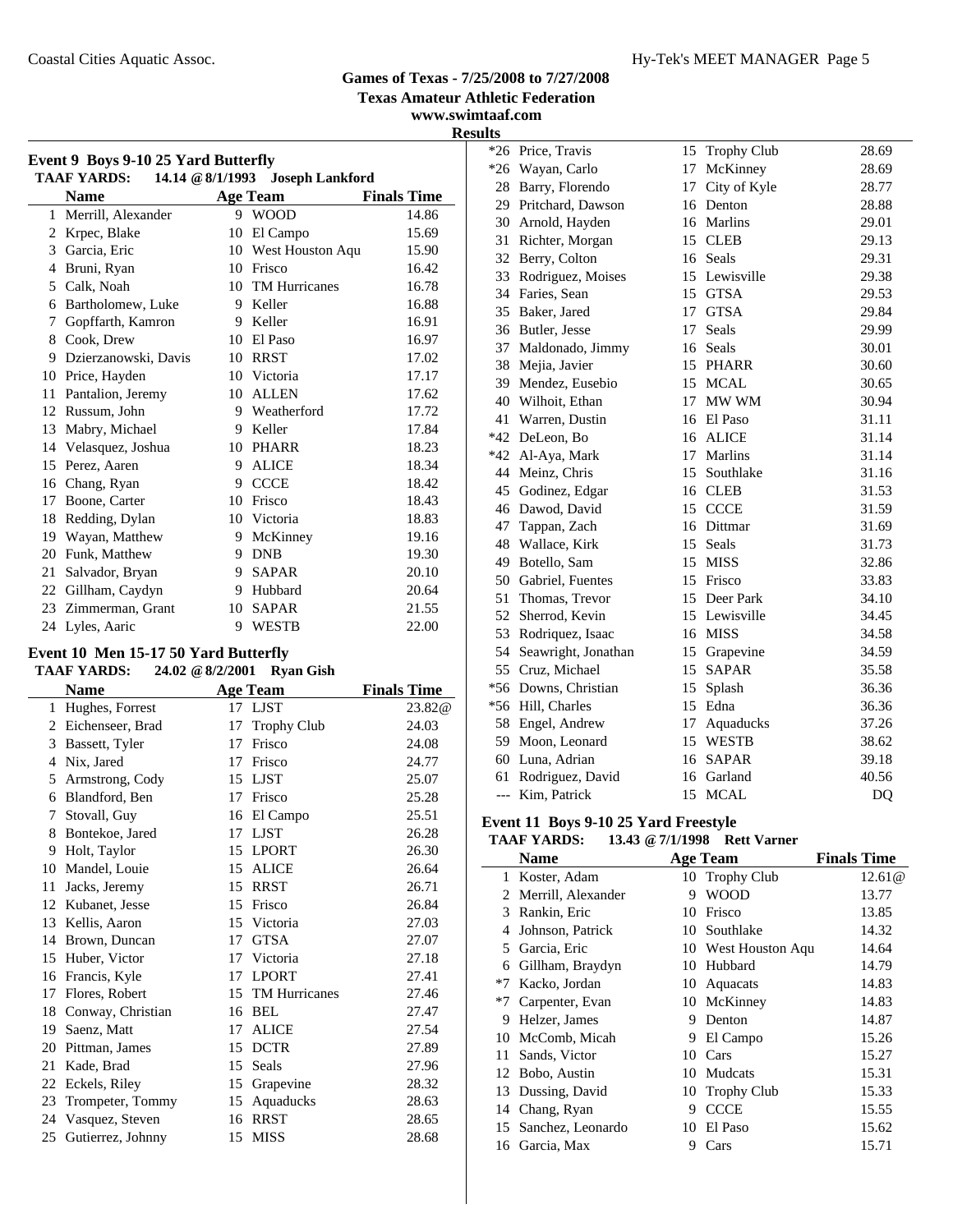**Texas Amateur Athletic Federation**

**www.swimtaaf.com Results**

| Event 9 Boys 9-10 25 Yard Butterfly<br><b>TAAF YARDS:</b><br>14.14 @ 8/1/1993 Joseph Lankford |                      |    |                  |                    |  |  |
|-----------------------------------------------------------------------------------------------|----------------------|----|------------------|--------------------|--|--|
|                                                                                               | <b>Name</b>          |    | <b>Age Team</b>  | <b>Finals Time</b> |  |  |
| 1                                                                                             | Merrill, Alexander   | 9  | <b>WOOD</b>      | 14.86              |  |  |
| 2                                                                                             | Krpec, Blake         | 10 | El Campo         | 15.69              |  |  |
| 3                                                                                             | Garcia, Eric         | 10 | West Houston Aqu | 15.90              |  |  |
| 4                                                                                             | Bruni, Ryan          | 10 | Frisco           | 16.42              |  |  |
| 5                                                                                             | Calk, Noah           | 10 | TM Hurricanes    | 16.78              |  |  |
| 6                                                                                             | Bartholomew, Luke    | 9  | Keller           | 16.88              |  |  |
| 7                                                                                             | Gopffarth, Kamron    | 9  | Keller           | 16.91              |  |  |
| 8                                                                                             | Cook, Drew           | 10 | El Paso          | 16.97              |  |  |
| 9                                                                                             | Dzierzanowski, Davis | 10 | <b>RRST</b>      | 17.02              |  |  |
| 10                                                                                            | Price, Hayden        | 10 | Victoria         | 17.17              |  |  |
| 11                                                                                            | Pantalion, Jeremy    | 10 | <b>ALLEN</b>     | 17.62              |  |  |
| 12                                                                                            | Russum, John         | 9  | Weatherford      | 17.72              |  |  |
| 13                                                                                            | Mabry, Michael       | 9  | Keller           | 17.84              |  |  |
| 14                                                                                            | Velasquez, Joshua    | 10 | PHARR            | 18.23              |  |  |
| 15                                                                                            | Perez, Aaren         | 9  | <b>ALICE</b>     | 18.34              |  |  |
| 16                                                                                            | Chang, Ryan          | 9  | <b>CCCE</b>      | 18.42              |  |  |
| 17                                                                                            | Boone, Carter        | 10 | Frisco           | 18.43              |  |  |
| 18                                                                                            | Redding, Dylan       | 10 | Victoria         | 18.83              |  |  |
| 19                                                                                            | Wayan, Matthew       | 9  | McKinney         | 19.16              |  |  |
| 20                                                                                            | Funk, Matthew        | 9  | <b>DNB</b>       | 19.30              |  |  |
| 21                                                                                            | Salvador, Bryan      | 9  | <b>SAPAR</b>     | 20.10              |  |  |
| 22                                                                                            | Gillham, Caydyn      | 9  | Hubbard          | 20.64              |  |  |
| 23                                                                                            | Zimmerman, Grant     | 10 | <b>SAPAR</b>     | 21.55              |  |  |
|                                                                                               | 24 Lyles, Aaric      | 9  | <b>WESTB</b>     | 22.00              |  |  |

### **Event 10 Men 15-17 50 Yard Butterfly**

### **TAAF YARDS: 24.02 @8/2/2001 Ryan Gish**

|    | <b>Name</b>       |    | <b>Age Team</b>      | <b>Finals Time</b> |
|----|-------------------|----|----------------------|--------------------|
| 1  | Hughes, Forrest   |    | 17 LJST              | 23.82@             |
| 2  | Eichenseer, Brad  | 17 | <b>Trophy Club</b>   | 24.03              |
| 3  | Bassett, Tyler    | 17 | Frisco               | 24.08              |
| 4  | Nix, Jared        | 17 | Frisco               | 24.77              |
| 5  | Armstrong, Cody   | 15 | <b>LJST</b>          | 25.07              |
| 6  | Blandford, Ben    | 17 | Frisco               | 25.28              |
| 7  | Stovall, Guy      | 16 | El Campo             | 25.51              |
| 8  | Bontekoe, Jared   | 17 | <b>LJST</b>          | 26.28              |
| 9  | Holt, Taylor      | 15 | <b>LPORT</b>         | 26.30              |
| 10 | Mandel, Louie     | 15 | <b>ALICE</b>         | 26.64              |
| 11 | Jacks, Jeremy     | 15 | <b>RRST</b>          | 26.71              |
| 12 | Kubanet, Jesse    | 15 | Frisco               | 26.84              |
| 13 | Kellis, Aaron     |    | 15 Victoria          | 27.03              |
| 14 | Brown, Duncan     | 17 | <b>GTSA</b>          | 27.07              |
| 15 | Huber, Victor     | 17 | Victoria             | 27.18              |
| 16 | Francis, Kyle     | 17 | <b>LPORT</b>         | 27.41              |
| 17 | Flores, Robert    | 15 | <b>TM Hurricanes</b> | 27.46              |
| 18 | Conway, Christian | 16 | BEL                  | 27.47              |
| 19 | Saenz, Matt       | 17 | <b>ALICE</b>         | 27.54              |
| 20 | Pittman, James    | 15 | <b>DCTR</b>          | 27.89              |
| 21 | Kade, Brad        | 15 | Seals                | 27.96              |
| 22 | Eckels, Riley     | 15 | Grapevine            | 28.32              |
| 23 | Trompeter, Tommy  | 15 | Aquaducks            | 28.63              |
| 24 | Vasquez, Steven   | 16 | <b>RRST</b>          | 28.65              |
| 25 | Gutierrez, Johnny | 15 | <b>MISS</b>          | 28.68              |
|    |                   |    |                      |                    |

| $*26$ | Price, Travis          | 15 | Trophy Club   | 28.69 |
|-------|------------------------|----|---------------|-------|
| $*26$ | Wayan, Carlo           | 17 | McKinney      | 28.69 |
| 28    | Barry, Florendo        | 17 | City of Kyle  | 28.77 |
| 29    | Pritchard, Dawson      | 16 | Denton        | 28.88 |
| 30    | Arnold, Hayden         | 16 | Marlins       | 29.01 |
| 31    | Richter, Morgan        | 15 | <b>CLEB</b>   | 29.13 |
| 32    | Berry, Colton          | 16 | Seals         | 29.31 |
| 33    | Rodriguez, Moises      | 15 | Lewisville    | 29.38 |
| 34    | Faries, Sean           | 15 | <b>GTSA</b>   | 29.53 |
| 35    | Baker, Jared           | 17 | <b>GTSA</b>   | 29.84 |
| 36    | Butler, Jesse          | 17 | Seals         | 29.99 |
| 37    | Maldonado, Jimmy       | 16 | Seals         | 30.01 |
| 38    | Mejia, Javier          | 15 | <b>PHARR</b>  | 30.60 |
| 39    | Mendez, Eusebio        | 15 | <b>MCAL</b>   | 30.65 |
| 40    | Wilhoit, Ethan         | 17 | MW WM         | 30.94 |
| 41    | Warren, Dustin         |    | 16 El Paso    | 31.11 |
| $*42$ | DeLeon, Bo             | 16 | <b>ALICE</b>  | 31.14 |
|       | *42 Al-Aya, Mark       | 17 | Marlins       | 31.14 |
|       | 44 Meinz, Chris        | 15 | Southlake     | 31.16 |
| 45    | Godinez, Edgar         |    | 16 CLEB       | 31.53 |
|       | 46 Dawod, David        | 15 | <b>CCCE</b>   | 31.59 |
| 47    | Tappan, Zach           |    | 16 Dittmar    | 31.69 |
| 48    | Wallace, Kirk          | 15 | Seals         | 31.73 |
| 49    | Botello, Sam           |    | 15 MISS       | 32.86 |
|       | 50 Gabriel, Fuentes    |    | 15 Frisco     | 33.83 |
| 51    | Thomas, Trevor         |    | 15 Deer Park  | 34.10 |
| 52    | Sherrod, Kevin         |    | 15 Lewisville | 34.45 |
| 53    | Rodriquez, Isaac       |    | 16 MISS       | 34.58 |
|       | 54 Seawright, Jonathan | 15 | Grapevine     | 34.59 |
| 55    | Cruz, Michael          | 15 | <b>SAPAR</b>  | 35.58 |
|       | *56 Downs, Christian   | 15 | Splash        | 36.36 |
|       | *56 Hill, Charles      | 15 | Edna          | 36.36 |
|       | 58 Engel, Andrew       | 17 | Aquaducks     | 37.26 |
|       | 59 Moon, Leonard       | 15 | WESTB         | 38.62 |
|       | 60 Luna, Adrian        | 16 | <b>SAPAR</b>  | 39.18 |
| 61    | Rodriguez, David       | 16 | Garland       | 40.56 |
| $---$ | Kim, Patrick           | 15 | <b>MCAL</b>   | DQ    |

# **Event 11 Boys 9-10 25 Yard Freestyle**

### **TAAF YARDS: 13.43 @7/1/1998 Rett Varner**

|      | <b>Name</b>        |    | <b>Age Team</b>     | <b>Finals Time</b> |
|------|--------------------|----|---------------------|--------------------|
| 1.   | Koster, Adam       |    | 10 Trophy Club      | 12.61@             |
| 2    | Merrill, Alexander | 9  | <b>WOOD</b>         | 13.77              |
| 3    | Rankin, Eric       | 10 | Frisco              | 13.85              |
| 4    | Johnson, Patrick   | 10 | Southlake           | 14.32              |
|      | 5 Garcia, Eric     |    | 10 West Houston Aqu | 14.64              |
| 6    | Gillham, Braydyn   | 10 | Hubbard             | 14.79              |
| $*7$ | Kacko, Jordan      |    | 10 Aquacats         | 14.83              |
| $*7$ | Carpenter, Evan    |    | 10 McKinney         | 14.83              |
| 9    | Helzer, James      | 9  | Denton              | 14.87              |
| 10   | McComb, Micah      | 9  | El Campo            | 15.26              |
| 11   | Sands, Victor      | 10 | Cars                | 15.27              |
| 12   | Bobo, Austin       | 10 | Mudcats             | 15.31              |
|      | 13 Dussing, David  |    | 10 Trophy Club      | 15.33              |
| 14   | Chang, Ryan        | 9  | <b>CCCE</b>         | 15.55              |
| 15   | Sanchez, Leonardo  | 10 | El Paso             | 15.62              |
|      | 16 Garcia, Max     | 9  | Cars                | 15.71              |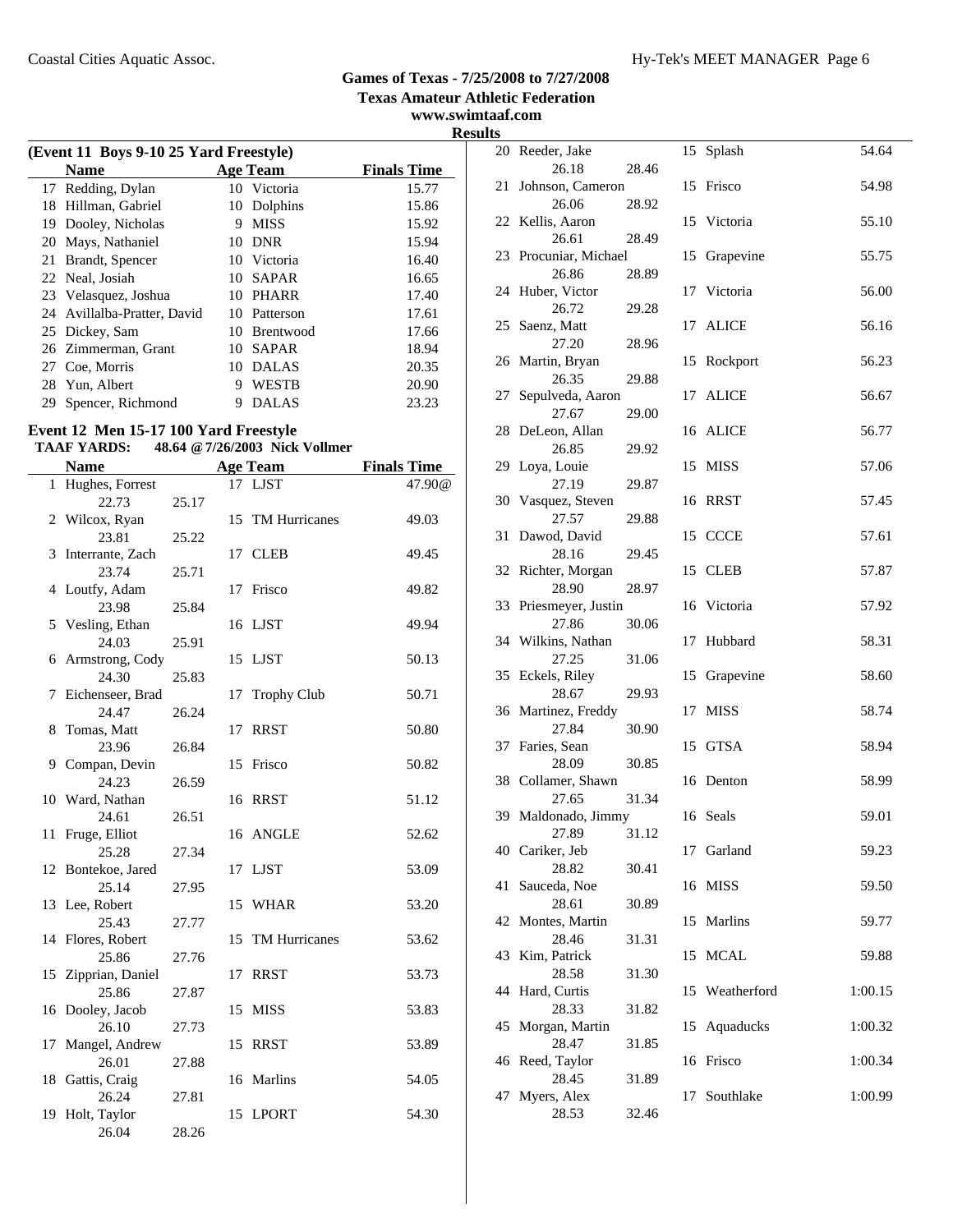### Coastal Cities Aquatic Assoc. The Coastal Cities Aquatic Assoc. The Coastal Cities Aquatic Assoc.

# **Games of Texas - 7/25/2008 to 7/27/2008**

**Texas Amateur Athletic Federation**

**www.swimtaaf.com Results**

| (Event 11 Boys 9-10 25 Yard Freestyle) |    |                  |                                                                                                                            |  |  |  |
|----------------------------------------|----|------------------|----------------------------------------------------------------------------------------------------------------------------|--|--|--|
| <b>Name</b>                            |    |                  | <b>Finals Time</b>                                                                                                         |  |  |  |
| 17 Redding, Dylan                      |    |                  | 15.77                                                                                                                      |  |  |  |
| Hillman, Gabriel                       |    |                  | 15.86                                                                                                                      |  |  |  |
| Dooley, Nicholas                       | 9  | <b>MISS</b>      | 15.92                                                                                                                      |  |  |  |
| 20 Mays, Nathaniel                     |    |                  | 15.94                                                                                                                      |  |  |  |
| Brandt, Spencer                        |    |                  | 16.40                                                                                                                      |  |  |  |
| 22 Neal, Josiah                        |    | <b>SAPAR</b>     | 16.65                                                                                                                      |  |  |  |
| 23 Velasquez, Joshua                   |    |                  | 17.40                                                                                                                      |  |  |  |
| 24 Avillalba-Pratter, David            |    |                  | 17.61                                                                                                                      |  |  |  |
| 25 Dickey, Sam                         |    | <b>Brentwood</b> | 17.66                                                                                                                      |  |  |  |
| 26 Zimmerman, Grant                    |    |                  | 18.94                                                                                                                      |  |  |  |
| Coe, Morris                            | 10 | <b>DALAS</b>     | 20.35                                                                                                                      |  |  |  |
| Yun, Albert                            | 9  | <b>WESTB</b>     | 20.90                                                                                                                      |  |  |  |
| Spencer, Richmond                      | 9  | DALAS            | 23.23                                                                                                                      |  |  |  |
|                                        |    |                  | <b>Age Team</b><br>10 Victoria<br>10 Dolphins<br>10 DNR<br>10 Victoria<br>10<br>10 PHARR<br>10 Patterson<br>10<br>10 SAPAR |  |  |  |

### **Event 12 Men 15-17 100 Yard Freestyle**

# **TAAF YARDS: 48.64 @7/26/2003 Nick Vollmer**

|              | <b>Name</b>       |       |    | <b>Age Team</b>      | <b>Finals Time</b> |
|--------------|-------------------|-------|----|----------------------|--------------------|
| $\mathbf{1}$ | Hughes, Forrest   |       |    | 17 LJST              | 47.90@             |
|              | 22.73             | 25.17 |    |                      |                    |
| 2            | Wilcox, Ryan      |       | 15 | <b>TM Hurricanes</b> | 49.03              |
|              | 23.81             | 25.22 |    |                      |                    |
| 3            | Interrante, Zach  |       | 17 | <b>CLEB</b>          | 49.45              |
|              | 23.74             | 25.71 |    |                      |                    |
|              | 4 Loutfy, Adam    |       | 17 | Frisco               | 49.82              |
|              | 23.98             | 25.84 |    |                      |                    |
|              | 5 Vesling, Ethan  |       |    | 16 LJST              | 49.94              |
|              | 24.03             | 25.91 |    |                      |                    |
|              | 6 Armstrong, Cody |       | 15 | LJST                 | 50.13              |
|              | 24.30             | 25.83 |    |                      |                    |
| 7            | Eichenseer, Brad  |       | 17 | <b>Trophy Club</b>   | 50.71              |
|              | 24.47             | 26.24 |    |                      |                    |
| 8            | Tomas, Matt       |       | 17 | <b>RRST</b>          | 50.80              |
|              | 23.96             | 26.84 |    |                      |                    |
| 9            | Compan, Devin     |       | 15 | Frisco               | 50.82              |
|              | 24.23             | 26.59 |    |                      |                    |
|              | 10 Ward, Nathan   |       |    | 16 RRST              | 51.12              |
|              | 24.61             | 26.51 |    |                      |                    |
| 11           | Fruge, Elliot     |       |    | 16 ANGLE             | 52.62              |
|              | 25.28             | 27.34 |    |                      |                    |
| 12           | Bontekoe, Jared   |       | 17 | <b>LJST</b>          | 53.09              |
|              | 25.14             | 27.95 |    |                      |                    |
| 13           | Lee, Robert       |       | 15 | WHAR                 | 53.20              |
|              | 25.43             | 27.77 |    |                      |                    |
| 14           | Flores, Robert    |       | 15 | TM Hurricanes        | 53.62              |
|              | 25.86             | 27.76 |    |                      |                    |
| 15           | Zipprian, Daniel  |       | 17 | <b>RRST</b>          | 53.73              |
|              | 25.86             | 27.87 |    |                      |                    |
|              | 16 Dooley, Jacob  |       | 15 | <b>MISS</b>          | 53.83              |
|              | 26.10             | 27.73 |    |                      |                    |
| 17           | Mangel, Andrew    |       | 15 | <b>RRST</b>          | 53.89              |
|              | 26.01             | 27.88 |    |                      |                    |
|              | 18 Gattis, Craig  |       |    | 16 Marlins           | 54.05              |
|              | 26.24             | 27.81 |    |                      |                    |
| 19           | Holt, Taylor      |       |    | 15 LPORT             | 54.30              |
|              | 26.04             | 28.26 |    |                      |                    |

| 20 | Reeder, Jake                |       | 15 | Splash       | 54.64   |
|----|-----------------------------|-------|----|--------------|---------|
|    | 26.18                       | 28.46 |    |              |         |
| 21 | Johnson, Cameron            |       | 15 | Frisco       | 54.98   |
| 22 | 26.06<br>Kellis, Aaron      | 28.92 |    | 15 Victoria  | 55.10   |
|    | 26.61                       | 28.49 |    |              |         |
| 23 | Procuniar, Michael          |       | 15 | Grapevine    | 55.75   |
|    | 26.86                       | 28.89 |    |              |         |
| 24 | Huber, Victor               |       | 17 | Victoria     | 56.00   |
|    | 26.72                       | 29.28 |    |              |         |
|    | 25 Saenz, Matt              |       | 17 | <b>ALICE</b> | 56.16   |
|    | 27.20                       | 28.96 |    |              |         |
|    | 26 Martin, Bryan            |       | 15 | Rockport     | 56.23   |
|    | 26.35                       | 29.88 |    |              |         |
| 27 | Sepulveda, Aaron<br>27.67   | 29.00 | 17 | <b>ALICE</b> | 56.67   |
| 28 | DeLeon, Allan               |       | 16 | ALICE        | 56.77   |
|    | 26.85                       | 29.92 |    |              |         |
| 29 | Loya, Louie                 |       | 15 | <b>MISS</b>  | 57.06   |
|    | 27.19                       | 29.87 |    |              |         |
| 30 | Vasquez, Steven             |       | 16 | <b>RRST</b>  | 57.45   |
|    | 27.57                       | 29.88 |    |              |         |
| 31 | Dawod, David                |       |    | 15 CCCE      | 57.61   |
|    | 28.16                       | 29.45 |    |              |         |
| 32 | Richter, Morgan             |       | 15 | <b>CLEB</b>  | 57.87   |
| 33 | 28.90<br>Priesmeyer, Justin | 28.97 |    | 16 Victoria  | 57.92   |
|    | 27.86                       | 30.06 |    |              |         |
|    | 34 Wilkins, Nathan          |       | 17 | Hubbard      | 58.31   |
|    | 27.25                       | 31.06 |    |              |         |
|    | 35 Eckels, Riley            |       | 15 | Grapevine    | 58.60   |
|    | 28.67                       | 29.93 |    |              |         |
| 36 | Martinez, Freddy            |       | 17 | <b>MISS</b>  | 58.74   |
|    | 27.84                       | 30.90 |    |              |         |
| 37 | Faries, Sean                |       | 15 | <b>GTSA</b>  | 58.94   |
|    | 28.09                       | 30.85 |    |              |         |
|    | 38 Collamer, Shawn<br>27.65 | 31.34 | 16 | Denton       | 58.99   |
|    | 39 Maldonado, Jimmy         |       |    | 16 Seals     | 59.01   |
|    | 27.89 31.12                 |       |    |              |         |
|    | 40 Cariker, Jeb             |       |    | 17 Garland   | 59.23   |
|    | 28.82                       | 30.41 |    |              |         |
| 41 | Sauceda, Noe                |       |    | 16 MISS      | 59.50   |
|    | 28.61                       | 30.89 |    |              |         |
| 42 | Montes, Martin              |       | 15 | Marlins      | 59.77   |
|    | 28.46                       | 31.31 |    |              |         |
| 43 | Kim, Patrick<br>28.58       | 31.30 | 15 | <b>MCAL</b>  | 59.88   |
| 44 | Hard, Curtis                |       | 15 | Weatherford  | 1:00.15 |
|    | 28.33                       | 31.82 |    |              |         |
| 45 | Morgan, Martin              |       | 15 | Aquaducks    | 1:00.32 |
|    | 28.47                       | 31.85 |    |              |         |
|    | 46 Reed, Taylor             |       | 16 | Frisco       | 1:00.34 |
|    | 28.45                       | 31.89 |    |              |         |
| 47 | Myers, Alex                 |       | 17 | Southlake    | 1:00.99 |
|    | 28.53                       | 32.46 |    |              |         |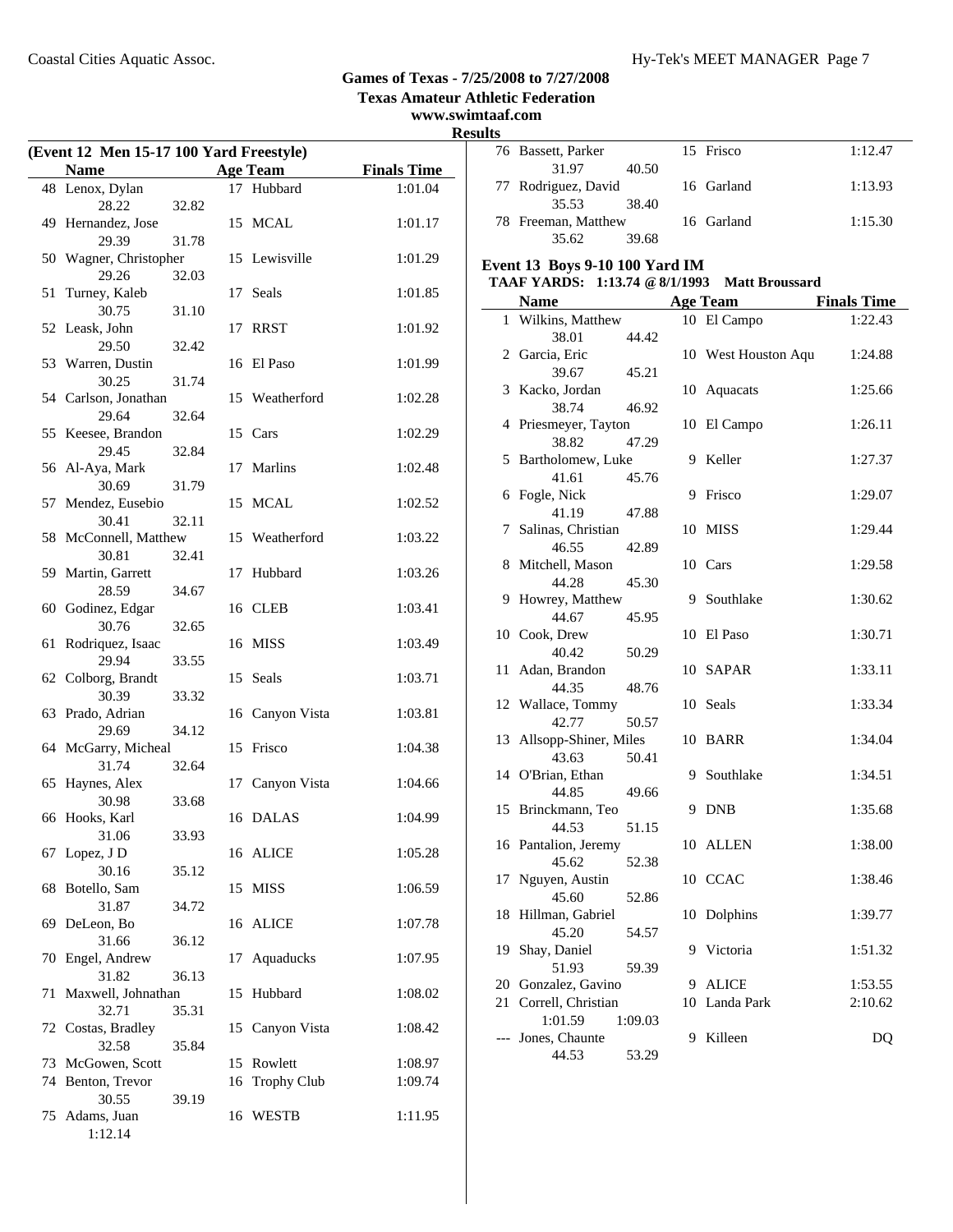**Texas Amateur Athletic Federation www.swimtaaf.com**

# **Results**

| (Event 12 Men 15-17 100 Yard Freestyle) |                                 |       |    |                 |                    |  |
|-----------------------------------------|---------------------------------|-------|----|-----------------|--------------------|--|
|                                         | <b>Name</b>                     |       |    | <b>Age Team</b> | <b>Finals Time</b> |  |
|                                         | 48 Lenox, Dylan                 |       |    | 17 Hubbard      | 1:01.04            |  |
|                                         | 28.22                           | 32.82 |    |                 |                    |  |
|                                         | 49 Hernandez, Jose              |       |    | 15 MCAL         | 1:01.17            |  |
|                                         | 29.39<br>50 Wagner, Christopher | 31.78 |    | 15 Lewisville   | 1:01.29            |  |
|                                         | 29.26                           | 32.03 |    |                 |                    |  |
| 51                                      | Turney, Kaleb                   |       | 17 | Seals           | 1:01.85            |  |
|                                         | 30.75                           | 31.10 |    |                 |                    |  |
|                                         | 52 Leask, John                  |       |    | 17 RRST         | 1:01.92            |  |
|                                         | 29.50                           | 32.42 |    |                 |                    |  |
|                                         | 53 Warren, Dustin               |       | 16 | El Paso         | 1:01.99            |  |
|                                         | 30.25                           | 31.74 |    |                 |                    |  |
|                                         | 54 Carlson, Jonathan            |       |    | 15 Weatherford  | 1:02.28            |  |
|                                         | 29.64                           | 32.64 |    |                 |                    |  |
|                                         | 55 Keesee, Brandon              |       |    | 15 Cars         | 1:02.29            |  |
|                                         | 29.45                           | 32.84 |    |                 |                    |  |
|                                         | 56 Al-Aya, Mark                 |       | 17 | Marlins         | 1:02.48            |  |
|                                         | 30.69<br>57 Mendez, Eusebio     | 31.79 |    | 15 MCAL         | 1:02.52            |  |
|                                         | 30.41                           | 32.11 |    |                 |                    |  |
|                                         | 58 McConnell, Matthew           |       |    | 15 Weatherford  | 1:03.22            |  |
|                                         | 30.81                           | 32.41 |    |                 |                    |  |
|                                         | 59 Martin, Garrett              |       | 17 | Hubbard         | 1:03.26            |  |
|                                         | 28.59                           | 34.67 |    |                 |                    |  |
|                                         | 60 Godinez, Edgar               |       |    | 16 CLEB         | 1:03.41            |  |
|                                         | 30.76                           | 32.65 |    |                 |                    |  |
| 61                                      | Rodriquez, Isaac                |       |    | 16 MISS         | 1:03.49            |  |
|                                         | 29.94                           | 33.55 |    | 15 Seals        |                    |  |
|                                         | 62 Colborg, Brandt<br>30.39     | 33.32 |    |                 | 1:03.71            |  |
|                                         | 63 Prado, Adrian                |       |    | 16 Canyon Vista | 1:03.81            |  |
|                                         | 29.69                           | 34.12 |    |                 |                    |  |
|                                         | 64 McGarry, Micheal             |       |    | 15 Frisco       | 1:04.38            |  |
|                                         | 31.74                           | 32.64 |    |                 |                    |  |
|                                         | 65 Haynes, Alex                 |       |    | 17 Canyon Vista | 1:04.66            |  |
|                                         | 30.98                           | 33.68 |    |                 |                    |  |
|                                         | 66 Hooks, Karl<br>31.06         |       |    | 16 DALAS        | 1:04.99            |  |
| 67                                      | Lopez, J D                      | 33.93 |    | 16 ALICE        | 1:05.28            |  |
|                                         | 30.16                           | 35.12 |    |                 |                    |  |
| 68                                      | Botello, Sam                    |       |    | 15 MISS         | 1:06.59            |  |
|                                         | 31.87                           | 34.72 |    |                 |                    |  |
|                                         | 69 DeLeon, Bo                   |       |    | 16 ALICE        | 1:07.78            |  |
|                                         | 31.66                           | 36.12 |    |                 |                    |  |
| 70                                      | Engel, Andrew<br>31.82          |       | 17 | Aquaducks       | 1:07.95            |  |
| 71                                      | Maxwell, Johnathan              | 36.13 | 15 | Hubbard         | 1:08.02            |  |
|                                         | 32.71                           | 35.31 |    |                 |                    |  |
|                                         | 72 Costas, Bradley              |       |    | 15 Canyon Vista | 1:08.42            |  |
|                                         | 32.58                           | 35.84 |    |                 |                    |  |
| 73                                      | McGowen, Scott                  |       | 15 | Rowlett         | 1:08.97            |  |
| 74                                      | Benton, Trevor                  |       | 16 | Trophy Club     | 1:09.74            |  |
|                                         | 30.55                           | 39.19 |    |                 |                    |  |
| 75                                      | Adams, Juan                     |       |    | 16 WESTB        | 1:11.95            |  |
|                                         | 1:12.14                         |       |    |                 |                    |  |

| ults  |                                                                                 |         |    |                     |                    |  |  |
|-------|---------------------------------------------------------------------------------|---------|----|---------------------|--------------------|--|--|
|       | 76 Bassett, Parker<br>31.97                                                     | 40.50   |    | 15 Frisco           | 1:12.47            |  |  |
|       | 77 Rodriguez, David                                                             |         |    | 16 Garland          | 1:13.93            |  |  |
|       | 35.53<br>78 Freeman, Matthew                                                    | 38.40   |    | 16 Garland          | 1:15.30            |  |  |
|       | 35.62                                                                           | 39.68   |    |                     |                    |  |  |
|       |                                                                                 |         |    |                     |                    |  |  |
|       | Event 13 Boys 9-10 100 Yard IM<br>TAAF YARDS: 1:13.74 @ 8/1/1993 Matt Broussard |         |    |                     |                    |  |  |
|       | <b>Name</b>                                                                     |         |    | <b>Age Team</b>     | <b>Finals Time</b> |  |  |
|       | 1 Wilkins, Matthew                                                              |         |    | 10 El Campo         | 1:22.43            |  |  |
|       | 38.01                                                                           | 44.42   |    |                     |                    |  |  |
|       | 2 Garcia, Eric                                                                  |         |    | 10 West Houston Aqu | 1:24.88            |  |  |
|       | 39.67                                                                           | 45.21   |    |                     |                    |  |  |
|       | 3 Kacko, Jordan                                                                 |         |    | 10 Aquacats         | 1:25.66            |  |  |
|       | 38.74                                                                           | 46.92   |    |                     |                    |  |  |
|       | 4 Priesmeyer, Tayton                                                            |         |    | 10 El Campo         | 1:26.11            |  |  |
|       | 38.82                                                                           | 47.29   |    |                     |                    |  |  |
|       | 5 Bartholomew, Luke                                                             |         |    | 9 Keller            | 1:27.37            |  |  |
|       | 41.61                                                                           | 45.76   |    |                     |                    |  |  |
|       | 6 Fogle, Nick                                                                   |         |    | 9 Frisco            | 1:29.07            |  |  |
|       | 41.19                                                                           | 47.88   |    |                     |                    |  |  |
| 7     | Salinas, Christian                                                              |         |    | 10 MISS             | 1:29.44            |  |  |
|       | 46.55                                                                           | 42.89   |    |                     |                    |  |  |
|       | 8 Mitchell, Mason                                                               |         |    | 10 Cars             | 1:29.58            |  |  |
|       | 44.28                                                                           | 45.30   |    |                     |                    |  |  |
|       | 9 Howrey, Matthew                                                               |         |    | 9 Southlake         | 1:30.62            |  |  |
|       | 44.67                                                                           | 45.95   |    |                     |                    |  |  |
|       | 10 Cook, Drew                                                                   |         |    | 10 El Paso          | 1:30.71            |  |  |
|       | 40.42                                                                           | 50.29   |    |                     |                    |  |  |
|       | 11 Adan, Brandon                                                                |         |    | 10 SAPAR            | 1:33.11            |  |  |
|       | 44.35                                                                           | 48.76   |    |                     |                    |  |  |
|       | 12 Wallace, Tommy                                                               |         |    | 10 Seals            | 1:33.34            |  |  |
|       | 42.77                                                                           | 50.57   |    |                     |                    |  |  |
|       | 13 Allsopp-Shiner, Miles                                                        |         |    | 10 BARR             | 1:34.04            |  |  |
|       | 43.63                                                                           | 50.41   |    | 9 Southlake         | 1:34.51            |  |  |
|       | 14 O'Brian, Ethan<br>44.85                                                      | 49.66   |    |                     |                    |  |  |
|       | 15 Brinckmann, Teo                                                              |         |    | 9 DNB               | 1:35.68            |  |  |
|       | 44.53                                                                           | 51.15   |    |                     |                    |  |  |
|       | 16 Pantalion, Jeremy                                                            |         |    | 10 ALLEN            | 1:38.00            |  |  |
|       | 45.62                                                                           | 52.38   |    |                     |                    |  |  |
| 17    | Nguyen, Austin                                                                  |         |    | 10 CCAC             | 1:38.46            |  |  |
|       | 45.60                                                                           | 52.86   |    |                     |                    |  |  |
| 18    | Hillman, Gabriel                                                                |         | 10 | Dolphins            | 1:39.77            |  |  |
|       | 45.20                                                                           | 54.57   |    |                     |                    |  |  |
| 19    | Shay, Daniel                                                                    |         |    | 9 Victoria          | 1:51.32            |  |  |
|       | 51.93                                                                           | 59.39   |    |                     |                    |  |  |
| 20    | Gonzalez, Gavino                                                                |         |    | 9 ALICE             | 1:53.55            |  |  |
| 21    | Correll, Christian                                                              |         |    | 10 Landa Park       | 2:10.62            |  |  |
|       | 1:01.59                                                                         | 1:09.03 |    |                     |                    |  |  |
| $---$ | Jones, Chaunte                                                                  |         | 9  | Killeen             | DQ                 |  |  |
|       | 44.53                                                                           | 53.29   |    |                     |                    |  |  |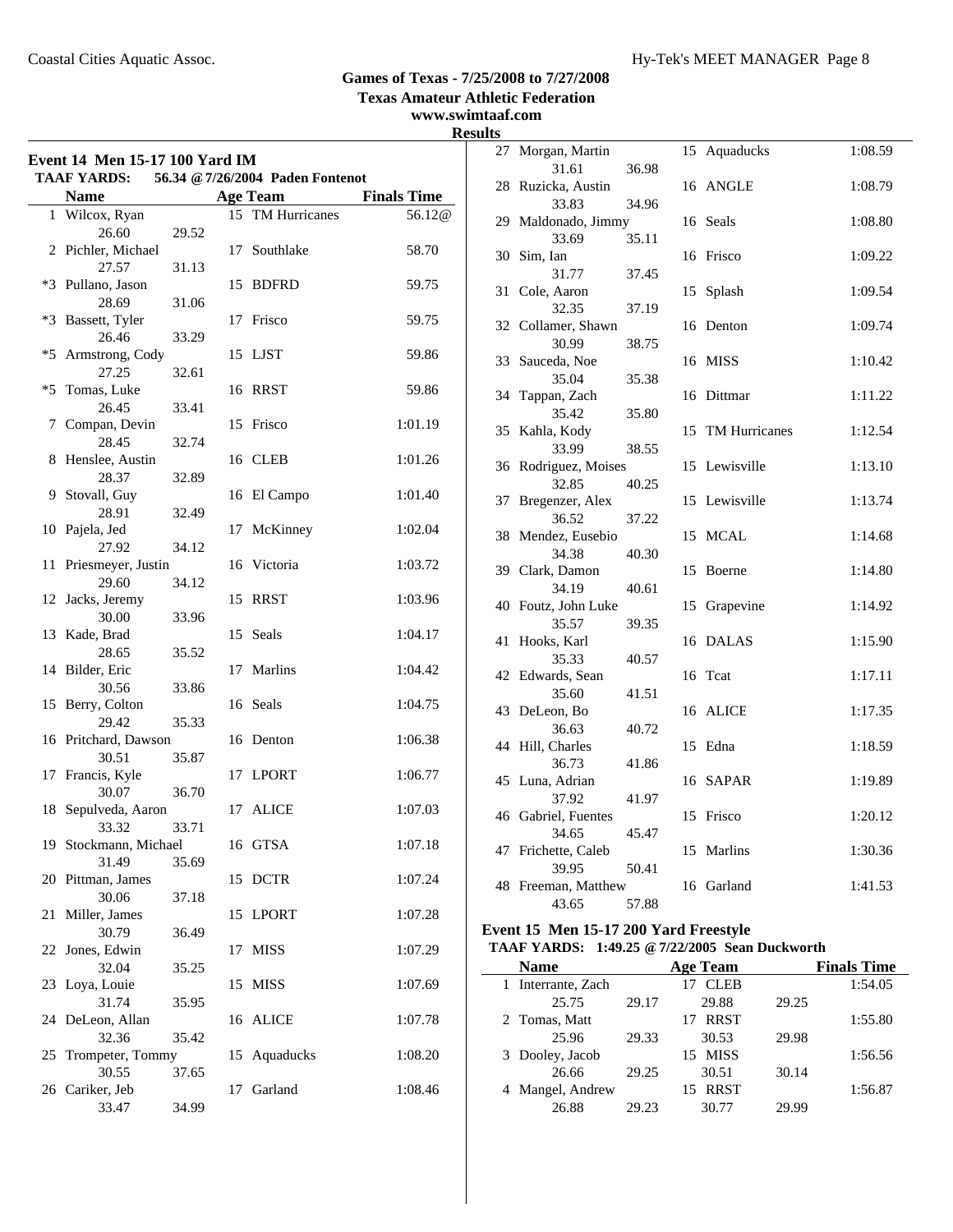**Texas Amateur Athletic Federation**

### **www.swimtaaf.com Results**

| Event 14 Men 15-17 100 Yard IM<br><b>TAAF YARDS:</b><br>56.34 @ 7/26/2004 Paden Fontenot |                       |       |    |                  |                    |
|------------------------------------------------------------------------------------------|-----------------------|-------|----|------------------|--------------------|
|                                                                                          | <b>Name</b>           |       |    | <b>Age Team</b>  | <b>Finals Time</b> |
|                                                                                          | 1 Wilcox, Ryan        |       |    | 15 TM Hurricanes | 56.12@             |
|                                                                                          | 26.60                 | 29.52 |    |                  |                    |
|                                                                                          | 2 Pichler, Michael    |       | 17 | Southlake        | 58.70              |
|                                                                                          | 27.57                 | 31.13 |    |                  |                    |
|                                                                                          | *3 Pullano, Jason     |       |    | 15 BDFRD         | 59.75              |
|                                                                                          | 28.69                 | 31.06 |    |                  |                    |
|                                                                                          | *3 Bassett, Tyler     |       | 17 | Frisco           | 59.75              |
|                                                                                          | 26.46                 | 33.29 |    |                  |                    |
| $*5$                                                                                     | Armstrong, Cody       |       |    | 15 LJST          | 59.86              |
|                                                                                          | 27.25                 | 32.61 |    |                  |                    |
| *5                                                                                       | Tomas, Luke           |       |    | 16 RRST          | 59.86              |
|                                                                                          | 26.45                 | 33.41 |    |                  |                    |
| 7                                                                                        | Compan, Devin         |       |    | 15 Frisco        | 1:01.19            |
|                                                                                          | 28.45                 | 32.74 |    |                  |                    |
| 8                                                                                        | Henslee, Austin       |       |    | 16 CLEB          | 1:01.26            |
|                                                                                          | 28.37                 | 32.89 |    |                  |                    |
| 9                                                                                        | Stovall, Guy          |       |    | 16 El Campo      | 1:01.40            |
|                                                                                          | 28.91                 | 32.49 |    |                  |                    |
| 10                                                                                       | Pajela, Jed<br>27.92  | 34.12 | 17 | McKinney         | 1:02.04            |
| 11                                                                                       | Priesmeyer, Justin    |       |    | 16 Victoria      | 1:03.72            |
|                                                                                          | 29.60                 | 34.12 |    |                  |                    |
|                                                                                          | 12 Jacks, Jeremy      |       | 15 | <b>RRST</b>      | 1:03.96            |
|                                                                                          | 30.00                 | 33.96 |    |                  |                    |
|                                                                                          | 13 Kade, Brad         |       |    | 15 Seals         | 1:04.17            |
|                                                                                          | 28.65                 | 35.52 |    |                  |                    |
|                                                                                          | 14 Bilder, Eric       |       | 17 | Marlins          | 1:04.42            |
|                                                                                          | 30.56                 | 33.86 |    |                  |                    |
|                                                                                          | 15 Berry, Colton      |       |    | 16 Seals         | 1:04.75            |
|                                                                                          | 29.42                 | 35.33 |    |                  |                    |
|                                                                                          | 16 Pritchard, Dawson  |       |    | 16 Denton        | 1:06.38            |
|                                                                                          | 30.51                 | 35.87 |    |                  |                    |
|                                                                                          | 17 Francis, Kyle      |       | 17 | <b>LPORT</b>     | 1:06.77            |
|                                                                                          | 30.07                 | 36.70 |    |                  |                    |
| 18                                                                                       | Sepulveda, Aaron      |       | 17 | <b>ALICE</b>     | 1:07.03            |
|                                                                                          | 33.32                 | 33.71 |    |                  |                    |
|                                                                                          | 19 Stockmann, Michael |       |    | 16 GTSA          | 1:07.18            |
|                                                                                          | 31.49                 | 35.69 |    |                  |                    |
|                                                                                          | 20 Pittman, James     |       | 15 | <b>DCTR</b>      | 1:07.24            |
|                                                                                          | 30.06                 | 37.18 |    |                  |                    |
| 21                                                                                       | Miller, James         |       | 15 | LPORT            | 1:07.28            |
|                                                                                          | 30.79                 | 36.49 |    |                  |                    |
| 22                                                                                       | Jones, Edwin          |       | 17 | <b>MISS</b>      | 1:07.29            |
|                                                                                          | 32.04                 | 35.25 |    |                  |                    |
|                                                                                          | 23 Loya, Louie        |       | 15 | <b>MISS</b>      | 1:07.69            |
|                                                                                          | 31.74                 | 35.95 |    |                  |                    |
| 24                                                                                       | DeLeon, Allan         |       |    | 16 ALICE         | 1:07.78            |
|                                                                                          | 32.36                 | 35.42 |    |                  |                    |
| 25                                                                                       | Trompeter, Tommy      |       | 15 | Aquaducks        | 1:08.20            |
|                                                                                          | 30.55                 | 37.65 |    |                  |                    |
| 26                                                                                       | Cariker, Jeb          |       | 17 | Garland          | 1:08.46            |
|                                                                                          | 33.47                 | 34.99 |    |                  |                    |

| llS |                           |       |    |                      |         |
|-----|---------------------------|-------|----|----------------------|---------|
| 27  | Morgan, Martin            |       | 15 | Aquaducks            | 1:08.59 |
|     | 31.61                     | 36.98 |    |                      |         |
|     | 28 Ruzicka, Austin        |       |    | 16 ANGLE             | 1:08.79 |
|     | 33.83                     | 34.96 |    |                      |         |
|     | 29 Maldonado, Jimmy       |       |    | 16 Seals             | 1:08.80 |
|     | 33.69                     | 35.11 |    |                      |         |
| 30  | Sim, Ian                  |       |    | 16 Frisco            | 1:09.22 |
|     | 31.77                     | 37.45 |    |                      |         |
| 31  | Cole, Aaron               |       | 15 | Splash               | 1:09.54 |
|     | 32.35                     | 37.19 |    |                      |         |
|     | 32 Collamer, Shawn        |       | 16 | Denton               | 1:09.74 |
|     | 30.99                     | 38.75 |    |                      |         |
| 33  | Sauceda, Noe              |       | 16 | <b>MISS</b>          | 1:10.42 |
|     | 35.04                     | 35.38 |    |                      |         |
| 34  | Tappan, Zach              |       | 16 | Dittmar              | 1:11.22 |
|     | 35.42<br>Kahla, Kody      | 35.80 |    | <b>TM Hurricanes</b> | 1:12.54 |
| 35  | 33.99                     | 38.55 | 15 |                      |         |
| 36  | Rodriguez, Moises         |       |    | 15 Lewisville        | 1:13.10 |
|     | 32.85                     | 40.25 |    |                      |         |
| 37  | Bregenzer, Alex           |       | 15 | Lewisville           | 1:13.74 |
|     | 36.52                     | 37.22 |    |                      |         |
|     | 38 Mendez, Eusebio        |       | 15 | MCAL                 | 1:14.68 |
|     | 34.38                     | 40.30 |    |                      |         |
| 39  | Clark, Damon              |       | 15 | Boerne               | 1:14.80 |
|     | 34.19                     | 40.61 |    |                      |         |
| 40  | Foutz, John Luke          |       | 15 | Grapevine            | 1:14.92 |
|     | 35.57                     | 39.35 |    |                      |         |
| 41  | Hooks, Karl               |       | 16 | <b>DALAS</b>         | 1:15.90 |
|     | 35.33                     | 40.57 |    |                      |         |
| 42  | Edwards, Sean             |       | 16 | Tcat                 | 1:17.11 |
|     | 35.60                     | 41.51 |    |                      |         |
| 43  | DeLeon, Bo                |       | 16 | <b>ALICE</b>         | 1:17.35 |
|     | 36.63                     | 40.72 |    |                      |         |
| 44  | Hill, Charles             |       | 15 | Edna                 | 1:18.59 |
|     | 36.73                     | 41.86 |    |                      |         |
| 45  | Luna, Adrian              |       |    | 16 SAPAR             | 1:19.89 |
|     | 37.92                     | 41.97 |    |                      |         |
|     | 46 Gabriel, Fuentes       |       | 15 | Frisco               | 1:20.12 |
|     | 34.65                     | 45.47 |    |                      |         |
| 47  | Frichette, Caleb<br>39.95 |       |    | 15 Marlins           | 1:30.36 |
|     | 48 Freeman, Matthew       | 50.41 |    | 16 Garland           | 1:41.53 |
|     | 43.65                     | 57.88 |    |                      |         |
|     |                           |       |    |                      |         |

#### **Event 15 Men 15-17 200 Yard Freestyle TAAF YARDS: 1:49.25 @7/22/2005 Sean Duckworth**

| <b>Name</b>        |       | <b>Age Team</b> |       | <b>Finals Time</b> |
|--------------------|-------|-----------------|-------|--------------------|
| 1 Interrante, Zach |       | <b>CLEB</b>     |       | 1:54.05            |
| 25.75              | 29.17 | 29.88           | 29.25 |                    |
| 2 Tomas, Matt      |       | <b>RRST</b>     |       | 1:55.80            |
| 25.96              | 29.33 | 30.53           | 29.98 |                    |
| 3 Dooley, Jacob    |       | 15 MISS         |       | 1:56.56            |
| 26.66              | 29.25 | 30.51           | 30.14 |                    |
| 4 Mangel, Andrew   |       | RRST<br>15      |       | 1:56.87            |
| 26.88              | 29.23 | 30.77           | 29.99 |                    |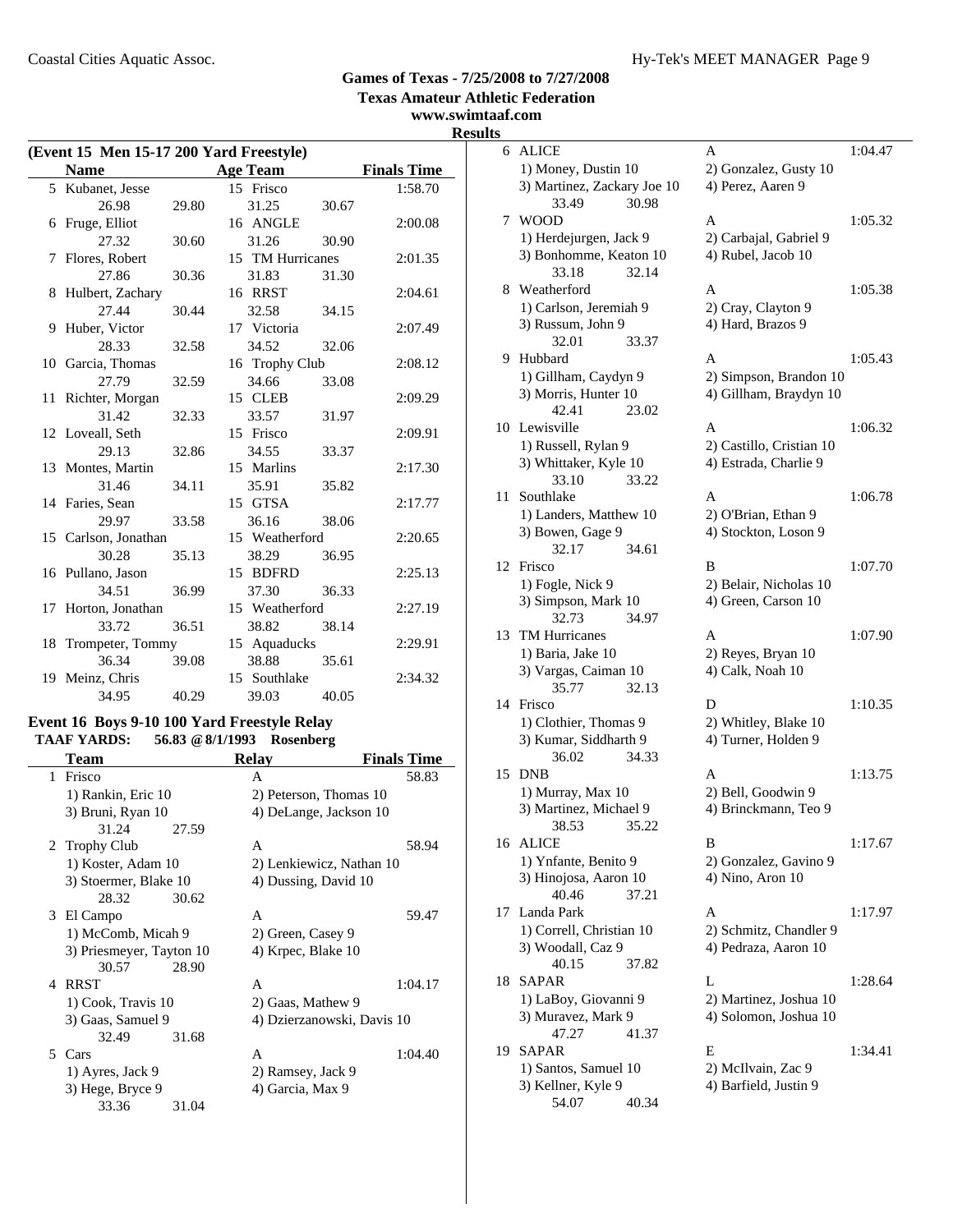**www.swimtaaf.com**

### **Results**

|    | (Event 15 Men 15-17 200 Yard Freestyle) |       |                  |       |                    |  |
|----|-----------------------------------------|-------|------------------|-------|--------------------|--|
|    | <b>Name</b>                             |       | <b>Age Team</b>  |       | <b>Finals Time</b> |  |
|    | 5 Kubanet, Jesse                        |       | 15 Frisco        |       | 1:58.70            |  |
|    | 26.98                                   | 29.80 | 31.25            | 30.67 |                    |  |
|    | 6 Fruge, Elliot                         |       | 16 ANGLE         |       | 2:00.08            |  |
|    | 27.32                                   | 30.60 | 31.26            | 30.90 |                    |  |
| 7  | Flores, Robert                          |       | 15 TM Hurricanes |       | 2:01.35            |  |
|    | 27.86                                   | 30.36 | 31.83            | 31.30 |                    |  |
|    | 8 Hulbert, Zachary                      |       | 16 RRST          |       | 2:04.61            |  |
|    | 27.44                                   | 30.44 | 32.58            | 34.15 |                    |  |
| 9  | Huber, Victor                           |       | 17 Victoria      |       | 2:07.49            |  |
|    | 28.33                                   | 32.58 | 34.52            | 32.06 |                    |  |
|    | 10 Garcia, Thomas                       |       | 16 Trophy Club   |       | 2:08.12            |  |
|    | 27.79                                   | 32.59 | 34.66            | 33.08 |                    |  |
|    | 11 Richter, Morgan                      |       | 15 CLEB          |       | 2:09.29            |  |
|    | 31.42                                   | 32.33 | 33.57            | 31.97 |                    |  |
|    | 12 Loveall, Seth                        |       | 15 Frisco        |       | 2:09.91            |  |
|    | 29.13                                   | 32.86 | 34.55            | 33.37 |                    |  |
|    | 13 Montes, Martin                       |       | 15 Marlins       |       | 2:17.30            |  |
|    | 31.46                                   | 34.11 | 35.91            | 35.82 |                    |  |
|    | 14 Faries, Sean                         |       | 15 GTSA          |       | 2:17.77            |  |
|    | 29.97                                   | 33.58 | 36.16            | 38.06 |                    |  |
|    | 15 Carlson, Jonathan                    |       | 15 Weatherford   |       | 2:20.65            |  |
|    | 30.28                                   | 35.13 | 38.29            | 36.95 |                    |  |
|    | 16 Pullano, Jason                       |       | 15 BDFRD         |       | 2:25.13            |  |
|    | 34.51                                   | 36.99 | 37.30            | 36.33 |                    |  |
|    | 17 Horton, Jonathan                     |       | 15 Weatherford   |       | 2:27.19            |  |
|    | 33.72                                   | 36.51 | 38.82            | 38.14 |                    |  |
|    | 18 Trompeter, Tommy                     |       | 15 Aquaducks     |       | 2:29.91            |  |
|    | 36.34                                   | 39.08 | 38.88            | 35.61 |                    |  |
| 19 | Meinz, Chris                            |       | 15 Southlake     |       | 2:34.32            |  |
|    | 34.95                                   | 40.29 | 39.03            | 40.05 |                    |  |

### **Event 16 Boys 9-10 100 Yard Freestyle Relay TAAF YARDS: 56.83 @8/1/1993 Rosenberg**

| <b>Team</b>              | <b>Relay</b>               | <b>Finals Time</b> |
|--------------------------|----------------------------|--------------------|
| Frisco<br>1              | A                          | 58.83              |
| 1) Rankin, Eric 10       | 2) Peterson, Thomas 10     |                    |
| 3) Bruni, Ryan 10        | 4) DeLange, Jackson 10     |                    |
| 31.24<br>27.59           |                            |                    |
| 2 Trophy Club            | A                          | 58.94              |
| 1) Koster, Adam 10       | 2) Lenkiewicz, Nathan 10   |                    |
| 3) Stoermer, Blake 10    | 4) Dussing, David 10       |                    |
| 28.32<br>30.62           |                            |                    |
| 3 El Campo               | A                          | 59.47              |
| 1) McComb, Micah 9       | 2) Green, Casey 9          |                    |
| 3) Priesmeyer, Tayton 10 | 4) Krpec, Blake 10         |                    |
| 30.57<br>28.90           |                            |                    |
| 4 RRST                   | A                          | 1:04.17            |
| 1) Cook, Travis 10       | 2) Gaas, Mathew 9          |                    |
| 3) Gaas, Samuel 9        | 4) Dzierzanowski, Davis 10 |                    |
| 31.68<br>32.49           |                            |                    |
| 5 Cars                   | A                          | 1:04.40            |
| 1) Ayres, Jack 9         | 2) Ramsey, Jack 9          |                    |
| 3) Hege, Bryce 9         | 4) Garcia, Max 9           |                    |
| 33.36<br>31.04           |                            |                    |

| S  |                                               |                                            |         |
|----|-----------------------------------------------|--------------------------------------------|---------|
| 6  | <b>ALICE</b>                                  | A                                          | 1:04.47 |
|    | 1) Money, Dustin 10                           | 2) Gonzalez, Gusty 10                      |         |
|    | 3) Martinez, Zackary Joe 10<br>30.98<br>33.49 | 4) Perez, Aaren 9                          |         |
| 7  | <b>WOOD</b>                                   | A                                          | 1:05.32 |
|    | 1) Herdejurgen, Jack 9                        | 2) Carbajal, Gabriel 9                     |         |
|    | 3) Bonhomme, Keaton 10<br>33.18<br>32.14      | 4) Rubel, Jacob 10                         |         |
| 8  | Weatherford                                   | A                                          | 1:05.38 |
|    | 1) Carlson, Jeremiah 9                        | 2) Cray, Clayton 9                         |         |
|    | 3) Russum, John 9                             | 4) Hard, Brazos 9                          |         |
|    | 32.01<br>33.37                                |                                            |         |
| 9. | Hubbard                                       | A                                          | 1:05.43 |
|    | 1) Gillham, Caydyn 9                          | 2) Simpson, Brandon 10                     |         |
|    | 3) Morris, Hunter 10<br>42.41<br>23.02        | 4) Gillham, Braydyn 10                     |         |
| 10 | Lewisville                                    | A                                          | 1:06.32 |
|    | 1) Russell, Rylan 9                           | 2) Castillo, Cristian 10                   |         |
|    | 3) Whittaker, Kyle 10                         | 4) Estrada, Charlie 9                      |         |
|    | 33.22<br>33.10                                |                                            |         |
| 11 | Southlake                                     | A                                          | 1:06.78 |
|    | 1) Landers, Matthew 10                        | 2) O'Brian, Ethan 9                        |         |
|    | 3) Bowen, Gage 9                              | 4) Stockton, Loson 9                       |         |
|    | 32.17<br>34.61                                |                                            |         |
| 12 | Frisco                                        | B                                          | 1:07.70 |
|    | 1) Fogle, Nick 9                              | 2) Belair, Nicholas 10                     |         |
|    | 3) Simpson, Mark 10                           | 4) Green, Carson 10                        |         |
|    | 32.73<br>34.97                                |                                            |         |
| 13 | <b>TM Hurricanes</b>                          | A                                          | 1:07.90 |
|    | 1) Baria, Jake 10                             | 2) Reyes, Bryan 10                         |         |
|    | 3) Vargas, Caiman 10<br>32.13<br>35.77        | 4) Calk, Noah 10                           |         |
| 14 | Frisco                                        | D                                          | 1:10.35 |
|    | 1) Clothier, Thomas 9                         | 2) Whitley, Blake 10                       |         |
|    | 3) Kumar, Siddharth 9                         | 4) Turner, Holden 9                        |         |
|    | 36.02<br>34.33                                |                                            |         |
| 15 | <b>DNB</b>                                    | A                                          | 1:13.75 |
|    | 1) Murray, Max 10<br>3) Martinez, Michael 9   | 2) Bell, Goodwin 9<br>4) Brinckmann, Teo 9 |         |
|    | 38.53<br>35.22                                |                                            |         |
|    | 16 ALICE                                      | B                                          | 1:17.67 |
|    | 1) Ynfante, Benito 9                          | 2) Gonzalez, Gavino 9                      |         |
|    | 3) Hinojosa, Aaron 10                         | 4) Nino, Aron 10                           |         |
|    | 40.46<br>37.21                                |                                            |         |
| 17 | Landa Park                                    | A                                          | 1:17.97 |
|    | 1) Correll, Christian 10                      | 2) Schmitz, Chandler 9                     |         |
|    | 3) Woodall, Caz 9                             | 4) Pedraza, Aaron 10                       |         |
|    | 40.15<br>37.82                                |                                            |         |
| 18 | SAPAR                                         | L                                          | 1:28.64 |
|    | 1) LaBoy, Giovanni 9                          | 2) Martinez, Joshua 10                     |         |
|    | 3) Muravez, Mark 9                            | 4) Solomon, Joshua 10                      |         |
|    | 47.27<br>41.37                                |                                            |         |
| 19 | SAPAR                                         | Е                                          | 1:34.41 |
|    | 1) Santos, Samuel 10                          | 2) McIlvain, Zac 9                         |         |
|    | 3) Kellner, Kyle 9<br>54.07<br>40.34          | 4) Barfield, Justin 9                      |         |
|    |                                               |                                            |         |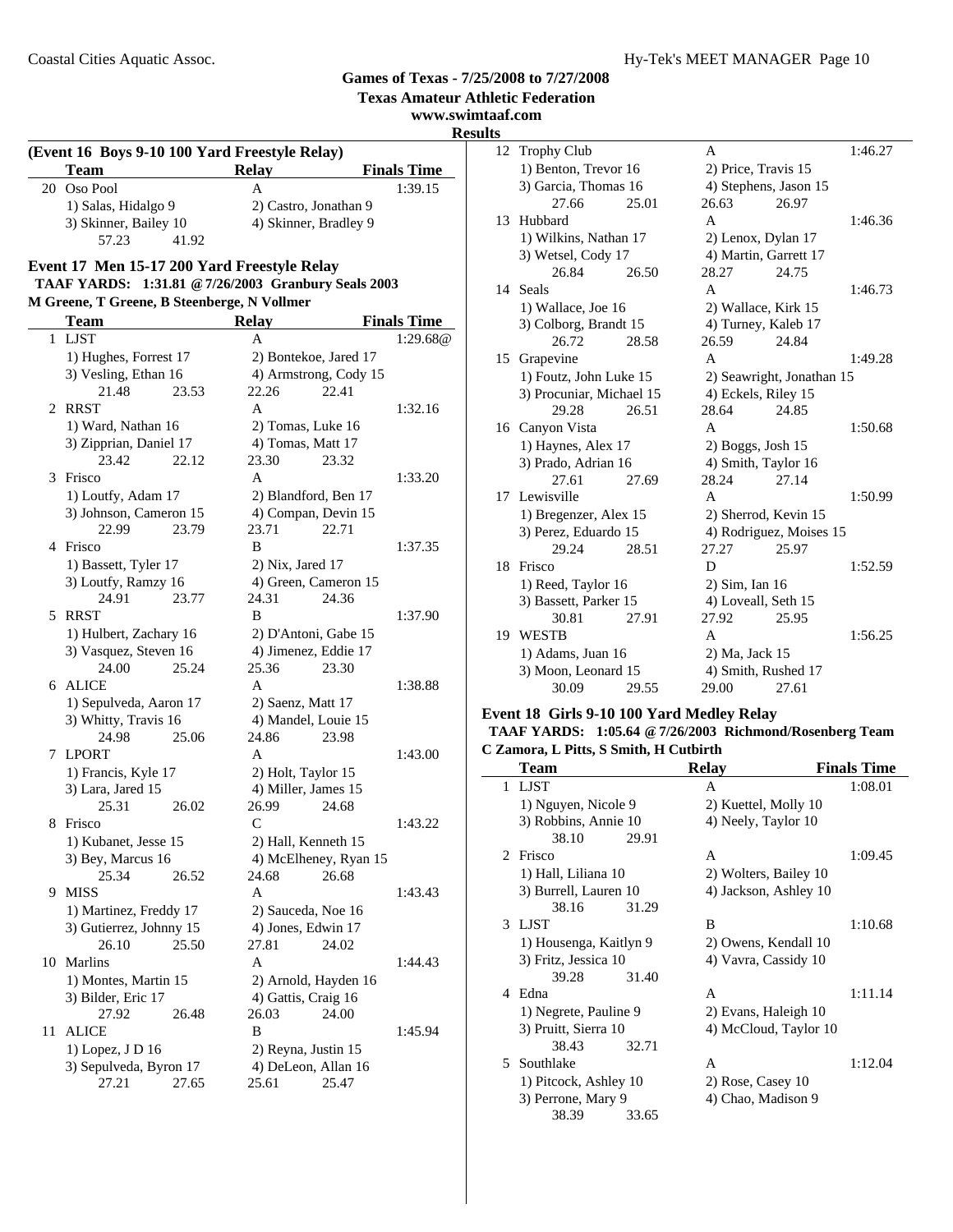#### **www.swimtaaf.com Results (Event 16 Boys 9-10 100 Yard Freestyle Relay) Team Relay Finals Time**<br> **Relay Finals Time**<br> **A** 1:39.15 20 Oso Pool A 1) Salas, Hidalgo 9 2) Castro, Jonathan 9 3) Skinner, Bailey 10 4) Skinner, Bradley 9 57.23 41.92 **Event 17 Men 15-17 200 Yard Freestyle Relay TAAF YARDS: 1:31.81 @7/26/2003 Granbury Seals 2003 M Greene, T Greene, B Steenberge, N Vollmer Team Relay Finals Time** 1 LIST A 1:29.68@ 1) Hughes, Forrest 17 2) Bontekoe, Jared 17 3) Vesling, Ethan 16 4) Armstrong, Cody 15 21.48 23.53 22.26 22.41 2 RRST A 1:32.16 1) Ward, Nathan 16 2) Tomas, Luke 16 3) Zipprian, Daniel 17 4) Tomas, Matt 17 23.42 22.12 23.30 23.32 3 1:33.20 Frisco A 1) Loutfy, Adam 17 2) Blandford, Ben 17 3) Johnson, Cameron 15 4) Compan, Devin 15 22.99 23.79 23.71 22.71 4 Frisco B 1:37.35 1) Bassett, Tyler 17 2) Nix, Jared 17 3) Loutfy, Ramzy 16 4) Green, Cameron 15 24.91 23.77 24.31 24.36 5 RRST B 1:37.90 1) Hulbert, Zachary 16 2) D'Antoni, Gabe 15 3) Vasquez, Steven 16 4) Jimenez, Eddie 17 24.00 25.24 25.36 23.30 6 ALICE A 1:38.88 1) Sepulveda, Aaron 17 2) Saenz, Matt 17 3) Whitty, Travis 16 4) Mandel, Louie 15 24.98 25.06 24.86 23.98 7 1:43.00 LPORT A 1) Francis, Kyle 17 2) Holt, Taylor 15 J. 3) Lara, Jared 15 4) Miller, James 15 25.31 26.02 26.99 24.68 8 Frisco C 1:43.22 1) Kubanet, Jesse 15 2) Hall, Kenneth 15 3) Bey, Marcus 16 4) McElheney, Ryan 15 25.34 26.52 24.68 26.68 9 MISS A 1:43.43 1) Martinez, Freddy 17 2) Sauceda, Noe 16 3) Gutierrez, Johnny  $15 \t\t 4$ ) Jones, Edwin  $17$ 26.10 25.50 27.81 24.02 10 Marlins **A** 1:44.43 1) Montes, Martin 15 2) Arnold, Hayden 16 3) Bilder, Eric 17 4) Gattis, Craig 16 27.92 26.48 26.03 24.00 11 ALICE B 1:45.94 1) Lopez, J D 16 2) Reyna, Justin 15 3) Sepulveda, Byron 17 4) DeLeon, Allan 16 27.21 27.65 25.61 25.47

| $\bf{s}$ |                          |       |                |                           |         |  |
|----------|--------------------------|-------|----------------|---------------------------|---------|--|
| 12       | Trophy Club              |       | A              |                           | 1:46.27 |  |
|          | 1) Benton, Trevor 16     |       |                | 2) Price, Travis 15       |         |  |
|          | 3) Garcia, Thomas 16     |       |                | 4) Stephens, Jason 15     |         |  |
|          | 27.66                    | 25.01 | 26.63          | 26.97                     |         |  |
| 13       | Hubbard                  |       | A              |                           | 1:46.36 |  |
|          | 1) Wilkins, Nathan 17    |       |                | 2) Lenox, Dylan 17        |         |  |
|          | 3) Wetsel, Cody 17       |       |                | 4) Martin, Garrett 17     |         |  |
|          | 26.84                    | 26.50 | 28.27          | 24.75                     |         |  |
| 14       | Seals                    |       | A              |                           | 1:46.73 |  |
|          | 1) Wallace, Joe 16       |       |                | 2) Wallace, Kirk 15       |         |  |
|          | 3) Colborg, Brandt 15    |       |                | 4) Turney, Kaleb 17       |         |  |
|          | 26.72                    | 28.58 | 26.59          | 24.84                     |         |  |
| 15       | Grapevine                |       | $\mathsf{A}$   |                           | 1:49.28 |  |
|          | 1) Foutz, John Luke 15   |       |                | 2) Seawright, Jonathan 15 |         |  |
|          | 3) Procuniar, Michael 15 |       |                | 4) Eckels, Riley 15       |         |  |
|          | 29.28                    | 26.51 | 28.64          | 24.85                     |         |  |
|          | 16 Canyon Vista          |       | A              |                           | 1:50.68 |  |
|          | 1) Haynes, Alex 17       |       |                | $2)$ Boggs, Josh 15       |         |  |
|          | 3) Prado, Adrian 16      |       |                | 4) Smith, Taylor 16       |         |  |
|          | 27.61                    | 27.69 | 28.24          | 27.14                     |         |  |
| 17       | Lewisville               |       | A              |                           | 1:50.99 |  |
|          | 1) Bregenzer, Alex 15    |       |                | 2) Sherrod, Kevin 15      |         |  |
|          | 3) Perez, Eduardo 15     |       |                | 4) Rodriguez, Moises 15   |         |  |
|          | 29.24                    | 28.51 | 27.27          | 25.97                     |         |  |
| 18       | Frisco                   |       | D              |                           | 1:52.59 |  |
|          | 1) Reed, Taylor 16       |       | 2) Sim, Ian 16 |                           |         |  |
|          | 3) Bassett, Parker 15    |       |                | 4) Loveall, Seth 15       |         |  |
|          | 30.81                    | 27.91 | 27.92          | 25.95                     |         |  |
| 19       | <b>WESTB</b>             |       | A              |                           | 1:56.25 |  |
|          | 1) Adams, Juan 16        |       | 2) Ma, Jack 15 |                           |         |  |
|          | 3) Moon, Leonard 15      |       |                | 4) Smith, Rushed 17       |         |  |
|          | 30.09                    | 29.55 | 29.00          | 27.61                     |         |  |

#### **Event 18 Girls 9-10 100 Yard Medley Relay**

#### **TAAF YARDS: 1:05.64 @7/26/2003 Richmond/Rosenberg Team C Zamora, L Pitts, S Smith, H Cutbirth**

|    | Zanivia, L'I no, o omnin, il Cuton di |       |                       |                    |
|----|---------------------------------------|-------|-----------------------|--------------------|
|    | <b>Team</b>                           |       | <b>Relay</b>          | <b>Finals Time</b> |
| 1  | <b>LJST</b>                           |       | A                     | 1:08.01            |
|    | 1) Nguyen, Nicole 9                   |       | 2) Kuettel, Molly 10  |                    |
|    | 3) Robbins, Annie 10                  |       | 4) Neely, Taylor 10   |                    |
|    | 38.10                                 | 29.91 |                       |                    |
|    | 2 Frisco                              |       | A                     | 1:09.45            |
|    | 1) Hall, Liliana 10                   |       | 2) Wolters, Bailey 10 |                    |
|    | 3) Burrell, Lauren 10                 |       | 4) Jackson, Ashley 10 |                    |
|    | 38.16                                 | 31.29 |                       |                    |
|    | 3 LIST                                |       | B                     | 1:10.68            |
|    | 1) Housenga, Kaitlyn 9                |       | 2) Owens, Kendall 10  |                    |
|    | 3) Fritz, Jessica 10                  |       | 4) Vavra, Cassidy 10  |                    |
|    | 39.28                                 | 31.40 |                       |                    |
|    | 4 Edna                                |       | A                     | 1:11.14            |
|    | 1) Negrete, Pauline 9                 |       | 2) Evans, Haleigh 10  |                    |
|    | 3) Pruitt, Sierra 10                  |       | 4) McCloud, Taylor 10 |                    |
|    | 38.43                                 | 32.71 |                       |                    |
| 5. | Southlake                             |       | A                     | 1:12.04            |
|    | 1) Pitcock, Ashley 10                 |       | 2) Rose, Casey 10     |                    |
|    | 3) Perrone, Mary 9                    |       | 4) Chao, Madison 9    |                    |
|    | 38.39                                 | 33.65 |                       |                    |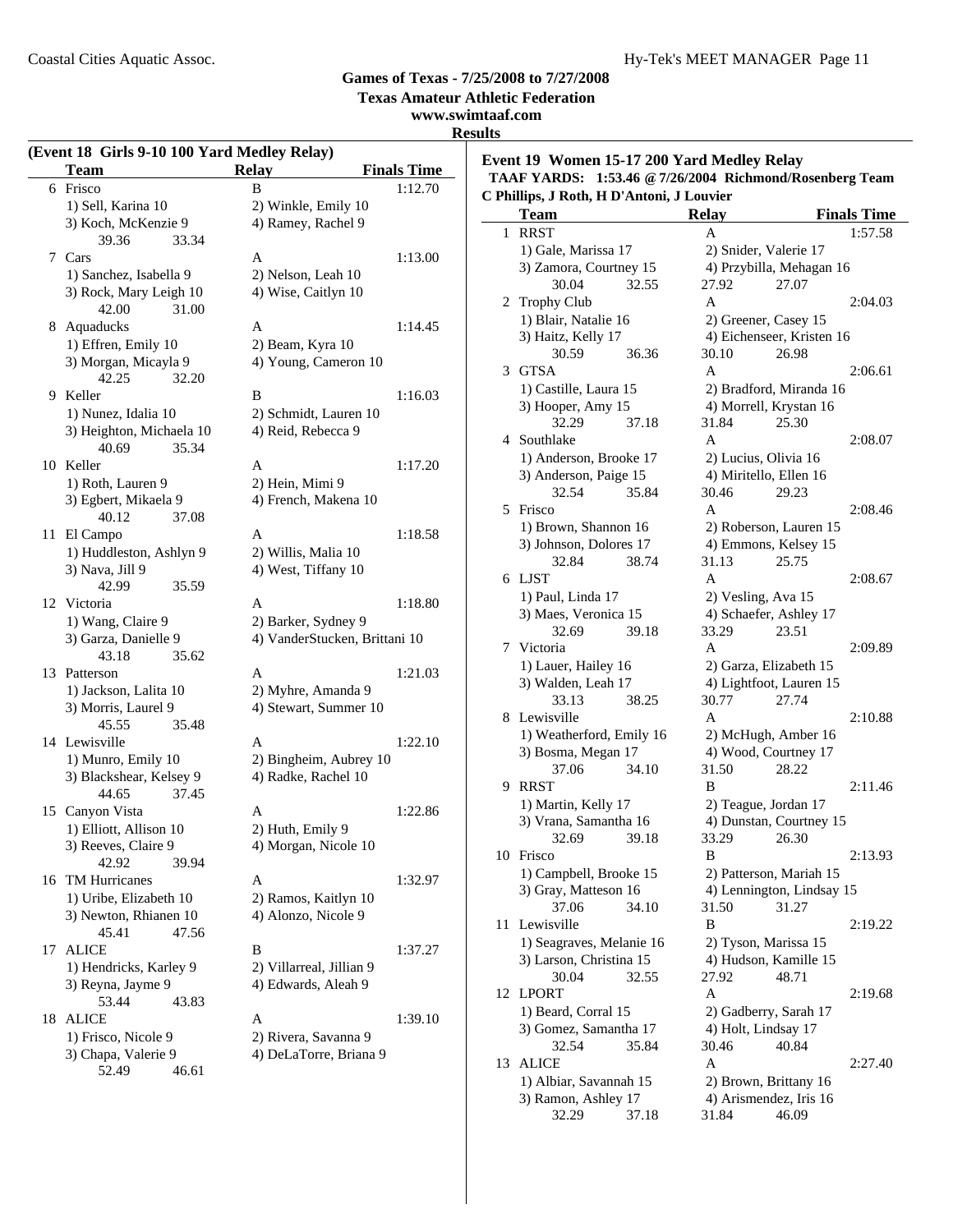**Texas Amateur Athletic Federation**

### **www.swimtaaf.com Results**

| <b>Team</b><br>Frisco<br>1) Sell, Karina 10<br>3) Koch, McKenzie 9 | <b>Relay</b><br>B<br>2) Winkle, Emily 10                                                                                                                                                                                                                                                                                                                                                                                                                                                                                                                                                                                                                                                                                       | <b>Finals Time</b><br>1:12.70                                                                                                                                                                                                                                                                                                                                                                             |
|--------------------------------------------------------------------|--------------------------------------------------------------------------------------------------------------------------------------------------------------------------------------------------------------------------------------------------------------------------------------------------------------------------------------------------------------------------------------------------------------------------------------------------------------------------------------------------------------------------------------------------------------------------------------------------------------------------------------------------------------------------------------------------------------------------------|-----------------------------------------------------------------------------------------------------------------------------------------------------------------------------------------------------------------------------------------------------------------------------------------------------------------------------------------------------------------------------------------------------------|
|                                                                    |                                                                                                                                                                                                                                                                                                                                                                                                                                                                                                                                                                                                                                                                                                                                |                                                                                                                                                                                                                                                                                                                                                                                                           |
|                                                                    |                                                                                                                                                                                                                                                                                                                                                                                                                                                                                                                                                                                                                                                                                                                                |                                                                                                                                                                                                                                                                                                                                                                                                           |
|                                                                    | 4) Ramey, Rachel 9                                                                                                                                                                                                                                                                                                                                                                                                                                                                                                                                                                                                                                                                                                             |                                                                                                                                                                                                                                                                                                                                                                                                           |
| 39.36<br>33.34                                                     |                                                                                                                                                                                                                                                                                                                                                                                                                                                                                                                                                                                                                                                                                                                                |                                                                                                                                                                                                                                                                                                                                                                                                           |
| Cars                                                               | A                                                                                                                                                                                                                                                                                                                                                                                                                                                                                                                                                                                                                                                                                                                              | 1:13.00                                                                                                                                                                                                                                                                                                                                                                                                   |
| 1) Sanchez, Isabella 9                                             | 2) Nelson, Leah 10                                                                                                                                                                                                                                                                                                                                                                                                                                                                                                                                                                                                                                                                                                             |                                                                                                                                                                                                                                                                                                                                                                                                           |
| 3) Rock, Mary Leigh 10                                             | 4) Wise, Caitlyn 10                                                                                                                                                                                                                                                                                                                                                                                                                                                                                                                                                                                                                                                                                                            |                                                                                                                                                                                                                                                                                                                                                                                                           |
| 42.00<br>31.00                                                     |                                                                                                                                                                                                                                                                                                                                                                                                                                                                                                                                                                                                                                                                                                                                |                                                                                                                                                                                                                                                                                                                                                                                                           |
| 8 Aquaducks                                                        | A                                                                                                                                                                                                                                                                                                                                                                                                                                                                                                                                                                                                                                                                                                                              | 1:14.45                                                                                                                                                                                                                                                                                                                                                                                                   |
| 1) Effren, Emily 10                                                | 2) Beam, Kyra 10                                                                                                                                                                                                                                                                                                                                                                                                                                                                                                                                                                                                                                                                                                               |                                                                                                                                                                                                                                                                                                                                                                                                           |
| 3) Morgan, Micayla 9                                               | 4) Young, Cameron 10                                                                                                                                                                                                                                                                                                                                                                                                                                                                                                                                                                                                                                                                                                           |                                                                                                                                                                                                                                                                                                                                                                                                           |
| 42.25<br>32.20                                                     |                                                                                                                                                                                                                                                                                                                                                                                                                                                                                                                                                                                                                                                                                                                                |                                                                                                                                                                                                                                                                                                                                                                                                           |
|                                                                    | B                                                                                                                                                                                                                                                                                                                                                                                                                                                                                                                                                                                                                                                                                                                              | 1:16.03                                                                                                                                                                                                                                                                                                                                                                                                   |
| 1) Nunez, Idalia 10                                                | 2) Schmidt, Lauren 10                                                                                                                                                                                                                                                                                                                                                                                                                                                                                                                                                                                                                                                                                                          |                                                                                                                                                                                                                                                                                                                                                                                                           |
| 3) Heighton, Michaela 10                                           | 4) Reid, Rebecca 9                                                                                                                                                                                                                                                                                                                                                                                                                                                                                                                                                                                                                                                                                                             |                                                                                                                                                                                                                                                                                                                                                                                                           |
| 35.34<br>40.69                                                     |                                                                                                                                                                                                                                                                                                                                                                                                                                                                                                                                                                                                                                                                                                                                |                                                                                                                                                                                                                                                                                                                                                                                                           |
|                                                                    | A                                                                                                                                                                                                                                                                                                                                                                                                                                                                                                                                                                                                                                                                                                                              | 1:17.20                                                                                                                                                                                                                                                                                                                                                                                                   |
| 1) Roth, Lauren 9                                                  | 2) Hein, Mimi 9                                                                                                                                                                                                                                                                                                                                                                                                                                                                                                                                                                                                                                                                                                                |                                                                                                                                                                                                                                                                                                                                                                                                           |
|                                                                    | 4) French, Makena 10                                                                                                                                                                                                                                                                                                                                                                                                                                                                                                                                                                                                                                                                                                           |                                                                                                                                                                                                                                                                                                                                                                                                           |
| 37.08                                                              |                                                                                                                                                                                                                                                                                                                                                                                                                                                                                                                                                                                                                                                                                                                                |                                                                                                                                                                                                                                                                                                                                                                                                           |
|                                                                    | A                                                                                                                                                                                                                                                                                                                                                                                                                                                                                                                                                                                                                                                                                                                              | 1:18.58                                                                                                                                                                                                                                                                                                                                                                                                   |
|                                                                    | 2) Willis, Malia 10                                                                                                                                                                                                                                                                                                                                                                                                                                                                                                                                                                                                                                                                                                            |                                                                                                                                                                                                                                                                                                                                                                                                           |
|                                                                    |                                                                                                                                                                                                                                                                                                                                                                                                                                                                                                                                                                                                                                                                                                                                |                                                                                                                                                                                                                                                                                                                                                                                                           |
| 35.59                                                              |                                                                                                                                                                                                                                                                                                                                                                                                                                                                                                                                                                                                                                                                                                                                |                                                                                                                                                                                                                                                                                                                                                                                                           |
|                                                                    | A                                                                                                                                                                                                                                                                                                                                                                                                                                                                                                                                                                                                                                                                                                                              | 1:18.80                                                                                                                                                                                                                                                                                                                                                                                                   |
|                                                                    |                                                                                                                                                                                                                                                                                                                                                                                                                                                                                                                                                                                                                                                                                                                                |                                                                                                                                                                                                                                                                                                                                                                                                           |
|                                                                    |                                                                                                                                                                                                                                                                                                                                                                                                                                                                                                                                                                                                                                                                                                                                |                                                                                                                                                                                                                                                                                                                                                                                                           |
|                                                                    |                                                                                                                                                                                                                                                                                                                                                                                                                                                                                                                                                                                                                                                                                                                                |                                                                                                                                                                                                                                                                                                                                                                                                           |
|                                                                    |                                                                                                                                                                                                                                                                                                                                                                                                                                                                                                                                                                                                                                                                                                                                | 1:21.03                                                                                                                                                                                                                                                                                                                                                                                                   |
|                                                                    |                                                                                                                                                                                                                                                                                                                                                                                                                                                                                                                                                                                                                                                                                                                                |                                                                                                                                                                                                                                                                                                                                                                                                           |
|                                                                    |                                                                                                                                                                                                                                                                                                                                                                                                                                                                                                                                                                                                                                                                                                                                |                                                                                                                                                                                                                                                                                                                                                                                                           |
|                                                                    |                                                                                                                                                                                                                                                                                                                                                                                                                                                                                                                                                                                                                                                                                                                                |                                                                                                                                                                                                                                                                                                                                                                                                           |
|                                                                    |                                                                                                                                                                                                                                                                                                                                                                                                                                                                                                                                                                                                                                                                                                                                | 1:22.10                                                                                                                                                                                                                                                                                                                                                                                                   |
|                                                                    |                                                                                                                                                                                                                                                                                                                                                                                                                                                                                                                                                                                                                                                                                                                                |                                                                                                                                                                                                                                                                                                                                                                                                           |
|                                                                    |                                                                                                                                                                                                                                                                                                                                                                                                                                                                                                                                                                                                                                                                                                                                |                                                                                                                                                                                                                                                                                                                                                                                                           |
|                                                                    |                                                                                                                                                                                                                                                                                                                                                                                                                                                                                                                                                                                                                                                                                                                                |                                                                                                                                                                                                                                                                                                                                                                                                           |
|                                                                    |                                                                                                                                                                                                                                                                                                                                                                                                                                                                                                                                                                                                                                                                                                                                | 1:22.86                                                                                                                                                                                                                                                                                                                                                                                                   |
|                                                                    |                                                                                                                                                                                                                                                                                                                                                                                                                                                                                                                                                                                                                                                                                                                                |                                                                                                                                                                                                                                                                                                                                                                                                           |
|                                                                    |                                                                                                                                                                                                                                                                                                                                                                                                                                                                                                                                                                                                                                                                                                                                |                                                                                                                                                                                                                                                                                                                                                                                                           |
|                                                                    |                                                                                                                                                                                                                                                                                                                                                                                                                                                                                                                                                                                                                                                                                                                                |                                                                                                                                                                                                                                                                                                                                                                                                           |
|                                                                    |                                                                                                                                                                                                                                                                                                                                                                                                                                                                                                                                                                                                                                                                                                                                | 1:32.97                                                                                                                                                                                                                                                                                                                                                                                                   |
|                                                                    |                                                                                                                                                                                                                                                                                                                                                                                                                                                                                                                                                                                                                                                                                                                                |                                                                                                                                                                                                                                                                                                                                                                                                           |
|                                                                    |                                                                                                                                                                                                                                                                                                                                                                                                                                                                                                                                                                                                                                                                                                                                |                                                                                                                                                                                                                                                                                                                                                                                                           |
|                                                                    |                                                                                                                                                                                                                                                                                                                                                                                                                                                                                                                                                                                                                                                                                                                                |                                                                                                                                                                                                                                                                                                                                                                                                           |
|                                                                    |                                                                                                                                                                                                                                                                                                                                                                                                                                                                                                                                                                                                                                                                                                                                | 1:37.27                                                                                                                                                                                                                                                                                                                                                                                                   |
|                                                                    |                                                                                                                                                                                                                                                                                                                                                                                                                                                                                                                                                                                                                                                                                                                                |                                                                                                                                                                                                                                                                                                                                                                                                           |
|                                                                    |                                                                                                                                                                                                                                                                                                                                                                                                                                                                                                                                                                                                                                                                                                                                |                                                                                                                                                                                                                                                                                                                                                                                                           |
|                                                                    |                                                                                                                                                                                                                                                                                                                                                                                                                                                                                                                                                                                                                                                                                                                                | 1:39.10                                                                                                                                                                                                                                                                                                                                                                                                   |
|                                                                    |                                                                                                                                                                                                                                                                                                                                                                                                                                                                                                                                                                                                                                                                                                                                |                                                                                                                                                                                                                                                                                                                                                                                                           |
|                                                                    |                                                                                                                                                                                                                                                                                                                                                                                                                                                                                                                                                                                                                                                                                                                                |                                                                                                                                                                                                                                                                                                                                                                                                           |
|                                                                    |                                                                                                                                                                                                                                                                                                                                                                                                                                                                                                                                                                                                                                                                                                                                |                                                                                                                                                                                                                                                                                                                                                                                                           |
| 15                                                                 | 9 Keller<br>10 Keller<br>3) Egbert, Mikaela 9<br>40.12<br>El Campo<br>1) Huddleston, Ashlyn 9<br>3) Nava, Jill 9<br>42.99<br>12 Victoria<br>1) Wang, Claire 9<br>3) Garza, Danielle 9<br>43.18<br>35.62<br>13 Patterson<br>1) Jackson, Lalita 10<br>3) Morris, Laurel 9<br>45.55<br>35.48<br>14 Lewisville<br>1) Munro, Emily 10<br>3) Blackshear, Kelsey 9<br>44.65<br>37.45<br>Canyon Vista<br>1) Elliott, Allison 10<br>3) Reeves, Claire 9<br>42.92<br>39.94<br><b>TM Hurricanes</b><br>1) Uribe, Elizabeth 10<br>3) Newton, Rhianen 10<br>45.41<br>47.56<br><b>ALICE</b><br>1) Hendricks, Karley 9<br>3) Reyna, Jayme 9<br>53.44<br>43.83<br><b>ALICE</b><br>1) Frisco, Nicole 9<br>3) Chapa, Valerie 9<br>52.49<br>46.61 | 4) West, Tiffany 10<br>2) Barker, Sydney 9<br>4) VanderStucken, Brittani 10<br>A<br>2) Myhre, Amanda 9<br>4) Stewart, Summer 10<br>A<br>2) Bingheim, Aubrey 10<br>4) Radke, Rachel 10<br>A<br>2) Huth, Emily 9<br>4) Morgan, Nicole 10<br>A<br>2) Ramos, Kaitlyn 10<br>4) Alonzo, Nicole 9<br>B<br>2) Villarreal, Jillian 9<br>4) Edwards, Aleah 9<br>A<br>2) Rivera, Savanna 9<br>4) DeLaTorre, Briana 9 |

**Event 19 Women 15-17 200 Yard Medley Relay TAAF YARDS: 1:53.46 @7/26/2004 Richmond/Rosenberg Team C Phillips, J Roth, H D'Antoni, J Louvier**

|    | питрэ, э топ, 11 D Antoni, э Eouvici<br><b>Team</b> | <b>Relay</b>        | <b>Finals Time</b>              |
|----|-----------------------------------------------------|---------------------|---------------------------------|
| 1  | <b>RRST</b>                                         | A                   | 1:57.58                         |
|    |                                                     |                     |                                 |
|    | 1) Gale, Marissa 17                                 |                     | 2) Snider, Valerie 17           |
|    | 3) Zamora, Courtney 15                              |                     | 4) Przybilla, Mehagan 16        |
|    | 30.04<br>32.55                                      | 27.92               | 27.07                           |
| 2  | <b>Trophy Club</b>                                  | A                   | 2:04.03                         |
|    | 1) Blair, Natalie 16                                |                     | 2) Greener, Casey 15            |
|    | 3) Haitz, Kelly 17                                  |                     | 4) Eichenseer, Kristen 16       |
|    | 30.59<br>36.36                                      | 30.10               | 26.98                           |
| 3  | <b>GTSA</b>                                         | A                   | 2:06.61                         |
|    | 1) Castille, Laura 15                               |                     | 2) Bradford, Miranda 16         |
|    | 3) Hooper, Amy 15                                   |                     | 4) Morrell, Krystan 16          |
|    | 32.29<br>37.18                                      | 31.84               | 25.30                           |
|    | 4 Southlake                                         | A                   | 2:08.07                         |
|    | 1) Anderson, Brooke 17                              |                     | 2) Lucius, Olivia 16            |
|    | 3) Anderson, Paige 15                               |                     | 4) Miritello, Ellen 16          |
|    | 32.54<br>35.84                                      | 30.46               | 29.23                           |
| 5  | Frisco                                              | A                   | 2:08.46                         |
|    | 1) Brown, Shannon 16                                |                     | 2) Roberson, Lauren 15          |
|    | 3) Johnson, Dolores 17                              |                     | 4) Emmons, Kelsey 15            |
|    | 32.84<br>38.74                                      | 31.13               | 25.75                           |
| 6  | LJST                                                | A                   | 2:08.67                         |
|    | 1) Paul, Linda 17                                   | 2) Vesling, Ava 15  |                                 |
|    | 3) Maes, Veronica 15                                |                     | 4) Schaefer, Ashley 17          |
|    | 32.69<br>39.18                                      | 33.29               | 23.51                           |
| 7  | Victoria                                            | A                   | 2:09.89                         |
|    | 1) Lauer, Hailey 16                                 |                     | 2) Garza, Elizabeth 15          |
|    | 3) Walden, Leah 17                                  |                     | 4) Lightfoot, Lauren 15         |
|    | 33.13<br>38.25                                      | 30.77               | 27.74                           |
| 8  | Lewisville                                          | A                   | 2:10.88                         |
|    | 1) Weatherford, Emily 16                            |                     | 2) McHugh, Amber 16             |
|    | 3) Bosma, Megan 17                                  |                     | 4) Wood, Courtney 17            |
|    | 37.06<br>34.10                                      | 31.50               | 28.22                           |
| 9  | <b>RRST</b>                                         | B                   | 2:11.46                         |
|    | 1) Martin, Kelly 17                                 |                     | 2) Teague, Jordan 17            |
|    | 3) Vrana, Samantha 16                               |                     | 4) Dunstan, Courtney 15         |
|    | 32.69<br>39.18                                      | 33.29               | 26.30                           |
| 10 | Frisco                                              | B                   | 2:13.93                         |
|    | 1) Campbell, Brooke 15                              |                     | 2) Patterson, Mariah 15         |
|    | 3) Gray, Matteson 16                                |                     | 4) Lennington, Lindsay 15       |
|    | 37.06<br>34.10<br>Lewisville                        | 31.50               | 31.27                           |
| 11 |                                                     | B                   | 2:19.22                         |
|    | 1) Seagraves, Melanie 16                            |                     | 2) Tyson, Marissa 15            |
|    | 3) Larson, Christina 15                             | 27.92               | 4) Hudson, Kamille 15<br>48.71  |
|    | 30.04<br>32.55<br><b>LPORT</b>                      |                     |                                 |
| 12 |                                                     | A                   | 2:19.68                         |
|    | 1) Beard, Corral 15                                 |                     | 2) Gadberry, Sarah 17           |
|    | 3) Gomez, Samantha 17                               | 4) Holt, Lindsay 17 |                                 |
|    | 32.54<br>35.84                                      | 30.46<br>A          | 40.84                           |
| 13 | <b>ALICE</b>                                        |                     | 2:27.40                         |
|    | 1) Albiar, Savannah 15                              |                     | 2) Brown, Brittany 16           |
|    | 3) Ramon, Ashley 17<br>32.29<br>37.18               | 31.84               | 4) Arismendez, Iris 16<br>46.09 |
|    |                                                     |                     |                                 |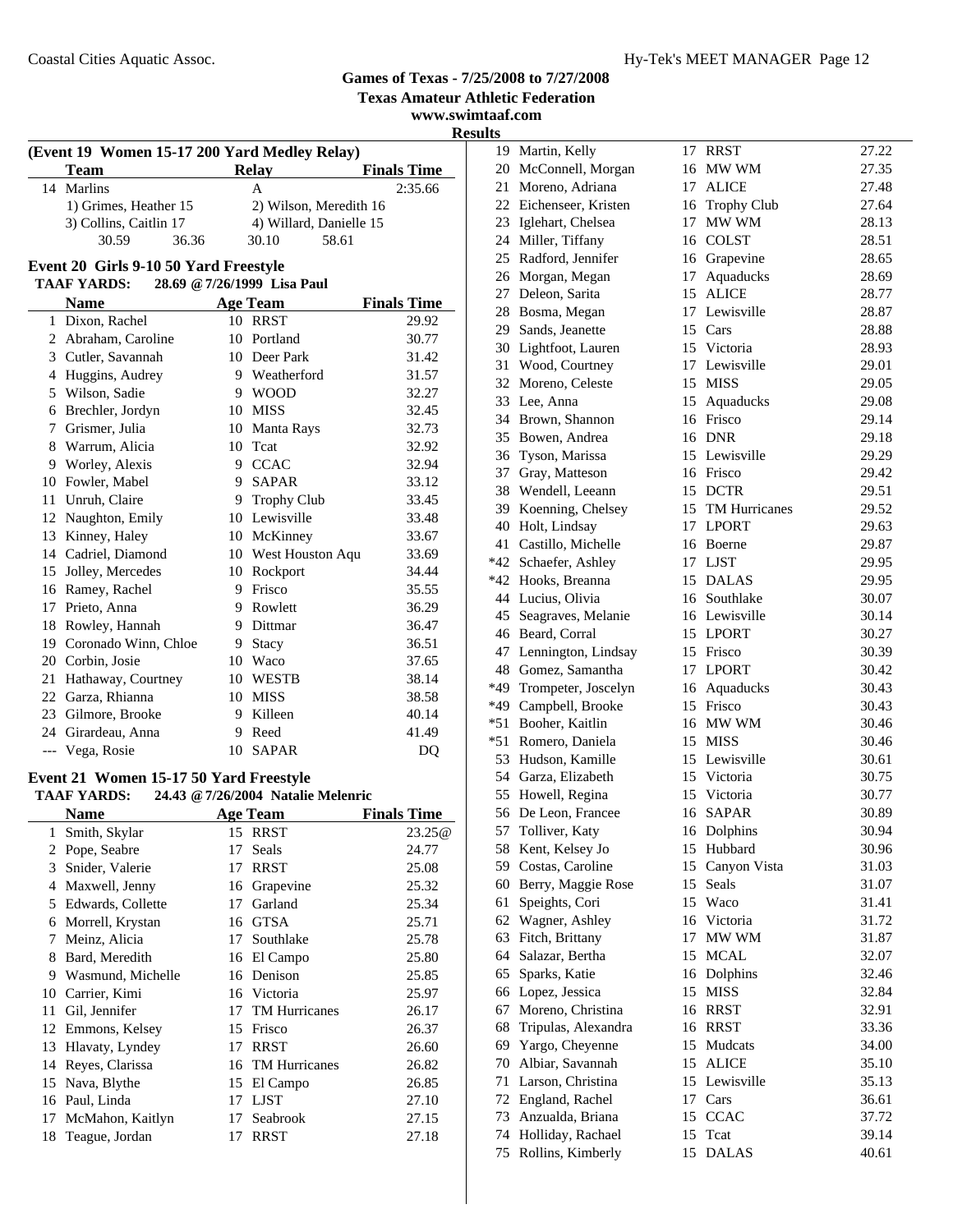**Texas Amateur Athletic Federation**

**www.swimtaaf.com Results**

|                                                   | (Event 19 Women 15-17 200 Yard Medley Relay) |    |                         |                    |  |
|---------------------------------------------------|----------------------------------------------|----|-------------------------|--------------------|--|
|                                                   | Team                                         |    | <b>Relay</b>            | <b>Finals Time</b> |  |
|                                                   | 14 Marlins                                   |    | A                       | 2:35.66            |  |
|                                                   | 1) Grimes, Heather 15                        |    | 2) Wilson, Meredith 16  |                    |  |
|                                                   | 3) Collins, Caitlin 17                       |    | 4) Willard, Danielle 15 |                    |  |
|                                                   | 30.59<br>36.36                               |    | 30.10<br>58.61          |                    |  |
|                                                   | Event 20 Girls 9-10 50 Yard Freestyle        |    |                         |                    |  |
| <b>TAAF YARDS:</b><br>28.69 @ 7/26/1999 Lisa Paul |                                              |    |                         |                    |  |
|                                                   | <b>Name</b>                                  |    | <b>Age Team</b>         | <b>Finals Time</b> |  |
| 1                                                 | Dixon, Rachel                                |    | 10 RRST                 | 29.92              |  |
| 2                                                 | Abraham, Caroline                            | 10 | Portland                | 30.77              |  |
| 3                                                 | Cutler, Savannah                             | 10 | Deer Park               | 31.42              |  |
| 4                                                 | Huggins, Audrey                              |    | 9 Weatherford           | 31.57              |  |
| 5                                                 | Wilson, Sadie                                | 9  | <b>WOOD</b>             | 32.27              |  |
| 6                                                 | Brechler, Jordyn                             | 10 | <b>MISS</b>             | 32.45              |  |
| 7                                                 | Grismer, Julia                               | 10 | Manta Rays              | 32.73              |  |
| 8                                                 | Warrum, Alicia                               | 10 | Tcat                    | 32.92              |  |
| 9                                                 | Worley, Alexis                               | 9  | <b>CCAC</b>             | 32.94              |  |
| 10                                                | Fowler, Mabel                                | 9  | <b>SAPAR</b>            | 33.12              |  |
| 11                                                | Unruh, Claire                                | 9  | <b>Trophy Club</b>      | 33.45              |  |
| 12                                                | Naughton, Emily                              | 10 | Lewisville              | 33.48              |  |
| 13                                                | Kinney, Haley                                | 10 | McKinney                | 33.67              |  |
| 14                                                | Cadriel, Diamond                             | 10 | West Houston Aqu        | 33.69              |  |
| 15                                                | Jolley, Mercedes                             | 10 | Rockport                | 34.44              |  |
|                                                   | 16 Ramey, Rachel                             | 9  | Frisco                  | 35.55              |  |
|                                                   | $\mathbf{r}$                                 |    |                         | 200                |  |

| 16 Ramey, Rachel        | 9  | Frisco    | 35.55 |
|-------------------------|----|-----------|-------|
| 17 Prieto, Anna         |    | 9 Rowlett | 36.29 |
| 18 Rowley, Hannah       |    | 9 Dittmar | 36.47 |
| 19 Coronado Winn, Chloe |    | 9 Stacy   | 36.51 |
| 20 Corbin, Josie        | 10 | Waco      | 37.65 |
| 21 Hathaway, Courtney   |    | 10 WESTB  | 38.14 |
| 22 Garza, Rhianna       |    | 10 MISS   | 38.58 |
| 23 Gilmore, Brooke      |    | 9 Killeen | 40.14 |
| 24 Girardeau, Anna      |    | Reed      | 41.49 |
| --- Vega, Rosie         |    | 10 SAPAR  | DQ    |
|                         |    |           |       |

### **Event 21 Women 15-17 50 Yard Freestyle**

|    | <b>TAAF YARDS:</b> |    | 24.43 @ 7/26/2004 Natalie Melenric |                    |
|----|--------------------|----|------------------------------------|--------------------|
|    | Name               |    | <b>Age Team</b>                    | <b>Finals Time</b> |
| 1  | Smith, Skylar      |    | 15 RRST                            | 23.25@             |
| 2  | Pope, Seabre       | 17 | Seals                              | 24.77              |
| 3  | Snider, Valerie    | 17 | <b>RRST</b>                        | 25.08              |
| 4  | Maxwell, Jenny     | 16 | Grapevine                          | 25.32              |
| 5  | Edwards, Collette  | 17 | Garland                            | 25.34              |
| 6  | Morrell, Krystan   | 16 | <b>GTSA</b>                        | 25.71              |
| 7  | Meinz, Alicia      | 17 | Southlake                          | 25.78              |
| 8  | Bard, Meredith     | 16 | El Campo                           | 25.80              |
| 9  | Wasmund, Michelle  |    | 16 Denison                         | 25.85              |
| 10 | Carrier, Kimi      |    | 16 Victoria                        | 25.97              |
| 11 | Gil, Jennifer      | 17 | <b>TM Hurricanes</b>               | 26.17              |
| 12 | Emmons, Kelsey     | 15 | Frisco                             | 26.37              |
| 13 | Hlavaty, Lyndey    | 17 | <b>RRST</b>                        | 26.60              |
| 14 | Reyes, Clarissa    | 16 | <b>TM Hurricanes</b>               | 26.82              |
| 15 | Nava, Blythe       | 15 | El Campo                           | 26.85              |
| 16 | Paul, Linda        | 17 | LJST                               | 27.10              |
| 17 | McMahon, Kaitlyn   | 17 | Seabrook                           | 27.15              |
| 18 | Teague, Jordan     | 17 | <b>RRST</b>                        | 27.18              |

| w     |                         |    |                  |       |
|-------|-------------------------|----|------------------|-------|
|       | 19 Martin, Kelly        | 17 | <b>RRST</b>      | 27.22 |
|       | 20 McConnell, Morgan    |    | 16 MW WM         | 27.35 |
| 21    | Moreno, Adriana         | 17 | <b>ALICE</b>     | 27.48 |
|       | 22 Eichenseer, Kristen  |    | 16 Trophy Club   | 27.64 |
|       | 23 Iglehart, Chelsea    | 17 | MW WM            | 28.13 |
|       | 24 Miller, Tiffany      |    | 16 COLST         | 28.51 |
|       | 25 Radford, Jennifer    |    | 16 Grapevine     | 28.65 |
|       | 26 Morgan, Megan        | 17 | Aquaducks        | 28.69 |
|       | 27 Deleon, Sarita       | 15 | <b>ALICE</b>     | 28.77 |
|       | 28 Bosma, Megan         |    | 17 Lewisville    | 28.87 |
|       | 29 Sands, Jeanette      |    | 15 Cars          | 28.88 |
|       |                         |    | 15 Victoria      |       |
|       | 30 Lightfoot, Lauren    |    | 17 Lewisville    | 28.93 |
| 31    | Wood, Courtney          |    |                  | 29.01 |
|       | 32 Moreno, Celeste      |    | 15 MISS          | 29.05 |
|       | 33 Lee, Anna            |    | 15 Aquaducks     | 29.08 |
|       | 34 Brown, Shannon       |    | 16 Frisco        | 29.14 |
|       | 35 Bowen, Andrea        |    | 16 DNR           | 29.18 |
|       | 36 Tyson, Marissa       |    | 15 Lewisville    | 29.29 |
|       | 37 Gray, Matteson       |    | 16 Frisco        | 29.42 |
|       | 38 Wendell, Leeann      |    | 15 DCTR          | 29.51 |
|       | 39 Koenning, Chelsey    |    | 15 TM Hurricanes | 29.52 |
|       | 40 Holt, Lindsay        |    | 17 LPORT         | 29.63 |
| 41    | Castillo, Michelle      |    | 16 Boerne        | 29.87 |
|       | *42 Schaefer, Ashley    |    | 17 LJST          | 29.95 |
|       | *42 Hooks, Breanna      |    | 15 DALAS         | 29.95 |
|       | 44 Lucius, Olivia       |    | 16 Southlake     | 30.07 |
|       | 45 Seagraves, Melanie   |    | 16 Lewisville    | 30.14 |
|       | 46 Beard, Corral        |    | 15 LPORT         | 30.27 |
| 47    | Lennington, Lindsay     |    | 15 Frisco        | 30.39 |
| 48    | Gomez, Samantha         |    | 17 LPORT         | 30.42 |
|       | *49 Trompeter, Joscelyn |    | 16 Aquaducks     | 30.43 |
|       | *49 Campbell, Brooke    |    | 15 Frisco        | 30.43 |
| $*51$ | Booher, Kaitlin         |    | 16 MW WM         | 30.46 |
| $*51$ | Romero, Daniela         |    | 15 MISS          | 30.46 |
|       | 53 Hudson, Kamille      |    | 15 Lewisville    |       |
|       |                         |    |                  | 30.61 |
|       | 54 Garza, Elizabeth     |    | 15 Victoria      | 30.75 |
|       | 55 Howell, Regina       |    | 15 Victoria      | 30.77 |
|       | 56 De Leon, Francee     |    | 16 SAPAR         | 30.89 |
|       | 57 Tolliver, Katy       |    | 16 Dolphins      | 30.94 |
|       | 58 Kent, Kelsey Jo      |    | 15 Hubbard       | 30.96 |
|       | 59 Costas, Caroline     | 15 | Canyon Vista     | 31.03 |
|       | 60 Berry, Maggie Rose   | 15 | Seals            | 31.07 |
| 61    | Speights, Cori          |    | 15 Waco          | 31.41 |
|       | 62 Wagner, Ashley       |    | 16 Victoria      | 31.72 |
|       | 63 Fitch, Brittany      | 17 | MW WM            | 31.87 |
|       | 64 Salazar, Bertha      | 15 | <b>MCAL</b>      | 32.07 |
|       | 65 Sparks, Katie        | 16 | Dolphins         | 32.46 |
|       | 66 Lopez, Jessica       | 15 | <b>MISS</b>      | 32.84 |
| 67    | Moreno, Christina       | 16 | <b>RRST</b>      | 32.91 |
| 68    | Tripulas, Alexandra     | 16 | RRST             | 33.36 |
| 69    | Yargo, Cheyenne         | 15 | Mudcats          | 34.00 |
| 70    | Albiar, Savannah        | 15 | <b>ALICE</b>     | 35.10 |
| 71    | Larson, Christina       |    | 15 Lewisville    | 35.13 |
|       | 72 England, Rachel      | 17 | Cars             | 36.61 |
|       |                         |    |                  |       |
|       | 73 Anzualda, Briana     | 15 | <b>CCAC</b>      | 37.72 |
|       | 74 Holliday, Rachael    | 15 | Tcat             | 39.14 |
| 75    | Rollins, Kimberly       |    | 15 DALAS         | 40.61 |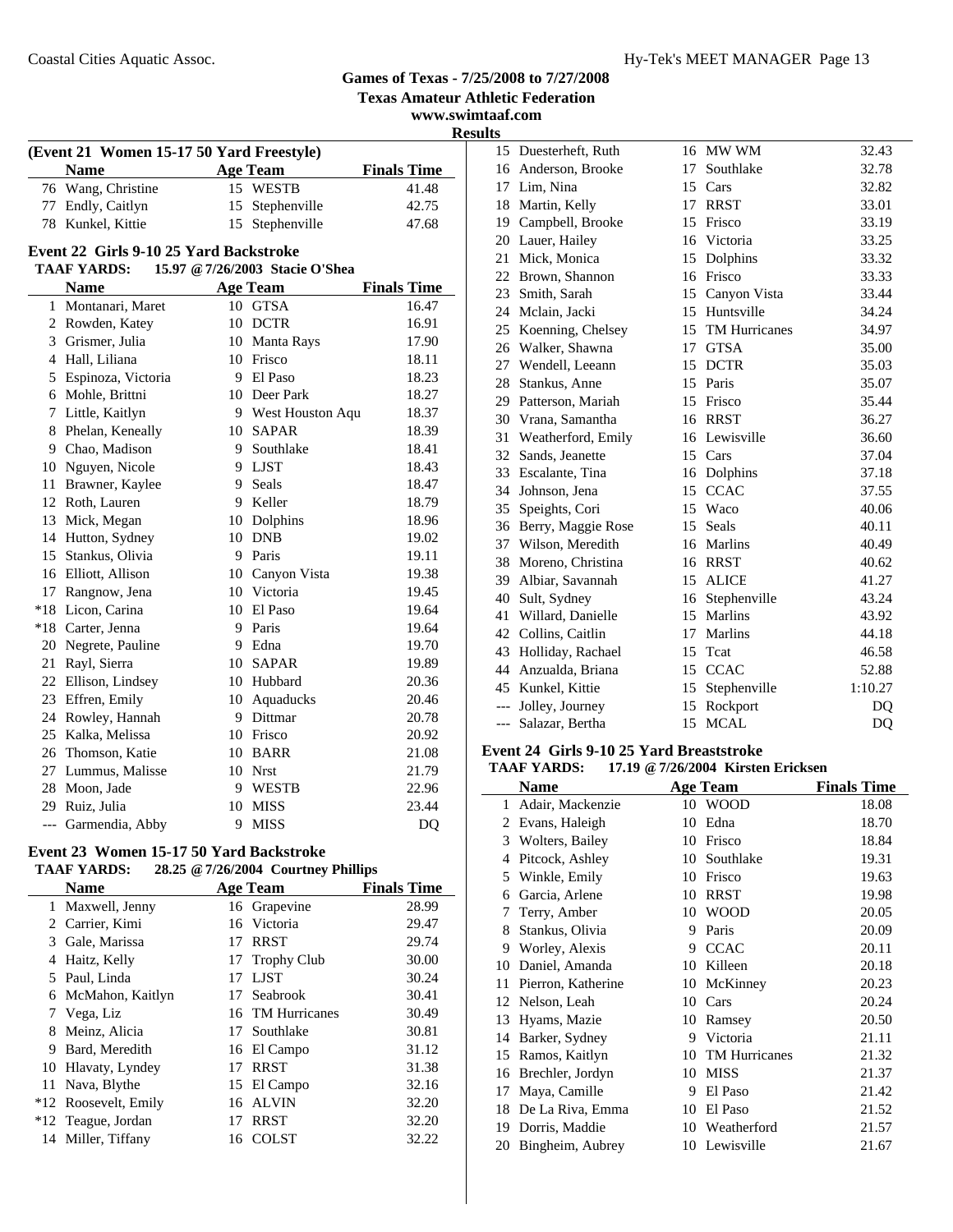### **Texas Amateur Athletic Federation www.swimtaaf.com Results (Event 21 Women 15-17 50 Yard Freestyle) Name Age Team Finals Time**<br>Wang, Christine 15 WESTB 41.48 76 41.48 Wang, Christine 15 WESTB 77 Endly, Caitlyn 15 Stephenville 42.75 78 47.68 Kunkel, Kittie 15 Stephenville **Event 22 Girls 9-10 25 Yard Backstroke TAAF YARDS: 15.97 @7/26/2003 Stacie O'Shea Name Age Team Finals Time** 1 Montanari, Maret 10 GTSA 16.47 2 Rowden, Katey 10 DCTR 16.91 3 Grismer, Julia 10 Manta Rays 17.90 4 18.11 Hall, Liliana 10 Frisco 5 18.23 Espinoza, Victoria 9 El Paso 6 18.27 Mohle, Brittni 10 Deer Park 7 Little, Kaitlyn 9 West Houston Aqu 18.37 8 Phelan, Keneally 10 SAPAR 18.39 9 18.41 Chao, Madison 9 Southlake 10 Nguyen, Nicole 9 LJST 18.43 11 Brawner, Kaylee 9 Seals 18.47 12 Roth, Lauren 9 Keller 18.79 13 Mick, Megan 10 Dolphins 18.96 14 Hutton, Sydney 10 DNB 19.02 15 Stankus, Olivia 9 Paris 19.11 16 Elliott, Allison 10 Canyon Vista 19.38 17 Rangnow, Jena 10 Victoria 19.45 \*18 19.64 Licon, Carina 10 El Paso \*18 Carter, Jenna 9 Paris 19.64 20 Negrete, Pauline 9 Edna 19.70 21 Rayl, Sierra 10 SAPAR 19.89 22 20.36 Ellison, Lindsey 10 Hubbard 23 Effren, Emily 10 Aquaducks 20.46 24 20.78 Rowley, Hannah 9 Dittmar 25 20.92 Kalka, Melissa 10 Frisco 26 21.08 Thomson, Katie 10 BARR 27 21.79 Lummus, Malisse 10 Nrst 28 22.96 Moon, Jade 9 WESTB 29 23.44 Ruiz, Julia 10 MISS --- Garmendia, Abby 9 MISS DQ **Event 23 Women 15-17 50 Yard Backstroke TAAF YARDS: 28.25 @7/26/2004 Courtney Phillips Name Age Team Finals Time** 1 Maxwell, Jenny 16 Grapevine 28.99

**Games of Texas - 7/25/2008 to 7/27/2008**

|   | Maxwell, Jenny       |    | 16 Grapevine     | 28.99 |
|---|----------------------|----|------------------|-------|
|   | 2 Carrier, Kimi      |    | 16 Victoria      | 29.47 |
|   | 3 Gale, Marissa      | 17 | <b>RRST</b>      | 29.74 |
| 4 | Haitz, Kelly         |    | 17 Trophy Club   | 30.00 |
|   | 5 Paul, Linda        | 17 | LJST             | 30.24 |
|   | 6 McMahon, Kaitlyn   |    | 17 Seabrook      | 30.41 |
|   | Vega, Liz            |    | 16 TM Hurricanes | 30.49 |
|   | 8 Meinz, Alicia      |    | 17 Southlake     | 30.81 |
| 9 | Bard, Meredith       |    | 16 El Campo      | 31.12 |
|   | 10 Hlavaty, Lyndey   | 17 | <b>RRST</b>      | 31.38 |
|   | 11 Nava, Blythe      |    | 15 El Campo      | 32.16 |
|   | *12 Roosevelt, Emily |    | 16 ALVIN         | 32.20 |
|   | *12 Teague, Jordan   | 17 | <b>RRST</b>      | 32.20 |
|   | 14 Miller, Tiffany   |    | 16 COLST         | 32.22 |
|   |                      |    |                  |       |

| πь |       |                       |         |                  |         |
|----|-------|-----------------------|---------|------------------|---------|
|    |       | 15 Duesterheft, Ruth  |         | 16 MW WM         | 32.43   |
|    | 16    | Anderson, Brooke      | 17      | Southlake        | 32.78   |
|    |       | 17 Lim, Nina          |         | 15 Cars          | 32.82   |
|    |       | 18 Martin, Kelly      | 17      | <b>RRST</b>      | 33.01   |
|    | 19    | Campbell, Brooke      | 15      | Frisco           | 33.19   |
|    |       | 20 Lauer, Hailey      |         | 16 Victoria      | 33.25   |
|    | 21    | Mick, Monica          |         | 15 Dolphins      | 33.32   |
|    |       | 22 Brown, Shannon     |         | 16 Frisco        | 33.33   |
|    |       | 23 Smith, Sarah       |         | 15 Canyon Vista  | 33.44   |
|    |       | 24 Mclain, Jacki      |         | 15 Huntsville    | 34.24   |
|    | 25    | Koenning, Chelsey     |         | 15 TM Hurricanes | 34.97   |
|    | 26    | Walker, Shawna        |         | 17 GTSA          | 35.00   |
|    | 27    | Wendell, Leeann       | 15      | <b>DCTR</b>      | 35.03   |
|    | 28    | Stankus, Anne         | $15-15$ | Paris            | 35.07   |
|    |       | 29 Patterson, Mariah  |         | 15 Frisco        | 35.44   |
|    |       | 30 Vrana, Samantha    |         | 16 RRST          | 36.27   |
|    | 31    | Weatherford, Emily    |         | 16 Lewisville    | 36.60   |
|    | 32    | Sands, Jeanette       |         | 15 Cars          | 37.04   |
|    |       | 33 Escalante, Tina    |         | 16 Dolphins      | 37.18   |
|    | 34    | Johnson, Jena         |         | 15 CCAC          | 37.55   |
|    | 35    | Speights, Cori        | 15      | Waco             | 40.06   |
|    |       | 36 Berry, Maggie Rose | 15      | Seals            | 40.11   |
|    |       | 37 Wilson, Meredith   |         | 16 Marlins       | 40.49   |
|    |       | 38 Moreno, Christina  |         | 16 RRST          | 40.62   |
|    |       | 39 Albiar, Savannah   |         | 15 ALICE         | 41.27   |
|    | 40    | Sult, Sydney          | 16      | Stephenville     | 43.24   |
|    | 41    | Willard, Danielle     | 15      | Marlins          | 43.92   |
|    |       | 42 Collins, Caitlin   |         | 17 Marlins       | 44.18   |
|    |       | 43 Holliday, Rachael  |         | 15 Teat          | 46.58   |
|    |       | 44 Anzualda, Briana   | 15      | <b>CCAC</b>      | 52.88   |
|    |       | 45 Kunkel, Kittie     | 15      | Stephenville     | 1:10.27 |
|    |       | --- Jolley, Journey   |         | 15 Rockport      | DQ      |
|    | $---$ | Salazar, Bertha       | 15      | <b>MCAL</b>      | DQ      |

#### **Event 24 Girls 9-10 25 Yard Breaststroke**

**TAAF YARDS: 17.19 @7/26/2004 Kirsten Ericksen**

|    | <b>Name</b>        |    | <b>Age Team</b> | <b>Finals Time</b> |
|----|--------------------|----|-----------------|--------------------|
| 1  | Adair, Mackenzie   | 10 | <b>WOOD</b>     | 18.08              |
| 2  | Evans, Haleigh     | 10 | Edna            | 18.70              |
| 3  | Wolters, Bailey    | 10 | Frisco          | 18.84              |
| 4  | Pitcock, Ashley    | 10 | Southlake       | 19.31              |
| 5  | Winkle, Emily      | 10 | Frisco          | 19.63              |
| 6  | Garcia, Arlene     | 10 | <b>RRST</b>     | 19.98              |
| 7  | Terry, Amber       | 10 | <b>WOOD</b>     | 20.05              |
| 8  | Stankus, Olivia    | 9  | Paris           | 20.09              |
| 9  | Worley, Alexis     | 9  | <b>CCAC</b>     | 20.11              |
| 10 | Daniel, Amanda     | 10 | Killeen         | 20.18              |
| 11 | Pierron, Katherine | 10 | McKinney        | 20.23              |
| 12 | Nelson, Leah       | 10 | Cars            | 20.24              |
| 13 | Hyams, Mazie       | 10 | Ramsey          | 20.50              |
| 14 | Barker, Sydney     | 9  | Victoria        | 21.11              |
| 15 | Ramos, Kaitlyn     | 10 | TM Hurricanes   | 21.32              |
| 16 | Brechler, Jordyn   | 10 | <b>MISS</b>     | 21.37              |
| 17 | Maya, Camille      | 9  | El Paso         | 21.42              |
| 18 | De La Riva, Emma   | 10 | El Paso         | 21.52              |
| 19 | Dorris, Maddie     |    | 10 Weatherford  | 21.57              |
| 20 | Bingheim, Aubrey   |    | 10 Lewisville   | 21.67              |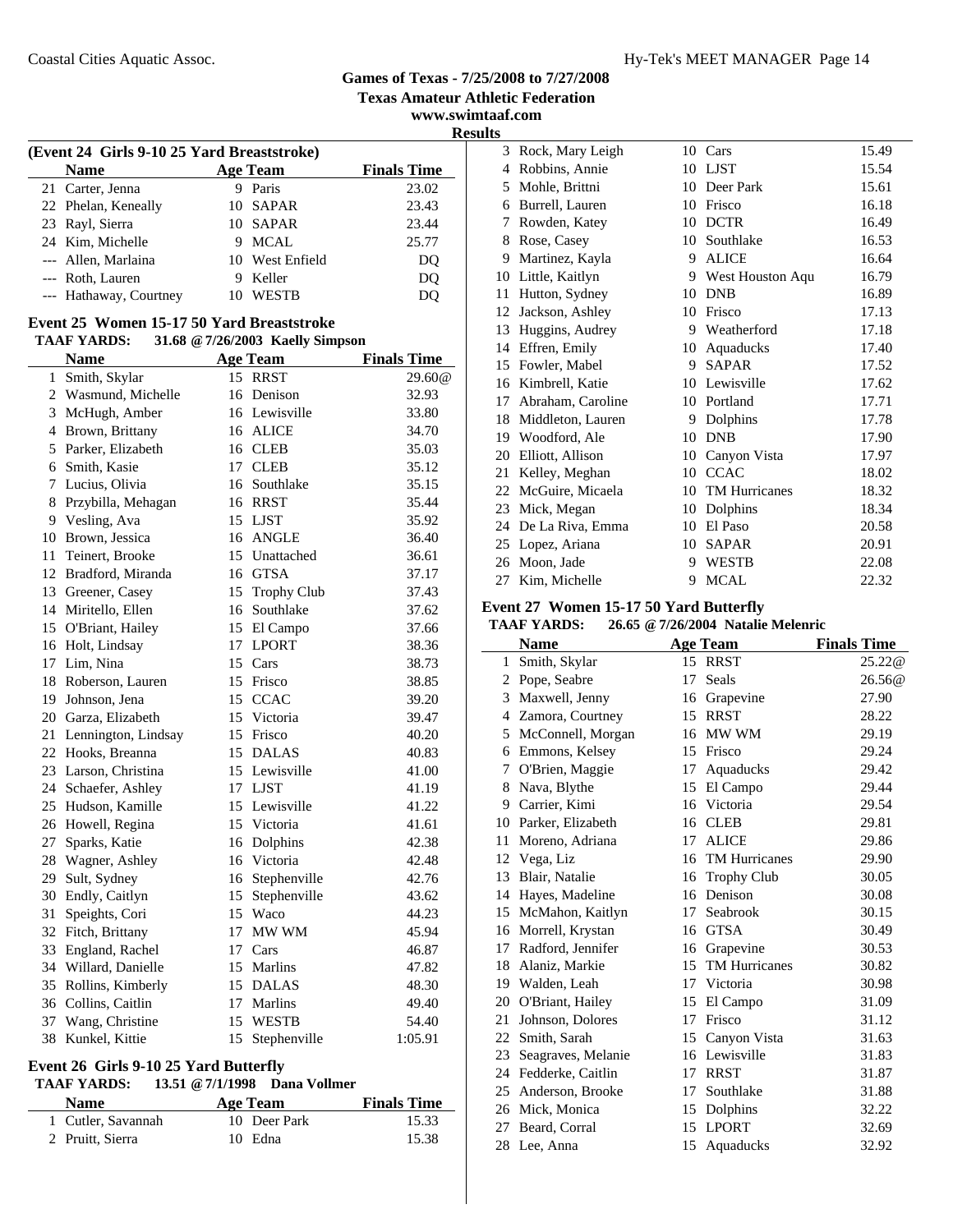**Texas Amateur Athletic Federation**

**www.swimtaaf.com Results**

| (Event 24 Girls 9-10 25 Yard Breaststroke) |   |                 |                    |  |  |  |
|--------------------------------------------|---|-----------------|--------------------|--|--|--|
| <b>Name</b>                                |   | <b>Age Team</b> | <b>Finals Time</b> |  |  |  |
| 21 Carter, Jenna                           |   | Paris           | 23.02              |  |  |  |
| 22 Phelan, Keneally                        |   | 10 SAPAR        | 23.43              |  |  |  |
| 23 Rayl, Sierra                            |   | 10 SAPAR        | 23.44              |  |  |  |
| 24 Kim, Michelle                           | 9 | <b>MCAL</b>     | 25.77              |  |  |  |
| --- Allen, Marlaina                        |   | 10 West Enfield | DQ                 |  |  |  |
| --- Roth, Lauren                           | 9 | Keller          | DQ                 |  |  |  |
| --- Hathaway, Courtney                     |   | <b>WESTB</b>    | DO                 |  |  |  |
|                                            |   |                 |                    |  |  |  |

### **Event 25 Women 15-17 50 Yard Breaststroke**

**TAAF YARDS: 31.68 @7/26/2003 Kaelly Simpson**

|                 | <b>Name</b>          |    | Age Team        | <b>Finals Time</b> |
|-----------------|----------------------|----|-----------------|--------------------|
| 1               | Smith, Skylar        | 15 | <b>RRST</b>     | 29.60@             |
| 2               | Wasmund, Michelle    |    | 16 Denison      | 32.93              |
|                 | 3 McHugh, Amber      |    | 16 Lewisville   | 33.80              |
|                 | 4 Brown, Brittany    |    | 16 ALICE        | 34.70              |
|                 | 5 Parker, Elizabeth  |    | 16 CLEB         | 35.03              |
|                 | 6 Smith, Kasie       | 17 | <b>CLEB</b>     | 35.12              |
| $7\phantom{.0}$ | Lucius, Olivia       |    | 16 Southlake    | 35.15              |
| 8               | Przybilla, Mehagan   |    | 16 RRST         | 35.44              |
| 9               | Vesling, Ava         |    | 15 LJST         | 35.92              |
| 10              | Brown, Jessica       |    | 16 ANGLE        | 36.40              |
| 11              | Teinert, Brooke      |    | 15 Unattached   | 36.61              |
| 12              | Bradford, Miranda    |    | 16 GTSA         | 37.17              |
|                 | 13 Greener, Casey    |    | 15 Trophy Club  | 37.43              |
|                 | 14 Miritello, Ellen  |    | 16 Southlake    | 37.62              |
| 15              | O'Briant, Hailey     |    | 15 El Campo     | 37.66              |
|                 | 16 Holt, Lindsay     | 17 | <b>LPORT</b>    | 38.36              |
| 17              | Lim, Nina            | 15 | Cars            | 38.73              |
| 18              | Roberson, Lauren     |    | 15 Frisco       | 38.85              |
| 19              | Johnson, Jena        | 15 | <b>CCAC</b>     | 39.20              |
| 20              | Garza, Elizabeth     |    | 15 Victoria     | 39.47              |
| 21              | Lennington, Lindsay  |    | 15 Frisco       | 40.20              |
| 22              | Hooks, Breanna       |    | 15 DALAS        | 40.83              |
|                 | 23 Larson, Christina |    | 15 Lewisville   | 41.00              |
|                 | 24 Schaefer, Ashley  |    | 17 LJST         | 41.19              |
| 25              | Hudson, Kamille      |    | 15 Lewisville   | 41.22              |
|                 | 26 Howell, Regina    |    | 15 Victoria     | 41.61              |
| 27              | Sparks, Katie        |    | 16 Dolphins     | 42.38              |
| 28              | Wagner, Ashley       |    | 16 Victoria     | 42.48              |
| 29              | Sult, Sydney         |    | 16 Stephenville | 42.76              |
| 30              | Endly, Caitlyn       | 15 | Stephenville    | 43.62              |
| 31              | Speights, Cori       |    | 15 Waco         | 44.23              |
| 32              | Fitch, Brittany      | 17 | MW WM           | 45.94              |
| 33              | England, Rachel      |    | 17 Cars         | 46.87              |
|                 | 34 Willard, Danielle |    | 15 Marlins      | 47.82              |
|                 | 35 Rollins, Kimberly |    | 15 DALAS        | 48.30              |
|                 | 36 Collins, Caitlin  |    | 17 Marlins      | 49.40              |
| 37              | Wang, Christine      | 15 | <b>WESTB</b>    | 54.40              |
| 38              | Kunkel, Kittie       | 15 | Stephenville    | 1:05.91            |

### **Event 26 Girls 9-10 25 Yard Butterfly**

### **TAAF YARDS: 13.51 @7/1/1998 Dana Vollmer**

| <b>Name</b>        | Age Team     | <b>Finals Time</b> |
|--------------------|--------------|--------------------|
| 1 Cutler, Savannah | 10 Deer Park | 15.33              |
| 2 Pruitt, Sierra   | 10 Edna      | 15.38              |

| 3  | Rock, Mary Leigh  |    | 10 Cars              | 15.49 |
|----|-------------------|----|----------------------|-------|
| 4  | Robbins, Annie    |    | 10 LJST              | 15.54 |
| 5  | Mohle, Brittni    | 10 | Deer Park            | 15.61 |
| 6  | Burrell, Lauren   | 10 | Frisco               | 16.18 |
| 7  | Rowden, Katey     | 10 | <b>DCTR</b>          | 16.49 |
| 8  | Rose, Casey       | 10 | Southlake            | 16.53 |
| 9  | Martinez, Kayla   | 9  | <b>ALICE</b>         | 16.64 |
| 10 | Little, Kaitlyn   | 9  | West Houston Aqu     | 16.79 |
| 11 | Hutton, Sydney    | 10 | <b>DNB</b>           | 16.89 |
| 12 | Jackson, Ashley   | 10 | Frisco               | 17.13 |
| 13 | Huggins, Audrey   | 9  | Weatherford          | 17.18 |
| 14 | Effren, Emily     | 10 | Aquaducks            | 17.40 |
| 15 | Fowler, Mabel     | 9  | <b>SAPAR</b>         | 17.52 |
| 16 | Kimbrell, Katie   | 10 | Lewisville           | 17.62 |
| 17 | Abraham, Caroline | 10 | Portland             | 17.71 |
| 18 | Middleton, Lauren | 9  | Dolphins             | 17.78 |
| 19 | Woodford, Ale     | 10 | <b>DNB</b>           | 17.90 |
| 20 | Elliott, Allison  | 10 | Canyon Vista         | 17.97 |
| 21 | Kelley, Meghan    | 10 | <b>CCAC</b>          | 18.02 |
| 22 | McGuire, Micaela  | 10 | <b>TM Hurricanes</b> | 18.32 |
| 23 | Mick, Megan       | 10 | Dolphins             | 18.34 |
| 24 | De La Riva, Emma  | 10 | El Paso              | 20.58 |
| 25 | Lopez, Ariana     | 10 | <b>SAPAR</b>         | 20.91 |
| 26 | Moon, Jade        | 9  | <b>WESTB</b>         | 22.08 |
| 27 | Kim, Michelle     | 9  | <b>MCAL</b>          | 22.32 |

### **Event 27 Women 15-17 50 Yard Butterfly**

|    | <b>Name</b>          |    | Age Team             | <b>Finals Time</b> |
|----|----------------------|----|----------------------|--------------------|
| 1  | Smith, Skylar        |    | 15 RRST              | 25.22@             |
| 2  | Pope, Seabre         | 17 | Seals                | 26.56@             |
| 3  | Maxwell, Jenny       |    | 16 Grapevine         | 27.90              |
| 4  | Zamora, Courtney     | 15 | <b>RRST</b>          | 28.22              |
| 5  | McConnell, Morgan    | 16 | MW WM                | 29.19              |
| 6  | Emmons, Kelsey       | 15 | Frisco               | 29.24              |
| 7  | O'Brien, Maggie      | 17 | Aquaducks            | 29.42              |
| 8  | Nava, Blythe         | 15 | El Campo             | 29.44              |
| 9  | Carrier, Kimi        | 16 | Victoria             | 29.54              |
|    | 10 Parker, Elizabeth | 16 | <b>CLEB</b>          | 29.81              |
| 11 | Moreno, Adriana      | 17 | <b>ALICE</b>         | 29.86              |
| 12 | Vega, Liz            | 16 | <b>TM Hurricanes</b> | 29.90              |
| 13 | Blair, Natalie       | 16 | <b>Trophy Club</b>   | 30.05              |
| 14 | Hayes, Madeline      | 16 | Denison              | 30.08              |
| 15 | McMahon, Kaitlyn     | 17 | Seabrook             | 30.15              |
| 16 | Morrell, Krystan     | 16 | <b>GTSA</b>          | 30.49              |
| 17 | Radford, Jennifer    | 16 | Grapevine            | 30.53              |
| 18 | Alaniz, Markie       | 15 | <b>TM Hurricanes</b> | 30.82              |
| 19 | Walden, Leah         | 17 | Victoria             | 30.98              |
|    | 20 O'Briant, Hailey  | 15 | El Campo             | 31.09              |
| 21 | Johnson, Dolores     | 17 | Frisco               | 31.12              |
| 22 | Smith, Sarah         | 15 | Canyon Vista         | 31.63              |
| 23 | Seagraves, Melanie   |    | 16 Lewisville        | 31.83              |
| 24 | Fedderke, Caitlin    | 17 | <b>RRST</b>          | 31.87              |
| 25 | Anderson, Brooke     | 17 | Southlake            | 31.88              |
| 26 | Mick, Monica         | 15 | Dolphins             | 32.22              |
| 27 | Beard, Corral        | 15 | <b>LPORT</b>         | 32.69              |
|    | 28 Lee, Anna         | 15 | Aquaducks            | 32.92              |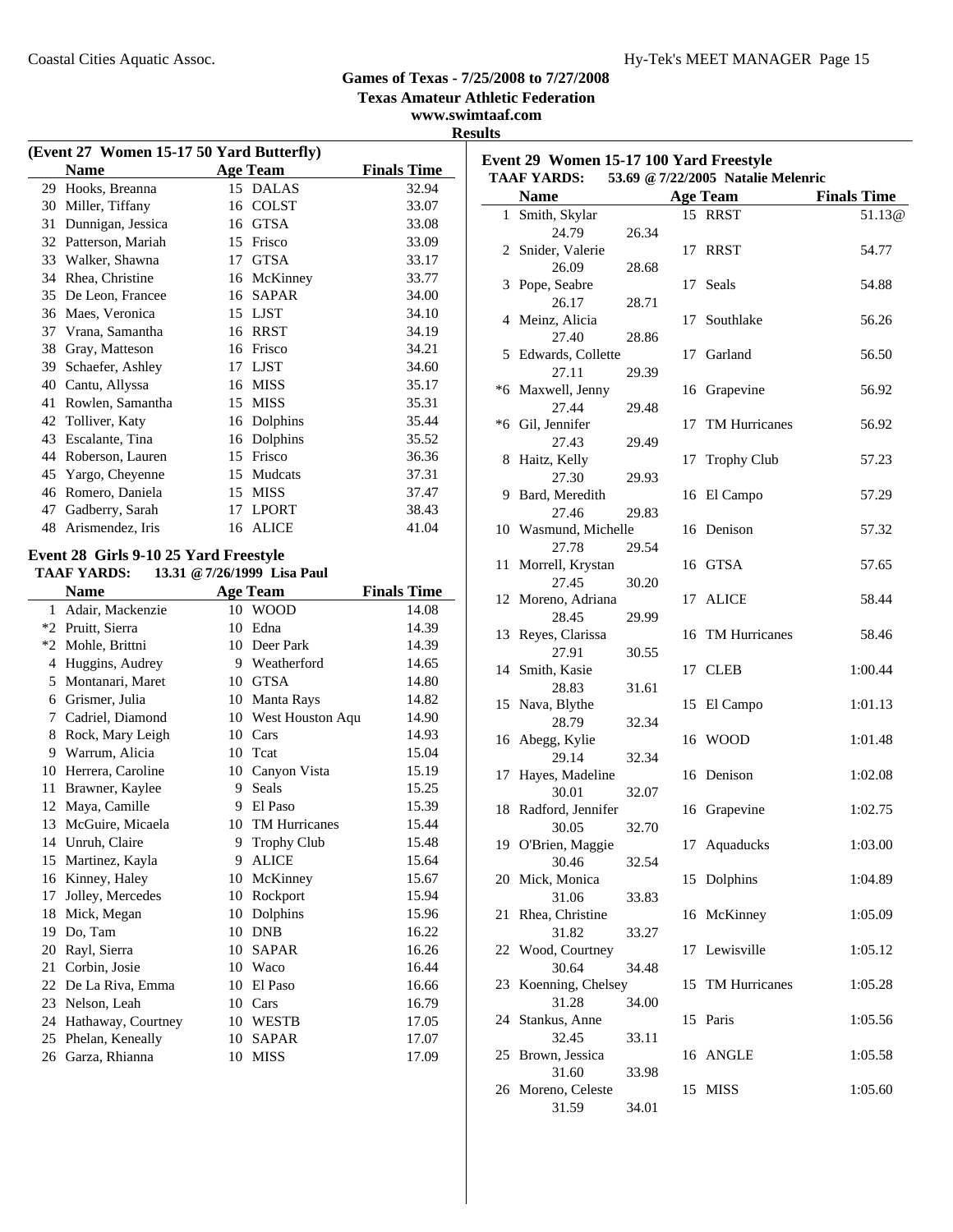**Event 29 Women 15-17 100 Yard Freestyle**

#### **Games of Texas - 7/25/2008 to 7/27/2008**

**Texas Amateur Athletic Federation**

**www.swimtaaf.com**

|    |                                                             |                             | <b>Results</b>     |     |
|----|-------------------------------------------------------------|-----------------------------|--------------------|-----|
|    | (Event 27 Women 15-17 50 Yard Butterfly)                    |                             |                    | Eve |
|    | <b>Name</b>                                                 | <b>Age Team</b>             | <b>Finals Time</b> | TΑ  |
|    | 29 Hooks, Breanna                                           | 15 DALAS                    | 32.94              |     |
|    | 30 Miller, Tiffany                                          | 16 COLST                    | 33.07              |     |
|    | 31 Dunnigan, Jessica                                        | 16 GTSA                     | 33.08              |     |
|    | 32 Patterson, Mariah                                        | 15 Frisco                   | 33.09              |     |
|    | 33 Walker, Shawna                                           | 17 GTSA                     | 33.17              |     |
|    | 34 Rhea, Christine                                          | 16 McKinney                 | 33.77              |     |
|    | 35 De Leon, Francee                                         | 16 SAPAR                    | 34.00              |     |
|    | 36 Maes, Veronica                                           | 15 LJST                     | 34.10              |     |
|    | 37 Vrana, Samantha                                          | 16 RRST                     | 34.19              |     |
|    | 38 Gray, Matteson                                           | 16 Frisco                   | 34.21              |     |
|    | 39 Schaefer, Ashley                                         | 17 LJST                     | 34.60              |     |
|    | 40 Cantu, Allyssa                                           | 16 MISS                     | 35.17              |     |
|    | 41 Rowlen, Samantha                                         | 15 MISS                     | 35.31              |     |
|    | 42 Tolliver, Katy                                           | 16 Dolphins                 | 35.44              |     |
|    | 43 Escalante, Tina                                          | 16 Dolphins                 | 35.52              |     |
|    | 44 Roberson, Lauren                                         | 15 Frisco                   | 36.36              |     |
|    | 45 Yargo, Cheyenne                                          | 15 Mudcats                  | 37.31              |     |
|    | 46 Romero, Daniela                                          | 15 MISS                     | 37.47              |     |
|    | 47 Gadberry, Sarah                                          | 17 LPORT                    | 38.43              |     |
|    | 48 Arismendez, Iris                                         | 16 ALICE                    | 41.04              |     |
|    | Event 28 Girls 9-10 25 Yard Freestyle<br><b>TAAF YARDS:</b> | 13.31 @ 7/26/1999 Lisa Paul |                    |     |
|    | <b>Name</b>                                                 | <b>Age Team</b>             | <b>Finals Time</b> |     |
|    | 1 Adair, Mackenzie                                          | 10 WOOD                     | 14.08              |     |
|    | *2 Pruitt, Sierra                                           | 10 Edna                     | 14.39              |     |
|    | *2 Mohle, Brittni                                           | 10 Deer Park                | 14.39              |     |
|    | 4 Huggins, Audrey                                           | 9 Weatherford               | 14.65              |     |
|    | 5 Montanari, Maret                                          | 10 GTSA                     | 14.80              |     |
|    | 6 Grismer, Julia                                            | 10 Manta Rays               | 14.82              |     |
|    | 7 Cadriel, Diamond                                          | 10 West Houston Aqu         | 14.90              |     |
|    | 8 Rock, Mary Leigh                                          | 10 Cars                     | 14.93              |     |
|    | 9 Warrum, Alicia                                            | 10 Tcat                     | 15.04              |     |
|    | 10 Herrera, Caroline                                        | 10 Canyon Vista             | 15.19              |     |
| 11 | Brawner, Kaylee                                             | 9 Seals                     | 15.25              |     |
|    |                                                             |                             |                    |     |

12 Maya, Camille 9 El Paso 15.39 13 15.44 McGuire, Micaela 10 TM Hurricanes 14 Unruh, Claire 9 Trophy Club 15.48 15 Martinez, Kayla 9 ALICE 15.64 16 Kinney, Haley 10 McKinney 15.67 17 Jolley, Mercedes 10 Rockport 15.94 18 Mick, Megan 10 Dolphins 15.96 19 Do, Tam 10 DNB 16.22 20 16.26 Rayl, Sierra 10 SAPAR 21 Corbin, Josie 10 Waco 16.44 22 De La Riva, Emma 10 El Paso 16.66 23 16.79 Nelson, Leah 10 Cars 24 Hathaway, Courtney 10 WESTB 17.05 25 Phelan, Keneally 10 SAPAR 17.07 26 17.09 Garza, Rhianna 10 MISS

|    | <b>TAAF YARDS:</b>        |       |    | 53.69 @ 7/22/2005 Natalie Melenric |                    |
|----|---------------------------|-------|----|------------------------------------|--------------------|
|    | <b>Name</b>               |       |    | <b>Age Team</b>                    | <b>Finals Time</b> |
|    | 1 Smith, Skylar           |       |    | 15 RRST                            | 51.13@             |
|    | 24.79                     | 26.34 |    |                                    |                    |
|    | 2 Snider, Valerie         |       | 17 | <b>RRST</b>                        | 54.77              |
|    | 26.09                     | 28.68 |    |                                    |                    |
| 3  | Pope, Seabre              |       | 17 | Seals                              | 54.88              |
|    | 26.17                     | 28.71 |    |                                    |                    |
| 4  | Meinz, Alicia             |       | 17 | Southlake                          | 56.26              |
|    | 27.40                     | 28.86 |    |                                    |                    |
| 5  | Edwards, Collette         |       | 17 | Garland                            | 56.50              |
|    | 27.11                     | 29.39 |    |                                    |                    |
|    | *6 Maxwell, Jenny         |       | 16 | Grapevine                          | 56.92              |
|    | 27.44                     | 29.48 |    |                                    |                    |
|    | *6 Gil, Jennifer<br>27.43 |       | 17 | TM Hurricanes                      | 56.92              |
|    | Haitz, Kelly              | 29.49 | 17 | <b>Trophy Club</b>                 | 57.23              |
| 8  | 27.30                     | 29.93 |    |                                    |                    |
|    | 9 Bard, Meredith          |       |    | 16 El Campo                        | 57.29              |
|    | 27.46                     | 29.83 |    |                                    |                    |
|    | 10 Wasmund, Michelle      |       |    | 16 Denison                         | 57.32              |
|    | 27.78                     | 29.54 |    |                                    |                    |
| 11 | Morrell, Krystan          |       |    | 16 GTSA                            | 57.65              |
|    | 27.45                     | 30.20 |    |                                    |                    |
|    | 12 Moreno, Adriana        |       | 17 | <b>ALICE</b>                       | 58.44              |
|    | 28.45                     | 29.99 |    |                                    |                    |
| 13 | Reyes, Clarissa           |       | 16 | <b>TM Hurricanes</b>               | 58.46              |
|    | 27.91                     | 30.55 |    |                                    |                    |
| 14 | Smith, Kasie              |       | 17 | <b>CLEB</b>                        | 1:00.44            |
|    | 28.83                     | 31.61 |    |                                    |                    |
|    | 15 Nava, Blythe           |       | 15 | El Campo                           | 1:01.13            |
|    | 28.79                     | 32.34 |    |                                    |                    |
| 16 | Abegg, Kylie<br>29.14     |       |    | 16 WOOD                            | 1:01.48            |
| 17 | Hayes, Madeline           | 32.34 |    | 16 Denison                         | 1:02.08            |
|    | 30.01                     | 32.07 |    |                                    |                    |
|    | 18 Radford, Jennifer      |       | 16 | Grapevine                          | 1:02.75            |
|    | 30.05                     | 32.70 |    |                                    |                    |
| 19 | O'Brien, Maggie           |       | 17 | Aquaducks                          | 1:03.00            |
|    | 30.46                     | 32.54 |    |                                    |                    |
|    | 20 Mick, Monica           |       |    | 15 Dolphins                        | 1:04.89            |
|    | 31.06                     | 33.83 |    |                                    |                    |
| 21 | Rhea, Christine           |       |    | 16 McKinney                        | 1:05.09            |
|    | 31.82                     | 33.27 |    |                                    |                    |
|    | 22 Wood, Courtney         |       | 17 | Lewisville                         | 1:05.12            |
|    | 30.64                     | 34.48 |    |                                    |                    |
|    | 23 Koenning, Chelsey      |       | 15 | <b>TM Hurricanes</b>               | 1:05.28            |
|    | 31.28                     | 34.00 |    |                                    |                    |
| 24 | Stankus, Anne             |       | 15 | Paris                              | 1:05.56            |
|    | 32.45                     | 33.11 |    |                                    |                    |
| 25 | Brown, Jessica<br>31.60   |       |    | 16 ANGLE                           | 1:05.58            |
|    | 26 Moreno, Celeste        | 33.98 | 15 | <b>MISS</b>                        | 1:05.60            |
|    | 31.59                     | 34.01 |    |                                    |                    |
|    |                           |       |    |                                    |                    |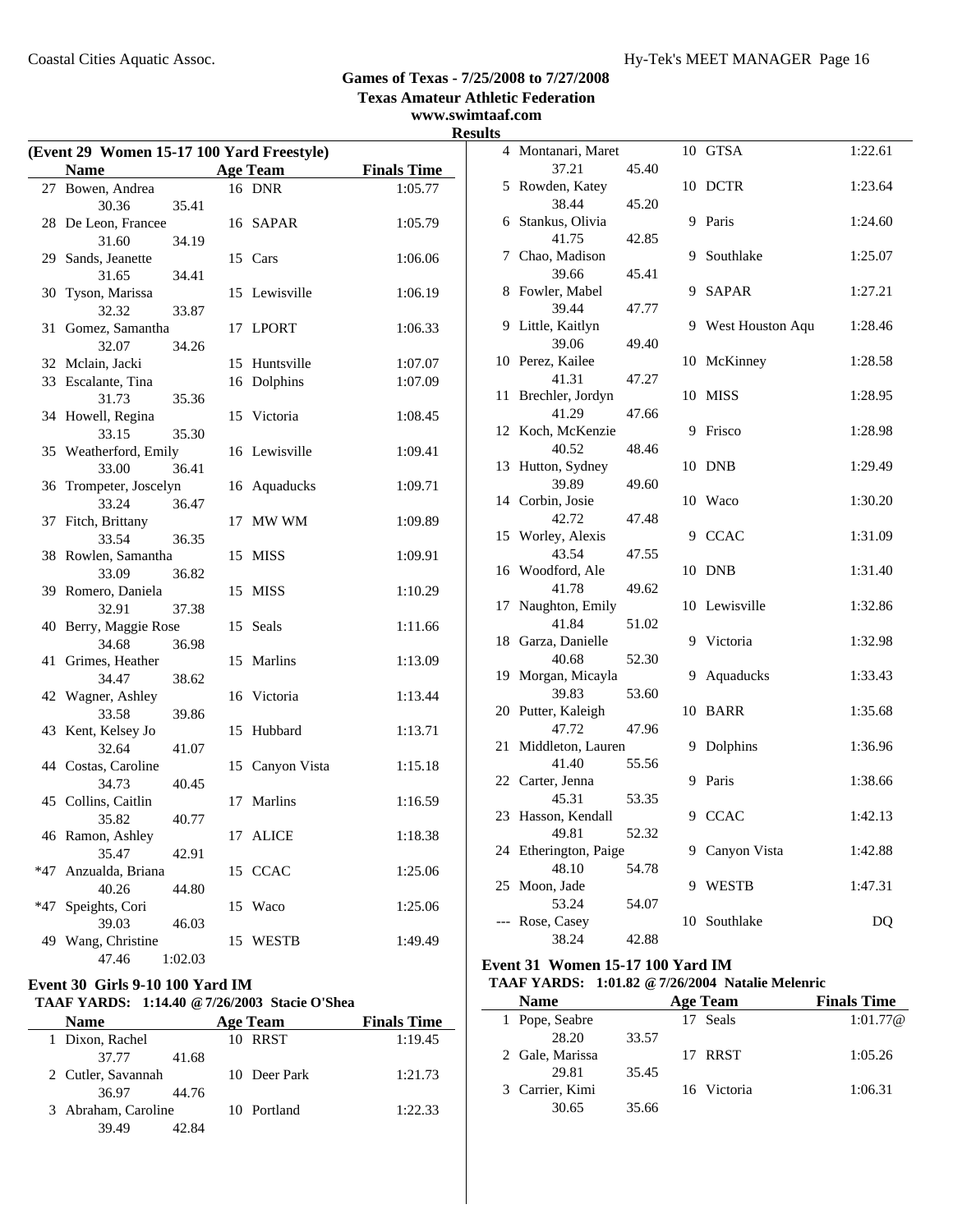**Texas Amateur Athletic Federation**

### **www.swimtaaf.com Results**

|       | (Event 29 Women 15-17 100 Yard Freestyle) |         |    |                 |                    |  |  |
|-------|-------------------------------------------|---------|----|-----------------|--------------------|--|--|
|       | <b>Name</b>                               |         |    | <b>Age Team</b> | <b>Finals Time</b> |  |  |
|       | 27 Bowen, Andrea                          |         |    | 16 DNR          | 1:05.77            |  |  |
|       | 30.36                                     | 35.41   |    |                 |                    |  |  |
|       | 28 De Leon, Francee                       |         |    | 16 SAPAR        | 1:05.79            |  |  |
|       | 31.60                                     | 34.19   |    |                 |                    |  |  |
|       | 29 Sands, Jeanette                        |         |    | 15 Cars         | 1:06.06            |  |  |
|       | 31.65                                     | 34.41   |    |                 |                    |  |  |
| 30    | Tyson, Marissa                            |         |    | 15 Lewisville   | 1:06.19            |  |  |
|       | 32.32                                     | 33.87   |    |                 |                    |  |  |
| 31    | Gomez, Samantha                           |         |    | 17 LPORT        | 1:06.33            |  |  |
|       | 32.07                                     | 34.26   |    |                 |                    |  |  |
|       | 32 Mclain, Jacki                          |         |    | 15 Huntsville   | 1:07.07            |  |  |
|       | 33 Escalante, Tina                        |         |    | 16 Dolphins     | 1:07.09            |  |  |
|       | 31.73                                     | 35.36   |    |                 |                    |  |  |
|       | 34 Howell, Regina                         |         | 15 | Victoria        | 1:08.45            |  |  |
|       | 33.15                                     | 35.30   |    |                 |                    |  |  |
|       | 35 Weatherford, Emily                     |         |    | 16 Lewisville   | 1:09.41            |  |  |
|       | 33.00                                     | 36.41   |    |                 |                    |  |  |
| 36    | Trompeter, Joscelyn                       |         |    | 16 Aquaducks    | 1:09.71            |  |  |
|       | 33.24                                     | 36.47   |    |                 |                    |  |  |
| 37    | Fitch, Brittany                           |         | 17 | MW WM           | 1:09.89            |  |  |
|       | 33.54                                     | 36.35   |    |                 |                    |  |  |
|       | 38 Rowlen, Samantha                       |         | 15 | <b>MISS</b>     | 1:09.91            |  |  |
|       | 33.09                                     | 36.82   |    |                 |                    |  |  |
|       | 39 Romero, Daniela                        |         | 15 | <b>MISS</b>     | 1:10.29            |  |  |
|       | 32.91                                     | 37.38   |    |                 |                    |  |  |
|       | 40 Berry, Maggie Rose                     |         |    | 15 Seals        | 1:11.66            |  |  |
|       | 34.68                                     | 36.98   |    |                 |                    |  |  |
| 41    | Grimes, Heather                           |         | 15 | Marlins         | 1:13.09            |  |  |
|       | 34.47                                     | 38.62   |    |                 |                    |  |  |
|       | 42 Wagner, Ashley                         |         |    | 16 Victoria     | 1:13.44            |  |  |
|       | 33.58                                     | 39.86   |    |                 |                    |  |  |
|       | 43 Kent, Kelsey Jo                        |         | 15 | Hubbard         | 1:13.71            |  |  |
|       | 32.64                                     | 41.07   |    |                 |                    |  |  |
|       | 44 Costas, Caroline                       |         |    | 15 Canyon Vista | 1:15.18            |  |  |
|       | 34.73                                     | 40.45   |    |                 |                    |  |  |
|       | 45 Collins, Caitlin                       |         | 17 | Marlins         | 1:16.59            |  |  |
|       | 35.82                                     | 40.77   |    |                 |                    |  |  |
|       | 46 Ramon, Ashley                          |         |    | 17 ALICE        | 1:18.38            |  |  |
|       | 35.47                                     | 42.91   |    |                 |                    |  |  |
| $*47$ | Anzualda, Briana                          |         |    | 15 CCAC         | 1:25.06            |  |  |
|       | 40.26                                     | 44.80   |    |                 |                    |  |  |
| *47   | Speights, Cori                            |         | 15 | Waco            | 1:25.06            |  |  |
|       | 39.03                                     | 46.03   |    |                 |                    |  |  |
| 49    | Wang, Christine                           |         | 15 | <b>WESTB</b>    | 1:49.49            |  |  |
|       | 47.46                                     | 1:02.03 |    |                 |                    |  |  |

### **Event 30 Girls 9-10 100 Yard IM**

#### **TAAF YARDS: 1:14.40 @7/26/2003 Stacie O'Shea**

| <b>Name</b>         | Age Team     | <b>Finals Time</b> |
|---------------------|--------------|--------------------|
| 1 Dixon, Rachel     | 10 RRST      | 1:19.45            |
| 37.77               | 41.68        |                    |
| 2 Cutler, Savannah  | 10 Deer Park | 1:21.73            |
| 36.97               | 44.76        |                    |
| 3 Abraham, Caroline | 10 Portland  | 1:22.33            |
| 39.49               | 42.84        |                    |

| LЭ             |                           |       |    |                  |         |
|----------------|---------------------------|-------|----|------------------|---------|
| $\overline{4}$ | Montanari, Maret          |       |    | 10 GTSA          | 1:22.61 |
|                | 37.21                     | 45.40 |    |                  |         |
|                | 5 Rowden, Katey<br>38.44  | 45.20 | 10 | <b>DCTR</b>      | 1:23.64 |
| 6              | Stankus, Olivia           |       | 9  | Paris            | 1:24.60 |
|                | 41.75                     | 42.85 |    |                  |         |
| 7              | Chao, Madison             |       | 9  | Southlake        | 1:25.07 |
|                | 39.66                     | 45.41 |    |                  |         |
| 8              | Fowler, Mabel             |       | 9  | <b>SAPAR</b>     | 1:27.21 |
|                | 39.44                     | 47.77 |    |                  |         |
| 9              | Little, Kaitlyn           |       | 9  | West Houston Aqu | 1:28.46 |
|                | 39.06                     | 49.40 |    |                  |         |
|                | 10 Perez, Kailee          |       | 10 | McKinney         | 1:28.58 |
| 11             | 41.31<br>Brechler, Jordyn | 47.27 | 10 | <b>MISS</b>      | 1:28.95 |
|                | 41.29                     | 47.66 |    |                  |         |
| 12             | Koch, McKenzie            |       | 9  | Frisco           | 1:28.98 |
|                | 40.52                     | 48.46 |    |                  |         |
| 13             | Hutton, Sydney            |       | 10 | <b>DNB</b>       | 1:29.49 |
|                | 39.89                     | 49.60 |    |                  |         |
|                | 14 Corbin, Josie          |       | 10 | Waco             | 1:30.20 |
|                | 42.72                     | 47.48 |    |                  |         |
|                | 15 Worley, Alexis         |       | 9  | <b>CCAC</b>      | 1:31.09 |
|                | 43.54                     | 47.55 |    |                  |         |
| 16             | Woodford, Ale             |       | 10 | <b>DNB</b>       | 1:31.40 |
|                | 41.78                     | 49.62 |    |                  |         |
| 17             | Naughton, Emily           |       | 10 | Lewisville       | 1:32.86 |
|                | 41.84                     | 51.02 |    |                  |         |
|                | 18 Garza, Danielle        |       | 9  | Victoria         | 1:32.98 |
| 19             | 40.68<br>Morgan, Micayla  | 52.30 | 9  | Aquaducks        | 1:33.43 |
|                | 39.83                     | 53.60 |    |                  |         |
|                | 20 Putter, Kaleigh        |       | 10 | <b>BARR</b>      | 1:35.68 |
|                | 47.72                     | 47.96 |    |                  |         |
| 21             | Middleton, Lauren         |       | 9  | Dolphins         | 1:36.96 |
|                | 41.40                     | 55.56 |    |                  |         |
|                | 22 Carter, Jenna          |       | 9  | Paris            | 1:38.66 |
|                | 45.31                     | 53.35 |    |                  |         |
|                | 23 Hasson, Kendall        |       |    | 9 CCAC           | 1:42.13 |
|                | 49.81                     | 52.32 |    |                  |         |
| 24             | Etherington, Paige        |       | 9  | Canyon Vista     | 1:42.88 |
|                | 48.10                     | 54.78 |    |                  |         |
| 25             | Moon, Jade                |       | 9  | <b>WESTB</b>     | 1:47.31 |
|                | 53.24                     | 54.07 |    |                  |         |
|                | --- Rose, Casey           |       |    | 10 Southlake     | DQ      |
|                | 38.24                     | 42.88 |    |                  |         |

#### **Event 31 Women 15-17 100 Yard IM**

J.

### **TAAF YARDS: 1:01.82 @7/26/2004 Natalie Melenric**

| Name            |       | Age Team    | <b>Finals Time</b> |
|-----------------|-------|-------------|--------------------|
| 1 Pope, Seabre  |       | 17 Seals    | 1:01.77@           |
| 28.20           | 33.57 |             |                    |
| 2 Gale, Marissa |       | 17 RRST     | 1:05.26            |
| 29.81           | 35.45 |             |                    |
| 3 Carrier, Kimi |       | 16 Victoria | 1:06.31            |
| 30.65           | 35.66 |             |                    |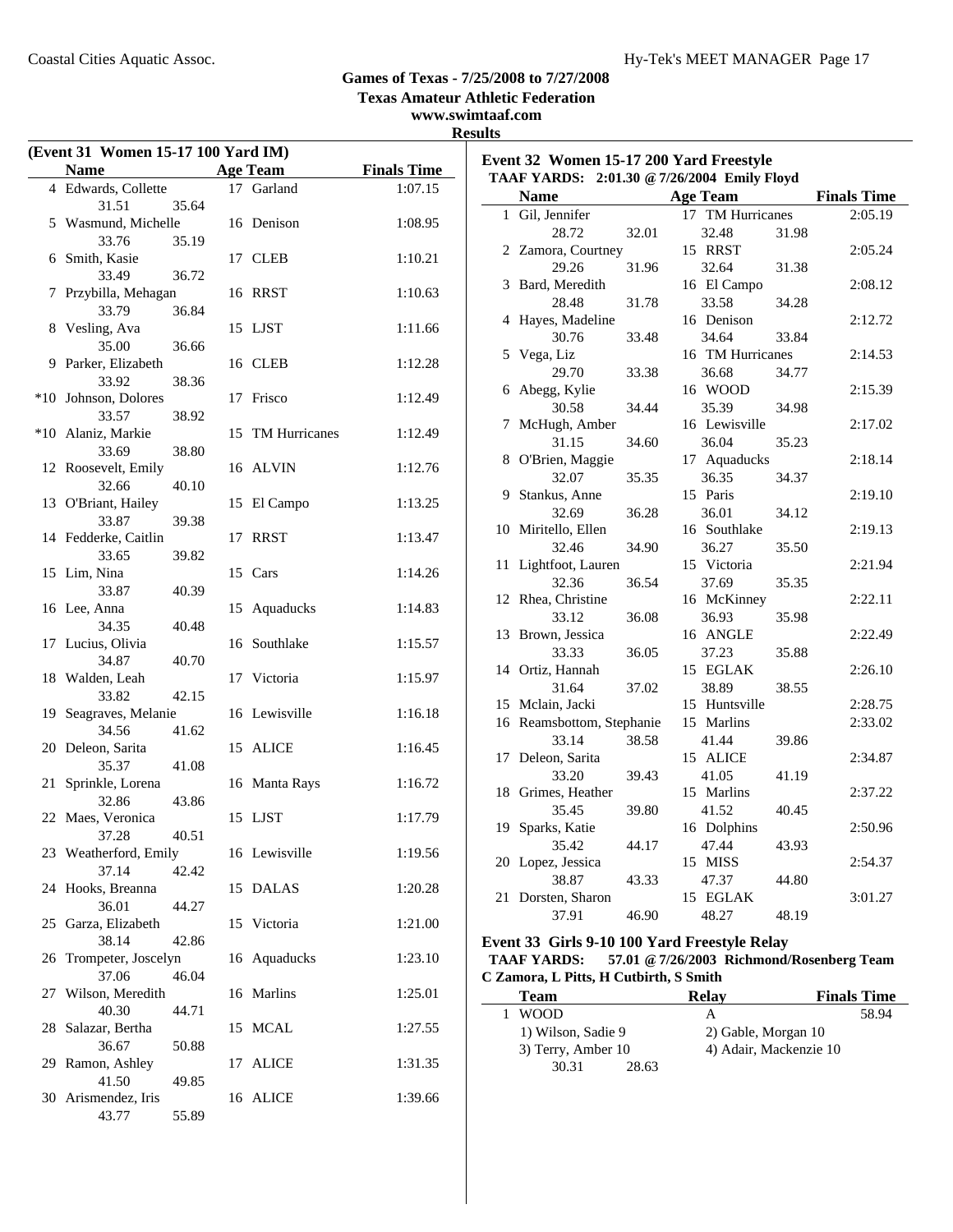**Texas Amateur Athletic Federation**

### **www.swimtaaf.com**

**Results**

| (Event 31 Women 15-17 100 Yard IM) |                  |                    |                                        |       | Event 32 Women 15-17 200 Yard Freestyle      |       |                    |
|------------------------------------|------------------|--------------------|----------------------------------------|-------|----------------------------------------------|-------|--------------------|
| <b>Name</b>                        | <b>Age Team</b>  | <b>Finals Time</b> |                                        |       | TAAF YARDS: 2:01.30 @ 7/26/2004 Emily Floyd  |       |                    |
| 4 Edwards, Collette                | 17 Garland       | 1:07.15            | <b>Name</b>                            |       | <b>Age Team</b>                              |       | <b>Finals Time</b> |
| 31.51<br>35.64                     |                  |                    | 1 Gil, Jennifer                        |       | 17 TM Hurricanes                             |       | 2:05.19            |
| 5 Wasmund, Michelle                | 16 Denison       | 1:08.95            | 28.72                                  | 32.01 | 32.48                                        | 31.98 |                    |
| 33.76<br>35.19                     |                  |                    | 2 Zamora, Courtney                     |       | 15 RRST                                      |       | 2:05.24            |
| 6 Smith, Kasie                     | 17 CLEB          | 1:10.21            | 29.26                                  | 31.96 | 32.64                                        | 31.38 |                    |
| 36.72<br>33.49                     |                  |                    | 3 Bard, Meredith                       |       | 16 El Campo                                  |       | 2:08.12            |
| 7 Przybilla, Mehagan               | 16 RRST          | 1:10.63            | 28.48                                  | 31.78 | 33.58                                        | 34.28 |                    |
| 33.79<br>36.84                     |                  |                    | 4 Hayes, Madeline                      |       | 16 Denison                                   |       | 2:12.72            |
| 8 Vesling, Ava                     | 15 LJST          | 1:11.66            | 30.76                                  | 33.48 | 34.64                                        | 33.84 |                    |
| 35.00<br>36.66                     |                  |                    | 5 Vega, Liz                            |       | 16 TM Hurricanes                             |       | 2:14.53            |
| 9 Parker, Elizabeth                | 16 CLEB          | 1:12.28            | 29.70                                  | 33.38 | 36.68                                        | 34.77 |                    |
| 33.92<br>38.36                     |                  |                    | 6 Abegg, Kylie                         |       | 16 WOOD                                      |       | 2:15.39            |
| *10 Johnson, Dolores               | 17 Frisco        | 1:12.49            | 30.58                                  | 34.44 | 35.39                                        | 34.98 |                    |
| 38.92<br>33.57                     |                  |                    | 7 McHugh, Amber                        |       | 16 Lewisville                                |       | 2:17.02            |
| *10 Alaniz, Markie                 | 15 TM Hurricanes | 1:12.49            | 31.15                                  |       | 36.04                                        |       |                    |
| 38.80<br>33.69                     |                  |                    |                                        | 34.60 |                                              | 35.23 |                    |
| 12 Roosevelt, Emily                | 16 ALVIN         | 1:12.76            | 8 O'Brien, Maggie                      |       | 17 Aquaducks                                 |       | 2:18.14            |
| 40.10<br>32.66                     |                  |                    | 32.07                                  | 35.35 | 36.35                                        | 34.37 |                    |
| 13 O'Briant, Hailey                | 15 El Campo      | 1:13.25            | 9 Stankus, Anne                        |       | 15 Paris                                     |       | 2:19.10            |
| 33.87<br>39.38                     |                  |                    | 32.69                                  | 36.28 | 36.01                                        | 34.12 |                    |
| 14 Fedderke, Caitlin               | 17 RRST          | 1:13.47            | 10 Miritello, Ellen                    |       | 16 Southlake                                 |       | 2:19.13            |
| 39.82<br>33.65                     |                  |                    | 32.46                                  | 34.90 | 36.27                                        | 35.50 |                    |
| 15 Lim, Nina                       | 15 Cars          | 1:14.26            | 11 Lightfoot, Lauren                   |       | 15 Victoria                                  |       | 2:21.94            |
| 40.39<br>33.87                     |                  |                    | 32.36                                  | 36.54 | 37.69                                        | 35.35 |                    |
| 16 Lee, Anna                       | 15 Aquaducks     | 1:14.83            | 12 Rhea, Christine                     |       | 16 McKinney                                  |       | 2:22.11            |
|                                    |                  |                    | 33.12                                  | 36.08 | 36.93                                        | 35.98 |                    |
| 34.35<br>40.48                     |                  |                    | 13 Brown, Jessica                      |       | 16 ANGLE                                     |       | 2:22.49            |
| 17 Lucius, Olivia                  | 16 Southlake     | 1:15.57            | 33.33                                  | 36.05 | 37.23                                        | 35.88 |                    |
| 34.87<br>40.70                     |                  |                    | 14 Ortiz, Hannah                       |       | 15 EGLAK                                     |       | 2:26.10            |
| 18 Walden, Leah                    | 17 Victoria      | 1:15.97            | 31.64                                  | 37.02 | 38.89                                        | 38.55 |                    |
| 42.15<br>33.82                     |                  |                    | 15 Mclain, Jacki                       |       | 15 Huntsville                                |       | 2:28.75            |
| 19 Seagraves, Melanie              | 16 Lewisville    | 1:16.18            | 16 Reamsbottom, Stephanie              |       | 15 Marlins                                   |       | 2:33.02            |
| 34.56<br>41.62                     |                  |                    | 33.14                                  | 38.58 | 41.44                                        | 39.86 |                    |
| 20 Deleon, Sarita                  | 15 ALICE         | 1:16.45            | 17 Deleon, Sarita                      |       | 15 ALICE                                     |       | 2:34.87            |
| 41.08<br>35.37                     |                  |                    | 33.20                                  | 39.43 | 41.05                                        | 41.19 |                    |
| 21 Sprinkle, Lorena                | 16 Manta Rays    | 1:16.72            | 18 Grimes, Heather                     |       | 15 Marlins                                   |       | 2:37.22            |
| 43.86<br>32.86                     |                  |                    |                                        |       |                                              |       |                    |
| 22 Maes, Veronica                  | 15 LJST          | 1:17.79            | 35.45                                  | 39.80 | 41.52                                        | 40.45 |                    |
| 40.51<br>37.28                     |                  |                    | 19 Sparks, Katie                       |       | 16 Dolphins                                  |       | 2:50.96            |
| 23 Weatherford, Emily              | 16 Lewisville    | 1:19.56            | 35.42                                  | 44.17 | 47.44                                        | 43.93 |                    |
| 37.14<br>42.42                     |                  |                    | 20 Lopez, Jessica                      |       | 15 MISS                                      |       | 2:54.37            |
| 24 Hooks, Breanna                  | 15 DALAS         | 1:20.28            | 38.87                                  | 43.33 | 47.37                                        | 44.80 |                    |
| 36.01<br>44.27                     |                  |                    | 21 Dorsten, Sharon                     |       | 15 EGLAK                                     |       | 3:01.27            |
| 25 Garza, Elizabeth                | 15 Victoria      | 1:21.00            | 37.91                                  | 46.90 | 48.27                                        | 48.19 |                    |
| 38.14<br>42.86                     |                  |                    |                                        |       | Event 33 Girls 9-10 100 Yard Freestyle Relay |       |                    |
| 26 Trompeter, Joscelyn             | 16 Aquaducks     | 1:23.10            | <b>TAAF YARDS:</b>                     |       | 57.01 @ 7/26/2003 Richmond/Rosenberg Team    |       |                    |
| 37.06<br>46.04                     |                  |                    | C Zamora, L Pitts, H Cutbirth, S Smith |       |                                              |       |                    |
| 27 Wilson, Meredith                | 16 Marlins       | 1:25.01            |                                        |       |                                              |       |                    |
|                                    |                  |                    | <b>Team</b>                            |       | <b>Relay</b>                                 |       | <b>Finals Time</b> |
| 40.30<br>44.71                     |                  |                    | 1 WOOD                                 |       | $\mathbf{A}$                                 |       | 58.94              |
| 28 Salazar, Bertha                 | 15 MCAL          | 1:27.55            | 1) Wilson, Sadie 9                     |       | 2) Gable, Morgan 10                          |       |                    |
| 36.67<br>50.88                     |                  |                    | 3) Terry, Amber 10                     |       | 4) Adair, Mackenzie 10                       |       |                    |
| 29 Ramon, Ashley                   | 17 ALICE         | 1:31.35            | 30.31                                  | 28.63 |                                              |       |                    |
| 41.50<br>49.85                     |                  |                    |                                        |       |                                              |       |                    |
| 30 Arismendez, Iris                | 16 ALICE         | 1:39.66            |                                        |       |                                              |       |                    |
| 43.77<br>55.89                     |                  |                    |                                        |       |                                              |       |                    |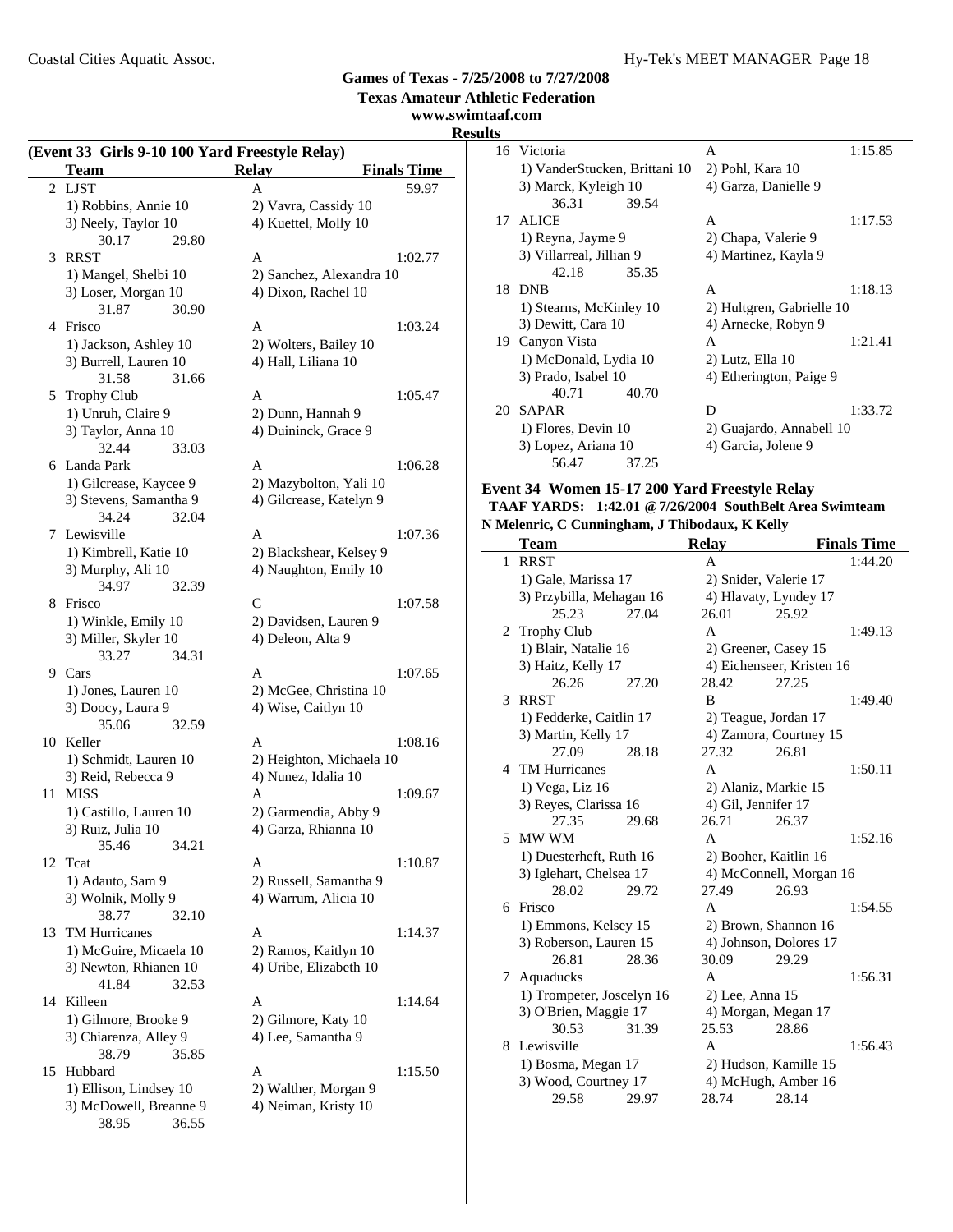**www.swimtaaf.com**

### **Results**

|    | (Event 33 Girls 9-10 100 Yard Freestyle Relay)<br><b>Team</b> | <b>Relay</b><br><b>Finals Time</b> |         |
|----|---------------------------------------------------------------|------------------------------------|---------|
| 2  | <b>LJST</b>                                                   | A                                  | 59.97   |
|    | 1) Robbins, Annie 10                                          | 2) Vavra, Cassidy 10               |         |
|    | 3) Neely, Taylor 10                                           | 4) Kuettel, Molly 10               |         |
|    | 30.17<br>29.80                                                |                                    |         |
| 3  | <b>RRST</b>                                                   | A                                  | 1:02.77 |
|    | 1) Mangel, Shelbi 10                                          | 2) Sanchez, Alexandra 10           |         |
|    | 3) Loser, Morgan 10                                           | 4) Dixon, Rachel 10                |         |
|    | 31.87<br>30.90                                                |                                    |         |
| 4  | Frisco                                                        | A                                  | 1:03.24 |
|    | 1) Jackson, Ashley 10                                         | 2) Wolters, Bailey 10              |         |
|    | 3) Burrell, Lauren 10                                         | 4) Hall, Liliana 10                |         |
|    | 31.58<br>31.66                                                |                                    |         |
| 5  | <b>Trophy Club</b>                                            | A                                  | 1:05.47 |
|    | 1) Unruh, Claire 9                                            | 2) Dunn, Hannah 9                  |         |
|    | 3) Taylor, Anna 10                                            | 4) Duininck, Grace 9               |         |
|    | 32.44<br>33.03                                                |                                    |         |
|    |                                                               |                                    | 1:06.28 |
| 6  | Landa Park                                                    | A                                  |         |
|    | 1) Gilcrease, Kaycee 9                                        | 2) Mazybolton, Yali 10             |         |
|    | 3) Stevens, Samantha 9                                        | 4) Gilcrease, Katelyn 9            |         |
|    | 34.24<br>32.04                                                |                                    |         |
| 7  | Lewisville                                                    | A                                  | 1:07.36 |
|    | 1) Kimbrell, Katie 10                                         | 2) Blackshear, Kelsey 9            |         |
|    | 3) Murphy, Ali 10                                             | 4) Naughton, Emily 10              |         |
|    | 34.97<br>32.39                                                |                                    |         |
| 8  | Frisco                                                        | C                                  | 1:07.58 |
|    | 1) Winkle, Emily 10                                           | 2) Davidsen, Lauren 9              |         |
|    | 3) Miller, Skyler 10                                          | 4) Deleon, Alta 9                  |         |
|    | 33.27<br>34.31                                                |                                    |         |
|    | 9 Cars                                                        | A                                  | 1:07.65 |
|    | 1) Jones, Lauren 10                                           | 2) McGee, Christina 10             |         |
|    | 3) Doocy, Laura 9                                             | 4) Wise, Caitlyn 10                |         |
|    | 35.06<br>32.59                                                |                                    |         |
| 10 | Keller                                                        | A                                  | 1:08.16 |
|    | 1) Schmidt, Lauren 10                                         | 2) Heighton, Michaela 10           |         |
|    | 3) Reid, Rebecca 9                                            | 4) Nunez, Idalia 10                |         |
| 11 | <b>MISS</b>                                                   | A                                  | 1:09.67 |
|    | 1) Castillo, Lauren 10                                        | 2) Garmendia, Abby 9               |         |
|    | 3) Ruiz, Julia 10                                             | 4) Garza, Rhianna 10               |         |
|    | 35.46<br>34.21                                                |                                    |         |
|    | 12 Teat                                                       | A                                  | 1:10.87 |
|    | 1) Adauto, Sam 9                                              | 2) Russell, Samantha 9             |         |
|    | 3) Wolnik, Molly 9                                            | 4) Warrum, Alicia 10               |         |
|    | 38.77<br>32.10                                                |                                    |         |
| 13 | <b>TM Hurricanes</b>                                          | A                                  | 1:14.37 |
|    | 1) McGuire, Micaela 10                                        | 2) Ramos, Kaitlyn 10               |         |
|    | 3) Newton, Rhianen 10                                         | 4) Uribe, Elizabeth 10             |         |
|    | 41.84<br>32.53                                                |                                    |         |
| 14 | Killeen                                                       | A                                  | 1:14.64 |
|    | 1) Gilmore, Brooke 9                                          | 2) Gilmore, Katy 10                |         |
|    | 3) Chiarenza, Alley 9                                         | 4) Lee, Samantha 9                 |         |
|    | 38.79<br>35.85                                                |                                    |         |
| 15 | Hubbard                                                       | A                                  | 1:15.50 |
|    | 1) Ellison, Lindsey 10                                        | 2) Walther, Morgan 9               |         |
|    | 3) McDowell, Breanne 9                                        | 4) Neiman, Kristy 10               |         |
|    | 38.95<br>36.55                                                |                                    |         |

|    | 16 Victoria                   | A                         | 1:15.85 |
|----|-------------------------------|---------------------------|---------|
|    | 1) VanderStucken, Brittani 10 | 2) Pohl, Kara 10          |         |
|    | 3) Marck, Kyleigh 10          | 4) Garza, Danielle 9      |         |
|    | 36.31<br>39.54                |                           |         |
|    | 17 ALICE                      | A                         | 1:17.53 |
|    | 1) Reyna, Jayme 9             | 2) Chapa, Valerie 9       |         |
|    | 3) Villarreal, Jillian 9      | 4) Martinez, Kayla 9      |         |
|    | 42.18<br>35.35                |                           |         |
|    | 18 DNB                        | A                         | 1:18.13 |
|    | 1) Stearns, McKinley 10       | 2) Hultgren, Gabrielle 10 |         |
|    | 3) Dewitt, Cara 10            | 4) Arnecke, Robyn 9       |         |
| 19 | Canyon Vista                  | A                         | 1:21.41 |
|    | 1) McDonald, Lydia 10         | $2)$ Lutz, Ella 10        |         |
|    | 3) Prado, Isabel 10           | 4) Etherington, Paige 9   |         |
|    | 40.71<br>40.70                |                           |         |
| 20 | <b>SAPAR</b>                  | D                         | 1:33.72 |
|    | 1) Flores, Devin 10           | 2) Guajardo, Annabell 10  |         |
|    | 3) Lopez, Ariana 10           | 4) Garcia, Jolene 9       |         |
|    | 56.47<br>37.25                |                           |         |

#### **Event 34 Women 15-17 200 Yard Freestyle Relay TAAF YARDS: 1:42.01 @7/26/2004 SouthBelt Area Swimteam N Melenric, C Cunningham, J Thibodaux, K Kelly**

|                | Telentic, C Cummigham, J Thibodaux, K Keny |       |                       |                           |                    |
|----------------|--------------------------------------------|-------|-----------------------|---------------------------|--------------------|
|                | Team                                       |       | <b>Relay</b>          |                           | <b>Finals Time</b> |
| $\mathbf{1}$   | <b>RRST</b>                                |       | A                     |                           | 1:44.20            |
|                | 1) Gale, Marissa 17                        |       |                       | 2) Snider, Valerie 17     |                    |
|                | 3) Przybilla, Mehagan 16                   |       |                       | 4) Hlavaty, Lyndey 17     |                    |
|                | 25.23                                      | 27.04 | 26.01                 | 25.92                     |                    |
| $\overline{2}$ | <b>Trophy Club</b>                         |       | $\overline{A}$        |                           | 1:49.13            |
|                | 1) Blair, Natalie 16                       |       |                       | 2) Greener, Casey 15      |                    |
|                | 3) Haitz, Kelly 17                         |       |                       | 4) Eichenseer, Kristen 16 |                    |
|                | 26.26                                      | 27.20 | 28.42                 | 27.25                     |                    |
| 3              | <b>RRST</b>                                |       | B                     |                           | 1:49.40            |
|                | 1) Fedderke, Caitlin 17                    |       |                       | 2) Teague, Jordan 17      |                    |
|                | 3) Martin, Kelly 17                        |       |                       | 4) Zamora, Courtney 15    |                    |
|                | 27.09                                      | 28.18 | 27.32                 | 26.81                     |                    |
| 4              | <b>TM Hurricanes</b>                       |       | A                     |                           | 1:50.11            |
|                | 1) Vega, Liz 16                            |       |                       | 2) Alaniz, Markie 15      |                    |
|                | 3) Reyes, Clarissa 16                      |       | 4) Gil, Jennifer 17   |                           |                    |
|                | 27.35                                      | 29.68 | 26.71                 | 26.37                     |                    |
| 5              | MW WM                                      |       | A                     |                           | 1:52.16            |
|                | 1) Duesterheft, Ruth 16                    |       | 2) Booher, Kaitlin 16 |                           |                    |
|                | 3) Iglehart, Chelsea 17                    |       |                       | 4) McConnell, Morgan 16   |                    |
|                | 28.02                                      | 29.72 | 27.49                 | 26.93                     |                    |
| 6              | Frisco                                     |       | A                     |                           | 1:54.55            |
|                | 1) Emmons, Kelsey 15                       |       |                       | 2) Brown, Shannon 16      |                    |
|                | 3) Roberson, Lauren 15                     |       |                       | 4) Johnson, Dolores 17    |                    |
|                | 26.81                                      | 28.36 | 30.09                 | 29.29                     |                    |
| 7              | Aquaducks                                  |       | A                     |                           | 1:56.31            |
|                | 1) Trompeter, Joscelyn 16                  |       | 2) Lee, Anna 15       |                           |                    |
|                | 3) O'Brien, Maggie 17                      |       |                       | 4) Morgan, Megan 17       |                    |
|                | 30.53                                      | 31.39 | 25.53                 | 28.86                     |                    |
| 8              | Lewisville                                 |       | A                     |                           | 1:56.43            |
|                | 1) Bosma, Megan 17                         |       | 2) Hudson, Kamille 15 |                           |                    |
|                | 3) Wood, Courtney 17                       |       |                       | 4) McHugh, Amber 16       |                    |
|                | 29.58                                      | 29.97 | 28.74                 | 28.14                     |                    |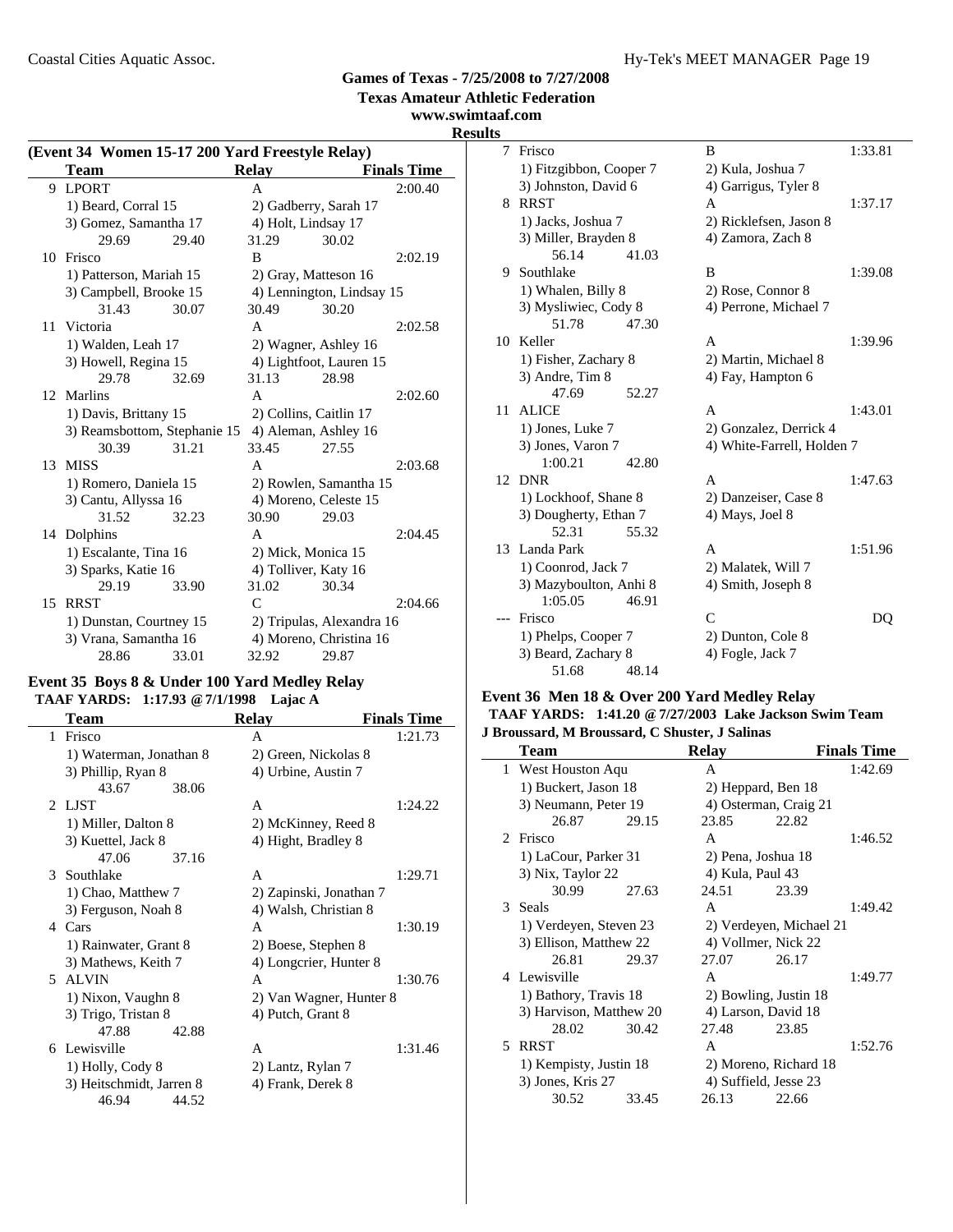**Texas Amateur Athletic Federation**

#### **www.swimtaaf.com Results**

### **(Event 34 Women 15-17 200 Yard Freestyle Relay) Team Relay Finals Time**<br> **Relay Finals Time**<br> **A** 2:00.40 9 LPORT A 1) Beard, Corral 15 2) Gadberry, Sarah 17 3) Gomez, Samantha 17 4) Holt, Lindsay 17 29.69 29.40 31.29 30.02 10 Frisco B 2:02.19 1) Patterson, Mariah 15 2) Gray, Matteson 16 3) Campbell, Brooke 15 4) Lennington, Lindsay 15<br>31.43 30.07 30.49 30.20 31.43 30.07 30.49 30.20 11 Victoria A 2:02.58 1) Walden, Leah 17 2) Wagner, Ashley 16 3) Howell, Regina 15 4) Lightfoot, Lauren 15 29.78 32.69 31.13 28.98 12 Marlins A 2:02.60 1) Davis, Brittany 15 2) Collins, Caitlin 17 3) Reamsbottom, Stephanie 15 4) Aleman, Ashley 16 30.39 31.21 33.45 27.55 13 MISS A 2:03.68 1) Romero, Daniela 15 2) Rowlen, Samantha 15 3) Cantu, Allyssa 16 4) Moreno, Celeste 15 31.52 32.23 30.90 29.03 14 2:04.45 Dolphins A 1) Escalante, Tina 16 2) Mick, Monica 15 3) Sparks, Katie 16 4) Tolliver, Katy 16 29.19 33.90 31.02 30.34 15 RRST C 2:04.66 1) Dunstan, Courtney 15 2) Tripulas, Alexandra 16 3) Vrana, Samantha 16 4) Moreno, Christina 16 28.86 33.01 32.92 29.87

### **Event 35 Boys 8 & Under 100 Yard Medley Relay**

### **TAAF YARDS: 1:17.93 @7/1/1998 Lajac A**

|   | Team                     | <b>Relay</b>            | <b>Finals Time</b> |
|---|--------------------------|-------------------------|--------------------|
| 1 | Frisco                   | A                       | 1:21.73            |
|   | 1) Waterman, Jonathan 8  | 2) Green, Nickolas 8    |                    |
|   | 3) Phillip, Ryan 8       | 4) Urbine, Austin 7     |                    |
|   | 43.67<br>38.06           |                         |                    |
|   | 2 LIST                   | A                       | 1:24.22            |
|   | 1) Miller, Dalton 8      | 2) McKinney, Reed 8     |                    |
|   | 3) Kuettel, Jack 8       | 4) Hight, Bradley 8     |                    |
|   | 47.06<br>37.16           |                         |                    |
| 3 | Southlake                | A                       | 1:29.71            |
|   | 1) Chao, Matthew 7       | 2) Zapinski, Jonathan 7 |                    |
|   | 3) Ferguson, Noah 8      | 4) Walsh, Christian 8   |                    |
|   | 4 Cars                   | A                       | 1:30.19            |
|   | 1) Rainwater, Grant 8    | 2) Boese, Stephen 8     |                    |
|   | 3) Mathews, Keith 7      | 4) Longcrier, Hunter 8  |                    |
|   | 5 ALVIN                  | A                       | 1:30.76            |
|   | 1) Nixon, Vaughn 8       | 2) Van Wagner, Hunter 8 |                    |
|   | 3) Trigo, Tristan 8      | 4) Putch, Grant 8       |                    |
|   | 47.88<br>42.88           |                         |                    |
|   | 6 Lewisville             | A                       | 1:31.46            |
|   | 1) Holly, Cody 8         | 2) Lantz, Rylan 7       |                    |
|   | 3) Heitschmidt, Jarren 8 | 4) Frank, Derek 8       |                    |
|   | 46.94<br>44.52           |                         |                    |

| 7  | Frisco                  | B                          | 1:33.81 |
|----|-------------------------|----------------------------|---------|
|    | 1) Fitzgibbon, Cooper 7 | 2) Kula, Joshua 7          |         |
|    | 3) Johnston, David 6    | 4) Garrigus, Tyler 8       |         |
|    | 8 RRST                  | A                          | 1:37.17 |
|    | 1) Jacks, Joshua 7      | 2) Ricklefsen, Jason 8     |         |
|    | 3) Miller, Brayden 8    | 4) Zamora, Zach 8          |         |
|    | 41.03<br>56.14          |                            |         |
|    | 9 Southlake             | B                          | 1:39.08 |
|    | 1) Whalen, Billy 8      | 2) Rose, Connor 8          |         |
|    | 3) Mysliwiec, Cody 8    | 4) Perrone, Michael 7      |         |
|    | 51.78<br>47.30          |                            |         |
|    | 10 Keller               | A                          | 1:39.96 |
|    | 1) Fisher, Zachary 8    | 2) Martin, Michael 8       |         |
|    | 3) Andre, Tim 8         | 4) Fay, Hampton 6          |         |
|    | 47.69<br>52.27          |                            |         |
| 11 | <b>ALICE</b>            | A                          | 1:43.01 |
|    | 1) Jones, Luke 7        | 2) Gonzalez, Derrick 4     |         |
|    | 3) Jones, Varon 7       | 4) White-Farrell, Holden 7 |         |
|    | 1:00.21<br>42.80        |                            |         |
| 12 | <b>DNR</b>              | A                          | 1:47.63 |
|    | 1) Lockhoof, Shane 8    | 2) Danzeiser, Case 8       |         |
|    | 3) Dougherty, Ethan 7   | 4) Mays, Joel 8            |         |
|    | 52.31<br>55.32          |                            |         |
|    | 13 Landa Park           | A                          | 1:51.96 |
|    | 1) Coonrod, Jack 7      | 2) Malatek, Will 7         |         |
|    | 3) Mazyboulton, Anhi 8  | 4) Smith, Joseph 8         |         |
|    | 1:05.05<br>46.91        |                            |         |
|    | Frisco                  | $\mathcal{C}$              | DQ      |
|    | 1) Phelps, Cooper 7     | 2) Dunton, Cole 8          |         |
|    | 3) Beard, Zachary 8     | 4) Fogle, Jack 7           |         |
|    | 51.68<br>48.14          |                            |         |

#### **Event 36 Men 18 & Over 200 Yard Medley Relay TAAF YARDS: 1:41.20 @7/27/2003 Lake Jackson Swim Team J Broussard, M Broussard, C Shuster, J Salinas**

|    | <b>Team</b>             |       | Relav            |                         | <b>Finals Time</b> |
|----|-------------------------|-------|------------------|-------------------------|--------------------|
| 1  | West Houston Aqu        |       | A                |                         | 1:42.69            |
|    | 1) Buckert, Jason 18    |       |                  | 2) Heppard, Ben 18      |                    |
|    | 3) Neumann, Peter 19    |       |                  | 4) Osterman, Craig 21   |                    |
|    | 26.87                   | 29.15 | 23.85            | 22.82                   |                    |
|    | 2 Frisco                |       | A                |                         | 1:46.52            |
|    | 1) LaCour, Parker 31    |       |                  | 2) Pena, Joshua 18      |                    |
|    | 3) Nix, Taylor 22       |       | 4) Kula, Paul 43 |                         |                    |
|    | 30.99                   | 27.63 | 24.51            | 23.39                   |                    |
|    | 3 Seals                 |       | A                |                         | 1:49.42            |
|    | 1) Verdeyen, Steven 23  |       |                  | 2) Verdeyen, Michael 21 |                    |
|    | 3) Ellison, Matthew 22  |       |                  | 4) Vollmer, Nick 22     |                    |
|    | 26.81                   | 29.37 | 27.07            | 26.17                   |                    |
|    | 4 Lewisville            |       | A                |                         | 1:49.77            |
|    | 1) Bathory, Travis 18   |       |                  | 2) Bowling, Justin 18   |                    |
|    | 3) Harvison, Matthew 20 |       |                  | 4) Larson, David 18     |                    |
|    | 28.02                   | 30.42 | 27.48            | 23.85                   |                    |
| 5. | <b>RRST</b>             |       | A                |                         | 1:52.76            |
|    | 1) Kempisty, Justin 18  |       |                  | 2) Moreno, Richard 18   |                    |
|    | 3) Jones, Kris 27       |       |                  | 4) Suffield, Jesse 23   |                    |
|    | 30.52                   | 33.45 | 26.13            | 22.66                   |                    |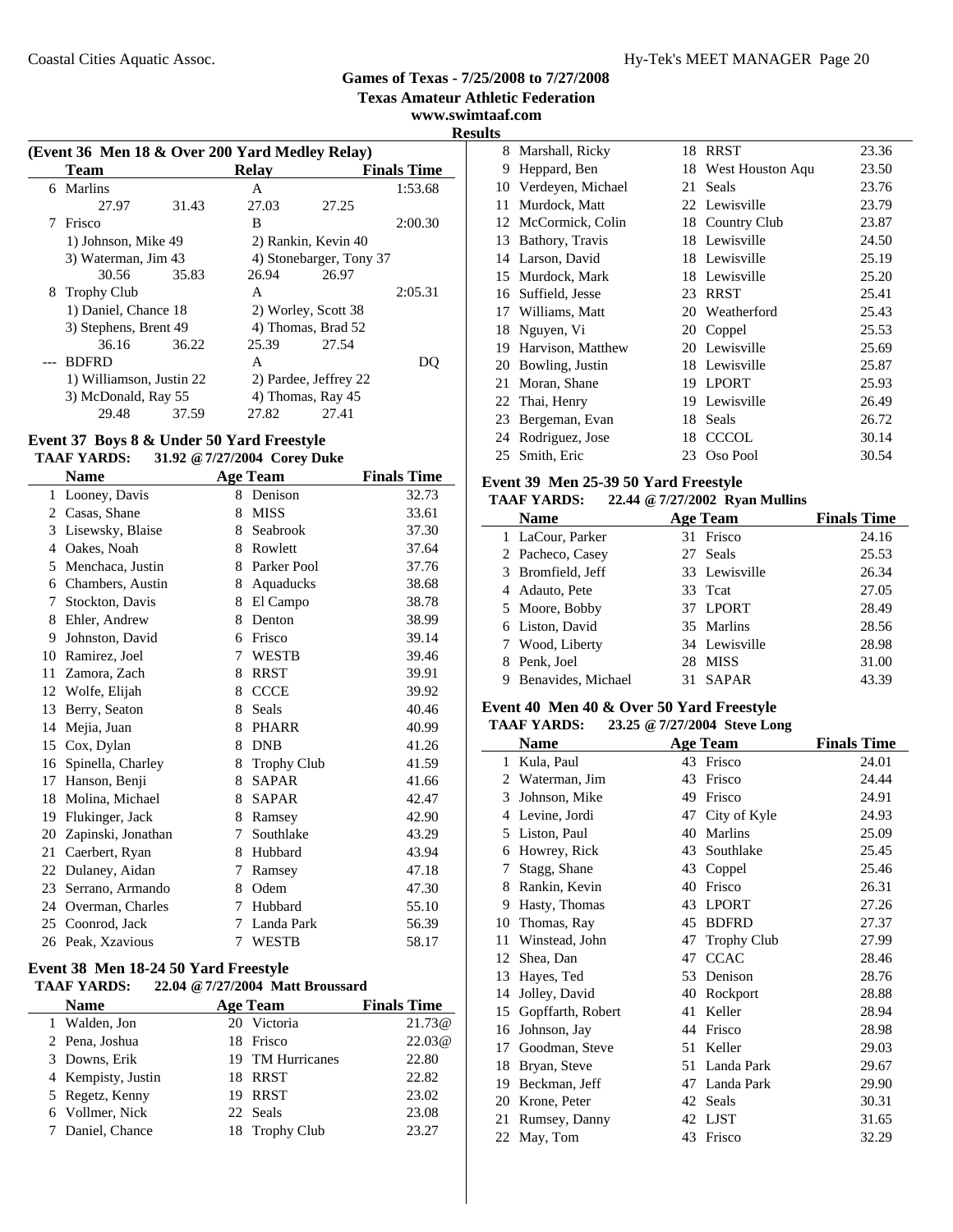**Texas Amateur Athletic Federation**

**www.swimtaaf.com**

**Results**

|   | (Event 36 Men 18 & Over 200 Yard Medley Relay) |       |       |                         |                    |
|---|------------------------------------------------|-------|-------|-------------------------|--------------------|
|   | Team                                           |       | Relay |                         | <b>Finals Time</b> |
|   | 6 Marlins                                      |       | A     |                         | 1:53.68            |
|   | 27.97                                          | 31.43 | 27.03 | 27.25                   |                    |
| 7 | Frisco                                         |       | B     |                         | 2:00.30            |
|   | 1) Johnson, Mike 49                            |       |       | 2) Rankin, Kevin 40     |                    |
|   | 3) Waterman, Jim 43                            |       |       | 4) Stonebarger, Tony 37 |                    |
|   | 30.56                                          | 35.83 | 26.94 | 26.97                   |                    |
|   | 8 Trophy Club                                  |       | A     |                         | 2:05.31            |
|   | 1) Daniel, Chance 18                           |       |       | 2) Worley, Scott 38     |                    |
|   | 3) Stephens, Brent 49                          |       |       | 4) Thomas, Brad 52      |                    |
|   | 36.16                                          | 36.22 | 25.39 | 27.54                   |                    |
|   | <b>BDFRD</b>                                   |       | A     |                         | DO                 |
|   | 1) Williamson, Justin 22                       |       |       | 2) Pardee, Jeffrey 22   |                    |
|   | 3) McDonald, Ray 55                            |       |       | 4) Thomas, Ray 45       |                    |
|   | 29.48                                          | 37.59 | 27.82 | 27.41                   |                    |

### **Event 37 Boys 8 & Under 50 Yard Freestyle TAAF YARDS: 31.92 @7/27/2004 Corey Duke**

|    | <b>Name</b>        |   | <b>Age Team</b>    | <b>Finals Time</b> |
|----|--------------------|---|--------------------|--------------------|
| 1  | Looney, Davis      | 8 | Denison            | 32.73              |
| 2  | Casas, Shane       | 8 | <b>MISS</b>        | 33.61              |
| 3  | Lisewsky, Blaise   | 8 | Seabrook           | 37.30              |
| 4  | Oakes, Noah        | 8 | Rowlett            | 37.64              |
| 5  | Menchaca, Justin   | 8 | Parker Pool        | 37.76              |
| 6  | Chambers, Austin   | 8 | Aquaducks          | 38.68              |
| 7  | Stockton, Davis    | 8 | El Campo           | 38.78              |
| 8  | Ehler, Andrew      | 8 | Denton             | 38.99              |
| 9  | Johnston, David    | 6 | Frisco             | 39.14              |
| 10 | Ramirez, Joel      | 7 | <b>WESTB</b>       | 39.46              |
| 11 | Zamora, Zach       | 8 | <b>RRST</b>        | 39.91              |
| 12 | Wolfe, Elijah      | 8 | <b>CCCE</b>        | 39.92              |
| 13 | Berry, Seaton      | 8 | Seals              | 40.46              |
| 14 | Mejia, Juan        | 8 | <b>PHARR</b>       | 40.99              |
| 15 | Cox, Dylan         | 8 | <b>DNB</b>         | 41.26              |
| 16 | Spinella, Charley  | 8 | <b>Trophy Club</b> | 41.59              |
| 17 | Hanson, Benji      | 8 | <b>SAPAR</b>       | 41.66              |
| 18 | Molina, Michael    | 8 | <b>SAPAR</b>       | 42.47              |
| 19 | Flukinger, Jack    | 8 | Ramsey             | 42.90              |
| 20 | Zapinski, Jonathan | 7 | Southlake          | 43.29              |
| 21 | Caerbert, Ryan     | 8 | Hubbard            | 43.94              |
| 22 | Dulaney, Aidan     | 7 | Ramsey             | 47.18              |
| 23 | Serrano, Armando   | 8 | Odem               | 47.30              |
| 24 | Overman, Charles   | 7 | Hubbard            | 55.10              |
| 25 | Coonrod, Jack      | 7 | Landa Park         | 56.39              |
|    | 26 Peak, Xzavious  | 7 | <b>WESTB</b>       | 58.17              |
|    |                    |   |                    |                    |

### **Event 38 Men 18-24 50 Yard Freestyle**

#### **TAAF YARDS: 22.04 @7/27/2004 Matt Broussard**

| <b>Name</b>        | <b>Age Team</b>  | <b>Finals Time</b> |
|--------------------|------------------|--------------------|
| 1 Walden, Jon      | 20 Victoria      | 21.73@             |
| 2 Pena, Joshua     | 18 Frisco        | 22.03@             |
| 3 Downs, Erik      | 19 TM Hurricanes | 22.80              |
| 4 Kempisty, Justin | 18 RRST          | 22.82              |
| 5 Regetz, Kenny    | 19 RRST          | 23.02              |
| 6 Vollmer, Nick    | 22 Seals         | 23.08              |
| 7 Daniel, Chance   | 18 Trophy Club   | 23.27              |

|    | 8 Marshall, Ricky  | 18 | RRST             | 23.36 |
|----|--------------------|----|------------------|-------|
| 9  | Heppard, Ben       | 18 | West Houston Aqu | 23.50 |
| 10 | Verdeyen, Michael  | 21 | Seals            | 23.76 |
| 11 | Murdock, Matt      |    | 22 Lewisville    | 23.79 |
| 12 | McCormick, Colin   |    | 18 Country Club  | 23.87 |
| 13 | Bathory, Travis    | 18 | Lewisville       | 24.50 |
|    | 14 Larson, David   |    | 18 Lewisville    | 25.19 |
|    | 15 Murdock, Mark   |    | 18 Lewisville    | 25.20 |
|    | 16 Suffield, Jesse | 23 | RRST             | 25.41 |
|    | 17 Williams, Matt  |    | 20 Weatherford   | 25.43 |
| 18 | Nguyen, Vi         | 20 | Coppel           | 25.53 |
| 19 | Harvison, Matthew  |    | 20 Lewisville    | 25.69 |
| 20 | Bowling, Justin    | 18 | Lewisville       | 25.87 |
| 21 | Moran, Shane       | 19 | <b>LPORT</b>     | 25.93 |
| 22 | Thai, Henry        | 19 | Lewisville       | 26.49 |
| 23 | Bergeman, Evan     | 18 | Seals            | 26.72 |
|    | 24 Rodriguez, Jose | 18 | <b>CCCOL</b>     | 30.14 |
|    | 25 Smith, Eric     | 23 | Oso Pool         | 30.54 |
|    |                    |    |                  |       |

### **Event 39 Men 25-39 50 Yard Freestyle**

### **TAAF YARDS: 22.44 @7/27/2002 Ryan Mullins**

| <b>Name</b>             | <b>Age Team</b> | <b>Finals Time</b> |
|-------------------------|-----------------|--------------------|
| 1 LaCour, Parker        | 31 Frisco       | 24.16              |
| 2 Pacheco, Casey        | 27 Seals        | 25.53              |
| 3 Bromfield, Jeff       | 33 Lewisville   | 26.34              |
| 4 Adauto, Pete          | 33 Teat         | 27.05              |
| 5 Moore, Bobby          | 37 LPORT        | 28.49              |
| 6 Liston, David         | 35 Marlins      | 28.56              |
| 7 Wood, Liberty         | 34 Lewisville   | 28.98              |
| 8 Penk, Joel            | 28 MISS         | 31.00              |
| Benavides, Michael<br>9 | 31 SAPAR        | 43.39              |

### **Event 40 Men 40 & Over 50 Yard Freestyle**

### **TAAF YARDS: 23.25 @7/27/2004 Steve Long**

|    | Name              |    | <b>Age Team</b>    | <b>Finals Time</b> |
|----|-------------------|----|--------------------|--------------------|
| 1  | Kula, Paul        |    | 43 Frisco          | 24.01              |
| 2  | Waterman, Jim     | 43 | Frisco             | 24.44              |
| 3  | Johnson, Mike     | 49 | Frisco             | 24.91              |
| 4  | Levine, Jordi     | 47 | City of Kyle       | 24.93              |
| 5  | Liston, Paul      | 40 | <b>Marlins</b>     | 25.09              |
| 6  | Howrey, Rick      | 43 | Southlake          | 25.45              |
| 7  | Stagg, Shane      | 43 | Coppel             | 25.46              |
| 8  | Rankin, Kevin     | 40 | Frisco             | 26.31              |
| 9  | Hasty, Thomas     | 43 | <b>LPORT</b>       | 27.26              |
| 10 | Thomas, Ray       | 45 | <b>BDFRD</b>       | 27.37              |
| 11 | Winstead, John    | 47 | <b>Trophy Club</b> | 27.99              |
| 12 | Shea, Dan         | 47 | <b>CCAC</b>        | 28.46              |
| 13 | Hayes, Ted        | 53 | Denison            | 28.76              |
| 14 | Jolley, David     | 40 | Rockport           | 28.88              |
| 15 | Gopffarth, Robert | 41 | Keller             | 28.94              |
| 16 | Johnson, Jay      | 44 | Frisco             | 28.98              |
| 17 | Goodman, Steve    | 51 | Keller             | 29.03              |
| 18 | Bryan, Steve      | 51 | Landa Park         | 29.67              |
| 19 | Beckman, Jeff     | 47 | Landa Park         | 29.90              |
| 20 | Krone, Peter      | 42 | Seals              | 30.31              |
| 21 | Rumsey, Danny     | 42 | <b>LJST</b>        | 31.65              |
|    | 22 May, Tom       | 43 | Frisco             | 32.29              |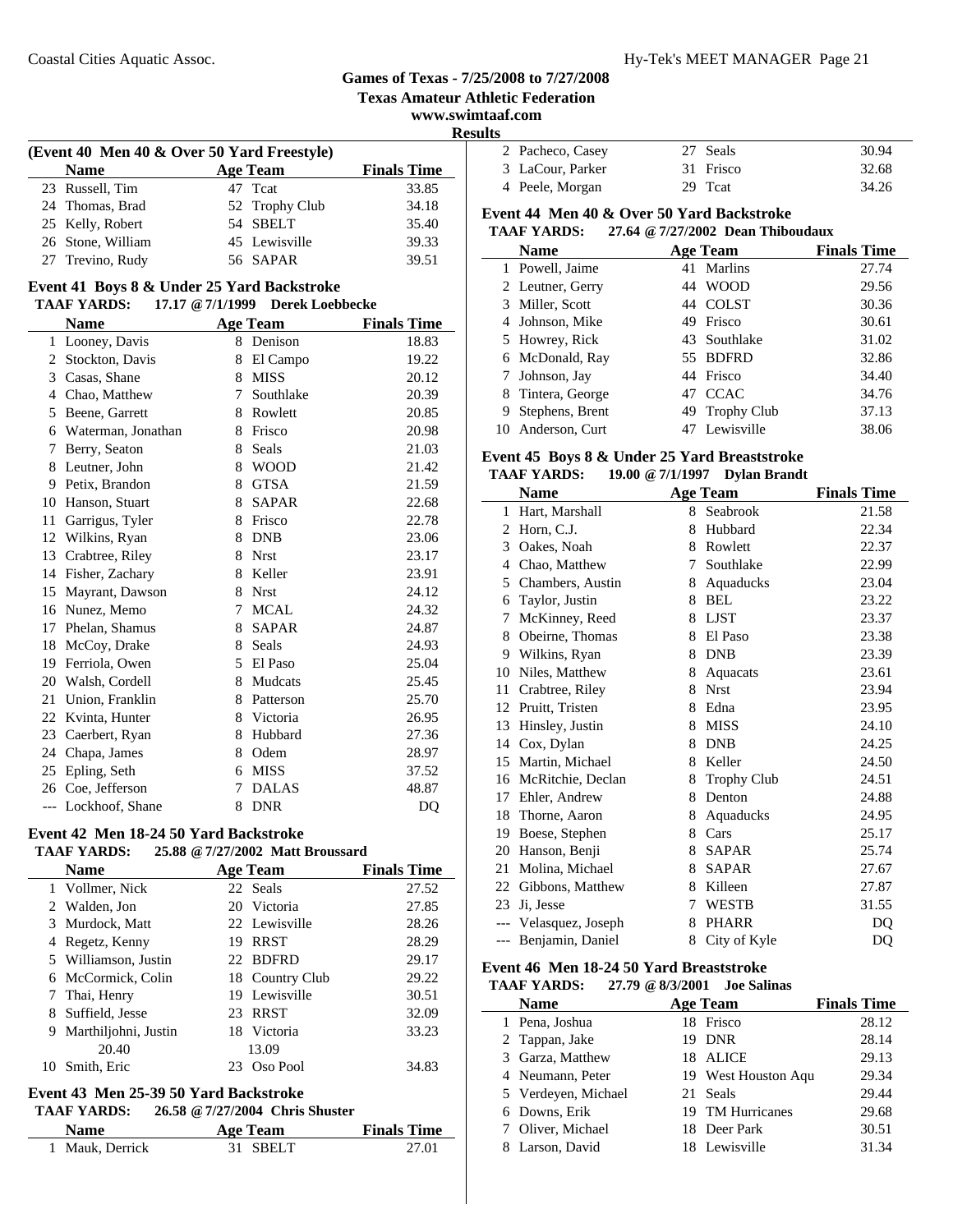**Texas Amateur Athletic Federation**

### **www.swimtaaf.com Results**

| (Event 40 Men 40 & Over 50 Yard Freestyle) |  |                 |                    |
|--------------------------------------------|--|-----------------|--------------------|
| <b>Name</b>                                |  | <b>Age Team</b> | <b>Finals Time</b> |
| 23 Russell, Tim                            |  | 47 Teat         | 33.85              |
| 24 Thomas, Brad                            |  | 52 Trophy Club  | 34.18              |
| 25 Kelly, Robert                           |  | 54 SBELT        | 35.40              |
| 26 Stone, William                          |  | 45 Lewisville   | 39.33              |
| 27 Trevino, Rudy                           |  | 56 SAPAR        | 39.51              |

#### **Event 41 Boys 8 & Under 25 Yard Backstroke TAAF YARDS: 17.17 @7/1/1999 Derek Loebbecke**

|                | $\sim$ $111177$    |   |                 |                    |  |  |
|----------------|--------------------|---|-----------------|--------------------|--|--|
|                | <b>Name</b>        |   | <b>Age Team</b> | <b>Finals Time</b> |  |  |
| 1              | Looney, Davis      |   | 8 Denison       | 18.83              |  |  |
| $\overline{2}$ | Stockton, Davis    | 8 | El Campo        | 19.22              |  |  |
| 3              | Casas, Shane       | 8 | <b>MISS</b>     | 20.12              |  |  |
| $\overline{4}$ | Chao, Matthew      | 7 | Southlake       | 20.39              |  |  |
| 5              | Beene, Garrett     | 8 | Rowlett         | 20.85              |  |  |
| 6              | Waterman, Jonathan | 8 | Frisco          | 20.98              |  |  |
| 7              | Berry, Seaton      | 8 | Seals           | 21.03              |  |  |
| 8              | Leutner, John      | 8 | <b>WOOD</b>     | 21.42              |  |  |
| 9              | Petix, Brandon     | 8 | <b>GTSA</b>     | 21.59              |  |  |
| 10             | Hanson, Stuart     | 8 | <b>SAPAR</b>    | 22.68              |  |  |
| 11             | Garrigus, Tyler    | 8 | Frisco          | 22.78              |  |  |
|                | 12 Wilkins, Ryan   | 8 | <b>DNB</b>      | 23.06              |  |  |
| 13             | Crabtree, Riley    | 8 | <b>Nrst</b>     | 23.17              |  |  |
| 14             | Fisher, Zachary    | 8 | Keller          | 23.91              |  |  |
| 15             | Mayrant, Dawson    | 8 | <b>Nrst</b>     | 24.12              |  |  |
| 16             | Nunez, Memo        | 7 | <b>MCAL</b>     | 24.32              |  |  |
| 17             | Phelan, Shamus     | 8 | <b>SAPAR</b>    | 24.87              |  |  |
| 18             | McCoy, Drake       | 8 | Seals           | 24.93              |  |  |
| 19             | Ferriola, Owen     | 5 | El Paso         | 25.04              |  |  |
|                | 20 Walsh, Cordell  | 8 | Mudcats         | 25.45              |  |  |
| 21             | Union, Franklin    | 8 | Patterson       | 25.70              |  |  |
| 22             | Kvinta, Hunter     | 8 | Victoria        | 26.95              |  |  |
| 23             | Caerbert, Ryan     | 8 | Hubbard         | 27.36              |  |  |
| 24             | Chapa, James       | 8 | Odem            | 28.97              |  |  |
| 25             | Epling, Seth       | 6 | <b>MISS</b>     | 37.52              |  |  |
|                | 26 Coe, Jefferson  | 7 | <b>DALAS</b>    | 48.87              |  |  |
| $---$          | Lockhoof, Shane    | 8 | <b>DNR</b>      | DQ                 |  |  |

### **Event 42 Men 18-24 50 Yard Backstroke**

| <b>TAAF YARDS:</b> | 25.88 @ 7/27/2002 Matt Broussard |                    |
|--------------------|----------------------------------|--------------------|
| <b>Name</b>        | Age Team                         | <b>Finals Time</b> |
| 1 Vollmer, Nick    | 22 Seals                         | 27.52              |
| 2 Walden Ion       | 20 Victoria                      | 27.85              |

|    | 2 Walden, Jon          |     | 20 Victoria     | 27.85 |
|----|------------------------|-----|-----------------|-------|
|    | 3 Murdock, Matt        |     | 22 Lewisville   | 28.26 |
|    | 4 Regetz, Kenny        | 19  | RRST            | 28.29 |
|    | 5 Williamson, Justin   |     | 22 BDFRD        | 29.17 |
|    | 6 McCormick, Colin     |     | 18 Country Club | 29.22 |
|    | 7 Thai, Henry          |     | 19 Lewisville   | 30.51 |
|    | 8 Suffield, Jesse      |     | 23 RRST         | 32.09 |
|    | 9 Marthiljohni, Justin |     | 18 Victoria     | 33.23 |
|    | 20.40                  |     | 13.09           |       |
| 10 | Smith, Eric            | 23. | Oso Pool        | 34.83 |
|    |                        |     |                 |       |

### **Event 43 Men 25-39 50 Yard Backstroke**

| <b>TAAF YARDS:</b> | 26.58 @ 7/27/2004 Chris Shuster |  |
|--------------------|---------------------------------|--|
|                    |                                 |  |

| <b>Name</b>     | Age Team | <b>Finals Time</b> |
|-----------------|----------|--------------------|
| 1 Mauk, Derrick | 31 SBELT | 27.01              |

| 2 Pacheco, Casey | 27 Seals  | 30.94 |
|------------------|-----------|-------|
| 3 LaCour, Parker | 31 Frisco | 32.68 |
| 4 Peele, Morgan  | 29 Teat   | 34.26 |

### **Event 44 Men 40 & Over 50 Yard Backstroke**

### **TAAF YARDS: 27.64 @7/27/2002 Dean Thiboudaux**

|   | <b>Name</b>       |    | <b>Age Team</b> | <b>Finals Time</b> |
|---|-------------------|----|-----------------|--------------------|
|   | 1 Powell, Jaime   |    | 41 Marlins      | 27.74              |
|   | 2 Leutner, Gerry  |    | 44 WOOD         | 29.56              |
|   | 3 Miller, Scott   |    | 44 COLST        | 30.36              |
|   | 4 Johnson, Mike   | 49 | Frisco          | 30.61              |
|   | 5 Howrey, Rick    |    | 43 Southlake    | 31.02              |
|   | 6 McDonald, Ray   |    | 55 BDFRD        | 32.86              |
|   | 7 Johnson, Jay    |    | 44 Frisco       | 34.40              |
|   | 8 Tintera, George |    | 47 CCAC         | 34.76              |
| 9 | Stephens, Brent   |    | 49 Trophy Club  | 37.13              |
|   | 10 Anderson, Curt |    | 47 Lewisville   | 38.06              |

### **Event 45 Boys 8 & Under 25 Yard Breaststroke**

### **TAAF YARDS: 19.00 @7/1/1997 Dylan Brandt**

|    | <b>Name</b>           |   | <b>Age Team</b>    | <b>Finals Time</b> |
|----|-----------------------|---|--------------------|--------------------|
| 1  | Hart, Marshall        | 8 | Seabrook           | 21.58              |
| 2  | Horn, C.J.            | 8 | Hubbard            | 22.34              |
| 3  | Oakes, Noah           | 8 | Rowlett            | 22.37              |
| 4  | Chao, Matthew         | 7 | Southlake          | 22.99              |
| 5  | Chambers, Austin      | 8 | Aquaducks          | 23.04              |
| 6  | Taylor, Justin        | 8 | <b>BEL</b>         | 23.22              |
| 7  | McKinney, Reed        | 8 | <b>LJST</b>        | 23.37              |
| 8  | Obeirne, Thomas       | 8 | El Paso            | 23.38              |
| 9  | Wilkins, Ryan         | 8 | <b>DNB</b>         | 23.39              |
| 10 | Niles, Matthew        | 8 | Aquacats           | 23.61              |
| 11 | Crabtree, Riley       | 8 | <b>Nrst</b>        | 23.94              |
| 12 | Pruitt, Tristen       | 8 | Edna               | 23.95              |
| 13 | Hinsley, Justin       | 8 | <b>MISS</b>        | 24.10              |
| 14 | Cox, Dylan            | 8 | <b>DNB</b>         | 24.25              |
| 15 | Martin, Michael       | 8 | Keller             | 24.50              |
| 16 | McRitchie, Declan     | 8 | <b>Trophy Club</b> | 24.51              |
| 17 | Ehler, Andrew         | 8 | Denton             | 24.88              |
| 18 | Thorne, Aaron         | 8 | Aquaducks          | 24.95              |
| 19 | Boese, Stephen        | 8 | Cars               | 25.17              |
| 20 | Hanson, Benji         | 8 | <b>SAPAR</b>       | 25.74              |
| 21 | Molina, Michael       | 8 | <b>SAPAR</b>       | 27.67              |
| 22 | Gibbons, Matthew      | 8 | Killeen            | 27.87              |
| 23 | Ji, Jesse             | 7 | <b>WESTB</b>       | 31.55              |
|    | --- Velasquez, Joseph | 8 | <b>PHARR</b>       | DQ                 |
|    | --- Benjamin, Daniel  | 8 | City of Kyle       | DQ                 |

### **Event 46 Men 18-24 50 Yard Breaststroke**

### **TAAF YARDS: 27.79 @8/3/2001 Joe Salinas**

| <b>Name</b>         | <b>Age Team</b>     | <b>Finals Time</b> |
|---------------------|---------------------|--------------------|
| 1 Pena, Joshua      | 18 Frisco           | 28.12              |
| 2 Tappan, Jake      | 19 DNR              | 28.14              |
| 3 Garza, Matthew    | 18 ALICE            | 29.13              |
| 4 Neumann, Peter    | 19 West Houston Aqu | 29.34              |
| 5 Verdeyen, Michael | 21 Seals            | 29.44              |
| 6 Downs, Erik       | 19 TM Hurricanes    | 29.68              |
| 7 Oliver, Michael   | 18 Deer Park        | 30.51              |
| 8 Larson, David     | 18 Lewisville       | 31.34              |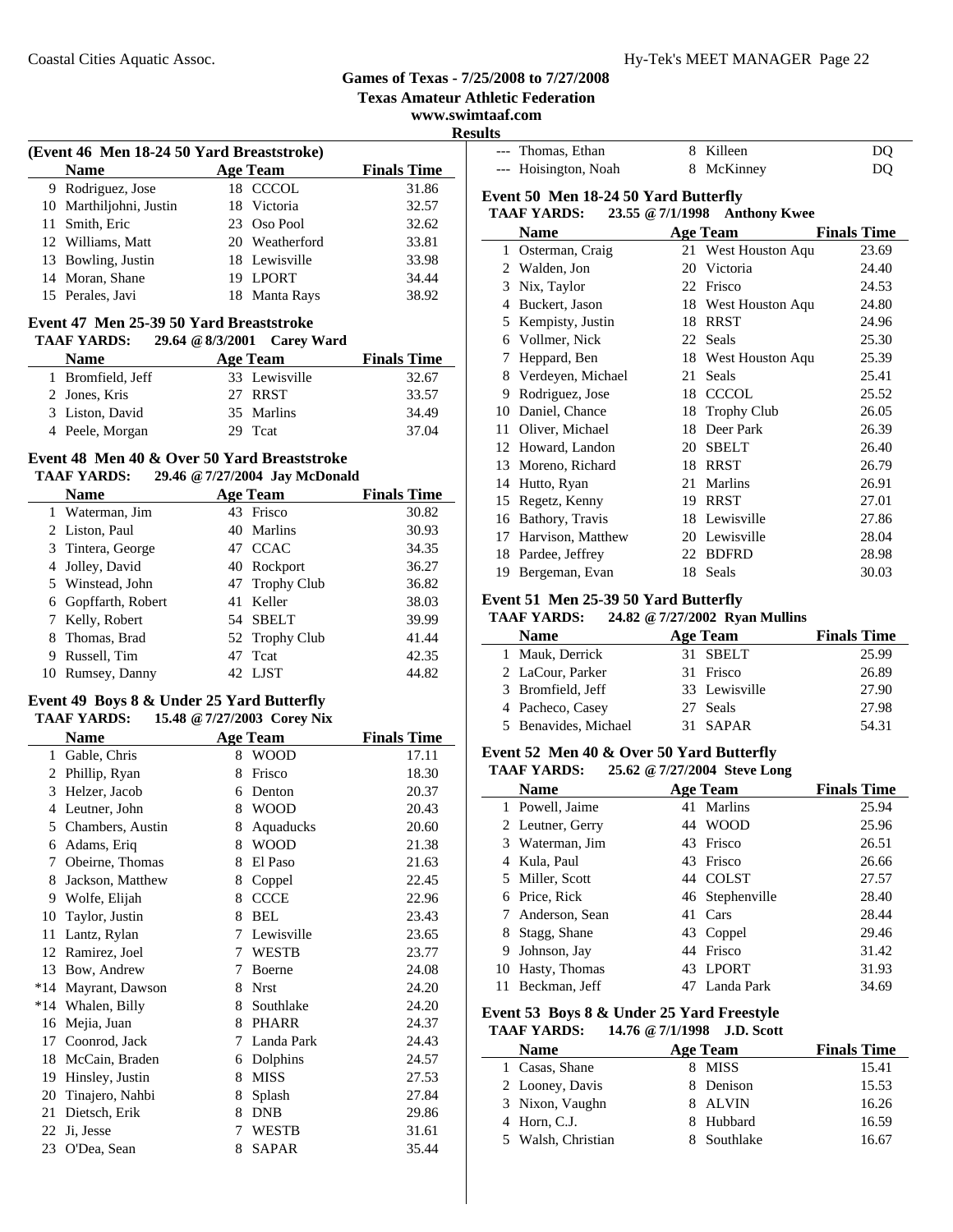9 Rodriguez, Jose

### **Games of Texas - 7/25/2008 to 7/27/2008**

**Texas Amateur Athletic Federation**

**www.swimtaaf.com Results**

 $\overline{a}$ 

| ,,,,,,, |                      |            |    |
|---------|----------------------|------------|----|
|         | --- Thomas, Ethan    | 8 Killeen  | DO |
|         | --- Hoisington, Noah | 8 McKinney | DO |

### **Event 50 Men 18-24 50 Yard Butterfly**

### **TAAF YARDS: 23.55 @7/1/1998 Anthony Kwee**

|               | Name              |    | <b>Age Team</b>     | <b>Finals Time</b> |
|---------------|-------------------|----|---------------------|--------------------|
| 1             | Osterman, Craig   |    | 21 West Houston Aqu | 23.69              |
| $\mathcal{L}$ | Walden, Jon       | 20 | Victoria            | 24.40              |
| 3             | Nix, Taylor       | 22 | Frisco              | 24.53              |
| 4             | Buckert, Jason    | 18 | West Houston Aqu    | 24.80              |
| 5             | Kempisty, Justin  | 18 | <b>RRST</b>         | 24.96              |
| 6             | Vollmer, Nick     | 22 | Seals               | 25.30              |
| 7             | Heppard, Ben      | 18 | West Houston Aqu    | 25.39              |
| 8             | Verdeyen, Michael | 21 | Seals               | 25.41              |
| 9             | Rodriguez, Jose   | 18 | <b>CCCOL</b>        | 25.52              |
| 10            | Daniel, Chance    | 18 | <b>Trophy Club</b>  | 26.05              |
| 11            | Oliver, Michael   | 18 | Deer Park           | 26.39              |
| 12            | Howard, Landon    | 20 | <b>SBELT</b>        | 26.40              |
| 13            | Moreno, Richard   | 18 | <b>RRST</b>         | 26.79              |
| 14            | Hutto, Ryan       | 21 | Marlins             | 26.91              |
| 15            | Regetz, Kenny     | 19 | <b>RRST</b>         | 27.01              |
| 16            | Bathory, Travis   | 18 | Lewisville          | 27.86              |
| 17            | Harvison, Matthew |    | 20 Lewisville       | 28.04              |
| 18            | Pardee, Jeffrey   | 22 | <b>BDFRD</b>        | 28.98              |
| 19            | Bergeman, Evan    | 18 | Seals               | 30.03              |

### **Event 51 Men 25-39 50 Yard Butterfly**

### **TAAF YARDS: 24.82 @7/27/2002 Ryan Mullins**

| <b>Name</b>          | Age Team      | <b>Finals Time</b> |
|----------------------|---------------|--------------------|
| 1 Mauk, Derrick      | 31 SBELT      | 25.99              |
| 2 LaCour, Parker     | 31 Frisco     | 26.89              |
| 3 Bromfield, Jeff    | 33 Lewisville | 27.90              |
| 4 Pacheco, Casey     | 27 Seals      | 27.98              |
| 5 Benavides, Michael | 31 SAPAR      | 54.31              |

### **Event 52 Men 40 & Over 50 Yard Butterfly**

### **TAAF YARDS: 25.62 @7/27/2004 Steve Long**

|    |                  |    | o               |                    |
|----|------------------|----|-----------------|--------------------|
|    | Name             |    | Age Team        | <b>Finals Time</b> |
|    | 1 Powell, Jaime  |    | 41 Marlins      | 25.94              |
|    | 2 Leutner, Gerry |    | 44 WOOD         | 25.96              |
|    | 3 Waterman, Jim  | 43 | Frisco          | 26.51              |
|    | 4 Kula, Paul     |    | 43 Frisco       | 26.66              |
|    | 5 Miller, Scott  |    | 44 COLST        | 27.57              |
|    | 6 Price, Rick    |    | 46 Stephenville | 28.40              |
|    | Anderson, Sean   | 41 | Cars            | 28.44              |
| 8  | Stagg, Shane     |    | 43 Coppel       | 29.46              |
| 9  | Johnson, Jay     |    | 44 Frisco       | 31.42              |
| 10 | Hasty, Thomas    | 43 | <b>LPORT</b>    | 31.93              |
| 11 | Beckman, Jeff    |    | Landa Park      | 34.69              |

### **Event 53 Boys 8 & Under 25 Yard Freestyle**

### **TAAF YARDS: 14.76 @7/1/1998 J.D. Scott**

| <b>Name</b>        | Age Team    | <b>Finals Time</b> |
|--------------------|-------------|--------------------|
| 1 Casas, Shane     | 8 MISS      | 15.41              |
| 2 Looney, Davis    | 8 Denison   | 15.53              |
| 3 Nixon, Vaughn    | 8 ALVIN     | 16.26              |
| 4 Horn, C.J.       | 8 Hubbard   | 16.59              |
| 5 Walsh, Christian | 8 Southlake | 16.67              |

### **Event 47 Men 25-39 50 Yard Breaststroke**

**(Event 46 Men 18-24 50 Yard Breaststroke)**

| <b>TAAF YARDS:</b> | 29.64 @ 8/3/2001 Carey Ward |               |                    |
|--------------------|-----------------------------|---------------|--------------------|
| <b>Name</b>        | <b>Age Team</b>             |               | <b>Finals Time</b> |
| 1 Bromfield, Jeff  |                             | 33 Lewisville | 32.67              |
| 2 Jones, Kris      | 27 RRST                     |               | 33.57              |
| 3 Liston, David    |                             | 35 Marlins    | 34.49              |
| 4 Peele, Morgan    | 29 Teat                     |               | 37.04              |

**Name Age Team Finals Time**<br>Rodriguez, Jose 18 CCCOL 31.86

10 32.57 Marthiljohni, Justin 18 Victoria 11 Smith, Eric 23 Oso Pool 32.62 12 Williams, Matt 20 Weatherford 33.81 13 Bowling, Justin 18 Lewisville 33.98<br>14 Moran, Shane 19 LPORT 34.44 14 34.44 Moran, Shane 19 LPORT 15 38.92 Perales, Javi 18 Manta Rays

### **Event 48 Men 40 & Over 50 Yard Breaststroke**

### **TAAF YARDS: 29.46 @7/27/2004 Jay McDonald**

|   | <b>Name</b>       |    | <b>Age Team</b> | <b>Finals Time</b> |
|---|-------------------|----|-----------------|--------------------|
|   | 1 Waterman, Jim   |    | 43 Frisco       | 30.82              |
|   | 2 Liston, Paul    |    | 40 Marlins      | 30.93              |
|   | 3 Tintera, George |    | 47 CCAC         | 34.35              |
|   | 4 Jolley, David   |    | 40 Rockport     | 36.27              |
|   | 5 Winstead, John  |    | 47 Trophy Club  | 36.82              |
| 6 | Gopffarth, Robert | 41 | Keller          | 38.03              |
|   | Kelly, Robert     |    | 54 SBELT        | 39.99              |
|   | 8 Thomas, Brad    |    | 52 Trophy Club  | 41.44              |
| 9 | Russell, Tim      | 47 | Tcat            | 42.35              |
|   | Rumsey, Danny     |    | 42 LJST         | 44.82              |

### **Event 49 Boys 8 & Under 25 Yard Butterfly**

| TAAF YARDS:<br>15.48 @ 7/27/2003 Corey Nix |                  |   |                 |                    |  |  |
|--------------------------------------------|------------------|---|-----------------|--------------------|--|--|
|                                            | Name             |   | <b>Age Team</b> | <b>Finals Time</b> |  |  |
| $\mathbf{1}$                               | Gable, Chris     | 8 | <b>WOOD</b>     | 17.11              |  |  |
| 2                                          | Phillip, Ryan    | 8 | Frisco          | 18.30              |  |  |
| 3                                          | Helzer, Jacob    | 6 | Denton          | 20.37              |  |  |
| 4                                          | Leutner, John    | 8 | <b>WOOD</b>     | 20.43              |  |  |
| 5                                          | Chambers, Austin | 8 | Aquaducks       | 20.60              |  |  |
| 6                                          | Adams, Eriq      | 8 | <b>WOOD</b>     | 21.38              |  |  |
| 7                                          | Obeirne, Thomas  | 8 | El Paso         | 21.63              |  |  |
| 8                                          | Jackson, Matthew | 8 | Coppel          | 22.45              |  |  |
| 9                                          | Wolfe, Elijah    | 8 | <b>CCCE</b>     | 22.96              |  |  |
| 10                                         | Taylor, Justin   | 8 | <b>BEL</b>      | 23.43              |  |  |
| 11                                         | Lantz, Rylan     | 7 | Lewisville      | 23.65              |  |  |
| 12                                         | Ramirez, Joel    | 7 | <b>WESTB</b>    | 23.77              |  |  |
| 13                                         | Bow, Andrew      | 7 | Boerne          | 24.08              |  |  |
| $*14$                                      | Mayrant, Dawson  | 8 | <b>Nrst</b>     | 24.20              |  |  |
| $*14$                                      | Whalen, Billy    | 8 | Southlake       | 24.20              |  |  |
| 16                                         | Mejia, Juan      | 8 | <b>PHARR</b>    | 24.37              |  |  |
| 17                                         | Coonrod, Jack    | 7 | Landa Park      | 24.43              |  |  |
| 18                                         | McCain, Braden   | 6 | Dolphins        | 24.57              |  |  |
| 19                                         | Hinsley, Justin  | 8 | <b>MISS</b>     | 27.53              |  |  |
| 20                                         | Tinajero, Nahbi  | 8 | Splash          | 27.84              |  |  |
| 21                                         | Dietsch, Erik    | 8 | <b>DNB</b>      | 29.86              |  |  |
| 22                                         | Ji, Jesse        | 7 | <b>WESTB</b>    | 31.61              |  |  |
| 23                                         | O'Dea, Sean      | 8 | <b>SAPAR</b>    | 35.44              |  |  |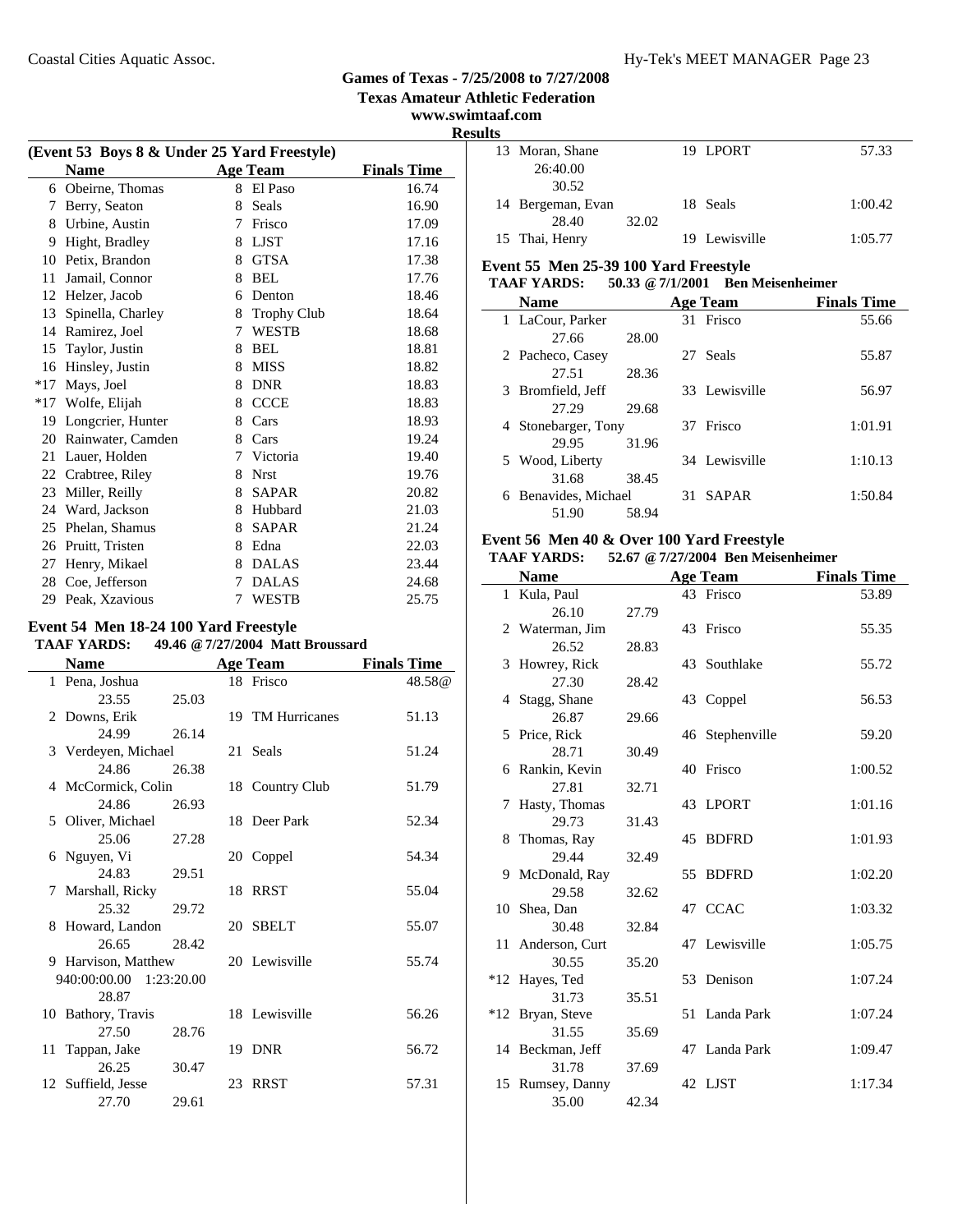**Texas Amateur Athletic Federation**

### **www.swimtaaf.com Results**

| (Event 53 Boys 8 & Under 25 Yard Freestyle) |                   |   |                    |                    |  |
|---------------------------------------------|-------------------|---|--------------------|--------------------|--|
|                                             | <b>Name</b>       |   | <b>Age Team</b>    | <b>Finals Time</b> |  |
| 6                                           | Obeirne, Thomas   |   | 8 El Paso          | 16.74              |  |
| 7                                           | Berry, Seaton     | 8 | Seals              | 16.90              |  |
| 8                                           | Urbine, Austin    | 7 | Frisco             | 17.09              |  |
| 9                                           | Hight, Bradley    | 8 | <b>LJST</b>        | 17.16              |  |
| 10                                          | Petix, Brandon    | 8 | <b>GTSA</b>        | 17.38              |  |
| 11                                          | Jamail, Connor    | 8 | <b>BEL</b>         | 17.76              |  |
| 12                                          | Helzer, Jacob     | 6 | Denton             | 18.46              |  |
| 13                                          | Spinella, Charley | 8 | <b>Trophy Club</b> | 18.64              |  |
| 14                                          | Ramirez, Joel     | 7 | <b>WESTB</b>       | 18.68              |  |
| 15                                          | Taylor, Justin    | 8 | <b>BEL</b>         | 18.81              |  |
| 16                                          | Hinsley, Justin   | 8 | <b>MISS</b>        | 18.82              |  |
| $*17$                                       | Mays, Joel        | 8 | <b>DNR</b>         | 18.83              |  |
| $*17$                                       | Wolfe, Elijah     | 8 | <b>CCCE</b>        | 18.83              |  |
| 19                                          | Longcrier, Hunter | 8 | Cars               | 18.93              |  |
| 20                                          | Rainwater, Camden | 8 | Cars               | 19.24              |  |
| 21                                          | Lauer, Holden     | 7 | Victoria           | 19.40              |  |
| 22                                          | Crabtree, Riley   | 8 | <b>Nrst</b>        | 19.76              |  |
| 23                                          | Miller, Reilly    | 8 | <b>SAPAR</b>       | 20.82              |  |
| 24                                          | Ward, Jackson     | 8 | Hubbard            | 21.03              |  |
| 25                                          | Phelan, Shamus    | 8 | <b>SAPAR</b>       | 21.24              |  |
| 26                                          | Pruitt, Tristen   | 8 | Edna               | 22.03              |  |
| 27                                          | Henry, Mikael     | 8 | <b>DALAS</b>       | 23.44              |  |
| 28                                          | Coe, Jefferson    | 7 | <b>DALAS</b>       | 24.68              |  |
| 29                                          | Peak, Xzavious    | 7 | <b>WESTB</b>       | 25.75              |  |

### **Event 54 Men 18-24 100 Yard Freestyle**

| <b>TAAF YARDS:</b> | 49.46 @ 7/27/2004 Matt Broussard |  |
|--------------------|----------------------------------|--|
|                    |                                  |  |

| <b>Name</b>             |       | <b>Age Team</b>  | <b>Finals Time</b> |
|-------------------------|-------|------------------|--------------------|
| 1 Pena, Joshua          |       | 18 Frisco        | 48.58@             |
| 23.55                   | 25.03 |                  |                    |
| 2 Downs, Erik           |       | 19 TM Hurricanes | 51.13              |
| 24.99                   | 26.14 |                  |                    |
| 3 Verdeyen, Michael     |       | 21 Seals         | 51.24              |
| 24.86                   | 26.38 |                  |                    |
| 4 McCormick, Colin      |       | 18 Country Club  | 51.79              |
| 24.86                   | 26.93 |                  |                    |
| 5 Oliver, Michael       |       | 18 Deer Park     | 52.34              |
| 25.06                   | 27.28 |                  |                    |
| 6 Nguyen, Vi<br>24.83   |       | 20 Coppel        | 54.34              |
| 7 Marshall, Ricky       | 29.51 | 18 RRST          | 55.04              |
| 25.32                   | 29.72 |                  |                    |
| 8 Howard, Landon        |       | 20 SBELT         | 55.07              |
| 26.65                   | 28.42 |                  |                    |
| 9 Harvison, Matthew     |       | 20 Lewisville    | 55.74              |
| 940:00:00.00 1:23:20.00 |       |                  |                    |
| 28.87                   |       |                  |                    |
| 10 Bathory, Travis      |       | 18 Lewisville    | 56.26              |
| 27.50                   | 28.76 |                  |                    |
| 11 Tappan, Jake         |       | 19 DNR           | 56.72              |
| 26.25                   | 30.47 |                  |                    |
| 12 Suffield, Jesse      |       | 23 RRST          | 57.31              |
| 27.70                   | 29.61 |                  |                    |

|  | 13 Moran, Shane   |       | 19 LPORT      | 57.33   |
|--|-------------------|-------|---------------|---------|
|  | 26:40.00          |       |               |         |
|  | 30.52             |       |               |         |
|  | 14 Bergeman, Evan |       | 18 Seals      | 1:00.42 |
|  | 28.40             | 32.02 |               |         |
|  | 15 Thai, Henry    |       | 19 Lewisville | 1:05.77 |
|  |                   |       |               |         |

### **Event 55 Men 25-39 100 Yard Freestyle**

### **TAAF YARDS: 50.33 @7/1/2001 Ben Meisenheimer**

| <b>Name</b>             |       |     | Age Team      | <b>Finals Time</b> |
|-------------------------|-------|-----|---------------|--------------------|
| 1 LaCour, Parker        |       |     | 31 Frisco     | 55.66              |
| 27.66                   | 28.00 |     |               |                    |
| 2 Pacheco, Casey        |       |     | 27 Seals      | 55.87              |
| 27.51                   | 28.36 |     |               |                    |
| 3 Bromfield, Jeff       |       |     | 33 Lewisville | 56.97              |
| 27.29                   | 29.68 |     |               |                    |
| 4 Stonebarger, Tony     |       |     | 37 Frisco     | 1:01.91            |
| 29.95                   | 31.96 |     |               |                    |
| 5 Wood, Liberty         |       |     | 34 Lewisville | 1:10.13            |
| 31.68                   | 38.45 |     |               |                    |
| Benavides, Michael<br>6 |       | 31. | <b>SAPAR</b>  | 1:50.84            |
| 51.90                   | 58.94 |     |               |                    |

### **Event 56 Men 40 & Over 100 Yard Freestyle**

| <b>TAAF YARDS:</b> |  |  | 52.67 @ 7/27/2004 Ben Meisenheimer |
|--------------------|--|--|------------------------------------|
|--------------------|--|--|------------------------------------|

|   | <b>Name</b>       |       | <b>Age Team</b> | <b>Finals Time</b> |
|---|-------------------|-------|-----------------|--------------------|
|   | 1 Kula, Paul      |       | 43 Frisco       | 53.89              |
|   | 26.10             | 27.79 |                 |                    |
|   | 2 Waterman, Jim   |       | 43 Frisco       | 55.35              |
|   | 26.52             | 28.83 |                 |                    |
|   | 3 Howrey, Rick    |       | 43 Southlake    | 55.72              |
|   | 27.30             | 28.42 |                 |                    |
|   | 4 Stagg, Shane    |       | 43 Coppel       | 56.53              |
|   | 26.87             | 29.66 |                 |                    |
|   | 5 Price, Rick     |       | 46 Stephenville | 59.20              |
|   | 28.71             | 30.49 |                 |                    |
|   | 6 Rankin, Kevin   |       | 40 Frisco       | 1:00.52            |
|   | 27.81             | 32.71 |                 |                    |
| 7 | Hasty, Thomas     |       | 43 LPORT        | 1:01.16            |
|   | 29.73             | 31.43 |                 |                    |
|   | 8 Thomas, Ray     |       | 45 BDFRD        | 1:01.93            |
|   | 29.44             | 32.49 |                 |                    |
|   | 9 McDonald, Ray   |       | 55 BDFRD        | 1:02.20            |
|   | 29.58             | 32.62 |                 |                    |
|   | 10 Shea, Dan      |       | 47 CCAC         | 1:03.32            |
|   | 30.48             | 32.84 |                 |                    |
|   | 11 Anderson, Curt |       | 47 Lewisville   | 1:05.75            |
|   | 30.55             | 35.20 |                 |                    |
|   | *12 Hayes, Ted    |       | 53 Denison      | 1:07.24            |
|   | 31.73             | 35.51 |                 |                    |
|   | *12 Bryan, Steve  |       | 51 Landa Park   | 1:07.24            |
|   | 31.55             | 35.69 |                 |                    |
|   | 14 Beckman, Jeff  |       | 47 Landa Park   | 1:09.47            |
|   | 31.78             | 37.69 |                 |                    |
|   | 15 Rumsey, Danny  |       | 42 LJST         | 1:17.34            |
|   | 35.00             | 42.34 |                 |                    |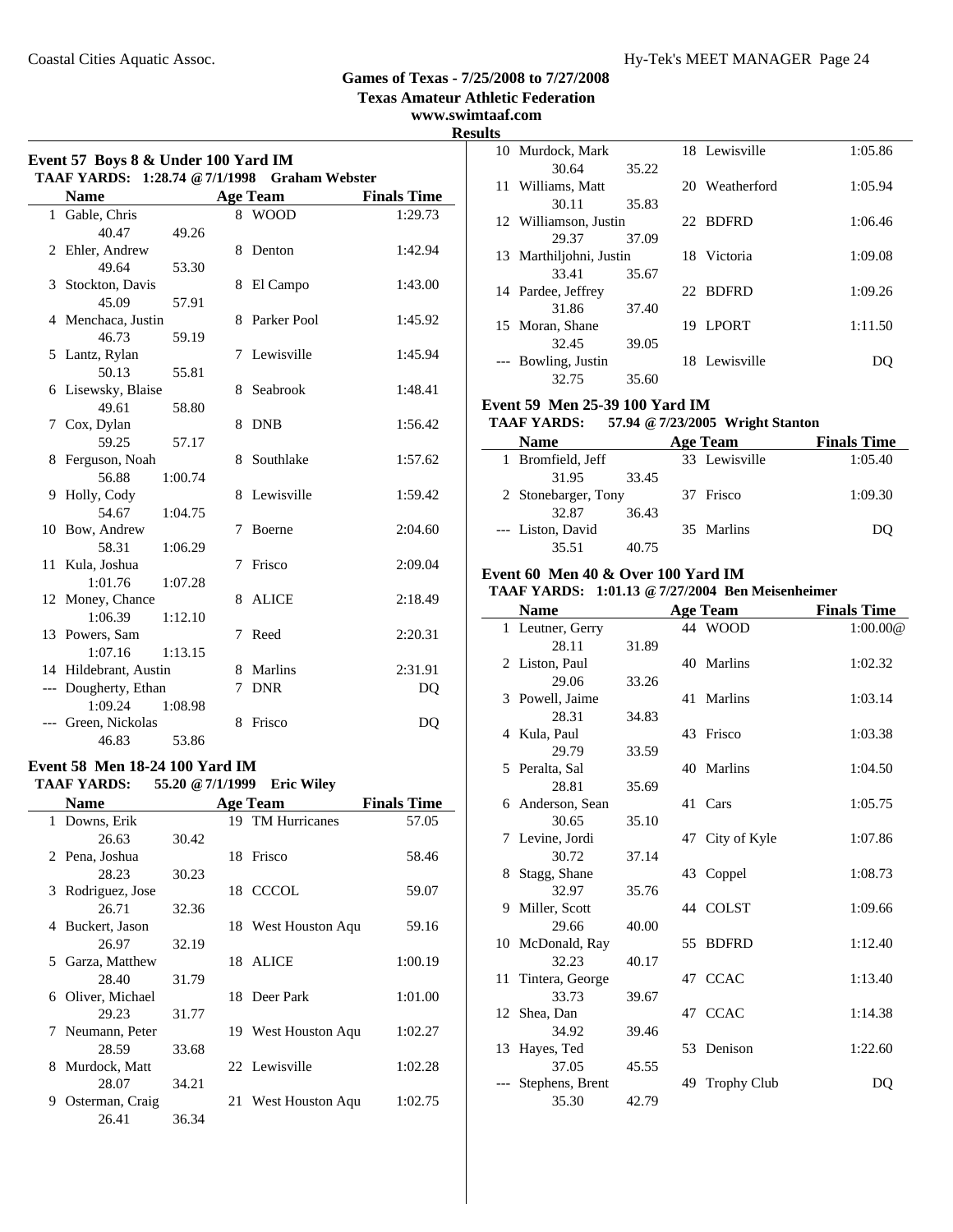**Texas Amateur Athletic Federation**

### **www.swimtaaf.com**

**Results Event 57 Boys 8 & Under 100 Yard IM TAAF YARDS: 1:28.74 @7/1/1998 Graham Webster Name Age Team Finals Time** 1 Gable, Chris 8 WOOD 1:29.73 40.47 49.26 2 Ehler, Andrew 8 Denton 1:42.94 49.64 53.30 3 Stockton, Davis 8 El Campo 1:43.00 45.09 57.91 4 1:45.92 Menchaca, Justin 8 Parker Pool 46.73 59.19 5 Lantz, Rylan 7 Lewisville 1:45.94 50.13 55.81 6 1:48.41 Lisewsky, Blaise 8 Seabrook 49.61 58.80 7 Cox, Dylan 8 DNB 1:56.42 59.25 57.17 8 Ferguson, Noah 8 Southlake 1:57.62 56.88 1:00.74 9 Holly, Cody 8 Lewisville 1:59.42 54.67 1:04.75 10 2:04.60 Bow, Andrew 7 Boerne 58.31 1:06.29 11 2:09.04 Kula, Joshua 7 Frisco 1:01.76 1:07.28 12 Money, Chance 8 ALICE 2:18.49 1:06.39 1:12.10 13 2:20.31 Powers, Sam 7 Reed 1:07.16 1:13.15 14 Hildebrant, Austin 8 Marlins 2:31.91 --- Dougherty, Ethan 7 DNR DQ 1:09.24 1:08.98 --- Green, Nickolas 8 Frisco DO 46.83 53.86 **Event 58 Men 18-24 100 Yard IM**

**TAAF YARDS: 55.20 @7/1/1999 Eric Wiley**

| <b>Name</b>          |       | <b>Age Team</b>     | <b>Finals Time</b> |
|----------------------|-------|---------------------|--------------------|
| 1 Downs, Erik        |       | 19 TM Hurricanes    | 57.05              |
| 26.63                | 30.42 |                     |                    |
| 2 Pena, Joshua       |       | 18 Frisco           | 58.46              |
| 28.23                | 30.23 |                     |                    |
| 3 Rodriguez, Jose    |       | 18 CCCOL            | 59.07              |
| 26.71                | 32.36 |                     |                    |
| 4 Buckert, Jason     |       | 18 West Houston Aqu | 59.16              |
| 26.97                | 32.19 |                     |                    |
| 5 Garza, Matthew     |       | 18 ALICE            | 1:00.19            |
| 28.40                | 31.79 |                     |                    |
| 6 Oliver, Michael    |       | 18 Deer Park        | 1:01.00            |
| 29.23                | 31.77 |                     |                    |
| 7 Neumann, Peter     |       | 19 West Houston Aqu | 1:02.27            |
| 28.59                | 33.68 |                     |                    |
| 8 Murdock, Matt      |       | 22 Lewisville       | 1:02.28            |
| 28.07                | 34.21 |                     |                    |
| Osterman, Craig<br>9 |       | 21 West Houston Aqu | 1:02.75            |
| 26.41                | 36.34 |                     |                    |

| யு |                       |       |    |                |         |
|----|-----------------------|-------|----|----------------|---------|
|    | 10 Murdock, Mark      |       |    | 18 Lewisville  | 1:05.86 |
|    | 30.64                 | 35.22 |    |                |         |
| 11 | Williams, Matt        |       |    | 20 Weatherford | 1:05.94 |
|    | 30.11                 | 35.83 |    |                |         |
|    | 12 Williamson, Justin |       |    | 22 BDFRD       | 1:06.46 |
|    | 29.37                 | 37.09 |    |                |         |
| 13 | Marthiljohni, Justin  |       |    | 18 Victoria    | 1:09.08 |
|    | 33.41                 | 35.67 |    |                |         |
| 14 | Pardee, Jeffrey       |       |    | 22 BDFRD       | 1:09.26 |
|    | 31.86                 | 37.40 |    |                |         |
|    | 15 Moran, Shane       |       | 19 | <b>LPORT</b>   | 1:11.50 |
|    | 32.45                 | 39.05 |    |                |         |
|    | --- Bowling, Justin   |       |    | 18 Lewisville  | DO.     |
|    | 32.75                 | 35.60 |    |                |         |

#### **Event 59 Men 25-39 100 Yard IM**

#### **TAAF YARDS: 57.94 @7/23/2005 Wright Stanton**

| <b>Name</b>         | Age Team      | <b>Finals Time</b> |
|---------------------|---------------|--------------------|
| 1 Bromfield, Jeff   | 33 Lewisville | 1:05.40            |
| 31.95<br>33.45      |               |                    |
| 2 Stonebarger, Tony | 37 Frisco     | 1:09.30            |
| 32.87<br>36.43      |               |                    |
| --- Liston, David   | 35 Marlins    | DO                 |
| 35.51<br>40.75      |               |                    |

#### **Event 60 Men 40 & Over 100 Yard IM**

#### **TAAF YARDS: 1:01.13 @7/27/2004 Ben Meisenheimer**

|    | <b>Name</b>        |       |    | <b>Age Team</b>    | <b>Finals Time</b> |
|----|--------------------|-------|----|--------------------|--------------------|
|    | 1 Leutner, Gerry   |       |    | 44 WOOD            | 1:00.00@           |
|    | 28.11              | 31.89 |    |                    |                    |
|    | 2 Liston, Paul     |       |    | 40 Marlins         | 1:02.32            |
|    | 29.06              | 33.26 |    |                    |                    |
| 3  | Powell, Jaime      |       |    | 41 Marlins         | 1:03.14            |
|    | 28.31              | 34.83 |    |                    |                    |
|    | 4 Kula, Paul       |       |    | 43 Frisco          | 1:03.38            |
|    | 29.79              | 33.59 |    |                    |                    |
|    | 5 Peralta, Sal     |       |    | 40 Marlins         | 1:04.50            |
|    | 28.81              | 35.69 |    |                    |                    |
|    | 6 Anderson, Sean   |       |    | 41 Cars            | 1:05.75            |
|    | 30.65              | 35.10 |    |                    |                    |
|    | 7 Levine, Jordi    |       |    | 47 City of Kyle    | 1:07.86            |
|    | 30.72              | 37.14 |    |                    |                    |
| 8  | Stagg, Shane       |       |    | 43 Coppel          | 1:08.73            |
|    | 32.97              | 35.76 |    |                    |                    |
| 9  | Miller, Scott      |       |    | 44 COLST           | 1:09.66            |
|    | 29.66              | 40.00 |    |                    |                    |
|    | 10 McDonald, Ray   |       | 55 | <b>BDFRD</b>       | 1:12.40            |
|    | 32.23              | 40.17 |    |                    |                    |
|    | 11 Tintera, George |       |    | 47 CCAC            | 1:13.40            |
|    | 33.73              | 39.67 |    |                    |                    |
|    | 12 Shea, Dan       |       |    | 47 CCAC            | 1:14.38            |
|    | 34.92              | 39.46 |    |                    |                    |
| 13 | Hayes, Ted         |       | 53 | Denison            | 1:22.60            |
|    | 37.05              | 45.55 |    |                    |                    |
|    | Stephens, Brent    |       | 49 | <b>Trophy Club</b> | DQ                 |
|    | 35.30              | 42.79 |    |                    |                    |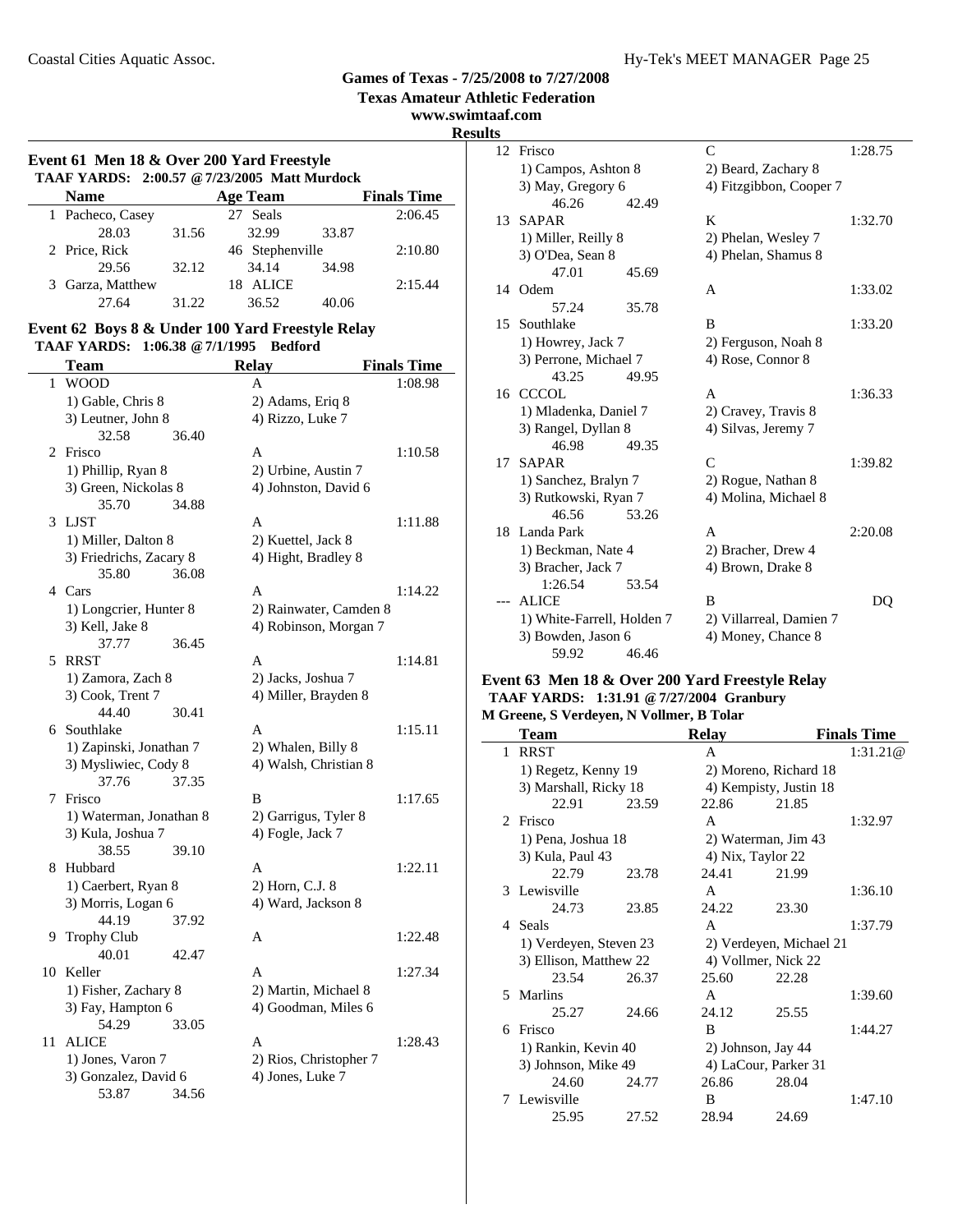**Texas Amateur Athletic Federation**

### **www.swimtaaf.com**

**Event 61 Men 18 & Over 200 Yard Freestyle TAAF YARDS: 2:00.57 @7/23/2005 Matt Murdock Name Age Team Finals Time** 

| 1 Pacheco, Casey |       | 27 Seals        |       | 2:06.45 |
|------------------|-------|-----------------|-------|---------|
| 28.03            | 31.56 | 32.99           | 33.87 |         |
| 2 Price, Rick    |       | 46 Stephenville |       | 2:10.80 |
| 29.56            | 32.12 | 34.14           | 34.98 |         |
| 3 Garza, Matthew |       | ALICE<br>18     |       | 2:15.44 |
| 27.64            | 31.22 | 36.52           | 40.06 |         |

### **Event 62 Boys 8 & Under 100 Yard Freestyle Relay TAAF YARDS: 1:06.38 @7/1/1995 Bedford**

|    | Team                    |       | <b>Relay</b>           | <b>Finals Time</b> |
|----|-------------------------|-------|------------------------|--------------------|
| 1  | <b>WOOD</b>             |       | A                      | 1:08.98            |
|    | 1) Gable, Chris 8       |       | 2) Adams, Eriq 8       |                    |
|    | 3) Leutner, John 8      |       | 4) Rizzo, Luke 7       |                    |
|    | 32.58                   | 36.40 |                        |                    |
| 2  | Frisco                  |       | A                      | 1:10.58            |
|    | 1) Phillip, Ryan 8      |       | 2) Urbine, Austin 7    |                    |
|    | 3) Green, Nickolas 8    |       | 4) Johnston, David 6   |                    |
|    | 35.70                   | 34.88 |                        |                    |
| 3  | <b>LJST</b>             |       | A                      | 1:11.88            |
|    | 1) Miller, Dalton 8     |       | 2) Kuettel, Jack 8     |                    |
|    | 3) Friedrichs, Zacary 8 |       | 4) Hight, Bradley 8    |                    |
|    | 35.80                   | 36.08 |                        |                    |
|    | 4 Cars                  |       | A                      | 1:14.22            |
|    | 1) Longcrier, Hunter 8  |       | 2) Rainwater, Camden 8 |                    |
|    | 3) Kell, Jake 8         |       | 4) Robinson, Morgan 7  |                    |
|    | 37.77                   | 36.45 |                        |                    |
| 5  | <b>RRST</b>             |       | A                      | 1:14.81            |
|    | 1) Zamora, Zach 8       |       | 2) Jacks, Joshua 7     |                    |
|    | 3) Cook, Trent 7        |       | 4) Miller, Brayden 8   |                    |
|    | 44.40                   | 30.41 |                        |                    |
| 6  | Southlake               |       | A                      | 1:15.11            |
|    | 1) Zapinski, Jonathan 7 |       | 2) Whalen, Billy 8     |                    |
|    | 3) Mysliwiec, Cody 8    |       | 4) Walsh, Christian 8  |                    |
|    | 37.76                   | 37.35 |                        |                    |
| 7  | Frisco                  |       | B                      | 1:17.65            |
|    | 1) Waterman, Jonathan 8 |       | 2) Garrigus, Tyler 8   |                    |
|    | 3) Kula, Joshua 7       |       | 4) Fogle, Jack 7       |                    |
|    | 38.55                   | 39.10 |                        |                    |
| 8  | Hubbard                 |       | A                      | 1:22.11            |
|    | 1) Caerbert, Ryan 8     |       | 2) Horn, C.J. 8        |                    |
|    | 3) Morris, Logan 6      |       | 4) Ward, Jackson 8     |                    |
|    | 44.19                   | 37.92 |                        |                    |
| 9  | <b>Trophy Club</b>      |       | A                      | 1:22.48            |
|    | 40.01                   | 42.47 |                        |                    |
| 10 | Keller                  |       | A                      | 1:27.34            |
|    | 1) Fisher, Zachary 8    |       | 2) Martin, Michael 8   |                    |
|    | 3) Fay, Hampton 6       |       | 4) Goodman, Miles 6    |                    |
|    | 54.29                   | 33.05 |                        |                    |
| 11 | <b>ALICE</b>            |       | A                      | 1:28.43            |
|    | 1) Jones, Varon 7       |       | 2) Rios, Christopher 7 |                    |
|    | 3) Gonzalez, David 6    |       | 4) Jones, Luke 7       |                    |
|    | 53.87                   | 34.56 |                        |                    |

| <b>Results</b>  |                               |       |                         |         |
|-----------------|-------------------------------|-------|-------------------------|---------|
|                 | 12 Frisco                     |       | $\mathsf{C}$            | 1:28.75 |
|                 | 1) Campos, Ashton 8           |       | 2) Beard, Zachary 8     |         |
|                 | 3) May, Gregory 6             |       | 4) Fitzgibbon, Cooper 7 |         |
|                 | 46.26                         | 42.49 |                         |         |
| 13 <sup>7</sup> | <b>SAPAR</b>                  |       | K                       | 1:32.70 |
|                 | 1) Miller, Reilly 8           |       | 2) Phelan, Wesley 7     |         |
|                 | 3) O'Dea, Sean 8              |       | 4) Phelan, Shamus 8     |         |
|                 | 47.01                         | 45.69 |                         |         |
|                 | 14 Odem                       |       | A                       | 1:33.02 |
|                 | 57.24                         | 35.78 |                         |         |
|                 | 15 Southlake                  |       | B                       | 1:33.20 |
|                 | 1) Howrey, Jack 7             |       | 2) Ferguson, Noah 8     |         |
|                 | 3) Perrone, Michael 7         |       | 4) Rose, Connor 8       |         |
|                 | 43.25                         | 49.95 |                         |         |
|                 | 16 CCCOL                      |       | A                       | 1:36.33 |
|                 | 1) Mladenka, Daniel 7         |       | 2) Cravey, Travis 8     |         |
|                 | 3) Rangel, Dyllan 8           |       | 4) Silvas, Jeremy 7     |         |
|                 | 46.98                         | 49.35 |                         |         |
| 17              | <b>SAPAR</b>                  |       | $\mathsf{C}$            | 1:39.82 |
|                 | 1) Sanchez, Bralyn 7          |       | 2) Rogue, Nathan 8      |         |
|                 | 3) Rutkowski, Ryan 7          |       | 4) Molina, Michael 8    |         |
|                 | 46.56                         | 53.26 |                         |         |
|                 | 18 Landa Park                 |       | $\mathsf{A}$            | 2:20.08 |
|                 | 1) Beckman, Nate 4            |       | 2) Bracher, Drew 4      |         |
|                 | 3) Bracher, Jack 7<br>1:26.54 | 53.54 | 4) Brown, Drake 8       |         |
|                 | --- ALICE                     |       | B                       |         |
|                 |                               |       |                         | DQ      |
|                 | 1) White-Farrell, Holden 7    |       | 2) Villarreal, Damien 7 |         |
|                 | 3) Bowden, Jason 6<br>59.92   | 46.46 | 4) Money, Chance 8      |         |
|                 |                               |       |                         |         |

#### **Event 63 Men 18 & Over 200 Yard Freestyle Relay TAAF YARDS: 1:31.91 @7/27/2004 Granbury M Greene, S Verdeyen, N Vollmer, B Tolar**

|                             | <b>Team</b>            |       | <b>Relay</b>       |                         | <b>Finals Time</b> |
|-----------------------------|------------------------|-------|--------------------|-------------------------|--------------------|
| 1                           | <b>RRST</b>            |       | A                  |                         | 1:31.21@           |
|                             | 1) Regetz, Kenny 19    |       |                    | 2) Moreno, Richard 18   |                    |
|                             | 3) Marshall, Ricky 18  |       |                    | 4) Kempisty, Justin 18  |                    |
|                             | 22.91                  | 23.59 | 22.86              | 21.85                   |                    |
| $\mathcal{D}_{\mathcal{L}}$ | Frisco                 |       | A                  |                         | 1:32.97            |
|                             | 1) Pena, Joshua 18     |       |                    | 2) Waterman, Jim 43     |                    |
|                             | 3) Kula, Paul 43       |       | 4) Nix, Taylor 22  |                         |                    |
|                             | 22.79                  | 23.78 | 24.41              | 21.99                   |                    |
|                             | 3 Lewisville           |       | A                  |                         | 1:36.10            |
|                             | 24.73                  | 23.85 | 24.22              | 23.30                   |                    |
|                             | 4 Seals                |       | $\mathsf{A}$       |                         | 1:37.79            |
|                             | 1) Verdeyen, Steven 23 |       |                    | 2) Verdeyen, Michael 21 |                    |
|                             | 3) Ellison, Matthew 22 |       |                    | 4) Vollmer, Nick 22     |                    |
|                             | 23.54                  | 26.37 | 25.60              | 22.28                   |                    |
| 5.                          | Marlins                |       | $\mathsf{A}$       |                         | 1:39.60            |
|                             | 25.27                  | 24.66 | 24.12              | 25.55                   |                    |
| 6                           | Frisco                 |       | B                  |                         | 1:44.27            |
|                             | 1) Rankin, Kevin 40    |       | 2) Johnson, Jay 44 |                         |                    |
|                             | 3) Johnson, Mike 49    |       |                    | 4) LaCour, Parker 31    |                    |
|                             | 24.60                  | 24.77 | 26.86              | 28.04                   |                    |
|                             | 7 Lewisville           |       | B                  |                         | 1:47.10            |
|                             | 25.95                  | 27.52 | 28.94              | 24.69                   |                    |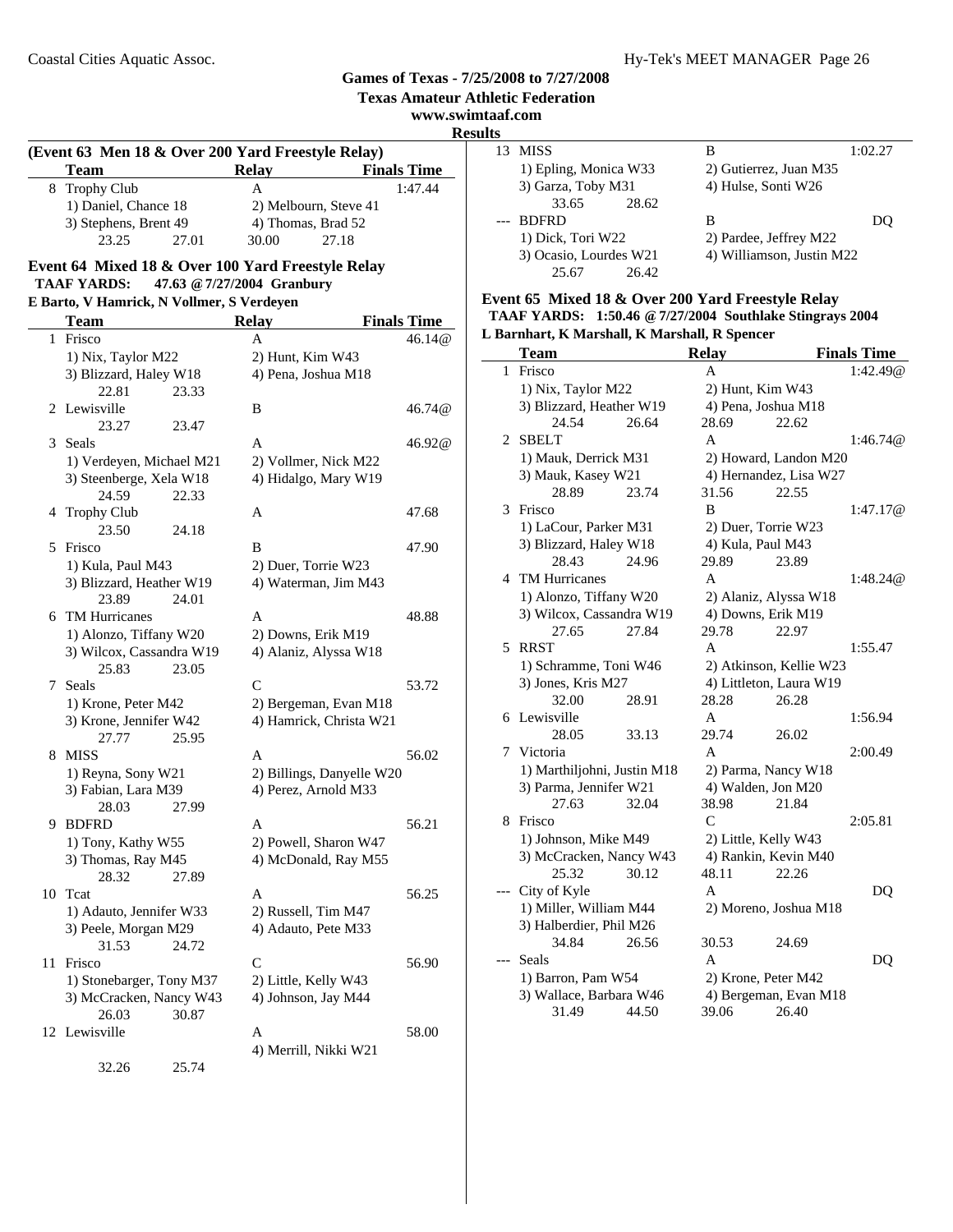**Texas Amateur Athletic Federation**

**www.swimtaaf.com**

**Results**

| (Event 63 Men 18 & Over 200 Yard Freestyle Relay) |                       |                    |  |  |  |
|---------------------------------------------------|-----------------------|--------------------|--|--|--|
| <b>Team</b>                                       | Relay                 | <b>Finals Time</b> |  |  |  |
| 8 Trophy Club                                     | А                     | 1:47.44            |  |  |  |
| 1) Daniel, Chance 18                              | 2) Melbourn, Steve 41 |                    |  |  |  |
| 3) Stephens, Brent 49                             | 4) Thomas, Brad 52    |                    |  |  |  |
| 23.25                                             | 27.01<br>30.00        | 27.18              |  |  |  |

### **Event 64 Mixed 18 & Over 100 Yard Freestyle Relay TAAF YARDS: 47.63 @7/27/2004 Granbury**

# **E Barto, V Hamrick, N Vollmer, S Verdeyen**

|    | <b>Team</b>                               | <b>Relay</b><br><b>Finals Time</b> |        |
|----|-------------------------------------------|------------------------------------|--------|
| 1  | Frisco                                    | A                                  | 46.14@ |
|    | 1) Nix, Taylor M22                        | 2) Hunt, Kim W43                   |        |
|    | 3) Blizzard, Haley W18                    | 4) Pena, Joshua M18                |        |
|    | 22.81<br>23.33                            |                                    |        |
| 2  | Lewisville                                | B                                  | 46.74@ |
|    | 23.27<br>23.47                            |                                    |        |
| 3  | Seals                                     | A                                  | 46.92@ |
|    | 1) Verdeyen, Michael M21                  | 2) Vollmer, Nick M22               |        |
|    | 3) Steenberge, Xela W18                   | 4) Hidalgo, Mary W19               |        |
|    | 24.59<br>22.33                            |                                    |        |
| 4  | <b>Trophy Club</b>                        | A                                  | 47.68  |
|    | 23.50<br>24.18                            |                                    |        |
| 5  | Frisco                                    | B                                  | 47.90  |
|    | 1) Kula, Paul M43                         | 2) Duer, Torrie W23                |        |
|    | 3) Blizzard, Heather W19                  | 4) Waterman, Jim M43               |        |
|    | 23.89<br>24.01                            |                                    |        |
| 6  | <b>TM Hurricanes</b>                      | A                                  | 48.88  |
|    | 1) Alonzo, Tiffany W20                    | 2) Downs, Erik M19                 |        |
|    | 3) Wilcox, Cassandra W19                  | 4) Alaniz, Alyssa W18              |        |
|    | 25.83<br>23.05                            |                                    |        |
| 7  | Seals                                     | C                                  | 53.72  |
|    | 1) Krone, Peter M42                       | 2) Bergeman, Evan M18              |        |
|    | 3) Krone, Jennifer W42                    | 4) Hamrick, Christa W21            |        |
| 8  | 27.77<br>25.95<br><b>MISS</b>             | A                                  | 56.02  |
|    |                                           | 2) Billings, Danyelle W20          |        |
|    | 1) Reyna, Sony W21<br>3) Fabian, Lara M39 | 4) Perez, Arnold M33               |        |
|    | 27.99<br>28.03                            |                                    |        |
| 9  | <b>BDFRD</b>                              | A                                  | 56.21  |
|    | 1) Tony, Kathy W55                        | 2) Powell, Sharon W47              |        |
|    | 3) Thomas, Ray M45                        | 4) McDonald, Ray M55               |        |
|    | 28.32<br>27.89                            |                                    |        |
|    | 10 Tcat                                   | A                                  | 56.25  |
|    | 1) Adauto, Jennifer W33                   | 2) Russell, Tim M47                |        |
|    | 3) Peele, Morgan M29                      | 4) Adauto, Pete M33                |        |
|    | 31.53<br>24.72                            |                                    |        |
| 11 | Frisco                                    | C                                  | 56.90  |
|    | 1) Stonebarger, Tony M37                  | 2) Little, Kelly W43               |        |
|    | 3) McCracken, Nancy W43                   | 4) Johnson, Jay M44                |        |
|    | 26.03<br>30.87                            |                                    |        |
| 12 | Lewisville                                | A                                  | 58.00  |
|    |                                           | 4) Merrill, Nikki W21              |        |
|    | 32.26<br>25.74                            |                                    |        |

| . . |                        |                           |         |
|-----|------------------------|---------------------------|---------|
| 13  | <b>MISS</b>            | В                         | 1:02.27 |
|     | 1) Epling, Monica W33  | 2) Gutierrez, Juan M35    |         |
|     | 3) Garza, Toby M31     | 4) Hulse, Sonti W26       |         |
|     | 33.65<br>28.62         |                           |         |
|     | <b>BDFRD</b>           | в                         |         |
|     | 1) Dick, Tori W22      | 2) Pardee, Jeffrey M22    |         |
|     | 3) Ocasio, Lourdes W21 | 4) Williamson, Justin M22 |         |
|     | 26.42<br>25.67         |                           |         |

### **Event 65 Mixed 18 & Over 200 Yard Freestyle Relay TAAF YARDS: 1:50.46 @7/27/2004 Southlake Stingrays 2004**

| L Barnhart, K Marshall, K Marshall, R Spencer |                             |       |                   |                         |                    |
|-----------------------------------------------|-----------------------------|-------|-------------------|-------------------------|--------------------|
|                                               | <b>Team</b>                 |       | <b>Relay</b>      |                         | <b>Finals Time</b> |
| $\mathbf{1}$                                  | Frisco                      |       | A                 |                         | 1:42.49@           |
|                                               | 1) Nix, Taylor M22          |       | 2) Hunt, Kim W43  |                         |                    |
|                                               | 3) Blizzard, Heather W19    |       |                   | 4) Pena, Joshua M18     |                    |
|                                               | 24.54                       | 26.64 | 28.69             | 22.62                   |                    |
| $\mathcal{D}_{\mathcal{L}}$                   | <b>SBELT</b>                |       | A                 |                         | 1:46.74@           |
|                                               | 1) Mauk, Derrick M31        |       |                   | 2) Howard, Landon M20   |                    |
|                                               | 3) Mauk, Kasey W21          |       |                   | 4) Hernandez, Lisa W27  |                    |
|                                               | 28.89                       | 23.74 | 31.56             | 22.55                   |                    |
| 3                                             | Frisco                      |       | B                 |                         | 1:47.17@           |
|                                               | 1) LaCour, Parker M31       |       |                   | 2) Duer, Torrie W23     |                    |
|                                               | 3) Blizzard, Haley W18      |       | 4) Kula, Paul M43 |                         |                    |
|                                               | 28.43                       | 24.96 | 29.89             | 23.89                   |                    |
|                                               | 4 TM Hurricanes             |       | A                 |                         | 1:48.24@           |
|                                               | 1) Alonzo, Tiffany W20      |       |                   | 2) Alaniz, Alyssa W18   |                    |
|                                               | 3) Wilcox, Cassandra W19    |       |                   | 4) Downs, Erik M19      |                    |
|                                               | 27.65                       | 27.84 | 29.78             | 22.97                   |                    |
| 5                                             | <b>RRST</b>                 |       | A                 |                         | 1:55.47            |
|                                               | 1) Schramme, Toni W46       |       |                   | 2) Atkinson, Kellie W23 |                    |
|                                               | 3) Jones, Kris M27          |       |                   | 4) Littleton, Laura W19 |                    |
|                                               | 32.00                       | 28.91 | 28.28             | 26.28                   |                    |
| 6                                             | Lewisville                  |       | A                 |                         | 1:56.94            |
|                                               | 28.05                       | 33.13 | 29.74             | 26.02                   |                    |
| 7                                             | Victoria                    |       | $\mathsf{A}$      |                         | 2:00.49            |
|                                               | 1) Marthiljohni, Justin M18 |       |                   | 2) Parma, Nancy W18     |                    |
|                                               | 3) Parma, Jennifer W21      |       |                   | 4) Walden, Jon M20      |                    |
|                                               | 27.63                       | 32.04 | 38.98             | 21.84                   |                    |
| 8                                             | Frisco                      |       | C                 |                         | 2:05.81            |
|                                               | 1) Johnson, Mike M49        |       |                   | 2) Little, Kelly W43    |                    |
|                                               | 3) McCracken, Nancy W43     |       |                   | 4) Rankin, Kevin M40    |                    |
|                                               | 25.32                       | 30.12 | 48.11             | 22.26                   |                    |
|                                               | City of Kyle                |       | A                 |                         | DQ                 |
|                                               | 1) Miller, William M44      |       |                   | 2) Moreno, Joshua M18   |                    |
|                                               | 3) Halberdier, Phil M26     |       |                   |                         |                    |
|                                               | 34.84                       | 26.56 | 30.53             | 24.69                   |                    |
|                                               | Seals                       |       | $\mathsf{A}$      |                         | DQ                 |
|                                               | 1) Barron, Pam W54          |       |                   | 2) Krone, Peter M42     |                    |
|                                               | 3) Wallace, Barbara W46     |       |                   | 4) Bergeman, Evan M18   |                    |
|                                               | 31.49                       | 44.50 | 39.06             | 26.40                   |                    |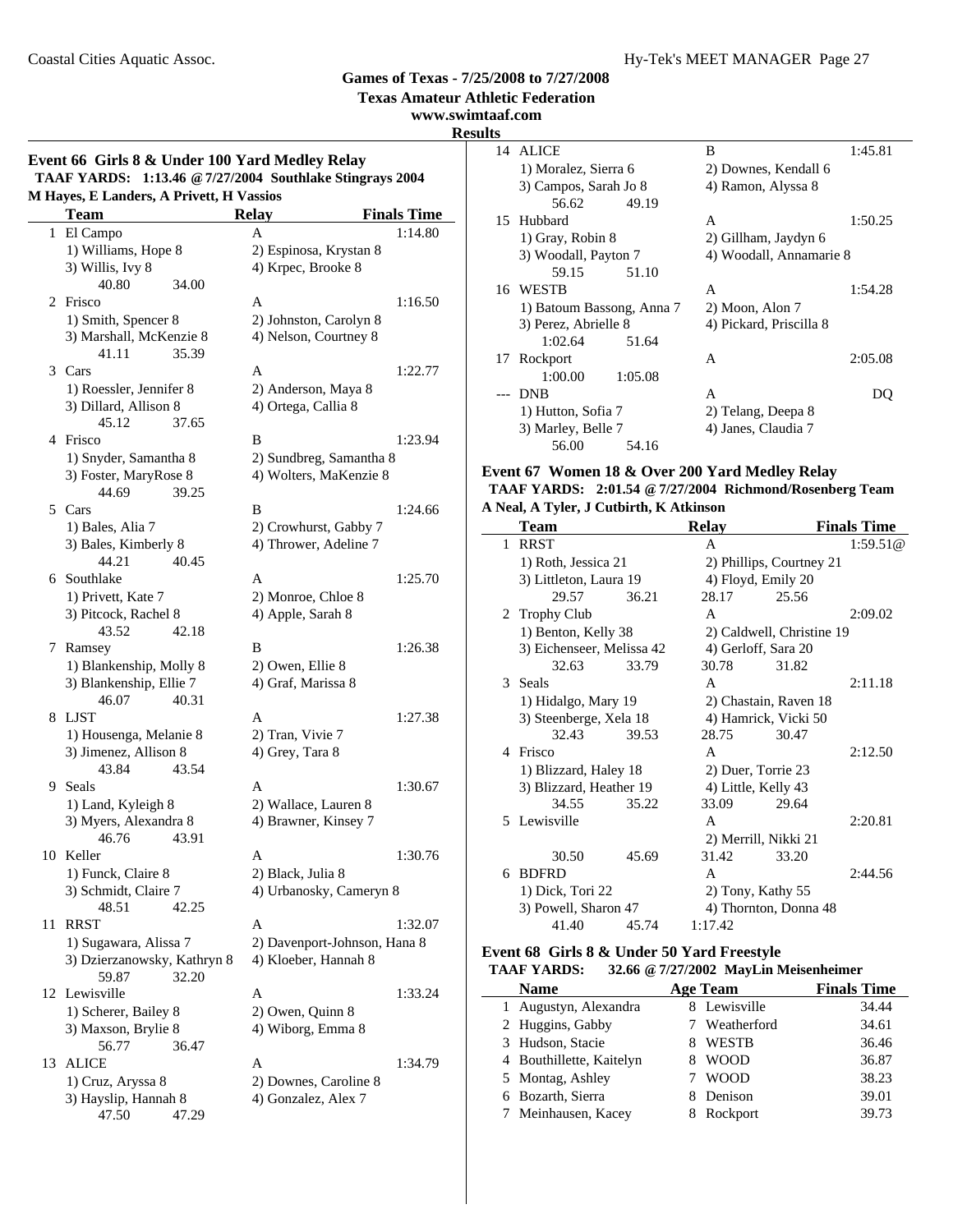**Texas Amateur Athletic Federation**

### **www.swimtaaf.com**

**Results**

### $\mathbf{I}$

|    | M Hayes, E Landers, A Privett, H Vassios<br><b>Team</b> | <b>Relay</b>                                 | <b>Finals Time</b>           |
|----|---------------------------------------------------------|----------------------------------------------|------------------------------|
|    | 1 El Campo                                              | A                                            | 1:14.80                      |
|    | 1) Williams, Hope 8                                     | 2) Espinosa, Krystan 8                       |                              |
|    | 3) Willis, Ivy 8                                        | 4) Krpec, Brooke 8                           |                              |
|    | 40.80<br>34.00                                          |                                              |                              |
| 2  | Frisco                                                  | A                                            | 1:16.50                      |
|    | 1) Smith, Spencer 8                                     | 2) Johnston, Carolyn 8                       |                              |
|    | 3) Marshall, McKenzie 8                                 | 4) Nelson, Courtney 8                        |                              |
|    | 41.11<br>35.39                                          |                                              |                              |
|    | 3 Cars                                                  | A                                            | 1:22.77                      |
|    | 1) Roessler, Jennifer 8                                 | 2) Anderson, Maya 8                          |                              |
|    | 3) Dillard, Allison 8                                   | 4) Ortega, Callia 8                          |                              |
|    | 45.12<br>37.65                                          |                                              |                              |
| 4  | Frisco                                                  | B                                            | 1:23.94                      |
|    | 1) Snyder, Samantha 8                                   | 2) Sundbreg, Samantha 8                      |                              |
|    | 3) Foster, MaryRose 8                                   | 4) Wolters, MaKenzie 8                       |                              |
|    | 44.69<br>39.25                                          |                                              |                              |
|    | 5 Cars                                                  | B                                            | 1:24.66                      |
|    | 1) Bales, Alia 7                                        | 2) Crowhurst, Gabby 7                        |                              |
|    | 3) Bales, Kimberly 8                                    | 4) Thrower, Adeline 7                        |                              |
|    | 44.21<br>40.45                                          |                                              |                              |
|    | 6 Southlake                                             | A                                            | 1:25.70                      |
|    | 1) Privett, Kate 7                                      | 2) Monroe, Chloe 8                           |                              |
|    | 3) Pitcock, Rachel 8                                    | 4) Apple, Sarah 8                            |                              |
|    | 43.52<br>42.18                                          |                                              |                              |
| 7  |                                                         | B                                            | 1:26.38                      |
|    | Ramsey                                                  |                                              |                              |
|    | 1) Blankenship, Molly 8                                 | 2) Owen, Ellie 8                             |                              |
|    | 3) Blankenship, Ellie 7<br>46.07<br>40.31               | 4) Graf, Marissa 8                           |                              |
| 8  | LJST                                                    | A                                            | 1:27.38                      |
|    |                                                         |                                              |                              |
|    | 1) Housenga, Melanie 8                                  | 2) Tran, Vivie 7                             |                              |
|    | 3) Jimenez, Allison 8                                   | 4) Grey, Tara 8                              |                              |
| 9  | 43.84<br>43.54<br>Seals                                 |                                              |                              |
|    |                                                         | A                                            | 1:30.67                      |
|    | 1) Land, Kyleigh 8                                      | 2) Wallace, Lauren 8                         |                              |
|    | 3) Myers, Alexandra 8                                   | 4) Brawner, Kinsey 7                         |                              |
|    | 46.76<br>43.91                                          |                                              |                              |
|    | 10 Keller                                               | Α                                            | 1:30.76                      |
|    | 1) Funck, Claire 8                                      | 2) Black, Julia 8                            |                              |
|    | 3) Schmidt, Claire 7                                    | 4) Urbanosky, Cameryn 8                      |                              |
|    | 42.25<br>48.51                                          |                                              |                              |
| 11 | <b>RRST</b>                                             | A                                            | 1:32.07                      |
|    | 1) Sugawara, Alissa 7                                   |                                              | 2) Davenport-Johnson, Hana 8 |
|    | 3) Dzierzanowsky, Kathryn 8                             | 4) Kloeber, Hannah 8                         |                              |
|    | 59.87<br>32.20                                          |                                              |                              |
|    | 12 Lewisville                                           | A                                            | 1:33.24                      |
|    | 1) Scherer, Bailey 8                                    | 2) Owen, Quinn 8                             |                              |
|    | 3) Maxson, Brylie 8                                     | 4) Wiborg, Emma 8                            |                              |
|    | 36.47<br>56.77                                          |                                              |                              |
|    | <b>ALICE</b>                                            | A                                            | 1:34.79                      |
|    |                                                         |                                              |                              |
| 13 | 1) Cruz, Aryssa 8<br>3) Hayslip, Hannah 8               | 2) Downes, Caroline 8<br>4) Gonzalez, Alex 7 |                              |

|    | 14 ALICE                  |         | B                       | 1:45.81 |
|----|---------------------------|---------|-------------------------|---------|
|    | 1) Moralez, Sierra 6      |         | 2) Downes, Kendall 6    |         |
|    | 3) Campos, Sarah Jo 8     |         | 4) Ramon, Alyssa 8      |         |
|    | 56.62                     | 49.19   |                         |         |
|    | 15 Hubbard                |         | A                       | 1:50.25 |
|    | 1) Gray, Robin 8          |         | 2) Gillham, Jaydyn 6    |         |
|    | 3) Woodall, Payton 7      |         | 4) Woodall, Annamarie 8 |         |
|    | 59.15                     | 51.10   |                         |         |
|    | 16 WESTB                  |         | A                       | 1:54.28 |
|    | 1) Batoum Bassong, Anna 7 |         | 2) Moon, Alon 7         |         |
|    | 3) Perez, Abrielle 8      |         | 4) Pickard, Priscilla 8 |         |
|    | 1:02.64                   | 51.64   |                         |         |
| 17 | Rockport                  |         | A                       | 2:05.08 |
|    | 1:00.00                   | 1:05.08 |                         |         |
|    | <b>DNB</b>                |         | A                       | DO.     |
|    | 1) Hutton, Sofia 7        |         | 2) Telang, Deepa 8      |         |
|    | 3) Marley, Belle 7        |         | 4) Janes, Claudia 7     |         |
|    | 56.00                     | 54.16   |                         |         |

#### **Event 67 Women 18 & Over 200 Yard Medley Relay TAAF YARDS: 2:01.54 @7/27/2004 Richmond/Rosenberg Team A Neal, A Tyler, J Cutbirth, K Atkinson**

|   | <b>Team</b>               |       | <b>Relay</b>         |                           | <b>Finals Time</b> |
|---|---------------------------|-------|----------------------|---------------------------|--------------------|
| 1 | <b>RRST</b>               |       | A                    |                           | 1:59.51@           |
|   | 1) Roth, Jessica 21       |       |                      | 2) Phillips, Courtney 21  |                    |
|   | 3) Littleton, Laura 19    |       | 4) Floyd, Emily 20   |                           |                    |
|   | 29.57                     | 36.21 | 28.17                | 25.56                     |                    |
|   | 2 Trophy Club             |       | A                    |                           | 2:09.02            |
|   | 1) Benton, Kelly 38       |       |                      | 2) Caldwell, Christine 19 |                    |
|   | 3) Eichenseer, Melissa 42 |       | 4) Gerloff, Sara 20  |                           |                    |
|   | 32.63                     | 33.79 | 30.78                | 31.82                     |                    |
|   | 3 Seals                   |       | A                    |                           | 2:11.18            |
|   | 1) Hidalgo, Mary 19       |       |                      | 2) Chastain, Raven 18     |                    |
|   | 3) Steenberge, Xela 18    |       |                      | 4) Hamrick, Vicki 50      |                    |
|   | 32.43                     | 39.53 | 28.75                | 30.47                     |                    |
| 4 | Frisco                    |       | A                    |                           | 2:12.50            |
|   | 1) Blizzard, Haley 18     |       | 2) Duer, Torrie 23   |                           |                    |
|   | 3) Blizzard, Heather 19   |       | 4) Little, Kelly 43  |                           |                    |
|   | 34.55                     | 35.22 | 33.09                | 29.64                     |                    |
|   | 5 Lewisville              |       | $\mathsf{A}$         |                           | 2:20.81            |
|   |                           |       | 2) Merrill, Nikki 21 |                           |                    |
|   | 30.50                     | 45.69 | 31.42                | 33.20                     |                    |
| 6 | <b>BDFRD</b>              |       | A                    |                           | 2:44.56            |
|   | 1) Dick, Tori 22          |       | 2) Tony, Kathy 55    |                           |                    |
|   | 3) Powell, Sharon 47      |       |                      | 4) Thornton, Donna 48     |                    |
|   | 41.40                     | 45.74 | 1:17.42              |                           |                    |

#### **Event 68 Girls 8 & Under 50 Yard Freestyle TAAF YARDS: 32.66 @7/27/2002 MayLin Meisenheimer**

| іллі ілішэ.<br>$32.00 \approx 7/27/2002$ MayLin Meisenheimer |  |              |                    |  |  |
|--------------------------------------------------------------|--|--------------|--------------------|--|--|
| <b>Name</b>                                                  |  | Age Team     | <b>Finals Time</b> |  |  |
| 1 Augustyn, Alexandra                                        |  | 8 Lewisville | 34.44              |  |  |
| 2 Huggins, Gabby                                             |  | Weatherford  | 34.61              |  |  |
| 3 Hudson, Stacie                                             |  | <b>WESTB</b> | 36.46              |  |  |
| 4 Bouthillette, Kaitelyn                                     |  | <b>WOOD</b>  | 36.87              |  |  |
| 5 Montag, Ashley                                             |  | <b>WOOD</b>  | 38.23              |  |  |
| 6 Bozarth, Sierra                                            |  | Denison      | 39.01              |  |  |
| 7 Meinhausen, Kacey                                          |  | Rockport     | 39.73              |  |  |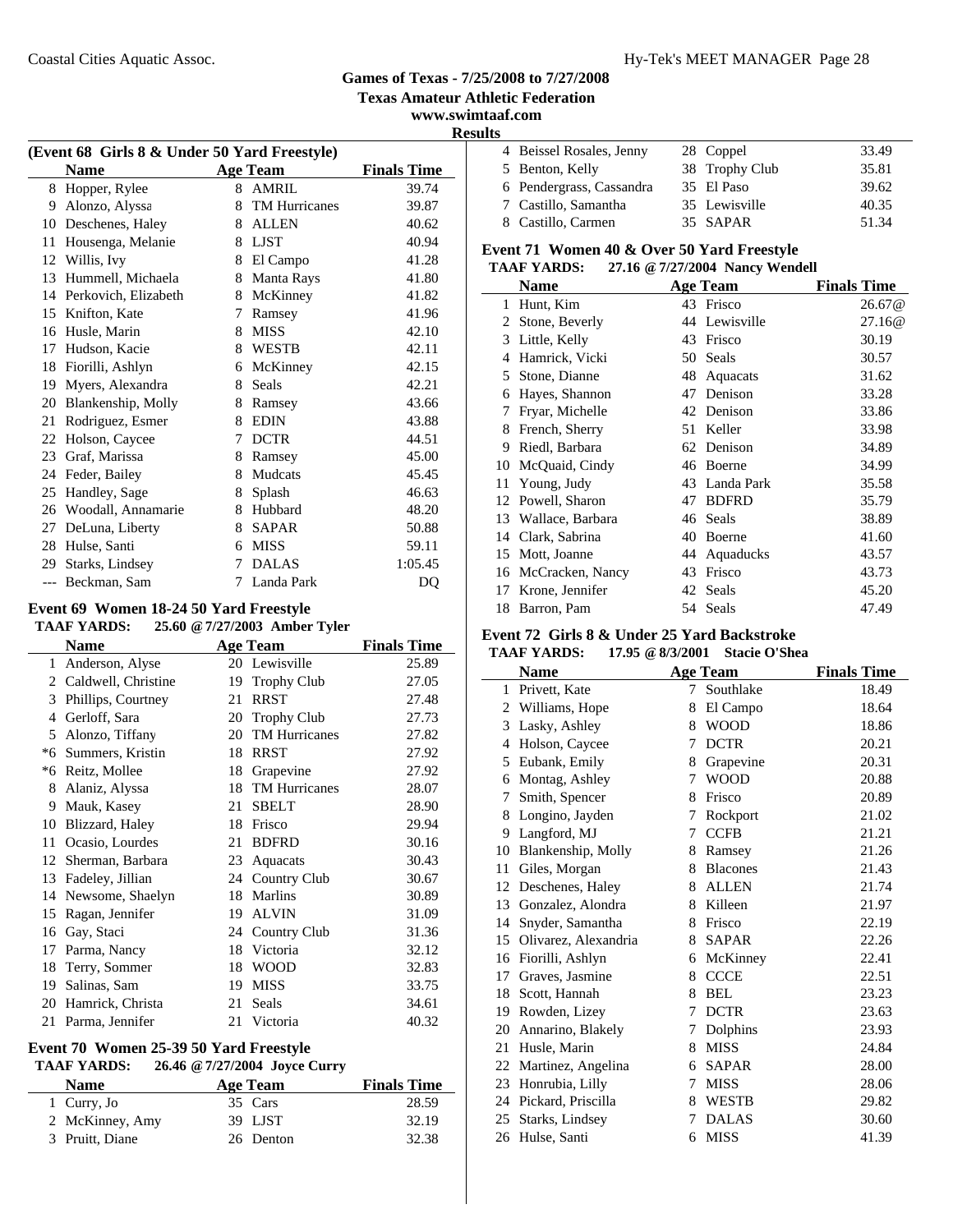**Texas Amateur Athletic Federation**

**www.swimtaaf.com**

| Results |  |
|---------|--|
|         |  |

| (Event 68 Girls 8 & Under 50 Yard Freestyle) |                      |   |                      |                    |
|----------------------------------------------|----------------------|---|----------------------|--------------------|
|                                              | <b>Name</b>          |   | <b>Age Team</b>      | <b>Finals Time</b> |
| 8                                            | Hopper, Rylee        | 8 | <b>AMRIL</b>         | 39.74              |
| 9                                            | Alonzo, Alyssa       | 8 | <b>TM Hurricanes</b> | 39.87              |
| 10                                           | Deschenes, Haley     | 8 | <b>ALLEN</b>         | 40.62              |
| 11                                           | Housenga, Melanie    | 8 | <b>LJST</b>          | 40.94              |
| 12                                           | Willis, Ivy          | 8 | El Campo             | 41.28              |
| 13                                           | Hummell, Michaela    | 8 | Manta Rays           | 41.80              |
| 14                                           | Perkovich, Elizabeth | 8 | McKinney             | 41.82              |
| 15                                           | Knifton, Kate        | 7 | Ramsey               | 41.96              |
| 16                                           | Husle, Marin         | 8 | <b>MISS</b>          | 42.10              |
| 17                                           | Hudson, Kacie        | 8 | <b>WESTB</b>         | 42.11              |
| 18                                           | Fiorilli, Ashlyn     | 6 | McKinney             | 42.15              |
| 19                                           | Myers, Alexandra     | 8 | Seals                | 42.21              |
| 20                                           | Blankenship, Molly   | 8 | Ramsey               | 43.66              |
| 21                                           | Rodriguez, Esmer     | 8 | <b>EDIN</b>          | 43.88              |
| 22                                           | Holson, Caycee       | 7 | <b>DCTR</b>          | 44.51              |
| 23                                           | Graf, Marissa        | 8 | Ramsey               | 45.00              |
| 24                                           | Feder, Bailey        | 8 | Mudcats              | 45.45              |
| 25                                           | Handley, Sage        | 8 | Splash               | 46.63              |
| 26                                           | Woodall, Annamarie   | 8 | Hubbard              | 48.20              |
| 27                                           | DeLuna, Liberty      | 8 | <b>SAPAR</b>         | 50.88              |
| 28                                           | Hulse, Santi         | 6 | <b>MISS</b>          | 59.11              |
| 29                                           | Starks, Lindsey      | 7 | <b>DALAS</b>         | 1:05.45            |
| $---$                                        | Beckman, Sam         | 7 | Landa Park           | DQ                 |

#### **Event 69 Women 18-24 50 Yard Freestyle TAAF YARDS: 25.60 @7/27/2003 Amber Tyler**

|              | <b>Name</b>           | $\sim\cdot\cdot$ | <b>Age Team</b>      | <b>Finals Time</b> |
|--------------|-----------------------|------------------|----------------------|--------------------|
| $\mathbf{1}$ | Anderson, Alyse       |                  | 20 Lewisville        | 25.89              |
|              | 2 Caldwell, Christine | 19               | <b>Trophy Club</b>   | 27.05              |
| 3            | Phillips, Courtney    | 21               | <b>RRST</b>          | 27.48              |
| 4            | Gerloff, Sara         | 20               | <b>Trophy Club</b>   | 27.73              |
| 5            | Alonzo, Tiffany       | 20               | <b>TM Hurricanes</b> | 27.82              |
| $*6$         | Summers, Kristin      | 18               | <b>RRST</b>          | 27.92              |
| *6           | Reitz, Mollee         | 18               | Grapevine            | 27.92              |
| 8            | Alaniz, Alyssa        | 18               | <b>TM Hurricanes</b> | 28.07              |
| 9            | Mauk, Kasey           | 21               | <b>SBELT</b>         | 28.90              |
| 10           | Blizzard, Haley       | 18               | Frisco               | 29.94              |
| 11           | Ocasio, Lourdes       | 21               | <b>BDFRD</b>         | 30.16              |
| 12           | Sherman, Barbara      | 23               | Aquacats             | 30.43              |
| 13           | Fadeley, Jillian      | 24               | Country Club         | 30.67              |
| 14           | Newsome, Shaelyn      | 18               | Marlins              | 30.89              |
| 15           | Ragan, Jennifer       | 19               | <b>ALVIN</b>         | 31.09              |
| 16           | Gay, Staci            | 24               | Country Club         | 31.36              |
| 17           | Parma, Nancy          | 18               | Victoria             | 32.12              |
| 18           | Terry, Sommer         | 18               | <b>WOOD</b>          | 32.83              |
| 19           | Salinas, Sam          | 19               | <b>MISS</b>          | 33.75              |
| 20           | Hamrick, Christa      | 21               | Seals                | 34.61              |
| 21           | Parma, Jennifer       | 21               | Victoria             | 40.32              |

### **Event 70 Women 25-39 50 Yard Freestyle**

### **TAAF YARDS: 26.46 @7/27/2004 Joyce Curry**

| <b>Name</b>     | Age Team  | <b>Finals Time</b> |
|-----------------|-----------|--------------------|
| 1 Curry, Jo     | 35 Cars   | 28.59              |
| 2 McKinney, Amy | 39 LJST   | 32.19              |
| 3 Pruitt, Diane | 26 Denton | 32.38              |

| 4 Beissel Rosales, Jenny | 28 Coppel      | 33.49 |
|--------------------------|----------------|-------|
| 5 Benton, Kelly          | 38 Trophy Club | 35.81 |
| 6 Pendergrass, Cassandra | 35 El Paso     | 39.62 |
| 7 Castillo, Samantha     | 35 Lewisville  | 40.35 |
| 8 Castillo, Carmen       | 35 SAPAR       | 51.34 |

### **Event 71 Women 40 & Over 50 Yard Freestyle**

### **TAAF YARDS: 27.16 @7/27/2004 Nancy Wendell**

|    | Name              |    | <b>Age Team</b> | <b>Finals Time</b> |
|----|-------------------|----|-----------------|--------------------|
| 1  | Hunt, Kim         |    | 43 Frisco       | 26.67@             |
| 2  | Stone, Beverly    |    | 44 Lewisville   | 27.16@             |
| 3  | Little, Kelly     | 43 | Frisco          | 30.19              |
| 4  | Hamrick, Vicki    |    | 50 Seals        | 30.57              |
| 5  | Stone, Dianne     | 48 | Aquacats        | 31.62              |
| 6  | Hayes, Shannon    | 47 | Denison         | 33.28              |
| 7  | Fryar, Michelle   |    | 42 Denison      | 33.86              |
| 8  | French, Sherry    | 51 | Keller          | 33.98              |
| 9  | Riedl, Barbara    |    | 62 Denison      | 34.89              |
| 10 | McQuaid, Cindy    |    | 46 Boerne       | 34.99              |
| 11 | Young, Judy       | 43 | Landa Park      | 35.58              |
|    | 12 Powell, Sharon | 47 | <b>BDFRD</b>    | 35.79              |
| 13 | Wallace, Barbara  |    | 46 Seals        | 38.89              |
| 14 | Clark, Sabrina    | 40 | Boerne          | 41.60              |
| 15 | Mott, Joanne      | 44 | Aquaducks       | 43.57              |
| 16 | McCracken, Nancy  | 43 | Frisco          | 43.73              |
| 17 | Krone, Jennifer   | 42 | Seals           | 45.20              |
| 18 | Barron, Pam       |    | 54 Seals        | 47.49              |

# **Event 72 Girls 8 & Under 25 Yard Backstroke**

|    | <b>Name</b>          |   | <b>Age Team</b> | <b>Finals Time</b> |
|----|----------------------|---|-----------------|--------------------|
| 1  | Privett, Kate        | 7 | Southlake       | 18.49              |
| 2  | Williams, Hope       | 8 | El Campo        | 18.64              |
| 3  | Lasky, Ashley        | 8 | <b>WOOD</b>     | 18.86              |
| 4  | Holson, Caycee       | 7 | <b>DCTR</b>     | 20.21              |
| 5  | Eubank, Emily        | 8 | Grapevine       | 20.31              |
| 6  | Montag, Ashley       | 7 | <b>WOOD</b>     | 20.88              |
| 7  | Smith, Spencer       | 8 | Frisco          | 20.89              |
| 8  | Longino, Jayden      | 7 | Rockport        | 21.02              |
| 9  | Langford, MJ         | 7 | <b>CCFB</b>     | 21.21              |
| 10 | Blankenship, Molly   | 8 | Ramsey          | 21.26              |
| 11 | Giles, Morgan        | 8 | <b>Blacones</b> | 21.43              |
| 12 | Deschenes, Haley     | 8 | <b>ALLEN</b>    | 21.74              |
| 13 | Gonzalez, Alondra    | 8 | Killeen         | 21.97              |
| 14 | Snyder, Samantha     | 8 | Frisco          | 22.19              |
| 15 | Olivarez, Alexandria | 8 | <b>SAPAR</b>    | 22.26              |
| 16 | Fiorilli, Ashlyn     | 6 | McKinney        | 22.41              |
| 17 | Graves, Jasmine      | 8 | <b>CCCE</b>     | 22.51              |
| 18 | Scott, Hannah        | 8 | BEL             | 23.23              |
| 19 | Rowden, Lizey        | 7 | <b>DCTR</b>     | 23.63              |
| 20 | Annarino, Blakely    | 7 | Dolphins        | 23.93              |
| 21 | Husle, Marin         | 8 | <b>MISS</b>     | 24.84              |
| 22 | Martinez, Angelina   | 6 | <b>SAPAR</b>    | 28.00              |
| 23 | Honrubia, Lilly      | 7 | <b>MISS</b>     | 28.06              |
| 24 | Pickard, Priscilla   | 8 | <b>WESTB</b>    | 29.82              |
| 25 | Starks, Lindsey      | 7 | <b>DALAS</b>    | 30.60              |
| 26 | Hulse, Santi         | 6 | <b>MISS</b>     | 41.39              |
|    |                      |   |                 |                    |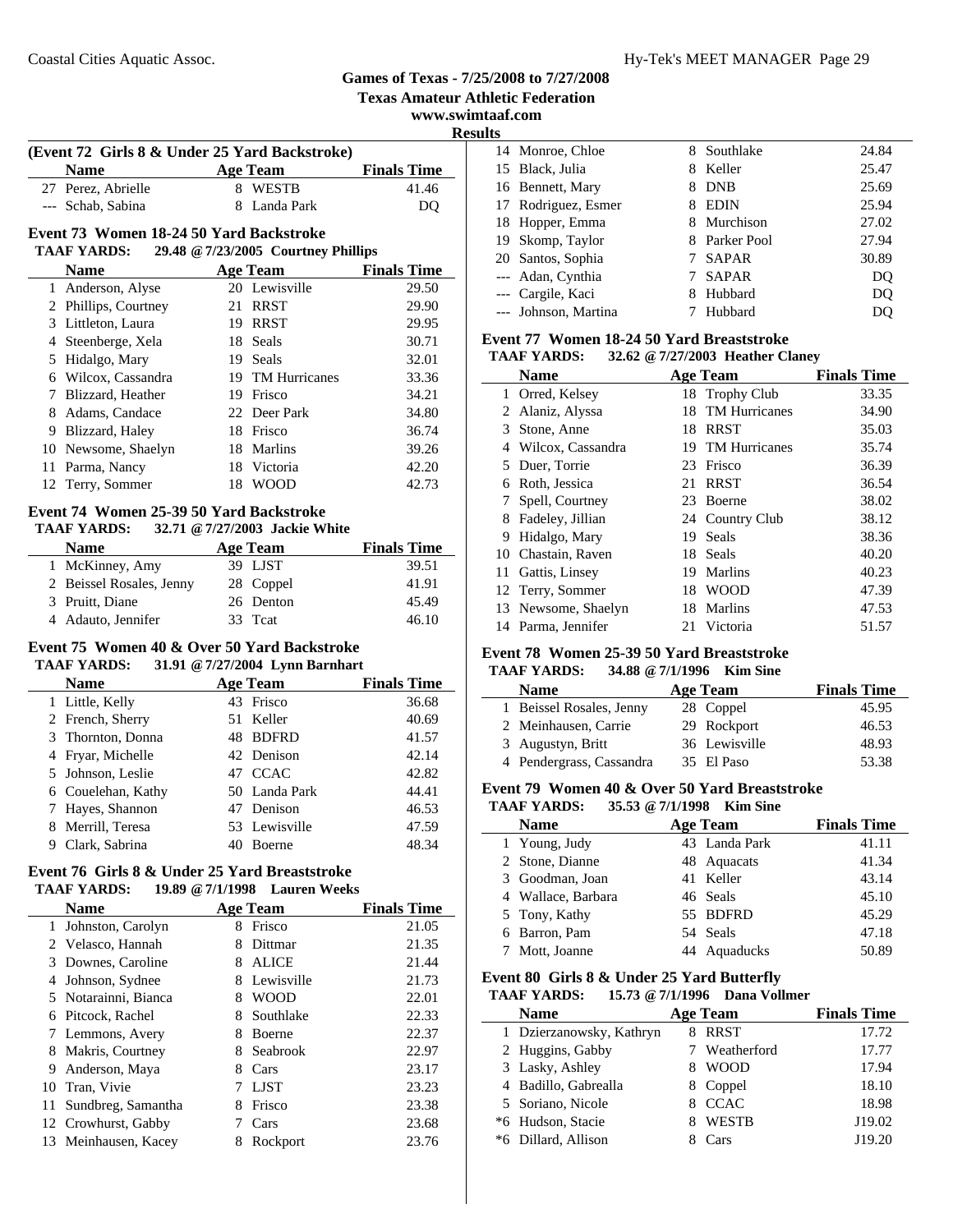**Texas Amateur Athletic Federation**

**www.swimtaaf.com**

|  | <b>Results</b> |  |
|--|----------------|--|
|  |                |  |

| (Event 72 Girls 8 & Under 25 Yard Backstroke) |              |                    |  |  |
|-----------------------------------------------|--------------|--------------------|--|--|
| <b>Name</b>                                   | Age Team     | <b>Finals Time</b> |  |  |
| 27 Perez, Abrielle                            | 8 WESTB      | 41.46              |  |  |
| --- Schab, Sabina                             | 8 Landa Park | DO                 |  |  |

### **Event 73 Women 18-24 50 Yard Backstroke**

#### **TAAF YARDS: 29.48 @7/23/2005 Courtney Phillips**

|   | <b>Name</b>          |    | <b>Age Team</b>  | <b>Finals Time</b> |
|---|----------------------|----|------------------|--------------------|
|   | 1 Anderson, Alyse    |    | 20 Lewisville    | 29.50              |
|   | 2 Phillips, Courtney | 21 | <b>RRST</b>      | 29.90              |
|   | 3 Littleton, Laura   | 19 | <b>RRST</b>      | 29.95              |
|   | 4 Steenberge, Xela   |    | 18 Seals         | 30.71              |
|   | 5 Hidalgo, Mary      | 19 | Seals            | 32.01              |
|   | 6 Wilcox, Cassandra  |    | 19 TM Hurricanes | 33.36              |
|   | Blizzard, Heather    | 19 | Frisco           | 34.21              |
|   | Adams, Candace       |    | 22 Deer Park     | 34.80              |
| 9 | Blizzard, Haley      | 18 | Frisco           | 36.74              |
|   | 10 Newsome, Shaelyn  | 18 | <b>Marlins</b>   | 39.26              |
|   | 11 Parma, Nancy      |    | 18 Victoria      | 42.20              |
|   | 12 Terry, Sommer     | 18 | <b>WOOD</b>      | 42.73              |

### **Event 74 Women 25-39 50 Yard Backstroke**

#### **TAAF YARDS: 32.71 @7/27/2003 Jackie White**

| <b>Name</b>              | Age Team  | <b>Finals Time</b> |
|--------------------------|-----------|--------------------|
| 1 McKinney, Amy          | 39 LJST   | 39.51              |
| 2 Beissel Rosales, Jenny | 28 Coppel | 41.91              |
| 3 Pruitt, Diane          | 26 Denton | 45.49              |
| 4 Adauto, Jennifer       | 33 Teat   | 46.10              |

#### **Event 75 Women 40 & Over 50 Yard Backstroke TAAF YARDS: 31.91 @7/27/2004 Lynn Barnhart**

| --------<br>$\frac{1}{2}$ |  |                 |                    |  |  |
|---------------------------|--|-----------------|--------------------|--|--|
| <b>Name</b>               |  | <b>Age Team</b> | <b>Finals Time</b> |  |  |
| 1 Little, Kelly           |  | 43 Frisco       | 36.68              |  |  |
| 2 French, Sherry          |  | 51 Keller       | 40.69              |  |  |
| 3 Thornton, Donna         |  | 48 BDFRD        | 41.57              |  |  |
| 4 Fryar, Michelle         |  | 42 Denison      | 42.14              |  |  |
| 5 Johnson, Leslie         |  | 47 CCAC         | 42.82              |  |  |
| 6 Couelehan, Kathy        |  | 50 Landa Park   | 44.41              |  |  |
| 7 Hayes, Shannon          |  | 47 Denison      | 46.53              |  |  |
| 8 Merrill, Teresa         |  | 53 Lewisville   | 47.59              |  |  |
| Clark, Sabrina            |  | <b>Boerne</b>   | 48.34              |  |  |

#### **Event 76 Girls 8 & Under 25 Yard Breaststroke TAAF YARDS: 19.89 @7/1/1998 Lauren Weeks**

|    | <b>Name</b>          |   | Age Team      | <b>Finals Time</b> |
|----|----------------------|---|---------------|--------------------|
| 1  | Johnston, Carolyn    | 8 | Frisco        | 21.05              |
| 2  | Velasco, Hannah      | 8 | Dittmar       | 21.35              |
| 3  | Downes, Caroline     | 8 | <b>ALICE</b>  | 21.44              |
| 4  | Johnson, Sydnee      | 8 | Lewisville    | 21.73              |
|    | 5 Notarainni, Bianca | 8 | <b>WOOD</b>   | 22.01              |
| 6  | Pitcock, Rachel      | 8 | Southlake     | 22.33              |
| 7  | Lemmons, Avery       | 8 | <b>Boerne</b> | 22.37              |
| 8  | Makris, Courtney     | 8 | Seabrook      | 22.97              |
| 9  | Anderson, Maya       | 8 | Cars          | 23.17              |
|    | 10 Tran, Vivie       |   | <b>LIST</b>   | 23.23              |
| 11 | Sundbreg, Samantha   | 8 | Frisco        | 23.38              |
| 12 | Crowhurst, Gabby     |   | Cars          | 23.68              |
| 13 | Meinhausen, Kacey    | 8 | Rockport      | 23.76              |

| ιJ |                      |    |              |                |
|----|----------------------|----|--------------|----------------|
|    | 14 Monroe, Chloe     | 8  | Southlake    | 24.84          |
|    | 15 Black, Julia      | 8  | Keller       | 25.47          |
|    | 16 Bennett, Mary     | 8  | <b>DNB</b>   | 25.69          |
|    | 17 Rodriguez, Esmer  | 8  | <b>EDIN</b>  | 25.94          |
|    | 18 Hopper, Emma      | 8  | Murchison    | 27.02          |
|    | 19 Skomp, Taylor     | 8. | Parker Pool  | 27.94          |
|    | 20 Santos, Sophia    |    | <b>SAPAR</b> | 30.89          |
|    | --- Adan, Cynthia    |    | <b>SAPAR</b> | DQ             |
|    | --- Cargile, Kaci    | 8  | Hubbard      | D <sub>O</sub> |
|    | --- Johnson, Martina |    | Hubbard      | DO             |
|    |                      |    |              |                |

### **Event 77 Women 18-24 50 Yard Breaststroke**

|   | 32.62 @ 7/27/2003 Heather Claney<br><b>TAAF YARDS:</b> |     |                  |                    |  |  |
|---|--------------------------------------------------------|-----|------------------|--------------------|--|--|
|   | <b>Name</b>                                            |     | <b>Age Team</b>  | <b>Finals Time</b> |  |  |
|   | 1 Orred, Kelsey                                        |     | 18 Trophy Club   | 33.35              |  |  |
|   | 2 Alaniz, Alyssa                                       |     | 18 TM Hurricanes | 34.90              |  |  |
|   | 3 Stone, Anne                                          | 18  | RRST             | 35.03              |  |  |
|   | 4 Wilcox, Cassandra                                    |     | 19 TM Hurricanes | 35.74              |  |  |
|   | 5 Duer, Torrie                                         | 23  | Frisco           | 36.39              |  |  |
|   | 6 Roth, Jessica                                        | 21  | <b>RRST</b>      | 36.54              |  |  |
|   | 7 Spell, Courtney                                      | 23  | <b>Boerne</b>    | 38.02              |  |  |
| 8 | Fadeley, Jillian                                       |     | 24 Country Club  | 38.12              |  |  |
| 9 | Hidalgo, Mary                                          | 19  | Seals            | 38.36              |  |  |
|   | 10 Chastain, Raven                                     | 18. | Seals            | 40.20              |  |  |

### 11 Gattis, Linsey 19 Marlins 40.23 12 Terry, Sommer 18 WOOD 47.39 13 47.53 Newsome, Shaelyn 18 Marlins 14 Parma, Jennifer 21 Victoria 51.57

### **Event 78 Women 25-39 50 Yard Breaststroke**

#### **TAAF YARDS: 34.88 @7/1/1996 Kim Sine**

| <b>Name</b>              | Age Team      | <b>Finals Time</b> |
|--------------------------|---------------|--------------------|
| 1 Beissel Rosales, Jenny | 28 Coppel     | 45.95              |
| 2 Meinhausen, Carrie     | 29 Rockport   | 46.53              |
| 3 Augustyn, Britt        | 36 Lewisville | 48.93              |
| 4 Pendergrass, Cassandra | 35 El Paso    | 53.38              |

### **Event 79 Women 40 & Over 50 Yard Breaststroke**

**TAAF YARDS: 35.53 @7/1/1998 Kim Sine**

| <b>Name</b>     |                    | Age Team      | <b>Finals Time</b> |
|-----------------|--------------------|---------------|--------------------|
| 1 Young, Judy   |                    | 43 Landa Park | 41.11              |
| 2 Stone, Dianne |                    | 48 Aquacats   | 41.34              |
|                 | 3 Goodman, Joan    | 41 Keller     | 43.14              |
|                 | 4 Wallace, Barbara | 46 Seals      | 45.10              |
| 5 Tony, Kathy   |                    | 55 BDFRD      | 45.29              |
| 6 Barron, Pam   |                    | 54 Seals      | 47.18              |
| Mott, Joanne    |                    | 44 Aquaducks  | 50.89              |

#### **Event 80 Girls 8 & Under 25 Yard Butterfly**

**TAAF YARDS: 15.73 @7/1/1996 Dana Vollmer**

| <b>Name</b>              | Age Team      | <b>Finals Time</b> |
|--------------------------|---------------|--------------------|
| 1 Dzierzanowsky, Kathryn | 8 RRST        | 17.72              |
| 2 Huggins, Gabby         | 7 Weatherford | 17.77              |
| 3 Lasky, Ashley          | <b>WOOD</b>   | 17.94              |
| 4 Badillo, Gabrealla     | 8 Coppel      | 18.10              |
| 5 Soriano, Nicole        | <b>CCAC</b>   | 18.98              |
| *6 Hudson, Stacie        | <b>WESTB</b>  | J19.02             |
| *6 Dillard, Allison      | Cars          | J19.20             |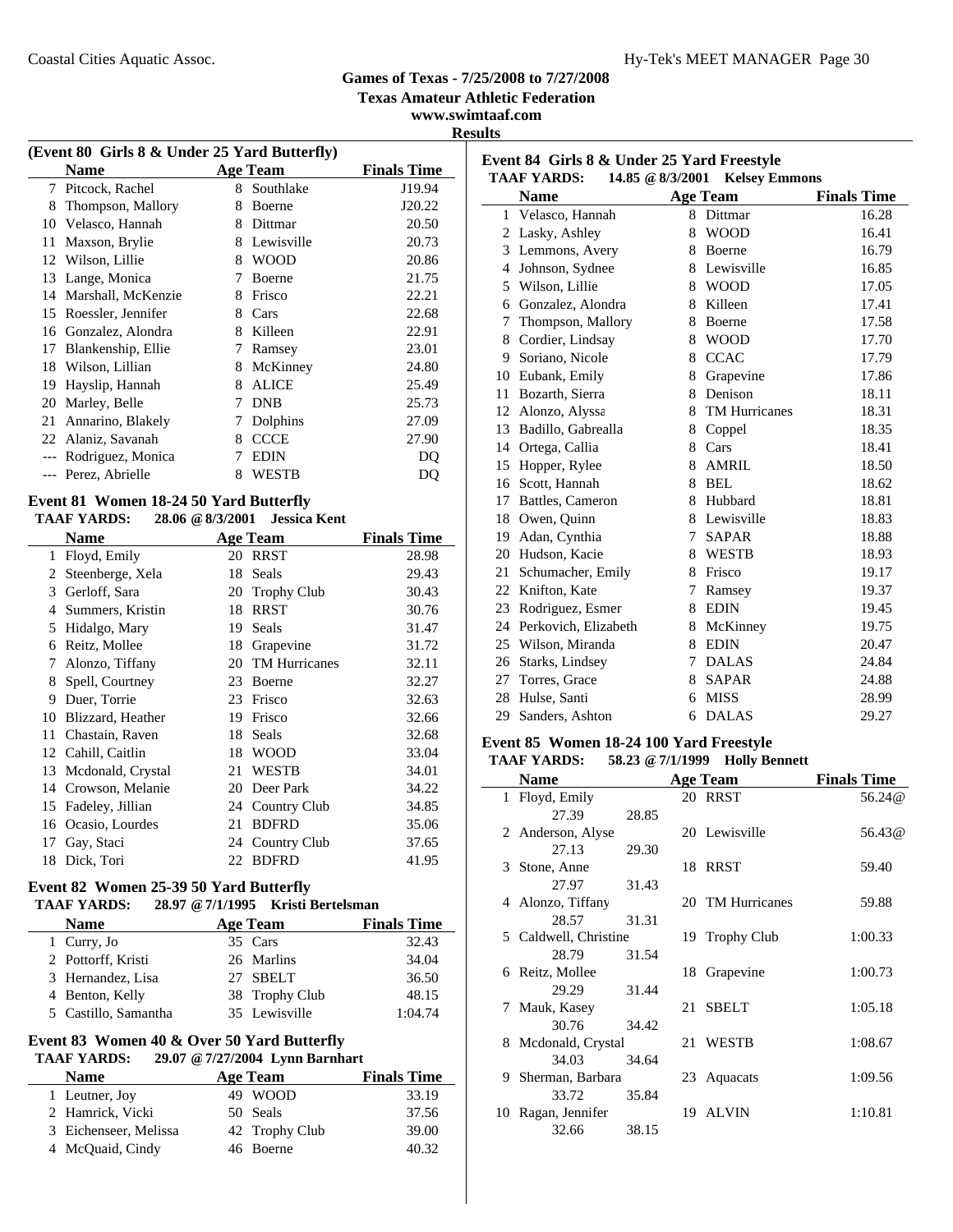**Texas Amateur Athletic Federation**

**www.swimtaaf.com Results**

| (Event 80 Girls 8 & Under 25 Yard Butterfly) |                     |   |                 |                    |  |
|----------------------------------------------|---------------------|---|-----------------|--------------------|--|
|                                              | <b>Name</b>         |   | <b>Age Team</b> | <b>Finals Time</b> |  |
| 7                                            | Pitcock, Rachel     | 8 | Southlake       | J19.94             |  |
| 8                                            | Thompson, Mallory   | 8 | Boerne          | J20.22             |  |
| 10                                           | Velasco, Hannah     | 8 | Dittmar         | 20.50              |  |
| 11                                           | Maxson, Brylie      | 8 | Lewisville      | 20.73              |  |
| 12                                           | Wilson, Lillie      | 8 | <b>WOOD</b>     | 20.86              |  |
| 13                                           | Lange, Monica       | 7 | Boerne          | 21.75              |  |
| 14                                           | Marshall, McKenzie  | 8 | Frisco          | 22.21              |  |
| 15                                           | Roessler, Jennifer  | 8 | Cars            | 22.68              |  |
| 16                                           | Gonzalez, Alondra   | 8 | Killeen         | 22.91              |  |
| 17                                           | Blankenship, Ellie  | 7 | Ramsey          | 23.01              |  |
| 18                                           | Wilson, Lillian     | 8 | McKinney        | 24.80              |  |
| 19                                           | Hayslip, Hannah     | 8 | <b>ALICE</b>    | 25.49              |  |
| 20                                           | Marley, Belle       | 7 | <b>DNB</b>      | 25.73              |  |
| 21                                           | Annarino, Blakely   | 7 | Dolphins        | 27.09              |  |
|                                              | 22 Alaniz, Savanah  | 8 | <b>CCCE</b>     | 27.90              |  |
|                                              | Rodriguez, Monica   | 7 | <b>EDIN</b>     | DO                 |  |
|                                              | --- Perez, Abrielle | 8 | WESTB           | DQ                 |  |
| E. 4. 04 . W 4.0. 04 EQ V 1 D 44 0.          |                     |   |                 |                    |  |

#### **Event 81 Women 18-24 50 Yard Butterfly TAAF YARDS: 28.06 @8/3/2001 Jessica Kent**

 $\overline{a}$ 

|              | <b>Name</b>       |     | Age Team             | <b>Finals Time</b> |
|--------------|-------------------|-----|----------------------|--------------------|
| $\mathbf{1}$ | Floyd, Emily      | 20  | <b>RRST</b>          | 28.98              |
| 2            | Steenberge, Xela  | 18  | Seals                | 29.43              |
| 3            | Gerloff, Sara     | 20  | <b>Trophy Club</b>   | 30.43              |
| 4            | Summers, Kristin  | 18  | <b>RRST</b>          | 30.76              |
| 5            | Hidalgo, Mary     | 19  | Seals                | 31.47              |
| 6            | Reitz, Mollee     | 18  | Grapevine            | 31.72              |
| 7            | Alonzo, Tiffany   | 20  | <b>TM Hurricanes</b> | 32.11              |
| 8            | Spell, Courtney   | 23  | Boerne               | 32.27              |
| 9            | Duer, Torrie      | 23  | Frisco               | 32.63              |
| 10           | Blizzard, Heather | 19  | Frisco               | 32.66              |
| 11           | Chastain, Raven   | 18  | Seals                | 32.68              |
| 12           | Cahill, Caitlin   | 18  | <b>WOOD</b>          | 33.04              |
| 13           | Mcdonald, Crystal | 21  | WESTB                | 34.01              |
| 14           | Crowson, Melanie  | 20  | Deer Park            | 34.22              |
| 15           | Fadeley, Jillian  | 24  | Country Club         | 34.85              |
| 16           | Ocasio, Lourdes   | 21  | <b>BDFRD</b>         | 35.06              |
| 17           | Gay, Staci        | 24  | Country Club         | 37.65              |
| 18           | Dick, Tori        | 22. | <b>BDFRD</b>         | 41.95              |

### **Event 82 Women 25-39 50 Yard Butterfly**

# **TAAF YARDS: 28.97 @7/1/1995 Kristi Bertelsman**

| <b>Name</b>          | <b>Age Team</b> | <b>Finals Time</b> |
|----------------------|-----------------|--------------------|
| 1 Curry, Jo          | 35 Cars         | 32.43              |
| 2 Pottorff, Kristi   | 26 Marlins      | 34.04              |
| 3 Hernandez, Lisa    | 27 SBELT        | 36.50              |
| 4 Benton, Kelly      | 38 Trophy Club  | 48.15              |
| 5 Castillo, Samantha | 35 Lewisville   | 1:04.74            |

### **Event 83 Women 40 & Over 50 Yard Butterfly**

### **TAAF YARDS: 29.07 @7/27/2004 Lynn Barnhart**

| <b>Name</b>           | Age Team       | <b>Finals Time</b> |
|-----------------------|----------------|--------------------|
| 1 Leutner, Joy        | 49 WOOD        | 33.19              |
| 2 Hamrick, Vicki      | 50 Seals       | 37.56              |
| 3 Eichenseer, Melissa | 42 Trophy Club | 39.00              |
| 4 McQuaid, Cindy      | 46 Boerne      | 40.32              |

|                | <b>TAAF YARDS:</b><br>14.85 @ 8/3/2001 Kelsey Emmons |                 |                      |                    |  |
|----------------|------------------------------------------------------|-----------------|----------------------|--------------------|--|
|                | <b>Name</b>                                          |                 | Age Team             | <b>Finals Time</b> |  |
| 1              | Velasco, Hannah                                      | 8               | Dittmar              | 16.28              |  |
| 2              | Lasky, Ashley                                        | 8               | <b>WOOD</b>          | 16.41              |  |
| 3              | Lemmons, Avery                                       | 8               | Boerne               | 16.79              |  |
| $\overline{4}$ | Johnson, Sydnee                                      |                 | 8 Lewisville         | 16.85              |  |
| 5              | Wilson, Lillie                                       | 8               | <b>WOOD</b>          | 17.05              |  |
| 6              | Gonzalez, Alondra                                    | 8               | Killeen              | 17.41              |  |
| 7              | Thompson, Mallory                                    | 8               | Boerne               | 17.58              |  |
| 8              | Cordier, Lindsay                                     | 8               | <b>WOOD</b>          | 17.70              |  |
| 9              | Soriano, Nicole                                      | 8               | <b>CCAC</b>          | 17.79              |  |
| 10             | Eubank, Emily                                        | 8               | Grapevine            | 17.86              |  |
| 11             | Bozarth, Sierra                                      | 8               | Denison              | 18.11              |  |
| 12             | Alonzo, Alyssa                                       | 8               | <b>TM Hurricanes</b> | 18.31              |  |
| 13             | Badillo, Gabrealla                                   | 8               | Coppel               | 18.35              |  |
| 14             | Ortega, Callia                                       | 8               | Cars                 | 18.41              |  |
|                | 15 Hopper, Rylee                                     | 8               | <b>AMRIL</b>         | 18.50              |  |
|                | 16 Scott, Hannah                                     | 8               | BEL                  | 18.62              |  |
| 17             | Battles, Cameron                                     | 8               | Hubbard              | 18.81              |  |
|                | 18 Owen, Quinn                                       |                 | 8 Lewisville         | 18.83              |  |
| 19             | Adan, Cynthia                                        | $7\phantom{.0}$ | <b>SAPAR</b>         | 18.88              |  |
|                | 20 Hudson, Kacie                                     | 8               | <b>WESTB</b>         | 18.93              |  |
| 21             | Schumacher, Emily                                    | 8               | Frisco               | 19.17              |  |
| 22             | Knifton, Kate                                        | 7               | Ramsey               | 19.37              |  |
| 23             | Rodriguez, Esmer                                     | 8               | <b>EDIN</b>          | 19.45              |  |
|                | 24 Perkovich, Elizabeth                              | 8               | McKinney             | 19.75              |  |
|                | 25 Wilson, Miranda                                   | 8               | <b>EDIN</b>          | 20.47              |  |
| 26             | Starks, Lindsey                                      | 7               | <b>DALAS</b>         | 24.84              |  |
| 27             | Torres, Grace                                        | 8               | <b>SAPAR</b>         | 24.88              |  |
| 28             | Hulse, Santi                                         | 6               | <b>MISS</b>          | 28.99              |  |
| 29             | Sanders, Ashton                                      | 6               | <b>DALAS</b>         | 29.27              |  |

### **Event 85 Women 18-24 100 Yard Freestyle**

**Event 84 Girls 8 & Under 25 Yard Freestyle**

### **TAAF YARDS: 58.23 @7/1/1999 Holly Bennett**

|    | <b>Name</b>           |       |    | <b>Age Team</b>  | <b>Finals Time</b> |
|----|-----------------------|-------|----|------------------|--------------------|
|    | 1 Floyd, Emily        |       |    | 20 RRST          | 56.24@             |
|    | 27.39                 | 28.85 |    |                  |                    |
|    | 2 Anderson, Alyse     |       |    | 20 Lewisville    | 56.43@             |
|    | 27.13                 | 29.30 |    |                  |                    |
|    | 3 Stone, Anne         |       |    | 18 RRST          | 59.40              |
|    | 27.97                 | 31.43 |    |                  |                    |
|    | 4 Alonzo, Tiffany     |       |    | 20 TM Hurricanes | 59.88              |
|    | 28.57                 | 31.31 |    |                  |                    |
|    | 5 Caldwell, Christine |       |    | 19 Trophy Club   | 1:00.33            |
|    | 28.79                 | 31.54 |    |                  |                    |
|    | 6 Reitz, Mollee       |       |    | 18 Grapevine     | 1:00.73            |
|    | 29.29                 | 31.44 |    |                  |                    |
| 7  | Mauk, Kasey           |       | 21 | <b>SBELT</b>     | 1:05.18            |
|    | 30.76                 | 34.42 |    |                  |                    |
| 8  | Mcdonald, Crystal     |       |    | 21 WESTB         | 1:08.67            |
|    | 34.03                 | 34.64 |    |                  |                    |
| 9. | Sherman, Barbara      |       | 23 | Aquacats         | 1:09.56            |
|    | 33.72                 | 35.84 |    |                  |                    |
| 10 | Ragan, Jennifer       |       | 19 | ALVIN            | 1:10.81            |
|    | 32.66                 | 38.15 |    |                  |                    |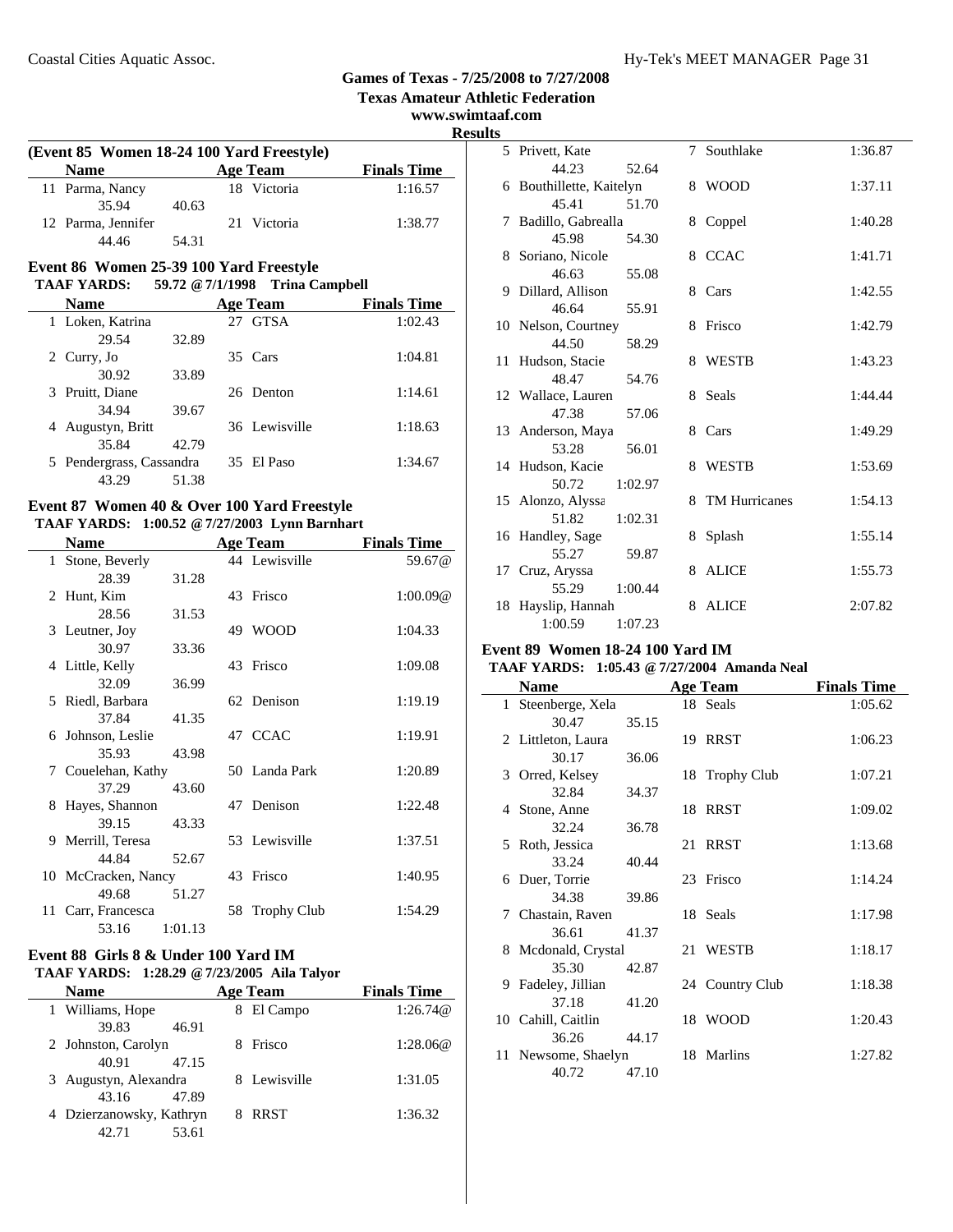**Texas Amateur Athletic Federation**

**www.swimtaaf.com**

 $\overline{\phantom{0}}$ 

**Results**

| (Event 85 Women 18-24 100 Yard Freestyle) |       |                 |                    |
|-------------------------------------------|-------|-----------------|--------------------|
| <b>Name</b>                               |       | <b>Age Team</b> | <b>Finals Time</b> |
| 11 Parma, Nancy                           |       | 18 Victoria     | 1:16.57            |
| 35.94                                     | 40.63 |                 |                    |
| 12 Parma, Jennifer                        |       | 21 Victoria     | 1:38.77            |
| 44 46                                     | 54.31 |                 |                    |

#### **Event 86 Women 25-39 100 Yard Freestyle TAAF YARDS: 59.72 @7/1/1998 Trina Campbell**

| <b>Name</b>              |       |    | <b>Age Team</b> | <b>Finals Time</b> |
|--------------------------|-------|----|-----------------|--------------------|
| 1 Loken, Katrina         |       | 27 | <b>GTSA</b>     | 1:02.43            |
| 29.54                    | 32.89 |    |                 |                    |
| 2 Curry, Jo              |       |    | 35 Cars         | 1:04.81            |
| 30.92                    | 33.89 |    |                 |                    |
| 3 Pruitt, Diane          |       |    | 26 Denton       | 1:14.61            |
| 34.94                    | 39.67 |    |                 |                    |
| Augustyn, Britt<br>4     |       |    | 36 Lewisville   | 1:18.63            |
| 35.84                    | 42.79 |    |                 |                    |
| 5 Pendergrass, Cassandra |       |    | 35 El Paso      | 1:34.67            |
| 43.29                    | 51.38 |    |                 |                    |

### **Event 87 Women 40 & Over 100 Yard Freestyle**

### **TAAF YARDS: 1:00.52 @7/27/2003 Lynn Barnhart**

|   | <b>Name</b>         |         |    | <b>Age Team</b>    | <b>Finals Time</b> |
|---|---------------------|---------|----|--------------------|--------------------|
|   | 1 Stone, Beverly    |         |    | 44 Lewisville      | 59.67 <sub>@</sub> |
|   | 28.39               | 31.28   |    |                    |                    |
|   | 2 Hunt, Kim         |         |    | 43 Frisco          | 1:00.09@           |
|   | 28.56               | 31.53   |    |                    |                    |
|   | 3 Leutner, Joy      |         |    | 49 WOOD            | 1:04.33            |
|   | 30.97               | 33.36   |    |                    |                    |
|   | 4 Little, Kelly     |         |    | 43 Frisco          | 1:09.08            |
|   | 32.09               | 36.99   |    |                    |                    |
|   | 5 Riedl, Barbara    |         |    | 62 Denison         | 1:19.19            |
|   | 37.84               | 41.35   |    |                    |                    |
|   | 6 Johnson, Leslie   |         |    | 47 CCAC            | 1:19.91            |
|   | 35.93               | 43.98   |    |                    |                    |
|   | 7 Couelehan, Kathy  |         |    | 50 Landa Park      | 1:20.89            |
|   | 37.29               | 43.60   |    |                    |                    |
| 8 | Hayes, Shannon      |         |    | 47 Denison         | 1:22.48            |
|   | 39.15               | 43.33   |    |                    |                    |
|   | 9 Merrill, Teresa   |         |    | 53 Lewisville      | 1:37.51            |
|   | 44.84               | 52.67   |    |                    |                    |
|   | 10 McCracken, Nancy |         | 43 | Frisco             | 1:40.95            |
|   | 49.68               | 51.27   |    |                    |                    |
|   | 11 Carr, Francesca  |         | 58 | <b>Trophy Club</b> | 1:54.29            |
|   | 53.16               | 1:01.13 |    |                    |                    |

#### **Event 88 Girls 8 & Under 100 Yard IM TAAF YARDS: 1:28.29 @7/23/2005 Aila Talyor**

| <b>Name</b>              | <b>Age Team</b> | <b>Finals Time</b> |
|--------------------------|-----------------|--------------------|
| 1 Williams, Hope         | El Campo        | 1:26.74@           |
| 39.83<br>46.91           |                 |                    |
| 2 Johnston, Carolyn      | Frisco          | 1:28.06@           |
| 40.91<br>47.15           |                 |                    |
| 3 Augustyn, Alexandra    | 8 Lewisville    | 1:31.05            |
| 47.89<br>43.16           |                 |                    |
| 4 Dzierzanowsky, Kathryn | <b>RRST</b>     | 1:36.32            |
| 53.61<br>42.71           |                 |                    |

| lэ |                          |         |   |                 |         |
|----|--------------------------|---------|---|-----------------|---------|
|    | 5 Privett, Kate          |         |   | 7 Southlake     | 1:36.87 |
|    | 44.23                    | 52.64   |   |                 |         |
|    | 6 Bouthillette, Kaitelyn |         |   | 8 WOOD          | 1:37.11 |
|    | 45.41                    | 51.70   |   |                 |         |
|    | 7 Badillo, Gabrealla     |         | 8 | Coppel          | 1:40.28 |
|    | 45.98                    | 54.30   |   |                 |         |
|    | 8 Soriano, Nicole        |         | 8 | <b>CCAC</b>     | 1:41.71 |
|    | 46.63                    | 55.08   |   |                 |         |
|    | 9 Dillard, Allison       |         | 8 | Cars            | 1:42.55 |
|    | 46.64                    | 55.91   |   |                 |         |
|    | 10 Nelson, Courtney      |         | 8 | Frisco          | 1:42.79 |
|    | 44.50                    | 58.29   |   |                 |         |
|    | 11 Hudson, Stacie        |         | 8 | WESTB           | 1:43.23 |
|    | 48.47                    | 54.76   |   |                 |         |
|    | 12 Wallace, Lauren       |         | 8 | Seals           | 1:44.44 |
|    | 47.38                    | 57.06   |   |                 |         |
|    | 13 Anderson, Maya        |         | 8 | Cars            | 1:49.29 |
|    | 53.28                    | 56.01   |   |                 |         |
|    | 14 Hudson, Kacie         |         | 8 | <b>WESTB</b>    | 1:53.69 |
|    | 50.72                    | 1:02.97 |   |                 |         |
|    | 15 Alonzo, Alyssa        |         |   | 8 TM Hurricanes | 1:54.13 |
|    | 51.82                    | 1:02.31 |   |                 |         |
|    | 16 Handley, Sage         |         | 8 | Splash          | 1:55.14 |
|    | 55.27                    | 59.87   |   |                 |         |
|    | 17 Cruz, Aryssa          |         | 8 | <b>ALICE</b>    | 1:55.73 |
|    | 55.29                    | 1:00.44 |   |                 |         |
|    | 18 Hayslip, Hannah       |         | 8 | <b>ALICE</b>    | 2:07.82 |
|    | 1:00.59                  | 1:07.23 |   |                 |         |

### **Event 89 Women 18-24 100 Yard IM**

### **TAAF YARDS: 1:05.43 @7/27/2004 Amanda Neal**

| <b>Name</b>         |       | <b>Age Team</b> | <b>Finals Time</b> |
|---------------------|-------|-----------------|--------------------|
| 1 Steenberge, Xela  |       | 18 Seals        | 1:05.62            |
| 30.47               | 35.15 |                 |                    |
| 2 Littleton, Laura  |       | 19 RRST         | 1:06.23            |
| 30.17               | 36.06 |                 |                    |
| 3 Orred, Kelsey     |       | 18 Trophy Club  | 1:07.21            |
| 32.84               | 34.37 |                 |                    |
| 4 Stone, Anne       |       | 18 RRST         | 1:09.02            |
| 32.24               | 36.78 |                 |                    |
| 5 Roth, Jessica     |       | 21 RRST         | 1:13.68            |
| 33.24               | 40.44 |                 |                    |
| 6 Duer, Torrie      |       | 23 Frisco       | 1:14.24            |
| 34.38               | 39.86 |                 |                    |
| 7 Chastain, Raven   |       | 18 Seals        | 1:17.98            |
| 36.61               | 41.37 |                 |                    |
| 8 Mcdonald, Crystal |       | 21 WESTB        | 1:18.17            |
| 35.30               | 42.87 |                 |                    |
| 9 Fadeley, Jillian  |       | 24 Country Club | 1:18.38            |
| 37.18               | 41.20 |                 |                    |
| 10 Cahill, Caitlin  |       | 18 WOOD         | 1:20.43            |
| 36.26               | 44.17 |                 |                    |
| 11 Newsome, Shaelyn |       | 18 Marlins      | 1:27.82            |
| 40.72               | 47.10 |                 |                    |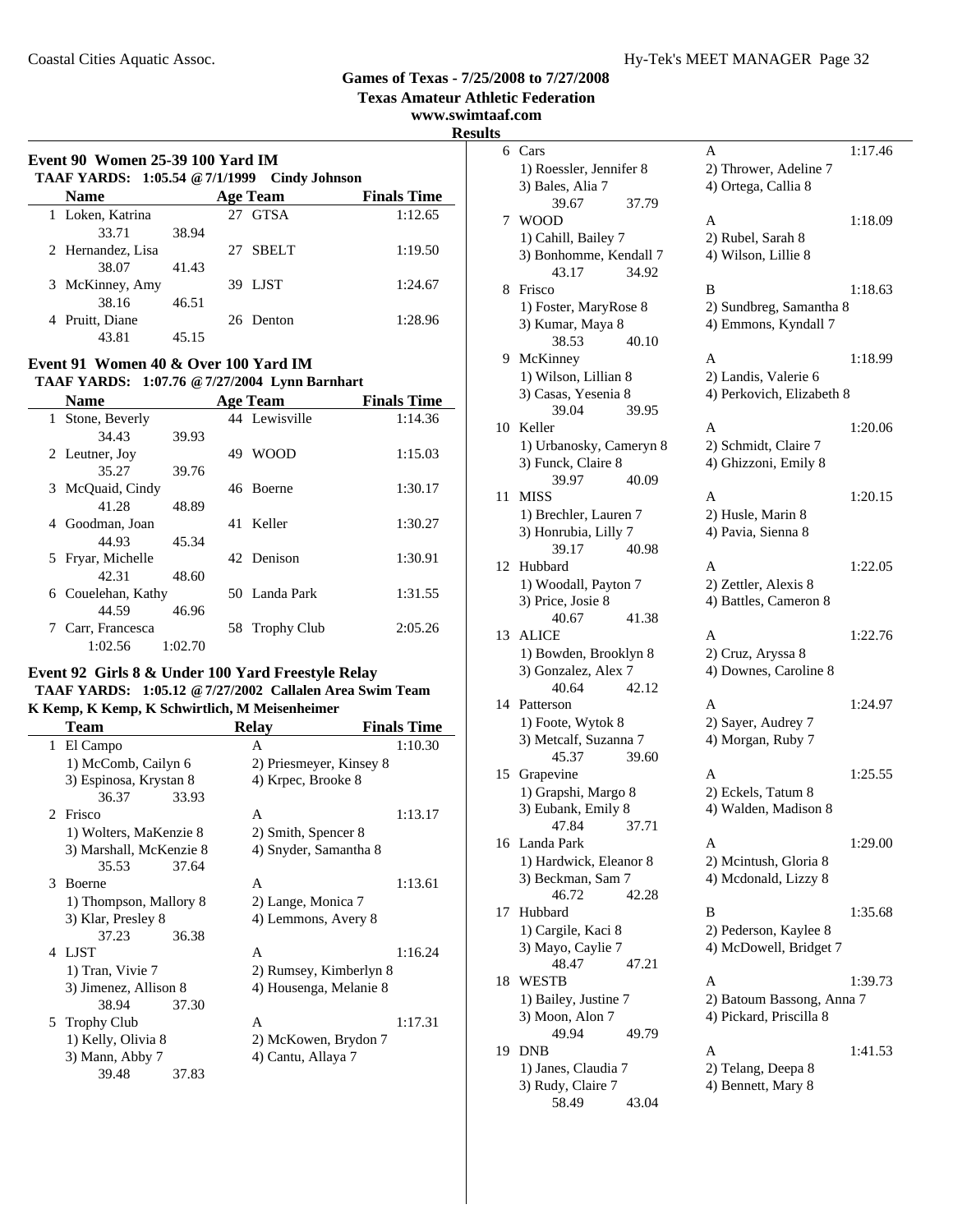**Texas Amateur Athletic Federation**

**www.swimtaaf.com**

### **Event 90 Women 25-39 100 Yard IM TAAF YARDS: 1:05.54 @7/1/1999 Cindy Johnson Name Age Team Finals Time** 1 Loken, Katrina 27 GTSA 1:12.65 33.71 38.94 2 1:19.50 Hernandez, Lisa 27 SBELT

| 38.07           | 41.43 |           |         |
|-----------------|-------|-----------|---------|
| 3 McKinney, Amy |       | 39 LJST   | 1:24.67 |
| 38.16           | 46.51 |           |         |
| 4 Pruitt, Diane |       | 26 Denton | 1:28.96 |
| 43.81           | 45.15 |           |         |

#### **Event 91 Women 40 & Over 100 Yard IM TAAF YARDS: 1:07.76 @7/27/2004 Lynn Barnhart**

|   | TAAF TANDS: 1,07,70 @ 7/27/2004 LVIIII Daliilialt |         |    |                 |                    |  |
|---|---------------------------------------------------|---------|----|-----------------|--------------------|--|
|   | <b>Name</b>                                       |         |    | <b>Age Team</b> | <b>Finals Time</b> |  |
|   | 1 Stone, Beverly                                  |         |    | 44 Lewisville   | 1:14.36            |  |
|   | 34.43                                             | 39.93   |    |                 |                    |  |
|   | 2 Leutner, Joy                                    |         | 49 | <b>WOOD</b>     | 1:15.03            |  |
|   | 35.27                                             | 39.76   |    |                 |                    |  |
|   | 3 McQuaid, Cindy                                  |         |    | 46 Boerne       | 1:30.17            |  |
|   | 41.28                                             | 48.89   |    |                 |                    |  |
| 4 | Goodman, Joan                                     |         |    | 41 Keller       | 1:30.27            |  |
|   | 44.93                                             | 45.34   |    |                 |                    |  |
|   | 5 Fryar, Michelle                                 |         |    | 42 Denison      | 1:30.91            |  |
|   | 42.31                                             | 48.60   |    |                 |                    |  |
|   | 6 Couelehan, Kathy                                |         |    | 50 Landa Park   | 1:31.55            |  |
|   | 44.59                                             | 46.96   |    |                 |                    |  |
|   | Carr, Francesca                                   |         |    | 58 Trophy Club  | 2:05.26            |  |
|   | 1:02.56                                           | 1:02.70 |    |                 |                    |  |

#### **Event 92 Girls 8 & Under 100 Yard Freestyle Relay TAAF YARDS: 1:05.12 @7/27/2002 Callalen Area Swim Team**

**K Kemp, K Kemp, K Schwirtlich, M Meisenheimer**

|                | Team                    |       | <b>Relay</b>            | <b>Finals Time</b> |
|----------------|-------------------------|-------|-------------------------|--------------------|
|                | 1 El Campo              |       | A                       | 1:10.30            |
|                | 1) McComb, Cailyn 6     |       | 2) Priesmeyer, Kinsey 8 |                    |
|                | 3) Espinosa, Krystan 8  |       | 4) Krpec, Brooke 8      |                    |
|                | 36.37                   | 33.93 |                         |                    |
| $\mathfrak{D}$ | Frisco                  |       | A                       | 1:13.17            |
|                | 1) Wolters, MaKenzie 8  |       | 2) Smith, Spencer 8     |                    |
|                | 3) Marshall, McKenzie 8 |       | 4) Snyder, Samantha 8   |                    |
|                | 35.53                   | 37.64 |                         |                    |
| 3              | Boerne                  |       | A                       | 1:13.61            |
|                | 1) Thompson, Mallory 8  |       | 2) Lange, Monica 7      |                    |
|                | 3) Klar, Presley 8      |       | 4) Lemmons, Avery 8     |                    |
|                | 37.23                   | 36.38 |                         |                    |
| 4              | LJST                    |       | A                       | 1:16.24            |
|                | 1) Tran, Vivie 7        |       | 2) Rumsey, Kimberlyn 8  |                    |
|                | 3) Jimenez, Allison 8   |       | 4) Housenga, Melanie 8  |                    |
|                | 38.94                   | 37.30 |                         |                    |
|                | 5 Trophy Club           |       | A                       | 1:17.31            |
|                | 1) Kelly, Olivia 8      |       | 2) McKowen, Brydon 7    |                    |
|                | 3) Mann, Abby 7         |       | 4) Cantu, Allaya 7      |                    |
|                | 39.48                   | 37.83 |                         |                    |

| swimtaal.com<br><b>Results</b> |                                         |                                                 |         |
|--------------------------------|-----------------------------------------|-------------------------------------------------|---------|
|                                | 6 Cars                                  | A                                               | 1:17.46 |
|                                | 1) Roessler, Jennifer 8                 | 2) Thrower, Adeline 7                           |         |
|                                | 3) Bales, Alia 7                        | 4) Ortega, Callia 8                             |         |
|                                | 39.67<br>37.79                          |                                                 |         |
|                                | 7 WOOD                                  | A                                               | 1:18.09 |
|                                | 1) Cahill, Bailey 7                     | 2) Rubel, Sarah 8                               |         |
|                                | 3) Bonhomme, Kendall 7                  | 4) Wilson, Lillie 8                             |         |
|                                | 34.92<br>43.17                          |                                                 |         |
|                                | 8 Frisco                                | B                                               | 1:18.63 |
|                                | 1) Foster, MaryRose 8                   | 2) Sundbreg, Samantha 8                         |         |
|                                | 3) Kumar, Maya 8                        | 4) Emmons, Kyndall 7                            |         |
|                                | 38.53<br>40.10<br>9 McKinney            | A                                               | 1:18.99 |
|                                | 1) Wilson, Lillian 8                    | 2) Landis, Valerie 6                            |         |
|                                | 3) Casas, Yesenia 8                     | 4) Perkovich, Elizabeth 8                       |         |
|                                | 39.04<br>39.95                          |                                                 |         |
|                                | 10 Keller                               | A                                               | 1:20.06 |
|                                | 1) Urbanosky, Cameryn 8                 | 2) Schmidt, Claire 7                            |         |
|                                | 3) Funck, Claire 8                      | 4) Ghizzoni, Emily 8                            |         |
|                                | 40.09<br>39.97                          |                                                 |         |
|                                | 11 MISS                                 | A                                               | 1:20.15 |
|                                | 1) Brechler, Lauren 7                   | 2) Husle, Marin 8                               |         |
|                                | 3) Honrubia, Lilly 7                    | 4) Pavia, Sienna 8                              |         |
|                                | 39.17<br>40.98<br>12 Hubbard            | A                                               | 1:22.05 |
|                                | 1) Woodall, Payton 7                    | 2) Zettler, Alexis 8                            |         |
|                                | 3) Price, Josie 8                       | 4) Battles, Cameron 8                           |         |
|                                | 40.67<br>41.38                          |                                                 |         |
|                                | 13 ALICE                                | A                                               | 1:22.76 |
|                                | 1) Bowden, Brooklyn 8                   | 2) Cruz, Aryssa 8                               |         |
|                                | 3) Gonzalez, Alex 7                     | 4) Downes, Caroline 8                           |         |
|                                | 40.64<br>42.12                          |                                                 |         |
|                                | 14 Patterson                            | A                                               | 1:24.97 |
|                                | 1) Foote, Wytok 8                       | 2) Sayer, Audrey 7                              |         |
|                                | 3) Metcalf, Suzanna 7<br>45.37<br>39.60 | 4) Morgan, Ruby 7                               |         |
|                                | 15 Grapevine                            | A                                               | 1:25.55 |
|                                | 1) Grapshi, Margo 8                     | 2) Eckels, Tatum 8                              |         |
|                                | 3) Eubank, Emily 8                      | 4) Walden, Madison 8                            |         |
|                                | 47.84<br>37.71                          |                                                 |         |
|                                | 16 Landa Park                           | A                                               | 1:29.00 |
|                                | 1) Hardwick, Eleanor 8                  | 2) Mcintush, Gloria 8                           |         |
|                                | 3) Beckman, Sam 7                       | 4) Mcdonald, Lizzy 8                            |         |
|                                | 46.72<br>42.28                          |                                                 |         |
|                                | 17 Hubbard                              | B                                               | 1:35.68 |
|                                | 1) Cargile, Kaci 8<br>3) Mayo, Caylie 7 | 2) Pederson, Kaylee 8<br>4) McDowell, Bridget 7 |         |
|                                | 48.47<br>47.21                          |                                                 |         |
| 18                             | WESTB                                   | A                                               | 1:39.73 |
|                                | 1) Bailey, Justine 7                    | 2) Batoum Bassong, Anna 7                       |         |
|                                | 3) Moon, Alon 7                         | 4) Pickard, Priscilla 8                         |         |
|                                | 49.94<br>49.79                          |                                                 |         |
|                                | 19 DNB                                  | A                                               | 1:41.53 |
|                                | 1) Janes, Claudia 7                     | 2) Telang, Deepa 8                              |         |
|                                | 3) Rudy, Claire 7                       | 4) Bennett, Mary 8                              |         |
|                                | 43.04<br>58.49                          |                                                 |         |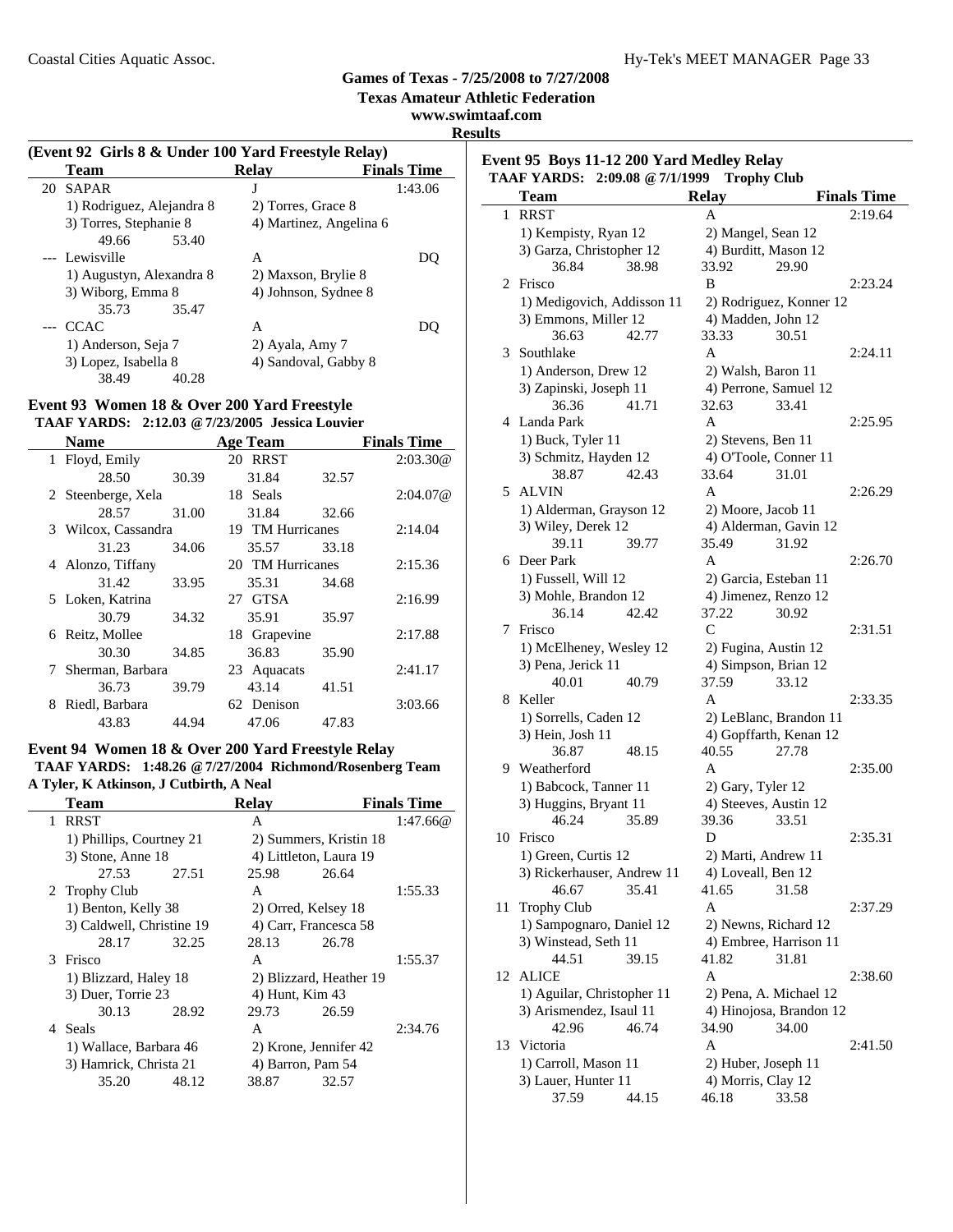**Texas Amateur Athletic Federation**

**www.swimtaaf.com**

**Results**

### **(Event 92 Girls 8 & Under 100 Yard Freestyle Relay) Team Relay Finals Time**<br>SAPAR **J** 1:43.06 20 SAPAR J 1) Rodriguez, Alejandra 8 2) Torres, Grace 8 3) Torres, Stephanie 8 4) Martinez, Angelina 6 49.66 53.40 --- Lewisville A DQ 1) Augustyn, Alexandra 8 2) Maxson, Brylie 8 3) Wiborg, Emma 8 4) Johnson, Sydnee 8 35.73 35.47 35.47 --- CCAC A DQ 1) Anderson, Seja 7 2) Ayala, Amy 7 3) Lopez, Isabella 8 4) Sandoval, Gabby 8 38.49 40.28

#### **Event 93 Women 18 & Over 200 Yard Freestyle TAAF YARDS: 2:12.03 @7/23/2005 Jessica Louvier**

|   | <b>Name</b>         |       | <b>Age Team</b>  |       | <b>Finals Time</b> |
|---|---------------------|-------|------------------|-------|--------------------|
|   | 1 Floyd, Emily      |       | 20 RRST          |       | 2:03.30@           |
|   | 28.50               | 30.39 | 31.84            | 32.57 |                    |
|   | 2 Steenberge, Xela  |       | 18 Seals         |       | 2:04.07@           |
|   | 28.57               | 31.00 | 31.84            | 32.66 |                    |
|   | 3 Wilcox, Cassandra |       | 19 TM Hurricanes |       | 2:14.04            |
|   | 31.23               | 34.06 | 35.57            | 33.18 |                    |
|   | 4 Alonzo, Tiffany   |       | 20 TM Hurricanes |       | 2:15.36            |
|   | 31.42               | 33.95 | 35.31            | 34.68 |                    |
|   | 5 Loken, Katrina    |       | 27 GTSA          |       | 2:16.99            |
|   | 30.79               | 34.32 | 35.91            | 35.97 |                    |
|   | 6 Reitz, Mollee     |       | 18 Grapevine     |       | 2:17.88            |
|   | 30.30               | 34.85 | 36.83            | 35.90 |                    |
|   | 7 Sherman, Barbara  |       | 23 Aquacats      |       | 2:41.17            |
|   | 36.73               | 39.79 | 43.14            | 41.51 |                    |
| 8 | Riedl, Barbara      |       | 62 Denison       |       | 3:03.66            |
|   | 43.83               | 44.94 | 47.06            | 47.83 |                    |

### **Event 94 Women 18 & Over 200 Yard Freestyle Relay TAAF YARDS: 1:48.26 @7/27/2004 Richmond/Rosenberg Team A Tyler, K Atkinson, J Cutbirth, A Neal**

|              | <b>Team</b>               |       | <b>Relay</b>           |                         | <b>Finals Time</b> |
|--------------|---------------------------|-------|------------------------|-------------------------|--------------------|
| $\mathbf{1}$ | <b>RRST</b>               |       | A                      |                         | 1:47.66@           |
|              | 1) Phillips, Courtney 21  |       |                        | 2) Summers, Kristin 18  |                    |
|              | 3) Stone, Anne 18         |       | 4) Littleton, Laura 19 |                         |                    |
|              | 27.53                     | 27.51 | 25.98                  | 26.64                   |                    |
|              | 2 Trophy Club             |       | A                      |                         | 1:55.33            |
|              | 1) Benton, Kelly 38       |       | 2) Orred, Kelsey 18    |                         |                    |
|              | 3) Caldwell, Christine 19 |       | 4) Carr, Francesca 58  |                         |                    |
|              | 28.17                     | 32.25 | 28.13                  | 26.78                   |                    |
| 3            | Frisco                    |       | A                      |                         | 1:55.37            |
|              | 1) Blizzard, Haley 18     |       |                        | 2) Blizzard, Heather 19 |                    |
|              | 3) Duer, Torrie 23        |       | 4) Hunt, Kim 43        |                         |                    |
|              | 30.13                     | 28.92 | 29.73                  | 26.59                   |                    |
|              | 4 Seals                   |       | A                      |                         | 2:34.76            |
|              | 1) Wallace, Barbara 46    |       | 2) Krone, Jennifer 42  |                         |                    |
|              | 3) Hamrick, Christa 21    |       | 4) Barron, Pam 54      |                         |                    |
|              | 35.20                     | 48.12 | 38.87                  | 32.57                   |                    |
|              |                           |       |                        |                         |                    |

#### **Event 95 Boys 11-12 200 Yard Medley Relay TAAF YARDS: 2:09.08 @7/1/1999 Trophy Club**

|    | AAF TAKDS: 2:09.00 $\otimes$ //1/1999 - 1 rophy Club |                         |                    |
|----|------------------------------------------------------|-------------------------|--------------------|
|    | <b>Team</b>                                          | <b>Relay</b>            | <b>Finals Time</b> |
| 1  | <b>RRST</b>                                          | A                       | 2:19.64            |
|    | 1) Kempisty, Ryan 12                                 | 2) Mangel, Sean 12      |                    |
|    | 3) Garza, Christopher 12                             | 4) Burditt, Mason 12    |                    |
|    | 36.84<br>38.98                                       | 33.92<br>29.90          |                    |
| 2  | Frisco                                               | B                       | 2:23.24            |
|    | 1) Medigovich, Addisson 11                           | 2) Rodriguez, Konner 12 |                    |
|    | 3) Emmons, Miller 12                                 | 4) Madden, John 12      |                    |
|    | 36.63<br>42.77                                       | 33.33<br>30.51          |                    |
| 3  | Southlake                                            | A                       | 2:24.11            |
|    | 1) Anderson, Drew 12                                 | 2) Walsh, Baron 11      |                    |
|    | 3) Zapinski, Joseph 11                               | 4) Perrone, Samuel 12   |                    |
|    | 36.36<br>41.71                                       | 32.63<br>33.41          |                    |
| 4  | Landa Park                                           | A                       | 2:25.95            |
|    | 1) Buck, Tyler 11                                    | 2) Stevens, Ben 11      |                    |
|    | 3) Schmitz, Hayden 12                                | 4) O'Toole, Conner 11   |                    |
|    | 38.87<br>42.43                                       | 33.64<br>31.01          |                    |
| 5. | ALVIN                                                | A                       | 2:26.29            |
|    |                                                      |                         |                    |
|    | 1) Alderman, Grayson 12                              | 2) Moore, Jacob 11      |                    |
|    | 3) Wiley, Derek 12                                   | 4) Alderman, Gavin 12   |                    |
|    | 39.11<br>39.77                                       | 35.49<br>31.92          |                    |
| 6  | Deer Park                                            | A                       | 2:26.70            |
|    | 1) Fussell, Will 12                                  | 2) Garcia, Esteban 11   |                    |
|    | 3) Mohle, Brandon 12                                 | 4) Jimenez, Renzo 12    |                    |
|    | 36.14<br>42.42                                       | 37.22<br>30.92          |                    |
| 7  | Frisco                                               | C                       | 2:31.51            |
|    | 1) McElheney, Wesley 12                              | 2) Fugina, Austin 12    |                    |
|    | 3) Pena, Jerick 11                                   | 4) Simpson, Brian 12    |                    |
|    | 40.01<br>40.79                                       | 37.59<br>33.12          |                    |
| 8  | Keller                                               | A                       | 2:33.35            |
|    | 1) Sorrells, Caden 12                                | 2) LeBlanc, Brandon 11  |                    |
|    | 3) Hein, Josh 11                                     | 4) Gopffarth, Kenan 12  |                    |
|    | 36.87<br>48.15                                       | 40.55<br>27.78          |                    |
|    | 9 Weatherford                                        | A                       | 2:35.00            |
|    | 1) Babcock, Tanner 11                                | 2) Gary, Tyler 12       |                    |
|    | 3) Huggins, Bryant 11                                | 4) Steeves, Austin 12   |                    |
|    | 46.24<br>35.89                                       | 33.51<br>39.36          |                    |
| 10 | Frisco                                               | D                       | 2:35.31            |
|    | 1) Green, Curtis 12                                  | 2) Marti, Andrew 11     |                    |
|    | 3) Rickerhauser, Andrew 11                           | 4) Loveall, Ben 12      |                    |
|    | 35.41<br>46.67                                       | 41.65<br>31.58          |                    |
| 11 | <b>Trophy Club</b>                                   | A                       | 2:37.29            |
|    | 1) Sampognaro, Daniel 12                             | 2) Newns, Richard 12    |                    |
|    | 3) Winstead, Seth 11                                 | 4) Embree, Harrison 11  |                    |
|    | 44.51<br>39.15                                       | 41.82<br>31.81          |                    |
| 12 | <b>ALICE</b>                                         | Α                       | 2:38.60            |
|    | 1) Aguilar, Christopher 11                           | 2) Pena, A. Michael 12  |                    |
|    | 3) Arismendez, Isaul 11                              | 4) Hinojosa, Brandon 12 |                    |
|    | 42.96<br>46.74                                       | 34.90<br>34.00          |                    |
| 13 | Victoria                                             | Α                       | 2:41.50            |
|    |                                                      |                         |                    |
|    | 1) Carroll, Mason 11                                 | 2) Huber, Joseph 11     |                    |
|    | 3) Lauer, Hunter 11                                  | 4) Morris, Clay 12      |                    |
|    | 37.59<br>44.15                                       | 46.18<br>33.58          |                    |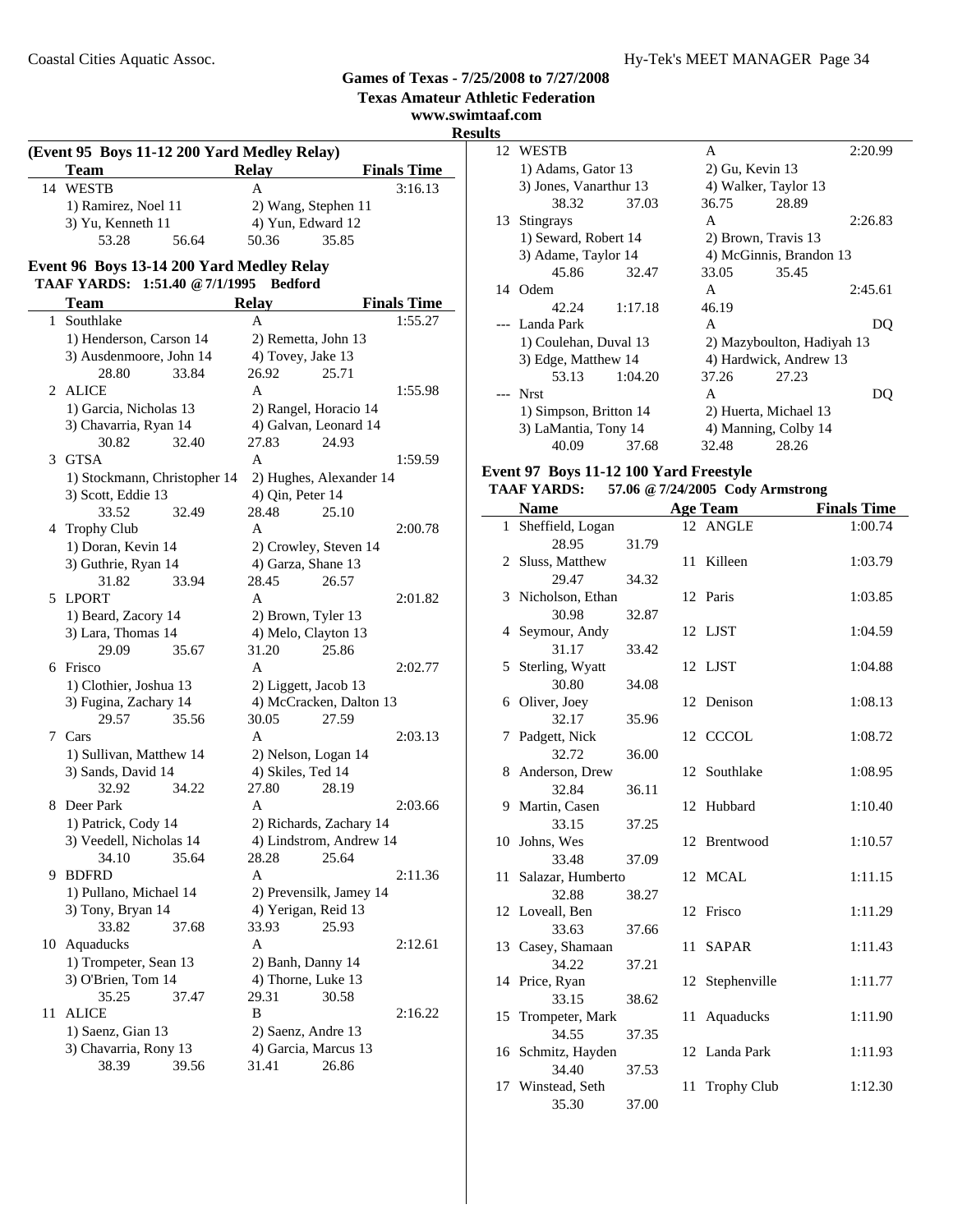**www.swimtaaf.com**

# **Results**

| (Event 95 Boys 11-12 200 Yard Medley Relay) |                                                                             |                                                |                    |  |  |
|---------------------------------------------|-----------------------------------------------------------------------------|------------------------------------------------|--------------------|--|--|
|                                             | Team                                                                        | <b>Relay</b>                                   | <b>Finals Time</b> |  |  |
| 14                                          | <b>WESTB</b>                                                                | A                                              | 3:16.13            |  |  |
|                                             | 1) Ramirez, Noel 11                                                         | 2) Wang, Stephen 11                            |                    |  |  |
|                                             | 3) Yu, Kenneth 11                                                           | 4) Yun, Edward 12                              |                    |  |  |
|                                             | 56.64<br>53.28                                                              | 50.36<br>35.85                                 |                    |  |  |
|                                             |                                                                             |                                                |                    |  |  |
|                                             | Event 96 Boys 13-14 200 Yard Medley Relay<br>TAAF YARDS: 1:51.40 @ 7/1/1995 | <b>Bedford</b>                                 |                    |  |  |
|                                             |                                                                             |                                                |                    |  |  |
|                                             | <b>Team</b>                                                                 | <b>Relay</b><br>A                              | <b>Finals Time</b> |  |  |
|                                             | 1 Southlake                                                                 |                                                | 1:55.27            |  |  |
|                                             | 1) Henderson, Carson 14                                                     | 2) Remetta, John 13                            |                    |  |  |
|                                             | 3) Ausdenmoore, John 14<br>28.80<br>33.84                                   | 4) Tovey, Jake 13<br>26.92<br>25.71            |                    |  |  |
| 2                                           | ALICE                                                                       | A                                              |                    |  |  |
|                                             | 1) Garcia, Nicholas 13                                                      |                                                | 1:55.98            |  |  |
|                                             | 3) Chavarria, Ryan 14                                                       | 2) Rangel, Horacio 14<br>4) Galvan, Leonard 14 |                    |  |  |
|                                             | 32.40<br>30.82                                                              | 24.93<br>27.83                                 |                    |  |  |
|                                             | 3 GTSA                                                                      | A                                              | 1:59.59            |  |  |
|                                             | 1) Stockmann, Christopher 14                                                | 2) Hughes, Alexander 14                        |                    |  |  |
|                                             | 3) Scott, Eddie 13                                                          | 4) Qin, Peter 14                               |                    |  |  |
|                                             | 33.52<br>32.49                                                              | 28.48<br>25.10                                 |                    |  |  |
|                                             | 4 Trophy Club                                                               | A                                              | 2:00.78            |  |  |
|                                             | 1) Doran, Kevin 14                                                          | 2) Crowley, Steven 14                          |                    |  |  |
|                                             | 3) Guthrie, Ryan 14                                                         | 4) Garza, Shane 13                             |                    |  |  |
|                                             | 31.82<br>33.94                                                              | 28.45<br>26.57                                 |                    |  |  |
| 5.                                          | <b>LPORT</b>                                                                | A                                              | 2:01.82            |  |  |
|                                             | 1) Beard, Zacory 14                                                         | 2) Brown, Tyler 13                             |                    |  |  |
|                                             | 3) Lara, Thomas 14                                                          | 4) Melo, Clayton 13                            |                    |  |  |
|                                             | 29.09<br>35.67                                                              | 31.20<br>25.86                                 |                    |  |  |
| 6                                           | Frisco                                                                      | A                                              | 2:02.77            |  |  |
|                                             | 1) Clothier, Joshua 13                                                      | 2) Liggett, Jacob 13                           |                    |  |  |
|                                             | 3) Fugina, Zachary 14                                                       | 4) McCracken, Dalton 13                        |                    |  |  |
|                                             | 29.57<br>35.56                                                              | 30.05<br>27.59                                 |                    |  |  |
| 7                                           | Cars                                                                        | A                                              | 2:03.13            |  |  |
|                                             | 1) Sullivan, Matthew 14                                                     | 2) Nelson, Logan 14                            |                    |  |  |
|                                             | 3) Sands, David 14                                                          | 4) Skiles, Ted 14                              |                    |  |  |
|                                             | 32.92<br>34.22                                                              | 27.80<br>28.19                                 |                    |  |  |
| 8                                           | Deer Park                                                                   | A                                              | 2:03.66            |  |  |
|                                             | 1) Patrick, Cody 14                                                         | 2) Richards, Zachary 14                        |                    |  |  |
|                                             | 3) Veedell, Nicholas 14<br>34.10<br>35.64                                   | 4) Lindstrom, Andrew 14<br>28.28<br>25.64      |                    |  |  |
| 9                                           | <b>BDFRD</b>                                                                | A                                              | 2:11.36            |  |  |
|                                             | 1) Pullano, Michael 14                                                      | 2) Prevensilk, Jamey 14                        |                    |  |  |
|                                             | 3) Tony, Bryan 14                                                           | 4) Yerigan, Reid 13                            |                    |  |  |
|                                             | 33.82<br>37.68                                                              | 33.93<br>25.93                                 |                    |  |  |
| 10                                          | Aquaducks                                                                   | A                                              | 2:12.61            |  |  |
|                                             | 1) Trompeter, Sean 13                                                       | 2) Banh, Danny 14                              |                    |  |  |
|                                             | 3) O'Brien, Tom 14                                                          | 4) Thorne, Luke 13                             |                    |  |  |
|                                             | 35.25<br>37.47                                                              | 29.31<br>30.58                                 |                    |  |  |
| 11                                          | <b>ALICE</b>                                                                | B                                              | 2:16.22            |  |  |
|                                             | 1) Saenz, Gian 13                                                           | 2) Saenz, Andre 13                             |                    |  |  |
|                                             | 3) Chavarria, Rony 13                                                       | 4) Garcia, Marcus 13                           |                    |  |  |
|                                             | 38.39<br>39.56                                                              | 31.41<br>26.86                                 |                    |  |  |

|    | 12 WESTB               |         | A                          |                         | 2:20.99 |
|----|------------------------|---------|----------------------------|-------------------------|---------|
|    | 1) Adams, Gator 13     |         |                            | $2)$ Gu, Kevin 13       |         |
|    | 3) Jones, Vanarthur 13 |         |                            | 4) Walker, Taylor 13    |         |
|    | 38.32                  | 37.03   | 36.75                      | 28.89                   |         |
| 13 | <b>Stingrays</b>       |         | A                          |                         | 2:26.83 |
|    | 1) Seward, Robert 14   |         |                            | 2) Brown, Travis 13     |         |
|    | 3) Adame, Taylor 14    |         |                            | 4) McGinnis, Brandon 13 |         |
|    | 45.86                  | 32.47   | 33.05                      | 35.45                   |         |
| 14 | Odem                   |         | A                          |                         | 2:45.61 |
|    | 42.24                  | 1:17.18 | 46.19                      |                         |         |
|    | Landa Park             |         | A                          |                         | DO      |
|    | 1) Coulehan, Duval 13  |         | 2) Mazyboulton, Hadiyah 13 |                         |         |
|    | 3) Edge, Matthew 14    |         |                            | 4) Hardwick, Andrew 13  |         |
|    | 53.13                  | 1:04.20 | 37.26                      | 27.23                   |         |
|    | <b>Nrst</b>            |         | A                          |                         | DO)     |
|    | 1) Simpson, Britton 14 |         |                            | 2) Huerta, Michael 13   |         |
|    | 3) LaMantia, Tony 14   |         |                            | 4) Manning, Colby 14    |         |
|    | 40.09                  | 37.68   | 32.48                      | 28.26                   |         |
|    |                        |         |                            |                         |         |

### **Event 97 Boys 11-12 100 Yard Freestyle**

### **TAAF YARDS: 57.06 @7/24/2005 Cody Armstrong**

|    | <b>Name</b>                |       |    | <b>Age Team</b>    | <b>Finals Time</b> |
|----|----------------------------|-------|----|--------------------|--------------------|
|    | 1 Sheffield, Logan         |       |    | 12 ANGLE           | 1:00.74            |
|    | 28.95                      | 31.79 |    |                    |                    |
|    | 2 Sluss, Matthew           |       |    | 11 Killeen         | 1:03.79            |
|    | 29.47                      | 34.32 |    |                    |                    |
|    | 3 Nicholson, Ethan         |       |    | 12 Paris           | 1:03.85            |
|    | 30.98                      | 32.87 |    |                    |                    |
|    | 4 Seymour, Andy            |       |    | 12 LJST            | 1:04.59            |
|    | 31.17                      | 33.42 |    |                    |                    |
|    | 5 Sterling, Wyatt          |       |    | 12 LJST            | 1:04.88            |
|    | 30.80                      | 34.08 |    |                    |                    |
|    | 6 Oliver, Joey             |       |    | 12 Denison         | 1:08.13            |
|    | 32.17                      | 35.96 |    |                    |                    |
| 7  | Padgett, Nick              |       |    | 12 CCCOL           | 1:08.72            |
|    | 32.72                      | 36.00 |    |                    |                    |
|    | 8 Anderson, Drew           |       | 12 | Southlake          | 1:08.95            |
|    | 32.84                      | 36.11 |    |                    |                    |
|    | 9 Martin, Casen            |       | 12 | Hubbard            | 1:10.40            |
|    | 33.15                      | 37.25 |    |                    |                    |
|    | 10 Johns, Wes              |       |    | 12 Brentwood       | 1:10.57            |
|    | 33.48                      | 37.09 |    |                    |                    |
|    | 11 Salazar, Humberto       |       | 12 | <b>MCAL</b>        | 1:11.15            |
|    | 32.88                      | 38.27 |    |                    |                    |
|    | 12 Loveall, Ben<br>33.63   |       |    | 12 Frisco          | 1:11.29            |
|    |                            | 37.66 | 11 | <b>SAPAR</b>       | 1:11.43            |
|    | 13 Casey, Shamaan<br>34.22 | 37.21 |    |                    |                    |
|    | 14 Price, Ryan             |       |    | 12 Stephenville    | 1:11.77            |
|    | 33.15                      | 38.62 |    |                    |                    |
|    | 15 Trompeter, Mark         |       | 11 | Aquaducks          | 1:11.90            |
|    | 34.55                      | 37.35 |    |                    |                    |
|    | 16 Schmitz, Hayden         |       |    | 12 Landa Park      | 1:11.93            |
|    | 34.40                      | 37.53 |    |                    |                    |
| 17 | Winstead, Seth             |       | 11 | <b>Trophy Club</b> | 1:12.30            |
|    | 35.30                      | 37.00 |    |                    |                    |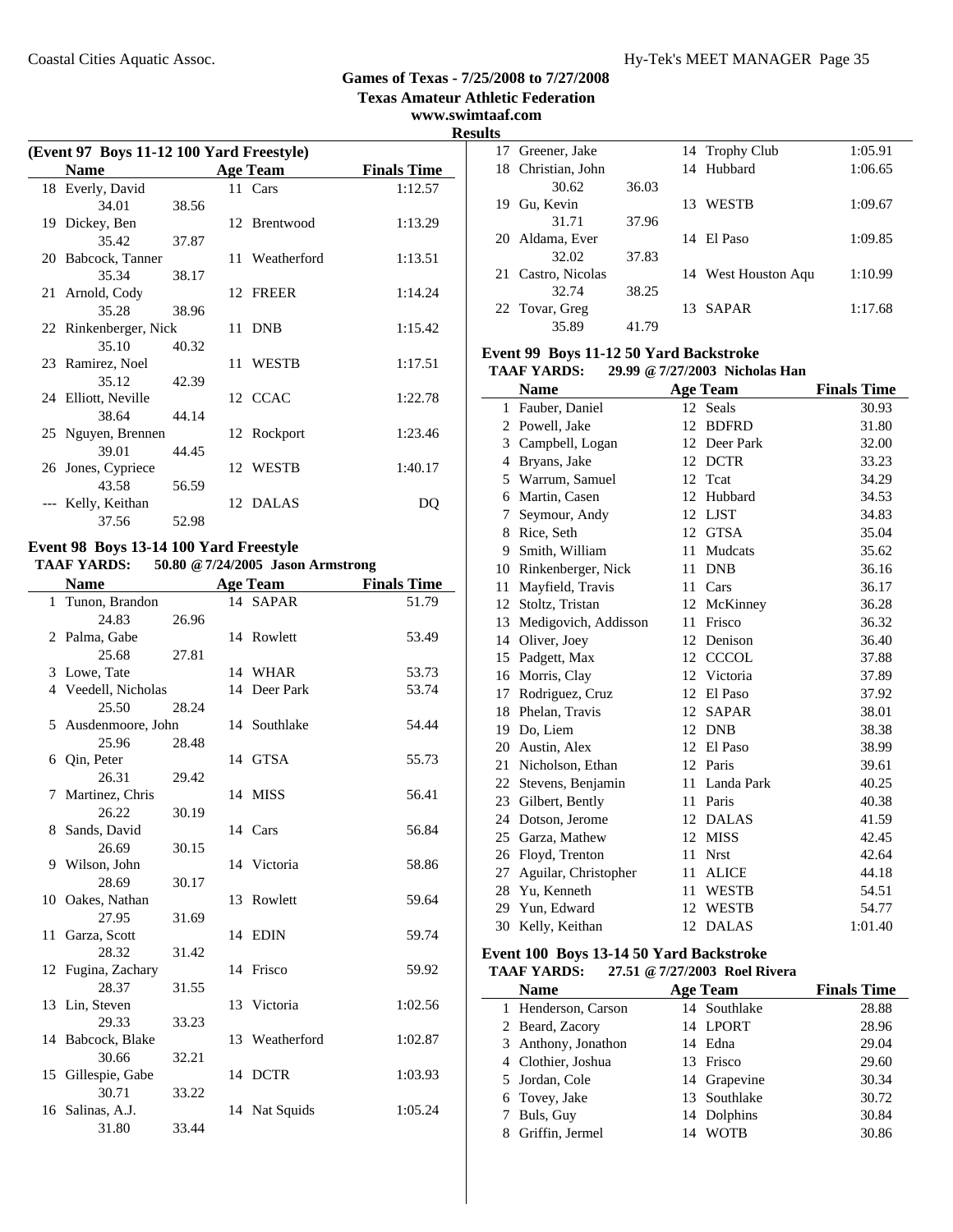**www.swimtaaf.com**

**Results**

| (Event 97 Boys 11-12 100 Yard Freestyle) |                       |       |  |                 |                    |
|------------------------------------------|-----------------------|-------|--|-----------------|--------------------|
|                                          | <b>Name</b>           |       |  | <b>Age Team</b> | <b>Finals Time</b> |
|                                          | 18 Everly, David      |       |  | 11 Cars         | 1:12.57            |
|                                          | 34.01                 | 38.56 |  |                 |                    |
|                                          | 19 Dickey, Ben        |       |  | 12 Brentwood    | 1:13.29            |
|                                          | 35.42                 | 37.87 |  |                 |                    |
|                                          | 20 Babcock, Tanner    |       |  | 11 Weatherford  | 1:13.51            |
|                                          | 35.34                 | 38.17 |  |                 |                    |
|                                          | 21 Arnold, Cody       |       |  | 12 FREER        | 1:14.24            |
|                                          | 35.28                 | 38.96 |  |                 |                    |
|                                          | 22 Rinkenberger, Nick |       |  | 11 DNB          | 1:15.42            |
|                                          | 35.10                 | 40.32 |  |                 |                    |
|                                          | 23 Ramirez, Noel      |       |  | 11 WESTB        | 1:17.51            |
|                                          | 35.12                 | 42.39 |  |                 |                    |
|                                          | 24 Elliott, Neville   |       |  | 12 CCAC         | 1:22.78            |
|                                          | 38.64                 | 44.14 |  |                 |                    |
|                                          | 25 Nguyen, Brennen    |       |  | 12 Rockport     | 1:23.46            |
|                                          | 39.01                 | 44.45 |  |                 |                    |
|                                          | 26 Jones, Cypriece    |       |  | 12 WESTB        | 1:40.17            |
|                                          | 43.58                 | 56.59 |  |                 |                    |
|                                          | Kelly, Keithan        |       |  | 12 DALAS        | DO                 |
|                                          | 37.56                 | 52.98 |  |                 |                    |

#### **Event 98 Boys 13-14 100 Yard Freestyle TAAF YARDS: 50.80 @7/24/2005 Jason Armstrong**

|              | <b>Name</b>         |       | <b>Age Team</b> | <b>Finals Time</b> |
|--------------|---------------------|-------|-----------------|--------------------|
| $\mathbf{1}$ | Tunon, Brandon      |       | 14 SAPAR        | 51.79              |
|              | 24.83               | 26.96 |                 |                    |
|              | 2 Palma, Gabe       |       | 14 Rowlett      | 53.49              |
|              | 25.68               | 27.81 |                 |                    |
|              | 3 Lowe, Tate        |       | 14 WHAR         | 53.73              |
|              | 4 Veedell, Nicholas |       | 14 Deer Park    | 53.74              |
|              | 25.50               | 28.24 |                 |                    |
|              | 5 Ausdenmoore, John |       | 14 Southlake    | 54.44              |
|              | 25.96               | 28.48 |                 |                    |
|              | 6 Oin, Peter        |       | 14 GTSA         | 55.73              |
|              | 26.31               | 29.42 |                 |                    |
|              | 7 Martinez, Chris   |       | 14 MISS         | 56.41              |
|              | 26.22               | 30.19 |                 |                    |
|              | 8 Sands, David      |       | 14 Cars         | 56.84              |
|              | 26.69               | 30.15 |                 |                    |
|              | 9 Wilson, John      |       | 14 Victoria     | 58.86              |
|              | 28.69               | 30.17 |                 |                    |
|              | 10 Oakes, Nathan    |       | 13 Rowlett      | 59.64              |
|              | 27.95               | 31.69 |                 |                    |
|              | 11 Garza, Scott     |       | 14 EDIN         | 59.74              |
|              | 28.32               | 31.42 |                 |                    |
|              | 12 Fugina, Zachary  |       | 14 Frisco       | 59.92              |
|              | 28.37               | 31.55 |                 |                    |
|              | 13 Lin, Steven      |       | 13 Victoria     | 1:02.56            |
|              | 29.33               | 33.23 |                 |                    |
|              | 14 Babcock, Blake   |       | 13 Weatherford  | 1:02.87            |
|              | 30.66               | 32.21 |                 |                    |
|              | 15 Gillespie, Gabe  |       | 14 DCTR         | 1:03.93            |
|              | 30.71               | 33.22 |                 |                    |
|              | 16 Salinas, A.J.    |       | 14 Nat Squids   | 1:05.24            |
|              | 31.80               | 33.44 |                 |                    |

|    | 17 Greener, Jake   |       |    | 14 Trophy Club      | 1:05.91 |
|----|--------------------|-------|----|---------------------|---------|
|    | 18 Christian, John |       |    | 14 Hubbard          | 1:06.65 |
|    | 30.62              | 36.03 |    |                     |         |
| 19 | Gu, Kevin          |       | 13 | <b>WESTB</b>        | 1:09.67 |
|    | 31.71              | 37.96 |    |                     |         |
| 20 | Aldama, Ever       |       |    | 14 El Paso          | 1:09.85 |
|    | 32.02              | 37.83 |    |                     |         |
| 21 | Castro, Nicolas    |       |    | 14 West Houston Aqu | 1:10.99 |
|    | 32.74              | 38.25 |    |                     |         |
|    | 22 Tovar, Greg     |       |    | 13 SAPAR            | 1:17.68 |
|    | 35.89              | 41.79 |    |                     |         |

#### **Event 99 Boys 11-12 50 Yard Backstroke**

**TAAF YARDS: 29.99 @7/27/2003 Nicholas Han**

|    | <b>Name</b>          |    | <b>Age Team</b> | <b>Finals Time</b> |
|----|----------------------|----|-----------------|--------------------|
| 1  | Fauber, Daniel       |    | 12 Seals        | 30.93              |
| 2  | Powell, Jake         | 12 | <b>BDFRD</b>    | 31.80              |
| 3  | Campbell, Logan      |    | 12 Deer Park    | 32.00              |
| 4  | Bryans, Jake         |    | 12 DCTR         | 33.23              |
| 5  | Warrum, Samuel       |    | 12 Teat         | 34.29              |
| 6  | Martin, Casen        | 12 | Hubbard         | 34.53              |
| 7  | Seymour, Andy        | 12 | <b>LJST</b>     | 34.83              |
| 8  | Rice, Seth           |    | 12 GTSA         | 35.04              |
| 9  | Smith, William       | 11 | Mudcats         | 35.62              |
| 10 | Rinkenberger, Nick   | 11 | <b>DNB</b>      | 36.16              |
| 11 | Mayfield, Travis     | 11 | Cars            | 36.17              |
| 12 | Stoltz, Tristan      | 12 | McKinney        | 36.28              |
| 13 | Medigovich, Addisson | 11 | Frisco          | 36.32              |
| 14 | Oliver, Joey         | 12 | Denison         | 36.40              |
|    | 15 Padgett, Max      | 12 | <b>CCCOL</b>    | 37.88              |
| 16 | Morris, Clay         | 12 | Victoria        | 37.89              |
| 17 | Rodriguez, Cruz      | 12 | El Paso         | 37.92              |
|    | 18 Phelan, Travis    | 12 | <b>SAPAR</b>    | 38.01              |
|    | 19 Do, Liem          | 12 | <b>DNB</b>      | 38.38              |
| 20 | Austin, Alex         | 12 | El Paso         | 38.99              |
| 21 | Nicholson, Ethan     | 12 | Paris           | 39.61              |
| 22 | Stevens, Benjamin    | 11 | Landa Park      | 40.25              |
|    | 23 Gilbert, Bently   | 11 | Paris           | 40.38              |
|    | 24 Dotson, Jerome    | 12 | <b>DALAS</b>    | 41.59              |
| 25 | Garza, Mathew        | 12 | <b>MISS</b>     | 42.45              |
| 26 | Floyd, Trenton       | 11 | <b>Nrst</b>     | 42.64              |
| 27 | Aguilar, Christopher | 11 | <b>ALICE</b>    | 44.18              |
| 28 | Yu. Kenneth          | 11 | <b>WESTB</b>    | 54.51              |
| 29 | Yun, Edward          | 12 | <b>WESTB</b>    | 54.77              |
| 30 | Kelly, Keithan       | 12 | <b>DALAS</b>    | 1:01.40            |

#### **Event 100 Boys 13-14 50 Yard Backstroke TAAF YARDS: 27.51 @7/27/2003 Roel Rivera**

| <b>Name</b>         | <b>Age Team</b>   | <b>Finals Time</b> |
|---------------------|-------------------|--------------------|
| 1 Henderson, Carson | 14 Southlake      | 28.88              |
| 2 Beard, Zacory     | 14 LPORT          | 28.96              |
| 3 Anthony, Jonathon | 14 Edna           | 29.04              |
| 4 Clothier, Joshua  | 13 Frisco         | 29.60              |
| 5 Jordan, Cole      | 14 Grapevine      | 30.34              |
| 6 Tovey, Jake       | 13 Southlake      | 30.72              |
| 7 Buls, Guy         | 14 Dolphins       | 30.84              |
| Griffin, Jermel     | <b>WOTB</b><br>14 | 30.86              |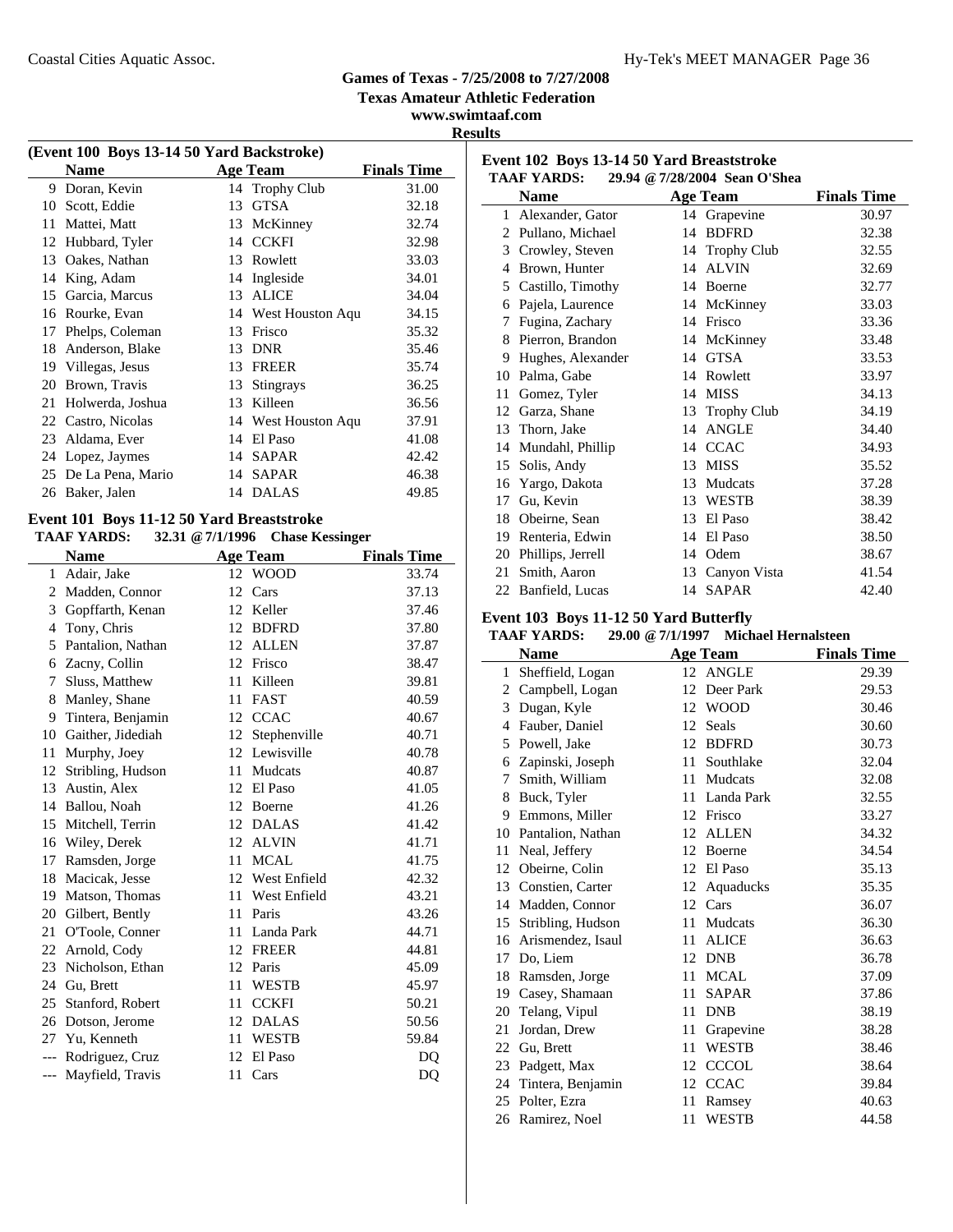**Texas Amateur Athletic Federation**

### **www.swimtaaf.com Results**

| (Event 100 Boys 13-14 50 Yard Backstroke) |                      |    |                  |                    |  |  |
|-------------------------------------------|----------------------|----|------------------|--------------------|--|--|
|                                           | Name                 |    | Age Team         | <b>Finals Time</b> |  |  |
| 9                                         | Doran, Kevin         |    | 14 Trophy Club   | 31.00              |  |  |
| 10                                        | Scott, Eddie         | 13 | <b>GTSA</b>      | 32.18              |  |  |
| 11                                        | Mattei, Matt         | 13 | McKinney         | 32.74              |  |  |
| 12                                        | Hubbard, Tyler       | 14 | <b>CCKFI</b>     | 32.98              |  |  |
| 13                                        | Oakes, Nathan        | 13 | Rowlett          | 33.03              |  |  |
| 14                                        | King, Adam           | 14 | Ingleside        | 34.01              |  |  |
| 15                                        | Garcia, Marcus       | 13 | <b>ALICE</b>     | 34.04              |  |  |
| 16                                        | Rourke, Evan         | 14 | West Houston Aqu | 34.15              |  |  |
| 17                                        | Phelps, Coleman      | 13 | Frisco           | 35.32              |  |  |
| 18                                        | Anderson, Blake      | 13 | <b>DNR</b>       | 35.46              |  |  |
| 19                                        | Villegas, Jesus      | 13 | <b>FREER</b>     | 35.74              |  |  |
| 20                                        | Brown, Travis        | 13 | <b>Stingrays</b> | 36.25              |  |  |
| 21                                        | Holwerda, Joshua     | 13 | Killeen          | 36.56              |  |  |
| 22                                        | Castro, Nicolas      | 14 | West Houston Aqu | 37.91              |  |  |
| 23                                        | Aldama, Ever         | 14 | El Paso          | 41.08              |  |  |
| 24                                        | Lopez, Jaymes        | 14 | SAPAR            | 42.42              |  |  |
|                                           | 25 De La Pena, Mario | 14 | <b>SAPAR</b>     | 46.38              |  |  |
|                                           | 26 Baker, Jalen      |    | 14 DALAS         | 49.85              |  |  |

#### **Event 101 Boys 11-12 50 Yard Breaststroke TAAF YARDS: 32.31 @7/1/1996 Chase Kessinger**

|                | IAAF IANDJ;<br>$34.31 \oplus 1111390$ Chase Ressinger |    |              |                    |  |  |  |
|----------------|-------------------------------------------------------|----|--------------|--------------------|--|--|--|
|                | <b>Name</b>                                           |    | Age Team     | <b>Finals Time</b> |  |  |  |
| $\mathbf{1}$   | Adair, Jake                                           |    | 12 WOOD      | 33.74              |  |  |  |
| 2              | Madden, Connor                                        | 12 | Cars         | 37.13              |  |  |  |
| 3              | Gopffarth, Kenan                                      | 12 | Keller       | 37.46              |  |  |  |
| $\overline{4}$ | Tony, Chris                                           | 12 | <b>BDFRD</b> | 37.80              |  |  |  |
| 5              | Pantalion, Nathan                                     | 12 | <b>ALLEN</b> | 37.87              |  |  |  |
| 6              | Zacny, Collin                                         | 12 | Frisco       | 38.47              |  |  |  |
| 7              | Sluss, Matthew                                        | 11 | Killeen      | 39.81              |  |  |  |
| 8              | Manley, Shane                                         | 11 | <b>FAST</b>  | 40.59              |  |  |  |
| 9              | Tintera, Benjamin                                     | 12 | <b>CCAC</b>  | 40.67              |  |  |  |
| 10             | Gaither, Jidediah                                     | 12 | Stephenville | 40.71              |  |  |  |
| 11             | Murphy, Joey                                          | 12 | Lewisville   | 40.78              |  |  |  |
| 12             | Stribling, Hudson                                     | 11 | Mudcats      | 40.87              |  |  |  |
| 13             | Austin, Alex                                          | 12 | El Paso      | 41.05              |  |  |  |
| 14             | Ballou, Noah                                          | 12 | Boerne       | 41.26              |  |  |  |
| 15             | Mitchell, Terrin                                      | 12 | <b>DALAS</b> | 41.42              |  |  |  |
| 16             | Wiley, Derek                                          | 12 | <b>ALVIN</b> | 41.71              |  |  |  |
| 17             | Ramsden, Jorge                                        | 11 | <b>MCAL</b>  | 41.75              |  |  |  |
| 18             | Macicak, Jesse                                        | 12 | West Enfield | 42.32              |  |  |  |
| 19             | Matson, Thomas                                        | 11 | West Enfield | 43.21              |  |  |  |
| 20             | Gilbert, Bently                                       | 11 | Paris        | 43.26              |  |  |  |
| 21             | O'Toole, Conner                                       | 11 | Landa Park   | 44.71              |  |  |  |
| 22             | Arnold, Cody                                          | 12 | <b>FREER</b> | 44.81              |  |  |  |
| 23             | Nicholson, Ethan                                      | 12 | Paris        | 45.09              |  |  |  |
| 24             | Gu, Brett                                             | 11 | <b>WESTB</b> | 45.97              |  |  |  |
| 25             | Stanford, Robert                                      | 11 | <b>CCKFI</b> | 50.21              |  |  |  |
| 26             | Dotson, Jerome                                        | 12 | <b>DALAS</b> | 50.56              |  |  |  |
| 27             | Yu, Kenneth                                           | 11 | <b>WESTB</b> | 59.84              |  |  |  |
| $---$          | Rodriguez, Cruz                                       | 12 | El Paso      | DO                 |  |  |  |
| $---$          | Mayfield, Travis                                      | 11 | Cars         | DQ                 |  |  |  |

| Event 102 Boys 13-14 50 Yard Breaststroke<br><b>TAAF YARDS:</b><br>29.94 @ 7/28/2004 Sean O'Shea |                   |    |                    |                    |  |  |
|--------------------------------------------------------------------------------------------------|-------------------|----|--------------------|--------------------|--|--|
|                                                                                                  | <b>Name</b>       |    | <b>Age Team</b>    | <b>Finals Time</b> |  |  |
| $\mathbf{1}$                                                                                     | Alexander, Gator  | 14 | Grapevine          | 30.97              |  |  |
| 2                                                                                                | Pullano, Michael  | 14 | <b>BDFRD</b>       | 32.38              |  |  |
| 3                                                                                                | Crowley, Steven   | 14 | <b>Trophy Club</b> | 32.55              |  |  |
| 4                                                                                                | Brown, Hunter     | 14 | <b>ALVIN</b>       | 32.69              |  |  |
| 5                                                                                                | Castillo, Timothy | 14 | Boerne             | 32.77              |  |  |
| 6                                                                                                | Pajela, Laurence  | 14 | McKinney           | 33.03              |  |  |
| 7                                                                                                | Fugina, Zachary   | 14 | Frisco             | 33.36              |  |  |
| 8                                                                                                | Pierron, Brandon  | 14 | McKinney           | 33.48              |  |  |
| 9                                                                                                | Hughes, Alexander | 14 | <b>GTSA</b>        | 33.53              |  |  |
| 10                                                                                               | Palma, Gabe       | 14 | Rowlett            | 33.97              |  |  |
| 11                                                                                               | Gomez, Tyler      | 14 | <b>MISS</b>        | 34.13              |  |  |
| 12                                                                                               | Garza, Shane      | 13 | <b>Trophy Club</b> | 34.19              |  |  |
| 13                                                                                               | Thorn, Jake       | 14 | <b>ANGLE</b>       | 34.40              |  |  |
| 14                                                                                               | Mundahl, Phillip  | 14 | <b>CCAC</b>        | 34.93              |  |  |
| 15                                                                                               | Solis, Andy       | 13 | <b>MISS</b>        | 35.52              |  |  |
| 16                                                                                               | Yargo, Dakota     | 13 | Mudcats            | 37.28              |  |  |
| 17                                                                                               | Gu, Kevin         | 13 | <b>WESTB</b>       | 38.39              |  |  |
| 18                                                                                               | Obeirne, Sean     | 13 | El Paso            | 38.42              |  |  |
| 19                                                                                               | Renteria, Edwin   | 14 | El Paso            | 38.50              |  |  |
| 20                                                                                               | Phillips, Jerrell | 14 | Odem               | 38.67              |  |  |
| 21                                                                                               | Smith, Aaron      | 13 | Canyon Vista       | 41.54              |  |  |
| 22                                                                                               | Banfield, Lucas   | 14 | <b>SAPAR</b>       | 42.40              |  |  |

### **Event 103 Boys 11-12 50 Yard Butterfly**

### **TAAF YARDS: 29.00 @7/1/1997 Michael Hernalsteen**

|    | <b>Name</b>       |    | <b>Age Team</b> | <b>Finals Time</b> |
|----|-------------------|----|-----------------|--------------------|
| 1  | Sheffield, Logan  |    | 12 ANGLE        | 29.39              |
| 2  | Campbell, Logan   | 12 | Deer Park       | 29.53              |
| 3  | Dugan, Kyle       | 12 | <b>WOOD</b>     | 30.46              |
| 4  | Fauber, Daniel    | 12 | Seals           | 30.60              |
| 5  | Powell, Jake      | 12 | <b>BDFRD</b>    | 30.73              |
| 6  | Zapinski, Joseph  | 11 | Southlake       | 32.04              |
| 7  | Smith, William    | 11 | Mudcats         | 32.08              |
| 8  | Buck, Tyler       | 11 | Landa Park      | 32.55              |
| 9  | Emmons, Miller    | 12 | Frisco          | 33.27              |
| 10 | Pantalion, Nathan | 12 | <b>ALLEN</b>    | 34.32              |
| 11 | Neal, Jeffery     | 12 | Boerne          | 34.54              |
| 12 | Obeirne, Colin    | 12 | El Paso         | 35.13              |
| 13 | Constien, Carter  | 12 | Aquaducks       | 35.35              |
| 14 | Madden, Connor    | 12 | Cars            | 36.07              |
| 15 | Stribling, Hudson | 11 | Mudcats         | 36.30              |
| 16 | Arismendez, Isaul | 11 | <b>ALICE</b>    | 36.63              |
| 17 | Do, Liem          | 12 | <b>DNB</b>      | 36.78              |
| 18 | Ramsden, Jorge    | 11 | MCAL            | 37.09              |
| 19 | Casey, Shamaan    | 11 | <b>SAPAR</b>    | 37.86              |
| 20 | Telang, Vipul     | 11 | <b>DNB</b>      | 38.19              |
| 21 | Jordan, Drew      | 11 | Grapevine       | 38.28              |
| 22 | Gu, Brett         | 11 | <b>WESTB</b>    | 38.46              |
| 23 | Padgett, Max      | 12 | <b>CCCOL</b>    | 38.64              |
| 24 | Tintera, Benjamin | 12 | <b>CCAC</b>     | 39.84              |
| 25 | Polter, Ezra      | 11 | Ramsey          | 40.63              |
|    | 26 Ramirez, Noel  | 11 | <b>WESTB</b>    | 44.58              |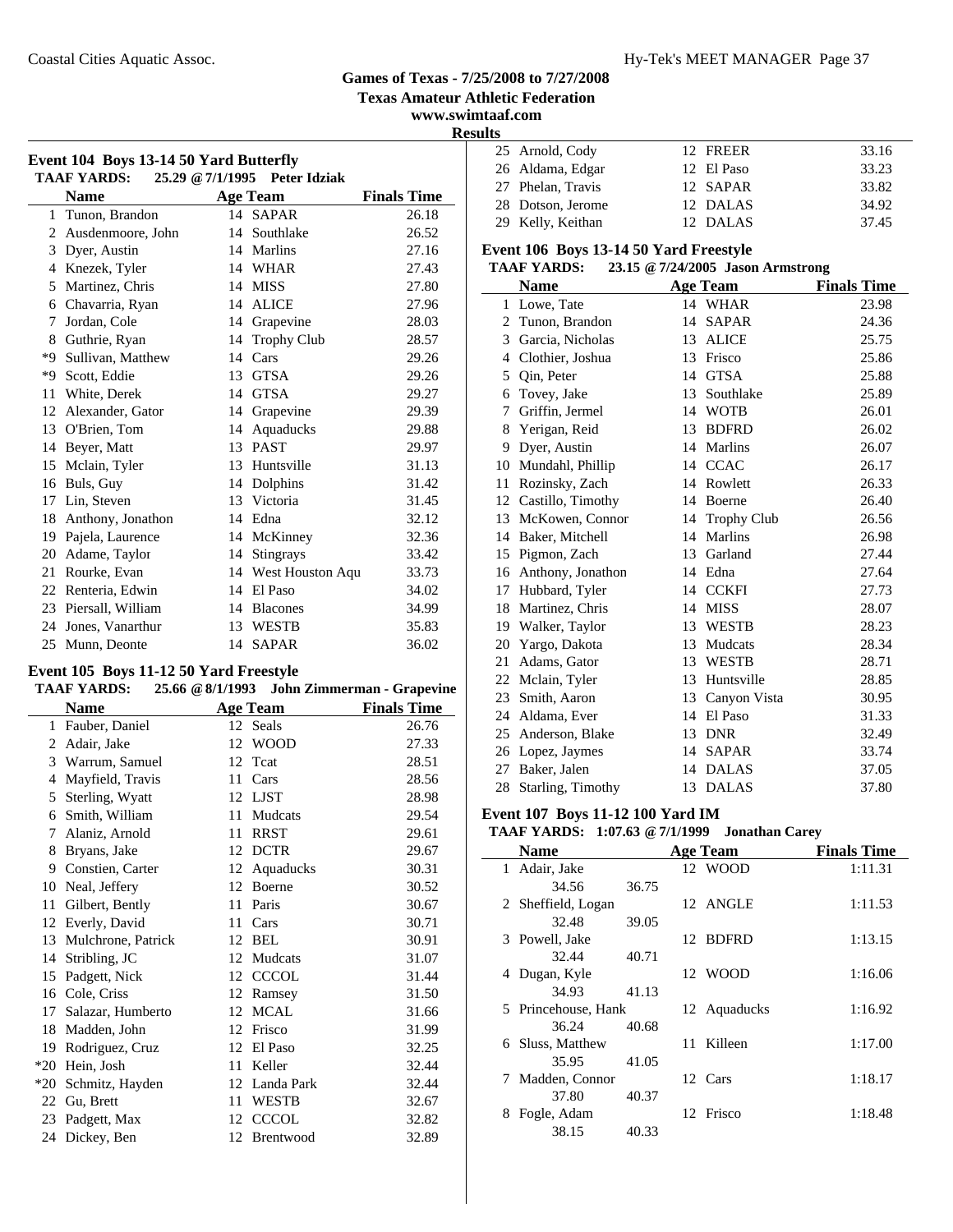### Coastal Cities Aquatic Assoc. The Coastal Cities Aquatic Assoc. The Coastal Cities Aquatic Assoc.

### **Games of Texas - 7/25/2008 to 7/27/2008**

**Texas Amateur Athletic Federation**

**www.swimtaaf.com Results**

| Event 104 Boys 13-14 50 Yard Butterfly<br><b>TAAF YARDS:</b><br>25.29 @ 7/1/1995<br><b>Peter Idziak</b> |                    |    |                     |                    |  |  |
|---------------------------------------------------------------------------------------------------------|--------------------|----|---------------------|--------------------|--|--|
|                                                                                                         | <b>Name</b>        |    | <b>Age Team</b>     | <b>Finals Time</b> |  |  |
|                                                                                                         | 1 Tunon, Brandon   |    | 14 SAPAR            | 26.18              |  |  |
| 2                                                                                                       | Ausdenmoore, John  |    | 14 Southlake        | 26.52              |  |  |
| 3                                                                                                       | Dyer, Austin       | 14 | <b>Marlins</b>      | 27.16              |  |  |
| 4                                                                                                       | Knezek, Tyler      |    | 14 WHAR             | 27.43              |  |  |
| 5                                                                                                       | Martinez, Chris    | 14 | <b>MISS</b>         | 27.80              |  |  |
| 6                                                                                                       | Chavarria, Ryan    | 14 | <b>ALICE</b>        | 27.96              |  |  |
| 7                                                                                                       | Jordan, Cole       | 14 | Grapevine           | 28.03              |  |  |
| 8                                                                                                       | Guthrie, Ryan      | 14 | <b>Trophy Club</b>  | 28.57              |  |  |
| *9                                                                                                      | Sullivan, Matthew  | 14 | Cars                | 29.26              |  |  |
| *Q                                                                                                      | Scott, Eddie       | 13 | <b>GTSA</b>         | 29.26              |  |  |
| 11                                                                                                      | White, Derek       | 14 | <b>GTSA</b>         | 29.27              |  |  |
| 12                                                                                                      | Alexander, Gator   | 14 | Grapevine           | 29.39              |  |  |
| 13                                                                                                      | O'Brien, Tom       | 14 | Aquaducks           | 29.88              |  |  |
| 14                                                                                                      | Beyer, Matt        |    | 13 PAST             | 29.97              |  |  |
| 15                                                                                                      | Mclain, Tyler      | 13 | Huntsville          | 31.13              |  |  |
| 16                                                                                                      | Buls, Guy          | 14 | Dolphins            | 31.42              |  |  |
| 17                                                                                                      | Lin, Steven        |    | 13 Victoria         | 31.45              |  |  |
| 18                                                                                                      | Anthony, Jonathon  |    | 14 Edna             | 32.12              |  |  |
| 19                                                                                                      | Pajela, Laurence   | 14 | McKinney            | 32.36              |  |  |
| 20                                                                                                      | Adame, Taylor      | 14 | <b>Stingrays</b>    | 33.42              |  |  |
| 21                                                                                                      | Rourke, Evan       |    | 14 West Houston Aqu | 33.73              |  |  |
|                                                                                                         | 22 Renteria, Edwin | 14 | El Paso             | 34.02              |  |  |
| 23                                                                                                      | Piersall, William  | 14 | <b>Blacones</b>     | 34.99              |  |  |
| 24                                                                                                      | Jones, Vanarthur   | 13 | <b>WESTB</b>        | 35.83              |  |  |
| 25                                                                                                      | Munn, Deonte       | 14 | <b>SAPAR</b>        | 36.02              |  |  |

### **Event 105 Boys 11-12 50 Yard Freestyle**

| <b>TAAF YARDS:</b> |          | $25.66 \& 8/1/1993$ John Zimmerman - Grapevine |
|--------------------|----------|------------------------------------------------|
| <b>Name</b>        | Age Team | <b>Finals Time</b>                             |

|       | wann               |    | $12.5$ really | т пино типе |
|-------|--------------------|----|---------------|-------------|
| 1     | Fauber, Daniel     |    | 12 Seals      | 26.76       |
| 2     | Adair, Jake        | 12 | <b>WOOD</b>   | 27.33       |
| 3     | Warrum, Samuel     | 12 | Teat          | 28.51       |
| 4     | Mayfield, Travis   | 11 | Cars          | 28.56       |
| 5     | Sterling, Wyatt    | 12 | LJST          | 28.98       |
| 6     | Smith, William     | 11 | Mudcats       | 29.54       |
| 7     | Alaniz, Arnold     | 11 | <b>RRST</b>   | 29.61       |
| 8     | Bryans, Jake       | 12 | <b>DCTR</b>   | 29.67       |
| 9     | Constien, Carter   | 12 | Aquaducks     | 30.31       |
| 10    | Neal, Jeffery      | 12 | Boerne        | 30.52       |
| 11    | Gilbert, Bently    | 11 | Paris         | 30.67       |
| 12    | Everly, David      | 11 | Cars          | 30.71       |
| 13    | Mulchrone, Patrick | 12 | <b>BEL</b>    | 30.91       |
| 14    | Stribling, JC      | 12 | Mudcats       | 31.07       |
| 15    | Padgett, Nick      | 12 | <b>CCCOL</b>  | 31.44       |
| 16    | Cole, Criss        | 12 | Ramsey        | 31.50       |
| 17    | Salazar, Humberto  | 12 | <b>MCAL</b>   | 31.66       |
| 18    | Madden, John       | 12 | Frisco        | 31.99       |
| 19    | Rodriguez, Cruz    | 12 | El Paso       | 32.25       |
| $*20$ | Hein, Josh         | 11 | Keller        | 32.44       |
| $*20$ | Schmitz, Hayden    |    | 12 Landa Park | 32.44       |
| 22    | Gu, Brett          | 11 | <b>WESTB</b>  | 32.67       |
| 23    | Padgett, Max       | 12 | <b>CCCOL</b>  | 32.82       |
| 24    | Dickey, Ben        | 12 | Brentwood     | 32.89       |
|       |                    |    |               |             |

| 25 Arnold, Cody   | 12 FREER   | 33.16 |
|-------------------|------------|-------|
| 26 Aldama, Edgar  | 12 El Paso | 33.23 |
| 27 Phelan, Travis | 12 SAPAR   | 33.82 |
| 28 Dotson, Jerome | 12 DALAS   | 34.92 |
| 29 Kelly, Keithan | 12 DALAS   | 37.45 |

### **Event 106 Boys 13-14 50 Yard Freestyle**

### **TAAF YARDS: 23.15 @7/24/2005 Jason Armstrong**

|              | <b>Name</b>          |    | <b>Age Team</b> | <b>Finals Time</b> |
|--------------|----------------------|----|-----------------|--------------------|
| $\mathbf{1}$ | Lowe, Tate           |    | 14 WHAR         | 23.98              |
| 2            | Tunon, Brandon       | 14 | <b>SAPAR</b>    | 24.36              |
| 3            | Garcia, Nicholas     |    | 13 ALICE        | 25.75              |
| 4            | Clothier, Joshua     | 13 | Frisco          | 25.86              |
| 5            | Qin, Peter           | 14 | <b>GTSA</b>     | 25.88              |
| 6            | Tovey, Jake          |    | 13 Southlake    | 25.89              |
| 7            | Griffin, Jermel      |    | 14 WOTB         | 26.01              |
| 8            | Yerigan, Reid        | 13 | <b>BDFRD</b>    | 26.02              |
| 9            | Dyer, Austin         |    | 14 Marlins      | 26.07              |
| 10           | Mundahl, Phillip     |    | 14 CCAC         | 26.17              |
| 11           | Rozinsky, Zach       |    | 14 Rowlett      | 26.33              |
|              | 12 Castillo, Timothy | 14 | Boerne          | 26.40              |
| 13           | McKowen, Connor      |    | 14 Trophy Club  | 26.56              |
| 14           | Baker, Mitchell      |    | 14 Marlins      | 26.98              |
| 15           | Pigmon, Zach         | 13 | Garland         | 27.44              |
|              | 16 Anthony, Jonathon |    | 14 Edna         | 27.64              |
| 17           | Hubbard, Tyler       |    | 14 CCKFI        | 27.73              |
| 18           | Martinez, Chris      | 14 | MISS            | 28.07              |
|              | 19 Walker, Taylor    |    | 13 WESTB        | 28.23              |
| 20           | Yargo, Dakota        |    | 13 Mudcats      | 28.34              |
| 21           | Adams, Gator         | 13 | WESTB           | 28.71              |
| 22           | Mclain, Tyler        | 13 | Huntsville      | 28.85              |
|              | 23 Smith, Aaron      |    | 13 Canyon Vista | 30.95              |
|              | 24 Aldama, Ever      |    | 14 El Paso      | 31.33              |
| 25           | Anderson, Blake      | 13 | <b>DNR</b>      | 32.49              |
| 26           | Lopez, Jaymes        |    | 14 SAPAR        | 33.74              |
| 27           | Baker, Jalen         |    | 14 DALAS        | 37.05              |
| 28           | Starling, Timothy    |    | 13 DALAS        | 37.80              |

### **Event 107 Boys 11-12 100 Yard IM**

### **TAAF YARDS: 1:07.63 @7/1/1999 Jonathan Carey**

| <b>Name</b>         |       |    | <b>Age Team</b> | <b>Finals Time</b> |
|---------------------|-------|----|-----------------|--------------------|
| 1 Adair, Jake       |       |    | 12 WOOD         | 1:11.31            |
| 34.56               | 36.75 |    |                 |                    |
| 2 Sheffield, Logan  |       |    | 12 ANGLE        | 1:11.53            |
| 32.48               | 39.05 |    |                 |                    |
| 3 Powell, Jake      |       |    | 12 BDFRD        | 1:13.15            |
| 32.44               | 40.71 |    |                 |                    |
| 4 Dugan, Kyle       |       |    | 12 WOOD         | 1:16.06            |
| 34.93               | 41.13 |    |                 |                    |
| 5 Princehouse, Hank |       |    | 12 Aquaducks    | 1:16.92            |
| 36.24               | 40.68 |    |                 |                    |
| 6 Sluss, Matthew    |       | 11 | Killeen         | 1:17.00            |
| 35.95               | 41.05 |    |                 |                    |
| Madden, Connor<br>7 |       |    | 12 Cars         | 1:18.17            |
| 37.80               | 40.37 |    |                 |                    |
| Fogle, Adam         |       |    | 12 Frisco       | 1:18.48            |
| 38.15               | 40.33 |    |                 |                    |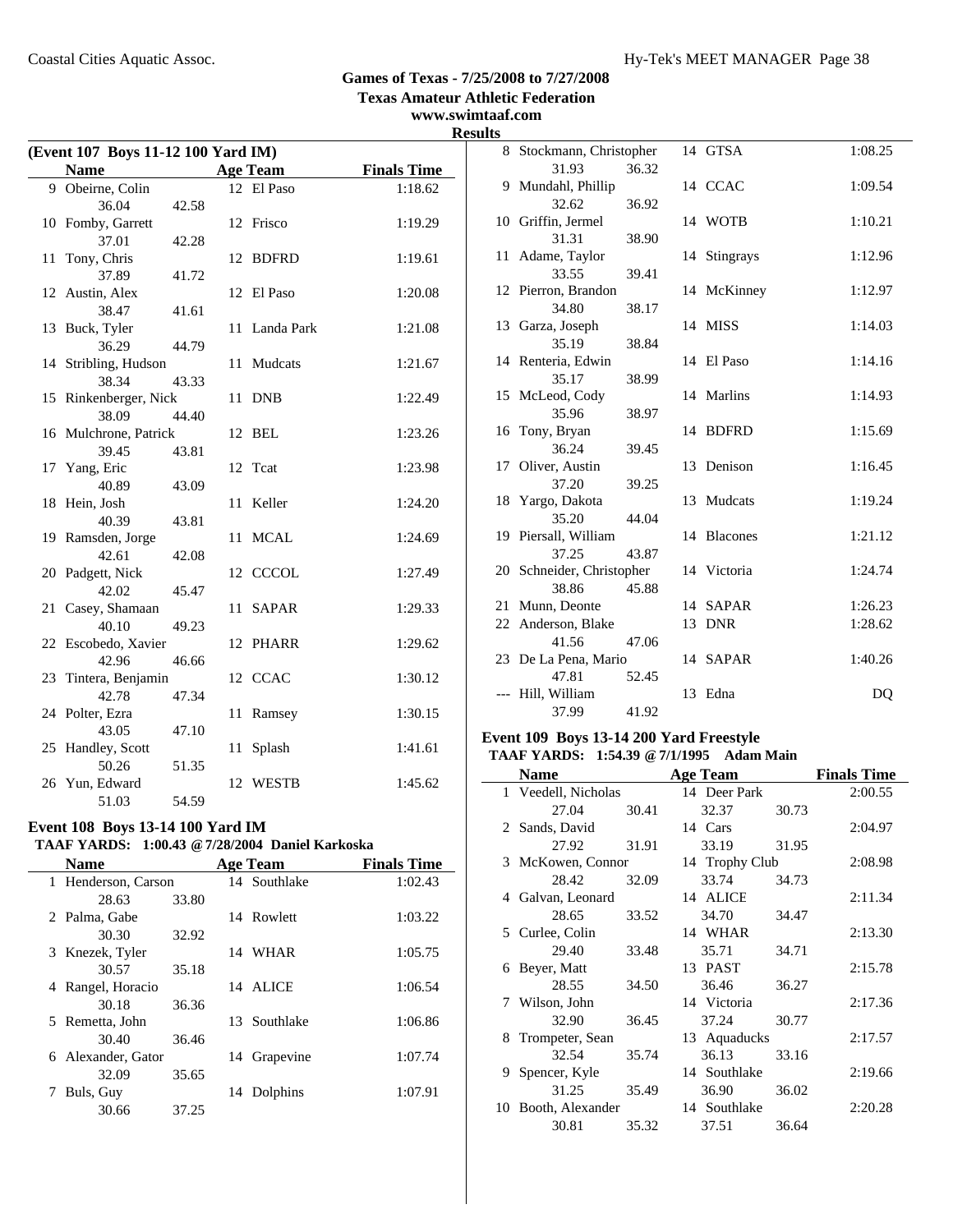**www.swimtaaf.com**

# **Results**

| (Event 107 Boys 11-12 100 Yard IM) |                       |       |    |                 |                    |
|------------------------------------|-----------------------|-------|----|-----------------|--------------------|
|                                    | <b>Name</b>           |       |    | <b>Age Team</b> | <b>Finals Time</b> |
|                                    | 9 Obeirne, Colin      |       |    | 12 El Paso      | 1:18.62            |
|                                    | 36.04                 | 42.58 |    |                 |                    |
|                                    | 10 Fomby, Garrett     |       |    | 12 Frisco       | 1:19.29            |
|                                    | 37.01                 | 42.28 |    |                 |                    |
| 11                                 | Tony, Chris           |       |    | 12 BDFRD        | 1:19.61            |
|                                    | 37.89                 | 41.72 |    |                 |                    |
|                                    | 12 Austin, Alex       |       |    | 12 El Paso      | 1:20.08            |
|                                    | 38.47                 | 41.61 |    |                 |                    |
| 13                                 | Buck, Tyler           |       | 11 | Landa Park      | 1:21.08            |
|                                    | 36.29                 | 44.79 |    |                 |                    |
|                                    | 14 Stribling, Hudson  |       | 11 | Mudcats         | 1:21.67            |
|                                    | 38.34                 | 43.33 |    |                 |                    |
|                                    | 15 Rinkenberger, Nick |       | 11 | <b>DNB</b>      | 1:22.49            |
|                                    | 38.09                 | 44.40 |    |                 |                    |
|                                    | 16 Mulchrone, Patrick |       | 12 | BEL             | 1:23.26            |
|                                    | 39.45                 | 43.81 |    |                 |                    |
|                                    | 17 Yang, Eric         |       | 12 | Tcat            | 1:23.98            |
|                                    | 40.89                 | 43.09 |    |                 |                    |
|                                    | 18 Hein, Josh         |       | 11 | Keller          | 1:24.20            |
|                                    | 40.39                 | 43.81 |    |                 |                    |
|                                    | 19 Ramsden, Jorge     |       | 11 | <b>MCAL</b>     | 1:24.69            |
|                                    | 42.61                 | 42.08 |    |                 |                    |
|                                    | 20 Padgett, Nick      |       |    | 12 CCCOL        | 1:27.49            |
|                                    | 42.02                 | 45.47 |    |                 |                    |
| 21                                 | Casey, Shamaan        |       | 11 | <b>SAPAR</b>    | 1:29.33            |
|                                    | 40.10                 | 49.23 |    |                 |                    |
|                                    | 22 Escobedo, Xavier   |       | 12 | <b>PHARR</b>    | 1:29.62            |
|                                    | 42.96                 | 46.66 |    |                 |                    |
| 23                                 | Tintera, Benjamin     |       |    | 12 CCAC         | 1:30.12            |
|                                    | 42.78                 | 47.34 |    |                 |                    |
|                                    | 24 Polter, Ezra       |       | 11 | Ramsey          | 1:30.15            |
|                                    | 43.05                 | 47.10 |    |                 |                    |
|                                    | 25 Handley, Scott     |       | 11 | Splash          | 1:41.61            |
|                                    | 50.26                 | 51.35 |    |                 |                    |
|                                    | 26 Yun, Edward        |       | 12 | WESTB           | 1:45.62            |
|                                    | 51.03                 | 54.59 |    |                 |                    |

### **Event 108 Boys 13-14 100 Yard IM**

### **TAAF YARDS: 1:00.43 @7/28/2004 Daniel Karkoska**

| <b>Name</b>          |       |     | <b>Age Team</b> | <b>Finals Time</b> |
|----------------------|-------|-----|-----------------|--------------------|
| 1 Henderson, Carson  |       |     | 14 Southlake    | 1:02.43            |
| 28.63                | 33.80 |     |                 |                    |
| 2 Palma, Gabe        |       |     | 14 Rowlett      | 1:03.22            |
| 30.30                | 32.92 |     |                 |                    |
| Knezek, Tyler<br>3.  |       | 14  | WHAR            | 1:05.75            |
| 30.57                | 35.18 |     |                 |                    |
| Rangel, Horacio<br>4 |       |     | 14 ALICE        | 1:06.54            |
| 30.18                | 36.36 |     |                 |                    |
| Remetta, John<br>5.  |       | 13. | Southlake       | 1:06.86            |
| 30.40                | 36.46 |     |                 |                    |
| 6 Alexander, Gator   |       | 14  | Grapevine       | 1:07.74            |
| 32.09                | 35.65 |     |                 |                    |
| Buls, Guy            |       |     | 14 Dolphins     | 1:07.91            |
| 30.66                | 37.25 |     |                 |                    |

| 8 Stockmann, Christopher      |       |    | 14 GTSA      | 1:08.25 |
|-------------------------------|-------|----|--------------|---------|
| 31.93                         | 36.32 |    |              |         |
| 9 Mundahl, Phillip            |       |    | 14 CCAC      | 1:09.54 |
| 32.62                         | 36.92 |    |              |         |
| 10 Griffin, Jermel            |       |    | 14 WOTB      | 1:10.21 |
| 31.31                         | 38.90 |    |              |         |
| 11 Adame, Taylor              |       |    | 14 Stingrays | 1:12.96 |
| 33.55                         | 39.41 |    |              |         |
| 12 Pierron, Brandon           |       |    | 14 McKinney  | 1:12.97 |
| 34.80                         | 38.17 |    |              |         |
| 13 Garza, Joseph              |       |    | 14 MISS      | 1:14.03 |
| 35.19                         | 38.84 |    |              |         |
| 14 Renteria, Edwin            |       |    | 14 El Paso   | 1:14.16 |
| 35.17                         | 38.99 |    |              |         |
| 15 McLeod, Cody               |       |    | 14 Marlins   | 1:14.93 |
| 35.96                         | 38.97 |    |              |         |
| 16 Tony, Bryan                |       |    | 14 BDFRD     | 1:15.69 |
| 36.24                         | 39.45 |    |              |         |
| 17 Oliver, Austin             |       |    | 13 Denison   | 1:16.45 |
| 37.20                         | 39.25 |    |              |         |
| 18 Yargo, Dakota              |       |    | 13 Mudcats   | 1:19.24 |
| 35.20                         | 44.04 |    |              |         |
| 19 Piersall, William          |       |    | 14 Blacones  | 1:21.12 |
| 37.25                         | 43.87 |    |              |         |
| 20 Schneider, Christopher     |       |    | 14 Victoria  | 1:24.74 |
| 38.86                         | 45.88 |    |              |         |
| 21 Munn, Deonte               |       |    | 14 SAPAR     | 1:26.23 |
| 22 Anderson, Blake            |       |    | 13 DNR       | 1:28.62 |
| 41.56                         | 47.06 |    |              |         |
| 23 De La Pena, Mario<br>47.81 | 52.45 |    | 14 SAPAR     | 1:40.26 |
| --- Hill, William             |       | 13 | Edna         | DQ      |
| 37.99                         |       |    |              |         |
|                               | 41.92 |    |              |         |

# **Event 109 Boys 13-14 200 Yard Freestyle**

### **TAAF YARDS: 1:54.39 @7/1/1995 Adam Main**

|              | Name              |       | <b>Age Team</b> |       | <b>Finals Time</b> |
|--------------|-------------------|-------|-----------------|-------|--------------------|
| $\mathbf{1}$ | Veedell, Nicholas |       | 14 Deer Park    |       | 2:00.55            |
|              | 27.04             | 30.41 | 32.37           | 30.73 |                    |
|              | 2 Sands, David    |       | 14 Cars         |       | 2:04.97            |
|              | 27.92             | 31.91 | 33.19           | 31.95 |                    |
|              | 3 McKowen, Connor |       | 14 Trophy Club  |       | 2:08.98            |
|              | 28.42             | 32.09 | 33.74           | 34.73 |                    |
|              | 4 Galvan, Leonard |       | 14 ALICE        |       | 2:11.34            |
|              | 28.65             | 33.52 | 34.70           | 34.47 |                    |
|              | 5 Curlee, Colin   |       | 14 WHAR         |       | 2:13.30            |
|              | 29.40             | 33.48 | 35.71           | 34.71 |                    |
|              | 6 Beyer, Matt     |       | 13 PAST         |       | 2:15.78            |
|              | 28.55             | 34.50 | 36.46           | 36.27 |                    |
|              | 7 Wilson, John    |       | 14 Victoria     |       | 2:17.36            |
|              | 32.90             | 36.45 | 37.24           | 30.77 |                    |
| 8            | Trompeter, Sean   |       | 13 Aquaducks    |       | 2:17.57            |
|              | 32.54             | 35.74 | 36.13           | 33.16 |                    |
| 9.           | Spencer, Kyle     |       | 14 Southlake    |       | 2:19.66            |
|              | 31.25             | 35.49 | 36.90           | 36.02 |                    |
| 10           | Booth, Alexander  |       | 14 Southlake    |       | 2:20.28            |
|              | 30.81             | 35.32 | 37.51           | 36.64 |                    |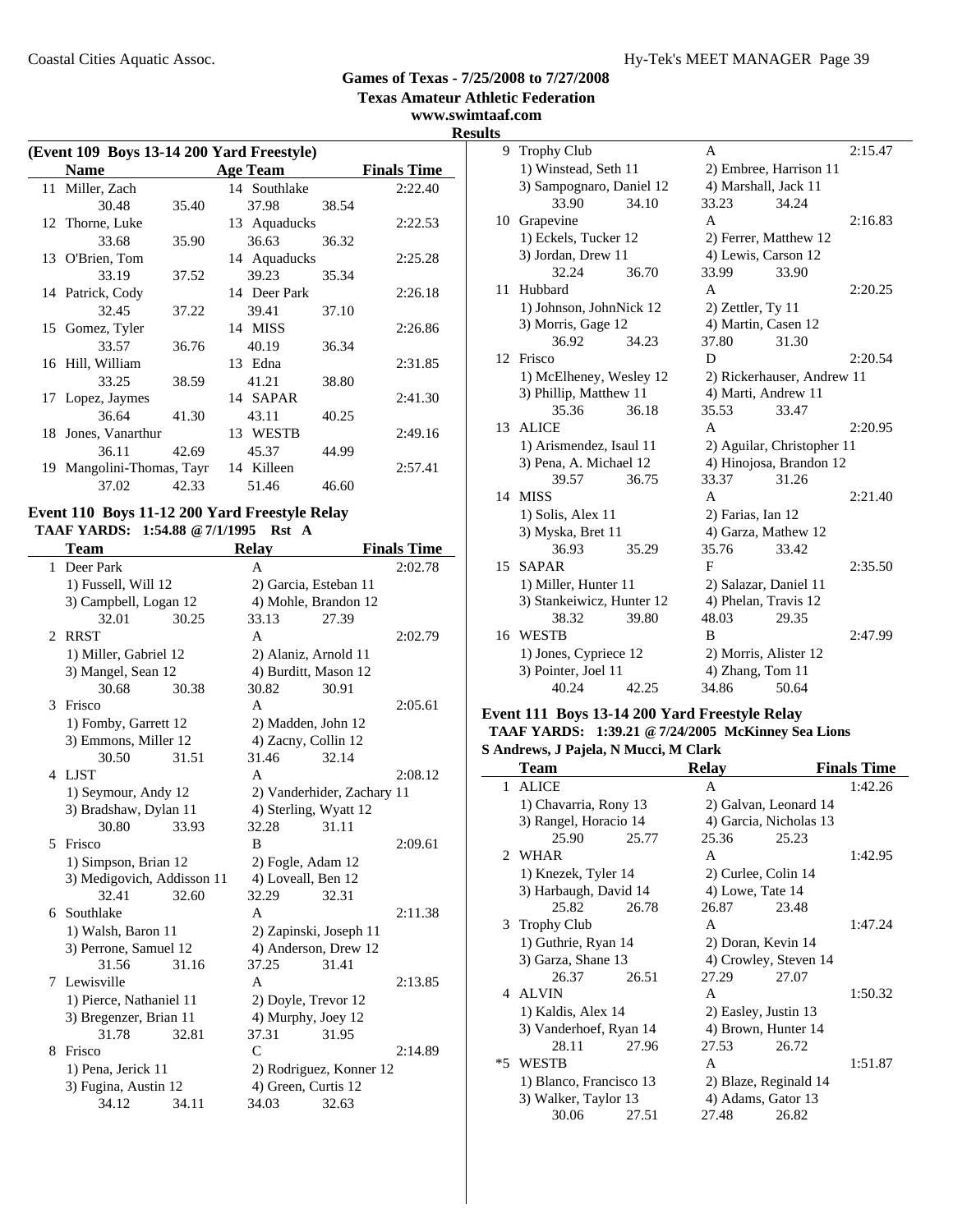**www.swimtaaf.com**

## **Results**

| (Event 109 Boys 13-14 200 Yard Freestyle) |                        |       |  |                 |       |                    |
|-------------------------------------------|------------------------|-------|--|-----------------|-------|--------------------|
|                                           | <b>Name</b>            |       |  | <b>Age Team</b> |       | <b>Finals Time</b> |
|                                           | 11 Miller, Zach        |       |  | 14 Southlake    |       | 2:22.40            |
|                                           | 30.48                  | 35.40 |  | 37.98           | 38.54 |                    |
|                                           | 12 Thorne, Luke        |       |  | 13 Aquaducks    |       | 2:22.53            |
|                                           | 33.68                  | 35.90 |  | 36.63           | 36.32 |                    |
|                                           | 13 O'Brien, Tom        |       |  | 14 Aquaducks    |       | 2:25.28            |
|                                           | 33.19                  | 37.52 |  | 39.23           | 35.34 |                    |
|                                           | 14 Patrick, Cody       |       |  | 14 Deer Park    |       | 2:26.18            |
|                                           | 32.45                  | 37.22 |  | 39.41           | 37.10 |                    |
|                                           | 15 Gomez, Tyler        |       |  | 14 MISS         |       | 2:26.86            |
|                                           | 33.57                  | 36.76 |  | 40.19           | 36.34 |                    |
|                                           | 16 Hill, William       |       |  | 13 Edna         |       | 2:31.85            |
|                                           | 33.25                  | 38.59 |  | 41.21           | 38.80 |                    |
|                                           | 17 Lopez, Jaymes       |       |  | 14 SAPAR        |       | 2:41.30            |
|                                           | 36.64                  | 41.30 |  | 43.11           | 40.25 |                    |
|                                           | 18 Jones, Vanarthur    |       |  | 13 WESTB        |       | 2:49.16            |
|                                           | 36.11                  | 42.69 |  | 45.37           | 44.99 |                    |
| 19                                        | Mangolini-Thomas, Tayr |       |  | 14 Killeen      |       | 2:57.41            |
|                                           | 37.02                  | 42.33 |  | 51.46           | 46.60 |                    |
|                                           |                        |       |  |                 |       |                    |

### **Event 110 Boys 11-12 200 Yard Freestyle Relay TAAF YARDS: 1:54.88 @7/1/1995 Rst A**

 $\overline{\phantom{a}}$ 

|                       | Team                       |       | <b>Relay</b>       |                            | <b>Finals Time</b> |
|-----------------------|----------------------------|-------|--------------------|----------------------------|--------------------|
| $\mathbf{1}$          | Deer Park                  |       | A                  |                            | 2:02.78            |
|                       | 1) Fussell, Will 12        |       |                    | 2) Garcia, Esteban 11      |                    |
|                       | 3) Campbell, Logan 12      |       |                    | 4) Mohle, Brandon 12       |                    |
|                       | 32.01                      | 30.25 | 33.13              | 27.39                      |                    |
| $\mathcal{D}_{\cdot}$ | <b>RRST</b>                |       | A                  |                            | 2:02.79            |
|                       | 1) Miller, Gabriel 12      |       |                    | 2) Alaniz, Arnold 11       |                    |
|                       | 3) Mangel, Sean 12         |       |                    | 4) Burditt, Mason 12       |                    |
|                       | 30.68                      | 30.38 | 30.82              | 30.91                      |                    |
| $\mathcal{F}$         | Frisco                     |       | A                  |                            | 2:05.61            |
|                       | 1) Fomby, Garrett 12       |       |                    | 2) Madden, John 12         |                    |
|                       | 3) Emmons, Miller 12       |       |                    | 4) Zacny, Collin 12        |                    |
|                       | 30.50                      | 31.51 | 31.46              | 32.14                      |                    |
|                       | 4 LJST                     |       | A                  |                            | 2:08.12            |
|                       | 1) Seymour, Andy 12        |       |                    | 2) Vanderhider, Zachary 11 |                    |
|                       | 3) Bradshaw, Dylan 11      |       |                    | 4) Sterling, Wyatt 12      |                    |
|                       | 30.80                      | 33.93 | 32.28              | 31.11                      |                    |
| 5.                    | Frisco                     |       | B                  |                            | 2:09.61            |
|                       | 1) Simpson, Brian 12       |       | 2) Fogle, Adam 12  |                            |                    |
|                       | 3) Medigovich, Addisson 11 |       | 4) Loveall, Ben 12 |                            |                    |
|                       | 32.41                      | 32.60 | 32.29              | 32.31                      |                    |
| 6.                    | Southlake                  |       | A                  |                            | 2:11.38            |
|                       | 1) Walsh, Baron 11         |       |                    | 2) Zapinski, Joseph 11     |                    |
|                       | 3) Perrone, Samuel 12      |       |                    | 4) Anderson, Drew 12       |                    |
|                       | 31.56                      | 31.16 | 37.25              | 31.41                      |                    |
|                       | 7 Lewisville               |       | A                  |                            | 2:13.85            |
|                       | 1) Pierce, Nathaniel 11    |       |                    | 2) Doyle, Trevor 12        |                    |
|                       | 3) Bregenzer, Brian 11     |       |                    | 4) Murphy, Joey 12         |                    |
|                       | 31.78                      | 32.81 | 37.31              | 31.95                      |                    |
| 8                     | Frisco                     |       | $\mathsf{C}$       |                            | 2:14.89            |
|                       | 1) Pena, Jerick 11         |       |                    | 2) Rodriguez, Konner 12    |                    |
|                       | 3) Fugina, Austin 12       |       |                    | 4) Green, Curtis 12        |                    |
|                       | 34.12                      | 34.11 | 34.03              | 32.63                      |                    |

| τs |                           |       |                        |                            |         |
|----|---------------------------|-------|------------------------|----------------------------|---------|
| 9  | <b>Trophy Club</b>        |       | A                      |                            | 2:15.47 |
|    | 1) Winstead, Seth 11      |       | 2) Embree, Harrison 11 |                            |         |
|    | 3) Sampognaro, Daniel 12  |       | 4) Marshall, Jack 11   |                            |         |
|    | 33.90                     | 34.10 | 33.23                  | 34.24                      |         |
|    | 10 Grapevine              |       | $\mathsf{A}$           |                            | 2:16.83 |
|    | 1) Eckels, Tucker 12      |       | 2) Ferrer, Matthew 12  |                            |         |
|    | 3) Jordan, Drew 11        |       | 4) Lewis, Carson 12    |                            |         |
|    | 32.24                     | 36.70 | 33.99                  | 33.90                      |         |
| 11 | Hubbard                   |       | A                      |                            | 2:20.25 |
|    | 1) Johnson, JohnNick 12   |       | $2)$ Zettler, Ty 11    |                            |         |
|    | 3) Morris, Gage 12        |       | 4) Martin, Casen 12    |                            |         |
|    | 36.92                     | 34.23 | 37.80                  | 31.30                      |         |
|    | 12 Frisco                 |       | D                      |                            | 2:20.54 |
|    | 1) McElheney, Wesley 12   |       |                        | 2) Rickerhauser, Andrew 11 |         |
|    | 3) Phillip, Matthew 11    |       | 4) Marti, Andrew 11    |                            |         |
|    | 35.36                     | 36.18 | 35.53                  | 33.47                      |         |
|    | 13 ALICE                  |       | A                      |                            | 2:20.95 |
|    | 1) Arismendez, Isaul 11   |       |                        | 2) Aguilar, Christopher 11 |         |
|    | 3) Pena, A. Michael 12    |       |                        | 4) Hinojosa, Brandon 12    |         |
|    | 39.57                     | 36.75 | 33.37                  | 31.26                      |         |
|    | 14 MISS                   |       | A                      |                            | 2:21.40 |
|    | 1) Solis, Alex 11         |       | 2) Farias, Ian 12      |                            |         |
|    | 3) Myska, Bret 11         |       | 4) Garza, Mathew 12    |                            |         |
|    | 36.93                     | 35.29 | 35.76                  | 33.42                      |         |
| 15 | <b>SAPAR</b>              |       | F                      |                            | 2:35.50 |
|    | 1) Miller, Hunter 11      |       | 2) Salazar, Daniel 11  |                            |         |
|    | 3) Stankeiwicz, Hunter 12 |       | 4) Phelan, Travis 12   |                            |         |
|    | 38.32                     | 39.80 | 48.03                  | 29.35                      |         |
|    | 16 WESTB                  |       | B                      |                            | 2:47.99 |
|    | 1) Jones, Cypriece 12     |       | 2) Morris, Alister 12  |                            |         |
|    | 3) Pointer, Joel 11       |       | 4) Zhang, Tom 11       |                            |         |
|    | 40.24                     | 42.25 | 34.86                  | 50.64                      |         |

#### **Event 111 Boys 13-14 200 Yard Freestyle Relay TAAF YARDS: 1:39.21 @7/24/2005 McKinney Sea Lions S Andrews, J Pajela, N Mucci, M Clark**

|      | $\sim$ matrices $\sigma$ is a peak in the contract $\sim$ matrix<br>Team |       | <b>Relay</b>          |                        | <b>Finals Time</b> |
|------|--------------------------------------------------------------------------|-------|-----------------------|------------------------|--------------------|
|      |                                                                          |       |                       |                        |                    |
| 1    | <b>ALICE</b>                                                             |       | A                     |                        | 1:42.26            |
|      | 1) Chavarria, Rony 13                                                    |       |                       | 2) Galvan, Leonard 14  |                    |
|      | 3) Rangel, Horacio 14                                                    |       |                       | 4) Garcia, Nicholas 13 |                    |
|      | 25.90                                                                    | 25.77 | 25.36                 | 25.23                  |                    |
|      | 2 WHAR                                                                   |       | A                     |                        | 1:42.95            |
|      | 1) Knezek, Tyler 14                                                      |       |                       | 2) Curlee, Colin 14    |                    |
|      | 3) Harbaugh, David 14                                                    |       | 4) Lowe, Tate 14      |                        |                    |
|      | 25.82                                                                    | 26.78 | 26.87                 | 23.48                  |                    |
|      | 3 Trophy Club                                                            |       | A                     |                        | 1:47.24            |
|      | 1) Guthrie, Ryan 14                                                      |       |                       | 2) Doran, Kevin 14     |                    |
|      | 3) Garza, Shane 13                                                       |       | 4) Crowley, Steven 14 |                        |                    |
|      | 26.37                                                                    | 26.51 | 27.29                 | 27.07                  |                    |
|      | 4 ALVIN                                                                  |       | A                     |                        | 1:50.32            |
|      | 1) Kaldis, Alex 14                                                       |       |                       | 2) Easley, Justin 13   |                    |
|      | 3) Vanderhoef, Ryan 14                                                   |       |                       | 4) Brown, Hunter 14    |                    |
|      | 28.11                                                                    | 27.96 | 27.53                 | 26.72                  |                    |
| $*5$ | <b>WESTB</b>                                                             |       | A                     |                        | 1:51.87            |
|      | 1) Blanco, Francisco 13                                                  |       |                       | 2) Blaze, Reginald 14  |                    |
|      | 3) Walker, Taylor 13                                                     |       |                       | 4) Adams, Gator 13     |                    |
|      | 30.06                                                                    | 27.51 | 27.48                 | 26.82                  |                    |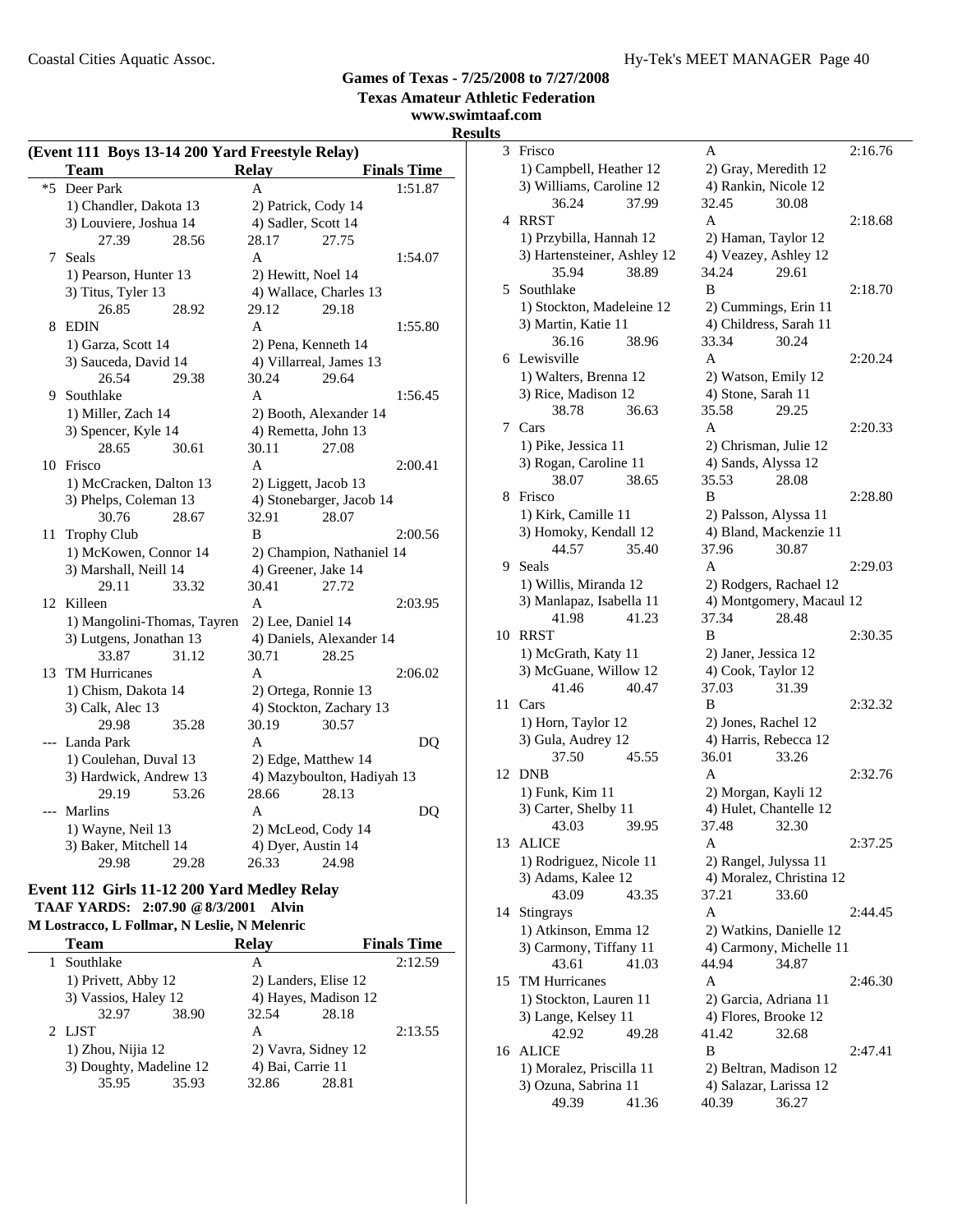**www.swimtaaf.com**

## **Results**

| (Event 111 Boys 13-14 200 Yard Freestyle Relay) |                             |                          |                            |  |  |  |  |
|-------------------------------------------------|-----------------------------|--------------------------|----------------------------|--|--|--|--|
|                                                 | <b>Team</b>                 | <b>Relay</b>             | <b>Finals Time</b>         |  |  |  |  |
| $*5$                                            | Deer Park                   | A                        | 1:51.87                    |  |  |  |  |
|                                                 | 1) Chandler, Dakota 13      |                          | 2) Patrick, Cody 14        |  |  |  |  |
|                                                 | 3) Louviere, Joshua 14      | 4) Sadler, Scott 14      |                            |  |  |  |  |
|                                                 | 27.39<br>28.56              | 28.17                    | 27.75                      |  |  |  |  |
| 7                                               | Seals                       | A                        | 1:54.07                    |  |  |  |  |
|                                                 | 1) Pearson, Hunter 13       | 2) Hewitt, Noel 14       |                            |  |  |  |  |
|                                                 | 3) Titus, Tyler 13          |                          | 4) Wallace, Charles 13     |  |  |  |  |
|                                                 | 26.85<br>28.92              | 29.12                    | 29.18                      |  |  |  |  |
| 8                                               | <b>EDIN</b>                 | A                        | 1:55.80                    |  |  |  |  |
|                                                 | 1) Garza, Scott 14          |                          | 2) Pena, Kenneth 14        |  |  |  |  |
|                                                 | 3) Sauceda, David 14        |                          | 4) Villarreal, James 13    |  |  |  |  |
|                                                 | 26.54<br>29.38              | 30.24                    | 29.64                      |  |  |  |  |
| 9                                               | Southlake                   | A                        | 1:56.45                    |  |  |  |  |
|                                                 | 1) Miller, Zach 14          |                          | 2) Booth, Alexander 14     |  |  |  |  |
|                                                 | 3) Spencer, Kyle 14         |                          | 4) Remetta, John 13        |  |  |  |  |
|                                                 | 28.65<br>30.61              | 30.11                    | 27.08                      |  |  |  |  |
| 10                                              | Frisco                      | A                        | 2:00.41                    |  |  |  |  |
|                                                 | 1) McCracken, Dalton 13     |                          | 2) Liggett, Jacob 13       |  |  |  |  |
|                                                 | 3) Phelps, Coleman 13       |                          | 4) Stonebarger, Jacob 14   |  |  |  |  |
|                                                 | 30.76<br>28.67              | 32.91                    | 28.07                      |  |  |  |  |
| 11                                              | <b>Trophy Club</b>          | B                        | 2:00.56                    |  |  |  |  |
|                                                 | 1) McKowen, Connor 14       |                          | 2) Champion, Nathaniel 14  |  |  |  |  |
|                                                 | 3) Marshall, Neill 14       |                          | 4) Greener, Jake 14        |  |  |  |  |
|                                                 | 29.11<br>33.32              | 30.41                    | 27.72                      |  |  |  |  |
| 12                                              | Killeen                     | A                        | 2:03.95                    |  |  |  |  |
|                                                 | 1) Mangolini-Thomas, Tayren | 2) Lee, Daniel 14        |                            |  |  |  |  |
|                                                 | 3) Lutgens, Jonathan 13     | 4) Daniels, Alexander 14 |                            |  |  |  |  |
|                                                 | 33.87<br>31.12              | 30.71                    | 28.25                      |  |  |  |  |
| 13                                              | <b>TM Hurricanes</b>        | A                        | 2:06.02                    |  |  |  |  |
|                                                 | 1) Chism, Dakota 14         |                          | 2) Ortega, Ronnie 13       |  |  |  |  |
|                                                 | 3) Calk, Alec 13            |                          | 4) Stockton, Zachary 13    |  |  |  |  |
|                                                 | 29.98<br>35.28              | 30.19                    | 30.57                      |  |  |  |  |
| ---                                             | Landa Park                  | A                        | DQ                         |  |  |  |  |
|                                                 | 1) Coulehan, Duval 13       |                          | 2) Edge, Matthew 14        |  |  |  |  |
|                                                 | 3) Hardwick, Andrew 13      |                          | 4) Mazyboulton, Hadiyah 13 |  |  |  |  |
|                                                 | 29.19<br>53.26              | 28.66                    | 28.13                      |  |  |  |  |
| ---                                             | Marlins                     | A                        | DQ                         |  |  |  |  |
|                                                 | 1) Wayne, Neil 13           |                          | 2) McLeod, Cody 14         |  |  |  |  |
|                                                 | 3) Baker, Mitchell 14       | 4) Dyer, Austin 14       |                            |  |  |  |  |
|                                                 | 29.98<br>29.28              | 26.33                    | 24.98                      |  |  |  |  |

### **Event 112 Girls 11-12 200 Yard Medley Relay TAAF YARDS: 2:07.90 @8/3/2001 Alvin**

### **M Lostracco, L Follmar, N Leslie, N Melenric**

| Team                |                         | <b>Relav</b> |                      | <b>Finals Time</b> |  |
|---------------------|-------------------------|--------------|----------------------|--------------------|--|
| Southlake           |                         | А            |                      | 2:12.59            |  |
| 1) Privett, Abby 12 |                         |              | 2) Landers, Elise 12 |                    |  |
|                     | 3) Vassios, Haley 12    |              | 4) Hayes, Madison 12 |                    |  |
| 32.97               | 38.90                   | 32.54        | 28.18                |                    |  |
| 2 LJST              |                         | А            |                      | 2:13.55            |  |
|                     | 1) Zhou, Nijia 12       |              | 2) Vavra, Sidney 12  |                    |  |
|                     | 3) Doughty, Madeline 12 |              | 4) Bai, Carrie 11    |                    |  |
| 35.95               | 35.93                   | 32.86        | 28.81                |                    |  |
|                     |                         |              |                      |                    |  |

| S  |                                              |                                           |         |
|----|----------------------------------------------|-------------------------------------------|---------|
| 3  | Frisco                                       | А                                         | 2:16.76 |
|    | 1) Campbell, Heather 12                      | 2) Gray, Meredith 12                      |         |
|    | 3) Williams, Caroline 12                     | 4) Rankin, Nicole 12                      |         |
|    | 37.99<br>36.24                               | 32.45<br>30.08                            |         |
| 4  | <b>RRST</b>                                  | A                                         | 2:18.68 |
|    | 1) Przybilla, Hannah 12                      | 2) Haman, Taylor 12                       |         |
|    | 3) Hartensteiner, Ashley 12                  | 4) Veazey, Ashley 12                      |         |
|    | 35.94<br>38.89                               | 34.24<br>29.61                            |         |
| 5  | Southlake                                    | B                                         | 2:18.70 |
|    | 1) Stockton, Madeleine 12                    | 2) Cummings, Erin 11                      |         |
|    | 3) Martin, Katie 11                          | 4) Childress, Sarah 11                    |         |
|    | 36.16<br>38.96                               | 33.34<br>30.24                            |         |
|    | 6 Lewisville                                 | A                                         | 2:20.24 |
|    | 1) Walters, Brenna 12<br>3) Rice, Madison 12 | 2) Watson, Emily 12<br>4) Stone, Sarah 11 |         |
|    | 38.78<br>36.63                               | 35.58<br>29.25                            |         |
|    | 7 Cars                                       | A                                         | 2:20.33 |
|    | 1) Pike, Jessica 11                          | 2) Chrisman, Julie 12                     |         |
|    | 3) Rogan, Caroline 11                        | 4) Sands, Alyssa 12                       |         |
|    | 38.07<br>38.65                               | 35.53<br>28.08                            |         |
| 8  | Frisco                                       | B                                         | 2:28.80 |
|    | 1) Kirk, Camille 11                          | 2) Palsson, Alyssa 11                     |         |
|    | 3) Homoky, Kendall 12                        | 4) Bland, Mackenzie 11                    |         |
|    | 44.57<br>35.40                               | 37.96<br>30.87                            |         |
| 9  | Seals                                        | A                                         | 2:29.03 |
|    | 1) Willis, Miranda 12                        | 2) Rodgers, Rachael 12                    |         |
|    | 3) Manlapaz, Isabella 11                     | 4) Montgomery, Macaul 12                  |         |
|    | 41.98<br>41.23                               | 37.34<br>28.48                            |         |
| 10 | <b>RRST</b>                                  | B                                         | 2:30.35 |
|    | 1) McGrath, Katy 11<br>3) McGuane, Willow 12 | 2) Janer, Jessica 12                      |         |
|    | 41.46<br>40.47                               | 4) Cook, Taylor 12<br>37.03<br>31.39      |         |
| 11 | Cars                                         | B                                         | 2:32.32 |
|    | 1) Horn, Taylor 12                           | 2) Jones, Rachel 12                       |         |
|    | 3) Gula, Audrey 12                           | 4) Harris, Rebecca 12                     |         |
|    | 37.50<br>45.55                               | 36.01<br>33.26                            |         |
| 12 | <b>DNB</b>                                   | A                                         | 2:32.76 |
|    | 1) Funk, Kim 11                              | 2) Morgan, Kayli 12                       |         |
|    | 3) Carter, Shelby 11                         | 4) Hulet, Chantelle 12                    |         |
|    | 43.03<br>39.95                               | 37.48<br>32.30                            |         |
| 13 | ALICE                                        | А                                         | 2:37.25 |
|    | 1) Rodriguez, Nicole 11                      | 2) Rangel, Julyssa 11                     |         |
|    | 3) Adams, Kalee 12                           | 4) Moralez, Christina 12                  |         |
|    | 43.09<br>43.35                               | 37.21<br>33.60                            |         |
| 14 | Stingrays                                    | A                                         | 2:44.45 |
|    | 1) Atkinson, Emma 12                         | 2) Watkins, Danielle 12                   |         |
|    | 3) Carmony, Tiffany 11                       | 4) Carmony, Michelle 11                   |         |
|    | 43.61<br>41.03<br><b>TM Hurricanes</b>       | 44.94<br>34.87                            |         |
| 15 | 1) Stockton, Lauren 11                       | Α<br>2) Garcia, Adriana 11                | 2:46.30 |
|    | 3) Lange, Kelsey 11                          | 4) Flores, Brooke 12                      |         |
|    | 42.92<br>49.28                               | 41.42<br>32.68                            |         |
| 16 | <b>ALICE</b>                                 | B                                         | 2:47.41 |
|    | 1) Moralez, Priscilla 11                     | 2) Beltran, Madison 12                    |         |
|    | 3) Ozuna, Sabrina 11                         | 4) Salazar, Larissa 12                    |         |
|    | 49.39<br>41.36                               | 40.39<br>36.27                            |         |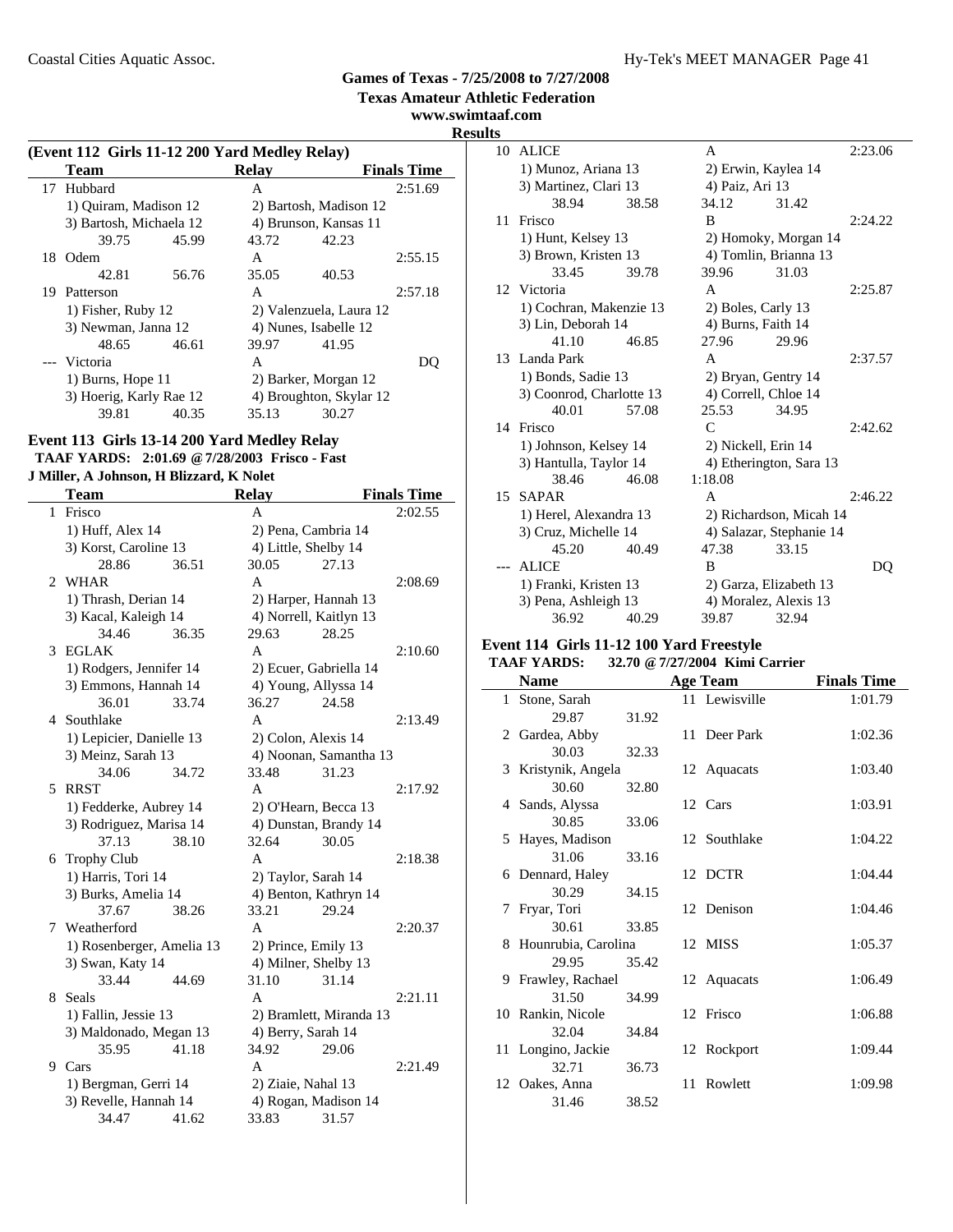**Texas Amateur Athletic Federation www.swimtaaf.com**

# **Results**

|    | (Event 112 Girls 11-12 200 Yard Medley Relay) |       |              |                         |                    |  |  |
|----|-----------------------------------------------|-------|--------------|-------------------------|--------------------|--|--|
|    | <b>Team</b>                                   |       | <b>Relav</b> |                         | <b>Finals Time</b> |  |  |
| 17 | Hubbard                                       |       | A            |                         | 2:51.69            |  |  |
|    | 1) Ouiram, Madison 12                         |       |              | 2) Bartosh, Madison 12  |                    |  |  |
|    | 3) Bartosh, Michaela 12                       |       |              | 4) Brunson, Kansas 11   |                    |  |  |
|    | 39.75                                         | 45.99 | 43.72        | 42.23                   |                    |  |  |
| 18 | Odem                                          |       | A            |                         | 2:55.15            |  |  |
|    | 42.81                                         | 56.76 | 35.05        | 40.53                   |                    |  |  |
| 19 | Patterson                                     |       | A            |                         | 2:57.18            |  |  |
|    | 1) Fisher, Ruby 12                            |       |              | 2) Valenzuela, Laura 12 |                    |  |  |
|    | 3) Newman, Janna 12                           |       |              | 4) Nunes, Isabelle 12   |                    |  |  |
|    | 48.65                                         | 46.61 | 39.97        | 41.95                   |                    |  |  |
|    | --- Victoria                                  |       | A            |                         | DU                 |  |  |
|    | 1) Burns, Hope 11                             |       |              | 2) Barker, Morgan 12    |                    |  |  |
|    | 3) Hoerig, Karly Rae 12                       |       |              | 4) Broughton, Skylar 12 |                    |  |  |
|    | 39.81                                         | 40.35 | 35.13        | 30.27                   |                    |  |  |

### **Event 113 Girls 13-14 200 Yard Medley Relay TAAF YARDS: 2:01.69 @7/28/2003 Frisco - Fast**

### **J Miller, A Johnson, H Blizzard, K Nolet**

|                       | Team                      |       | <b>Relay</b>           |                         | <b>Finals Time</b> |
|-----------------------|---------------------------|-------|------------------------|-------------------------|--------------------|
| $\mathbf{1}$          | Frisco                    |       | A                      |                         | 2:02.55            |
|                       | 1) Huff, Alex 14          |       | 2) Pena, Cambria 14    |                         |                    |
|                       | 3) Korst, Caroline 13     |       | 4) Little, Shelby 14   |                         |                    |
|                       | 28.86                     | 36.51 | 30.05                  | 27.13                   |                    |
| $\mathcal{D}_{\cdot}$ | <b>WHAR</b>               |       | A                      |                         | 2:08.69            |
|                       | 1) Thrash, Derian 14      |       | 2) Harper, Hannah 13   |                         |                    |
|                       | 3) Kacal, Kaleigh 14      |       | 4) Norrell, Kaitlyn 13 |                         |                    |
|                       | 34.46                     | 36.35 | 29.63                  | 28.25                   |                    |
| 3                     | <b>EGLAK</b>              |       | A                      |                         | 2:10.60            |
|                       | 1) Rodgers, Jennifer 14   |       |                        | 2) Ecuer, Gabriella 14  |                    |
|                       | 3) Emmons, Hannah 14      |       | 4) Young, Allyssa 14   |                         |                    |
|                       | 36.01                     | 33.74 | 36.27                  | 24.58                   |                    |
| 4                     | Southlake                 |       | A                      |                         | 2:13.49            |
|                       | 1) Lepicier, Danielle 13  |       | 2) Colon, Alexis 14    |                         |                    |
|                       | 3) Meinz, Sarah 13        |       |                        | 4) Noonan, Samantha 13  |                    |
|                       | 34.06                     | 34.72 | 33.48                  | 31.23                   |                    |
| 5                     | <b>RRST</b>               |       | A                      |                         | 2:17.92            |
|                       | 1) Fedderke, Aubrey 14    |       | 2) O'Hearn, Becca 13   |                         |                    |
|                       | 3) Rodriguez, Marisa 14   |       |                        | 4) Dunstan, Brandy 14   |                    |
|                       | 37.13                     | 38.10 | 32.64                  | 30.05                   |                    |
| 6                     | <b>Trophy Club</b>        |       | A                      |                         | 2:18.38            |
|                       | 1) Harris, Tori 14        |       | 2) Taylor, Sarah 14    |                         |                    |
|                       | 3) Burks, Amelia 14       |       |                        | 4) Benton, Kathryn 14   |                    |
|                       | 37.67                     | 38.26 | 33.21                  | 29.24                   |                    |
| 7                     | Weatherford               |       | A                      |                         | 2:20.37            |
|                       | 1) Rosenberger, Amelia 13 |       | 2) Prince, Emily 13    |                         |                    |
|                       | 3) Swan, Katy 14          |       | 4) Milner, Shelby 13   |                         |                    |
|                       | 33.44                     | 44.69 | 31.10                  | 31.14                   |                    |
| 8                     | Seals                     |       | A                      |                         | 2:21.11            |
|                       | 1) Fallin, Jessie 13      |       |                        | 2) Bramlett, Miranda 13 |                    |
|                       | 3) Maldonado, Megan 13    |       | 4) Berry, Sarah 14     |                         |                    |
|                       | 35.95                     | 41.18 | 34.92                  | 29.06                   |                    |
| 9                     | Cars                      |       | A                      |                         | 2:21.49            |
|                       | 1) Bergman, Gerri 14      |       | 2) Ziaie, Nahal 13     |                         |                    |
|                       | 3) Revelle, Hannah 14     |       |                        | 4) Rogan, Madison 14    |                    |
|                       | 34.47                     | 41.62 | 33.83                  | 31.57                   |                    |

| 10 | <b>ALICE</b>             |       | A                       |                          | 2:23.06 |
|----|--------------------------|-------|-------------------------|--------------------------|---------|
|    | 1) Munoz, Ariana 13      |       |                         | 2) Erwin, Kaylea 14      |         |
|    | 3) Martinez, Clari 13    |       | 4) Paiz, Ari 13         |                          |         |
|    | 38.94                    | 38.58 | 34.12                   | 31.42                    |         |
|    | 11 Frisco                |       | B                       |                          | 2:24.22 |
|    | 1) Hunt, Kelsey 13       |       |                         | 2) Homoky, Morgan 14     |         |
|    | 3) Brown, Kristen 13     |       |                         | 4) Tomlin, Brianna 13    |         |
|    | 33.45                    | 39.78 | 39.96                   | 31.03                    |         |
|    | 12 Victoria              |       | A                       |                          | 2:25.87 |
|    | 1) Cochran, Makenzie 13  |       | 2) Boles, Carly 13      |                          |         |
|    | 3) Lin, Deborah 14       |       | 4) Burns, Faith 14      |                          |         |
|    | 41.10                    | 46.85 | 27.96                   | 29.96                    |         |
|    | 13 Landa Park            |       | A                       |                          | 2:37.57 |
|    | 1) Bonds, Sadie 13       |       |                         | 2) Bryan, Gentry 14      |         |
|    | 3) Coonrod, Charlotte 13 |       |                         | 4) Correll, Chloe 14     |         |
|    | 40.01                    | 57.08 | 25.53                   | 34.95                    |         |
|    | 14 Frisco                |       | $\mathsf{C}$            |                          | 2:42.62 |
|    | 1) Johnson, Kelsey 14    |       | 2) Nickell, Erin 14     |                          |         |
|    | 3) Hantulla, Taylor 14   |       | 4) Etherington, Sara 13 |                          |         |
|    | 38.46                    | 46.08 | 1:18.08                 |                          |         |
|    | 15 SAPAR                 |       | A                       |                          | 2:46.22 |
|    | 1) Herel, Alexandra 13   |       |                         | 2) Richardson, Micah 14  |         |
|    | 3) Cruz, Michelle 14     |       |                         | 4) Salazar, Stephanie 14 |         |
|    | 45.20                    | 40.49 | 47.38                   | 33.15                    |         |
|    | <b>ALICE</b>             |       | B                       |                          | DQ      |
|    | 1) Franki, Kristen 13    |       |                         | 2) Garza, Elizabeth 13   |         |
|    | 3) Pena, Ashleigh 13     |       |                         | 4) Moralez, Alexis 13    |         |
|    | 36.92                    | 40.29 | 39.87                   | 32.94                    |         |
|    |                          |       |                         |                          |         |

### **Event 114 Girls 11-12 100 Yard Freestyle**

### **TAAF YARDS: 32.70 @7/27/2004 Kimi Carrier**

| <b>Name</b>           |       | <b>Age Team</b> | <b>Finals Time</b> |
|-----------------------|-------|-----------------|--------------------|
| 1 Stone, Sarah        |       | 11 Lewisville   | 1:01.79            |
| 29.87                 | 31.92 |                 |                    |
| 2 Gardea, Abby        |       | 11 Deer Park    | 1:02.36            |
| 30.03                 | 32.33 |                 |                    |
| 3 Kristynik, Angela   |       | 12 Aquacats     | 1:03.40            |
| 30.60                 | 32.80 |                 |                    |
| 4 Sands, Alyssa       |       | 12 Cars         | 1:03.91            |
| 30.85                 | 33.06 |                 |                    |
| 5 Hayes, Madison      |       | 12 Southlake    | 1:04.22            |
| 31.06                 | 33.16 |                 |                    |
| 6 Dennard, Haley      |       | 12 DCTR         | 1:04.44            |
| 30.29                 | 34.15 |                 |                    |
| 7 Fryar, Tori         |       | 12 Denison      | 1:04.46            |
| 30.61                 | 33.85 |                 |                    |
| 8 Hounrubia, Carolina |       | 12 MISS         | 1:05.37            |
| 29.95                 | 35.42 |                 |                    |
| 9 Frawley, Rachael    |       | 12 Aquacats     | 1:06.49            |
| 31.50                 | 34.99 |                 |                    |
| 10 Rankin, Nicole     |       | 12 Frisco       | 1:06.88            |
| 32.04                 | 34.84 |                 |                    |
| 11 Longino, Jackie    |       | 12 Rockport     | 1:09.44            |
| 32.71                 | 36.73 |                 |                    |
| 12 Oakes, Anna        |       | 11 Rowlett      | 1:09.98            |
| 31.46                 | 38.52 |                 |                    |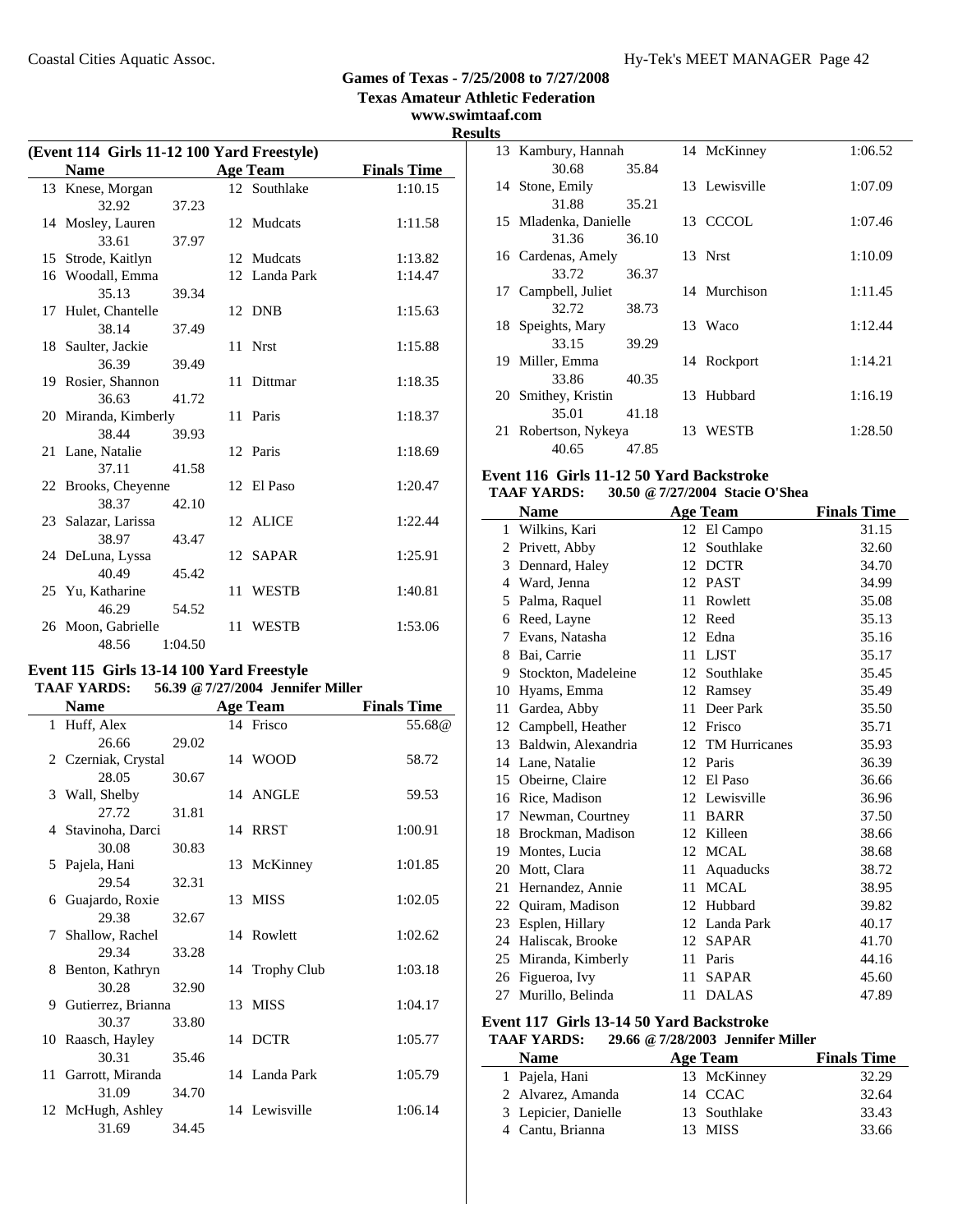**Texas Amateur Athletic Federation**

### **www.swimtaaf.com Results**

| (Event 114 Girls 11-12 100 Yard Freestyle) |                      |         |    |               |                    |  |
|--------------------------------------------|----------------------|---------|----|---------------|--------------------|--|
|                                            | <b>Name</b>          |         |    | Age Team      | <b>Finals Time</b> |  |
|                                            | 13 Knese, Morgan     |         |    | 12 Southlake  | 1:10.15            |  |
|                                            | 32.92                | 37.23   |    |               |                    |  |
|                                            | 14 Mosley, Lauren    |         |    | 12 Mudcats    | 1:11.58            |  |
|                                            | 33.61                | 37.97   |    |               |                    |  |
|                                            | 15 Strode, Kaitlyn   |         |    | 12 Mudcats    | 1:13.82            |  |
|                                            | 16 Woodall, Emma     |         |    | 12 Landa Park | 1:14.47            |  |
|                                            | 35.13                | 39.34   |    |               |                    |  |
|                                            | 17 Hulet, Chantelle  |         |    | 12 DNB        | 1:15.63            |  |
|                                            | 38.14                | 37.49   |    |               |                    |  |
|                                            | 18 Saulter, Jackie   |         |    | 11 Nrst       | 1:15.88            |  |
|                                            | 36.39                | 39.49   |    |               |                    |  |
|                                            | 19 Rosier, Shannon   |         |    | 11 Dittmar    | 1:18.35            |  |
|                                            | 36.63                | 41.72   |    |               |                    |  |
|                                            | 20 Miranda, Kimberly |         |    | 11 Paris      | 1:18.37            |  |
|                                            | 38.44                | 39.93   |    |               |                    |  |
|                                            | 21 Lane, Natalie     |         |    | 12 Paris      | 1:18.69            |  |
|                                            | 37.11                | 41.58   |    |               |                    |  |
|                                            | 22 Brooks, Cheyenne  |         |    | 12 El Paso    | 1:20.47            |  |
|                                            | 38.37                | 42.10   |    |               |                    |  |
|                                            | 23 Salazar, Larissa  |         |    | 12 ALICE      | 1:22.44            |  |
|                                            | 38.97                | 43.47   |    |               |                    |  |
|                                            | 24 DeLuna, Lyssa     |         |    | 12 SAPAR      | 1:25.91            |  |
|                                            | 40.49                | 45.42   |    |               |                    |  |
|                                            | 25 Yu, Katharine     |         | 11 | <b>WESTB</b>  | 1:40.81            |  |
|                                            | 46.29                | 54.52   |    |               |                    |  |
|                                            | 26 Moon, Gabrielle   |         |    | 11 WESTB      | 1:53.06            |  |
|                                            | 48.56                | 1:04.50 |    |               |                    |  |

#### **Event 115 Girls 13-14 100 Yard Freestyle TAAF YARDS: 56.39 @7/27/2004 Jennifer Miller**

| <b>Name</b>          |       | <b>Age Team</b> | <b>Finals Time</b> |
|----------------------|-------|-----------------|--------------------|
| 1 Huff, Alex         |       | 14 Frisco       | 55.68@             |
| 26.66                | 29.02 |                 |                    |
| 2 Czerniak, Crystal  |       | 14 WOOD         | 58.72              |
| 28.05                | 30.67 |                 |                    |
| 3 Wall, Shelby       |       | 14 ANGLE        | 59.53              |
| 27.72                | 31.81 |                 |                    |
| 4 Stavinoha, Darci   |       | 14 RRST         | 1:00.91            |
| 30.08                | 30.83 |                 |                    |
| 5 Pajela, Hani       |       | 13 McKinney     | 1:01.85            |
| 29.54                | 32.31 |                 |                    |
| 6 Guajardo, Roxie    |       | 13 MISS         | 1:02.05            |
| 29.38                | 32.67 |                 |                    |
| 7 Shallow, Rachel    |       | 14 Rowlett      | 1:02.62            |
| 29.34                | 33.28 |                 |                    |
| 8 Benton, Kathryn    |       | 14 Trophy Club  | 1:03.18            |
| 30.28                | 32.90 |                 |                    |
| 9 Gutierrez, Brianna |       | 13 MISS         | 1:04.17            |
| 30.37                | 33.80 |                 |                    |
| 10 Raasch, Hayley    |       | 14 DCTR         | 1:05.77            |
| 30.31                | 35.46 |                 |                    |
| 11 Garrott, Miranda  |       | 14 Landa Park   | 1:05.79            |
| 31.09                | 34.70 |                 |                    |
| 12 McHugh, Ashley    |       | 14 Lewisville   | 1:06.14            |
| 31.69                | 34.45 |                 |                    |

|    | 13 Kambury, Hannah    |       |    | 14 McKinney   | 1:06.52 |
|----|-----------------------|-------|----|---------------|---------|
|    | 30.68                 | 35.84 |    |               |         |
|    | 14 Stone, Emily       |       |    | 13 Lewisville | 1:07.09 |
|    | 31.88                 | 35.21 |    |               |         |
|    | 15 Mladenka, Danielle |       |    | 13 CCCOL      | 1:07.46 |
|    | 31.36                 | 36.10 |    |               |         |
|    | 16 Cardenas, Amely    |       |    | 13 Nrst       | 1:10.09 |
|    | 33.72                 | 36.37 |    |               |         |
|    | 17 Campbell, Juliet   |       |    | 14 Murchison  | 1:11.45 |
|    | 32.72                 | 38.73 |    |               |         |
|    | 18 Speights, Mary     |       |    | 13 Waco       | 1:12.44 |
|    | 33.15                 | 39.29 |    |               |         |
|    | 19 Miller, Emma       |       | 14 | Rockport      | 1:14.21 |
|    | 33.86                 | 40.35 |    |               |         |
|    | 20 Smithey, Kristin   |       |    | 13 Hubbard    | 1:16.19 |
|    | 35.01                 | 41.18 |    |               |         |
| 21 | Robertson, Nykeya     |       |    | 13 WESTB      | 1:28.50 |
|    | 40.65                 | 47.85 |    |               |         |

### **Event 116 Girls 11-12 50 Yard Backstroke**

### **TAAF YARDS: 30.50 @7/27/2004 Stacie O'Shea**

|    | Name                |    | <b>Age Team</b>      | <b>Finals Time</b> |
|----|---------------------|----|----------------------|--------------------|
| 1  | Wilkins, Kari       | 12 | El Campo             | 31.15              |
| 2  | Privett, Abby       | 12 | Southlake            | 32.60              |
| 3  | Dennard, Haley      | 12 | <b>DCTR</b>          | 34.70              |
| 4  | Ward, Jenna         | 12 | <b>PAST</b>          | 34.99              |
| 5  | Palma, Raquel       | 11 | Rowlett              | 35.08              |
| 6  | Reed, Layne         | 12 | Reed                 | 35.13              |
| 7  | Evans, Natasha      | 12 | Edna                 | 35.16              |
| 8  | Bai, Carrie         | 11 | <b>LJST</b>          | 35.17              |
| 9  | Stockton, Madeleine | 12 | Southlake            | 35.45              |
| 10 | Hyams, Emma         | 12 | Ramsey               | 35.49              |
| 11 | Gardea, Abby        | 11 | Deer Park            | 35.50              |
| 12 | Campbell, Heather   | 12 | Frisco               | 35.71              |
| 13 | Baldwin, Alexandria | 12 | <b>TM Hurricanes</b> | 35.93              |
| 14 | Lane, Natalie       | 12 | Paris                | 36.39              |
| 15 | Obeirne, Claire     | 12 | El Paso              | 36.66              |
| 16 | Rice, Madison       |    | 12 Lewisville        | 36.96              |
| 17 | Newman, Courtney    | 11 | <b>BARR</b>          | 37.50              |
| 18 | Brockman, Madison   | 12 | Killeen              | 38.66              |
| 19 | Montes, Lucia       | 12 | <b>MCAL</b>          | 38.68              |
| 20 | Mott, Clara         | 11 | Aquaducks            | 38.72              |
| 21 | Hernandez, Annie    | 11 | MCAL                 | 38.95              |
| 22 | Quiram, Madison     | 12 | Hubbard              | 39.82              |
| 23 | Esplen, Hillary     |    | 12 Landa Park        | 40.17              |
| 24 | Haliscak, Brooke    | 12 | <b>SAPAR</b>         | 41.70              |
| 25 | Miranda, Kimberly   | 11 | Paris                | 44.16              |
| 26 | Figueroa, Ivy       | 11 | <b>SAPAR</b>         | 45.60              |
| 27 | Murillo, Belinda    | 11 | <b>DALAS</b>         | 47.89              |

### **Event 117 Girls 13-14 50 Yard Backstroke**

#### **TAAF YARDS: 29.66 @7/28/2003 Jennifer Miller**

| <b>Name</b>          | Age Team     | <b>Finals Time</b> |
|----------------------|--------------|--------------------|
| 1 Pajela, Hani       | 13 McKinney  | 32.29              |
| 2 Alvarez, Amanda    | 14 CCAC      | 32.64              |
| 3 Lepicier, Danielle | 13 Southlake | 33.43              |
| 4 Cantu, Brianna     | 13 MISS      | 33.66              |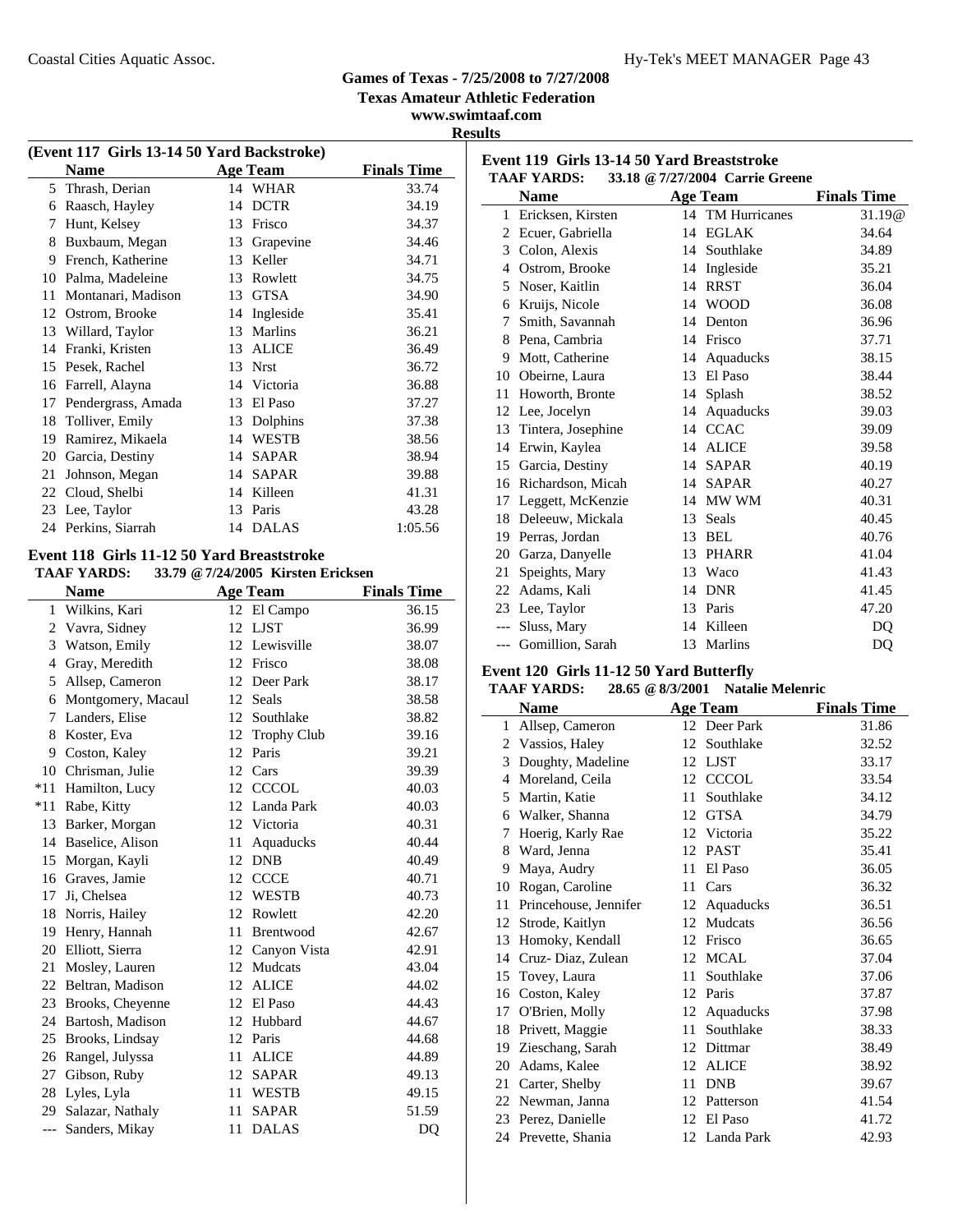**Texas Amateur Athletic Federation**

**www.swimtaaf.com Results**

| (Event 117 Girls 13-14 50 Yard Backstroke) |                                            |    |                 |                    |  |  |  |
|--------------------------------------------|--------------------------------------------|----|-----------------|--------------------|--|--|--|
|                                            | <b>Name</b>                                |    | <b>Age Team</b> | <b>Finals Time</b> |  |  |  |
|                                            | 5 Thrash, Derian                           |    | 14 WHAR         | 33.74              |  |  |  |
| 6                                          | Raasch, Hayley                             | 14 | <b>DCTR</b>     | 34.19              |  |  |  |
| 7                                          | Hunt, Kelsey                               | 13 | Frisco          | 34.37              |  |  |  |
| 8                                          | Buxbaum, Megan                             | 13 | Grapevine       | 34.46              |  |  |  |
| 9                                          | French, Katherine                          | 13 | Keller          | 34.71              |  |  |  |
| 10                                         | Palma, Madeleine                           | 13 | Rowlett         | 34.75              |  |  |  |
| 11                                         | Montanari, Madison                         | 13 | <b>GTSA</b>     | 34.90              |  |  |  |
| 12                                         | Ostrom, Brooke                             | 14 | Ingleside       | 35.41              |  |  |  |
| 13                                         | Willard, Taylor                            | 13 | Marlins         | 36.21              |  |  |  |
| 14                                         | Franki, Kristen                            | 13 | <b>ALICE</b>    | 36.49              |  |  |  |
| 15                                         | Pesek, Rachel                              | 13 | <b>Nrst</b>     | 36.72              |  |  |  |
| 16                                         | Farrell, Alayna                            |    | 14 Victoria     | 36.88              |  |  |  |
| 17                                         | Pendergrass, Amada                         | 13 | El Paso         | 37.27              |  |  |  |
| 18                                         | Tolliver, Emily                            | 13 | Dolphins        | 37.38              |  |  |  |
| 19                                         | Ramirez, Mikaela                           | 14 | <b>WESTB</b>    | 38.56              |  |  |  |
| 20                                         | Garcia, Destiny                            | 14 | <b>SAPAR</b>    | 38.94              |  |  |  |
| 21                                         | Johnson, Megan                             |    | 14 SAPAR        | 39.88              |  |  |  |
| 22                                         | Cloud, Shelbi                              | 14 | Killeen         | 41.31              |  |  |  |
|                                            | 23 Lee, Taylor                             |    | 13 Paris        | 43.28              |  |  |  |
|                                            | 24 Perkins, Siarrah                        | 14 | <b>DALAS</b>    | 1:05.56            |  |  |  |
|                                            | Event 118 Girls 11-12 50 Yard Breaststroke |    |                 |                    |  |  |  |

#### **TAAF YARDS: 33.79 @7/24/2005 Kirsten Ericksen**

|              | <b>Name</b>        | <b>Age Team</b>          | <b>Finals Time</b> |
|--------------|--------------------|--------------------------|--------------------|
| $\mathbf{1}$ | Wilkins, Kari      | El Campo<br>12           | 36.15              |
|              | 2 Vavra, Sidney    | LJST<br>12               | 36.99              |
| 3            | Watson, Emily      | Lewisville<br>12         | 38.07              |
| 4            | Gray, Meredith     | 12<br>Frisco             | 38.08              |
| 5.           | Allsep, Cameron    | 12<br>Deer Park          | 38.17              |
| 6            | Montgomery, Macaul | Seals<br>12              | 38.58              |
| 7            | Landers, Elise     | 12<br>Southlake          | 38.82              |
| 8            | Koster, Eva        | 12<br><b>Trophy Club</b> | 39.16              |
|              | 9 Coston, Kaley    | 12<br>Paris              | 39.21              |
|              | 10 Chrisman, Julie | Cars<br>12               | 39.39              |
| $*11$        | Hamilton, Lucy     | <b>CCCOL</b><br>12       | 40.03              |
|              | *11 Rabe, Kitty    | 12 Landa Park            | 40.03              |
| 13           | Barker, Morgan     | 12<br>Victoria           | 40.31              |
| 14           | Baselice, Alison   | 11<br>Aquaducks          | 40.44              |
| 15           | Morgan, Kayli      | <b>DNB</b><br>12         | 40.49              |
| 16           | Graves, Jamie      | <b>CCCE</b><br>12        | 40.71              |
| 17           | Ji, Chelsea        | 12<br>WESTB              | 40.73              |
| 18           | Norris, Hailey     | 12<br>Rowlett            | 42.20              |
| 19           | Henry, Hannah      | 11<br>Brentwood          | 42.67              |
|              | 20 Elliott, Sierra | 12<br>Canyon Vista       | 42.91              |
| 21           | Mosley, Lauren     | Mudcats<br>12            | 43.04              |
| 22           | Beltran, Madison   | <b>ALICE</b><br>12       | 44.02              |
| 23           | Brooks, Cheyenne   | El Paso<br>12            | 44.43              |
| 24           | Bartosh, Madison   | Hubbard<br>12            | 44.67              |
| 25           | Brooks, Lindsay    | 12<br>Paris              | 44.68              |
| 26           | Rangel, Julyssa    | <b>ALICE</b><br>11       | 44.89              |
| 27           | Gibson, Ruby       | 12<br><b>SAPAR</b>       | 49.13              |
| 28           | Lyles, Lyla        | 11<br><b>WESTB</b>       | 49.15              |
| 29           | Salazar, Nathaly   | <b>SAPAR</b><br>11       | 51.59              |
| $---$        | Sanders, Mikay     | <b>DALAS</b><br>11       | DQ                 |

|       | <b>Name</b>        |    | <b>Age Team</b>  | <b>Finals Time</b> |
|-------|--------------------|----|------------------|--------------------|
| 1     | Ericksen, Kirsten  |    | 14 TM Hurricanes | 31.19@             |
| 2     | Ecuer, Gabriella   | 14 | <b>EGLAK</b>     | 34.64              |
| 3     | Colon, Alexis      | 14 | Southlake        | 34.89              |
| 4     | Ostrom, Brooke     | 14 | Ingleside        | 35.21              |
| 5     | Noser, Kaitlin     | 14 | <b>RRST</b>      | 36.04              |
| 6     | Kruijs, Nicole     | 14 | <b>WOOD</b>      | 36.08              |
| 7     | Smith, Savannah    | 14 | Denton           | 36.96              |
| 8     | Pena, Cambria      | 14 | Frisco           | 37.71              |
| 9     | Mott, Catherine    | 14 | Aquaducks        | 38.15              |
| 10    | Obeirne, Laura     | 13 | El Paso          | 38.44              |
| 11    | Howorth, Bronte    | 14 | Splash           | 38.52              |
| 12    | Lee, Jocelyn       |    | 14 Aquaducks     | 39.03              |
| 13    | Tintera, Josephine |    | 14 CCAC          | 39.09              |
| 14    | Erwin, Kaylea      | 14 | <b>ALICE</b>     | 39.58              |
| 15    | Garcia, Destiny    | 14 | <b>SAPAR</b>     | 40.19              |
| 16    | Richardson, Micah  | 14 | <b>SAPAR</b>     | 40.27              |
| 17    | Leggett, McKenzie  | 14 | MW WM            | 40.31              |
| 18    | Deleeuw, Mickala   | 13 | <b>Seals</b>     | 40.45              |
| 19    | Perras, Jordan     | 13 | BEL              | 40.76              |
| 20    | Garza, Danyelle    | 13 | <b>PHARR</b>     | 41.04              |
| 21    | Speights, Mary     | 13 | Waco             | 41.43              |
| 22    | Adams, Kali        | 14 | <b>DNR</b>       | 41.45              |
|       | 23 Lee, Taylor     | 13 | Paris            | 47.20              |
|       | Sluss, Mary        | 14 | Killeen          | DQ                 |
| $---$ | Gomillion, Sarah   | 13 | Marlins          | DO                 |

### **Event 120 Girls 11-12 50 Yard Butterfly**

**Event 119 Girls 13-14 50 Yard Breaststroke TAAF YARDS: 33.18 @7/27/2004 Carrie Greene**

### **TAAF YARDS: 28.65 @8/3/2001 Natalie Melenric**

|    | <b>Name</b>           |    | Age Team      | <b>Finals Time</b> |
|----|-----------------------|----|---------------|--------------------|
| 1  | Allsep, Cameron       |    | 12 Deer Park  | 31.86              |
| 2  | Vassios, Haley        | 12 | Southlake     | 32.52              |
| 3  | Doughty, Madeline     | 12 | <b>LJST</b>   | 33.17              |
| 4  | Moreland, Ceila       |    | 12 CCCOL      | 33.54              |
| 5  | Martin, Katie         | 11 | Southlake     | 34.12              |
| 6  | Walker, Shanna        |    | 12 GTSA       | 34.79              |
| 7  | Hoerig, Karly Rae     | 12 | Victoria      | 35.22              |
| 8  | Ward, Jenna           | 12 | <b>PAST</b>   | 35.41              |
| 9  | Maya, Audry           | 11 | El Paso       | 36.05              |
| 10 | Rogan, Caroline       | 11 | Cars          | 36.32              |
| 11 | Princehouse, Jennifer | 12 | Aquaducks     | 36.51              |
| 12 | Strode, Kaitlyn       | 12 | Mudcats       | 36.56              |
| 13 | Homoky, Kendall       | 12 | Frisco        | 36.65              |
| 14 | Cruz-Diaz, Zulean     |    | 12 MCAL       | 37.04              |
| 15 | Tovey, Laura          | 11 | Southlake     | 37.06              |
| 16 | Coston, Kaley         |    | 12 Paris      | 37.87              |
| 17 | O'Brien, Molly        | 12 | Aquaducks     | 37.98              |
| 18 | Privett, Maggie       | 11 | Southlake     | 38.33              |
| 19 | Zieschang, Sarah      | 12 | Dittmar       | 38.49              |
| 20 | Adams, Kalee          | 12 | <b>ALICE</b>  | 38.92              |
| 21 | Carter, Shelby        | 11 | <b>DNB</b>    | 39.67              |
| 22 | Newman, Janna         | 12 | Patterson     | 41.54              |
| 23 | Perez, Danielle       |    | 12 El Paso    | 41.72              |
|    | 24 Prevette, Shania   |    | 12 Landa Park | 42.93              |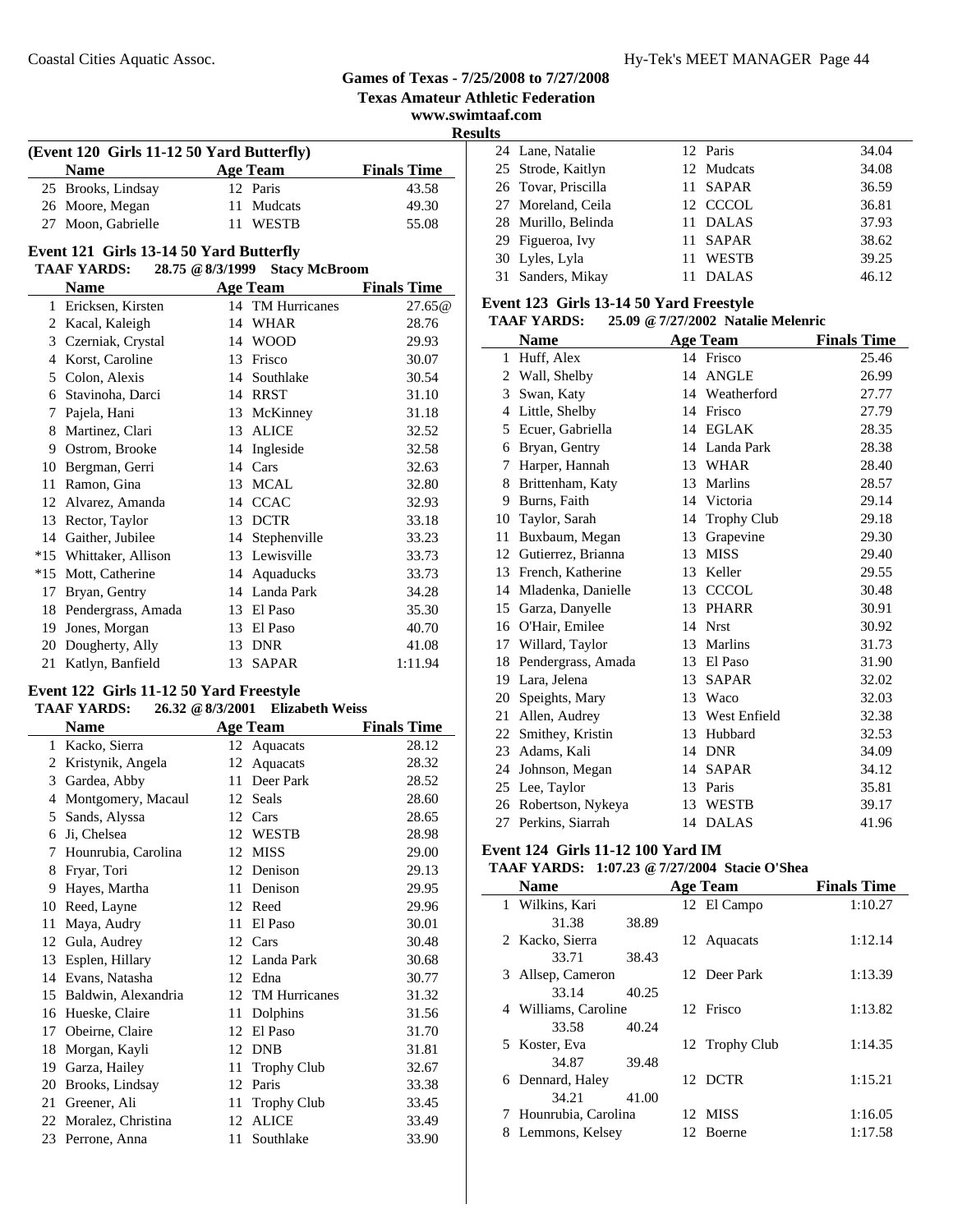### **Texas Amateur Athletic Federation www.swimtaaf.com Results (Event 120 Girls 11-12 50 Yard Butterfly) Name Age Team Finals Time** 25 43.58 Brooks, Lindsay 12 Paris 26 49.30 Moore, Megan 11 Mudcats 27 Moon, Gabrielle 11 WESTB 55.08 **Event 121 Girls 13-14 50 Yard Butterfly TAAF YARDS: 28.75 @8/3/1999 Stacy McBroom Name Age Team Finals Time**<br>Ericksen, Kirsten **Age Team Property Age Team Example 14** TM Hurricanes 27.65 @ 1 27.65@ Ericksen, Kirsten 14 TM Hurricanes 2 28.76 Kacal, Kaleigh 14 WHAR 3 29.93 Czerniak, Crystal 14 WOOD 4 30.07 Korst, Caroline 13 Frisco 5 30.54 Colon, Alexis 14 Southlake 6 31.10 Stavinoha, Darci 14 RRST 7 Pajela, Hani 13 McKinney 31.18 8 Martinez, Clari 13 ALICE 32.52 9 32.58 Ostrom, Brooke 14 Ingleside 10 32.63 Bergman, Gerri 14 Cars 11 Ramon, Gina 13 MCAL 32.80 12 Alvarez, Amanda 14 CCAC 32.93 13 Rector, Taylor 13 DCTR 33.18 14 Gaither, Jubilee 14 Stephenville 33.23 \*15 33.73 Whittaker, Allison 13 Lewisville \*15 33.73 Mott, Catherine 14 Aquaducks 17 Bryan, Gentry 14 Landa Park 34.28 18 Pendergrass, Amada 13 El Paso 35.30 19 Jones, Morgan 13 El Paso 40.70 20 Dougherty, Ally 13 DNR 41.08 21 Katlyn, Banfield 13 SAPAR 1:11.94 **Event 122 Girls 11-12 50 Yard Freestyle TAAF YARDS: 26.32 @8/3/2001 Elizabeth Weiss Name Age Team Finals Time**<br>**Kacko. Sierra 12 Aquacats 28.12** 1 Kacko, Sierra 12 Aquacats 2 Kristynik, Angela 12 Aquacats 28.32  $Garden$  Abb 4 Montgomery, Macaul 12 Seals 28.60 5 28.65 Sands, Alyssa 12 Cars 6 28.98 Ji, Chelsea 12 WESTB 7 29.00 Hounrubia, Carolina 12 MISS 8 29.13 Fryar, Tori 12 Denison 9 29.95 Hayes, Martha 11 Denison  $\overline{\phantom{0}}$

|    | 3 Gardea, Abby         | $\mathbf{H}$ | Deer Park          | 28.52 |
|----|------------------------|--------------|--------------------|-------|
| 4  | Montgomery, Macaul     |              | 12 Seals           | 28.60 |
| 5  | Sands, Alyssa          |              | 12 Cars            | 28.65 |
| 6  | Ji, Chelsea            | 12           | <b>WESTB</b>       | 28.98 |
|    | 7 Hounrubia, Carolina  | 12           | <b>MISS</b>        | 29.00 |
| 8  | Fryar, Tori            | 12           | Denison            | 29.13 |
| 9  | Hayes, Martha          | 11           | Denison            | 29.95 |
| 10 | Reed, Layne            |              | 12 Reed            | 29.96 |
| 11 | Maya, Audry            | 11           | El Paso            | 30.01 |
|    | 12 Gula, Audrey        | 12           | Cars               | 30.48 |
| 13 | Esplen, Hillary        |              | 12 Landa Park      | 30.68 |
|    | 14 Evans, Natasha      |              | 12 Edna            | 30.77 |
|    | 15 Baldwin, Alexandria |              | 12 TM Hurricanes   | 31.32 |
| 16 | Hueske, Claire         | 11           | Dolphins           | 31.56 |
|    | 17 Obeirne, Claire     | 12           | El Paso            | 31.70 |
|    | 18 Morgan, Kayli       | 12           | <b>DNB</b>         | 31.81 |
|    | 19 Garza, Hailey       | 11           | <b>Trophy Club</b> | 32.67 |
|    | 20 Brooks, Lindsay     | 12           | Paris              | 33.38 |
|    | 21 Greener, Ali        | 11           | <b>Trophy Club</b> | 33.45 |
|    | 22 Moralez, Christina  | 12           | <b>ALICE</b>       | 33.49 |
|    | 23 Perrone, Anna       | 11           | Southlake          | 33.90 |
|    |                        |              |                    |       |

|  | 24 Lane, Natalie    | 12 Paris     | 34.04 |
|--|---------------------|--------------|-------|
|  | 25 Strode, Kaitlyn  | 12 Mudcats   | 34.08 |
|  | 26 Tovar, Priscilla | 11 SAPAR     | 36.59 |
|  | 27 Moreland, Ceila  | 12 CCCOL     | 36.81 |
|  | 28 Murillo, Belinda | 11 DALAS     | 37.93 |
|  | 29 Figueroa, Ivy    | 11 SAPAR     | 38.62 |
|  | 30 Lyles, Lyla      | 11 WESTB     | 39.25 |
|  | 31 Sanders, Mikay   | <b>DALAS</b> | 46.12 |

#### **Event 123 Girls 13-14 50 Yard Freestyle**

**Games of Texas - 7/25/2008 to 7/27/2008**

#### **TAAF YARDS: 25.09 @7/27/2002 Natalie Melenric**

|    | <b>Name</b>        |    | <b>Age Team</b> | <b>Finals Time</b> |
|----|--------------------|----|-----------------|--------------------|
| 1  | Huff, Alex         |    | 14 Frisco       | 25.46              |
| 2  | Wall, Shelby       | 14 | <b>ANGLE</b>    | 26.99              |
| 3  | Swan, Katy         |    | 14 Weatherford  | 27.77              |
| 4  | Little, Shelby     | 14 | Frisco          | 27.79              |
| 5  | Ecuer, Gabriella   |    | 14 EGLAK        | 28.35              |
| 6  | Bryan, Gentry      |    | 14 Landa Park   | 28.38              |
| 7  | Harper, Hannah     | 13 | <b>WHAR</b>     | 28.40              |
| 8  | Brittenham, Katy   |    | 13 Marlins      | 28.57              |
| 9  | Burns, Faith       |    | 14 Victoria     | 29.14              |
| 10 | Taylor, Sarah      | 14 | Trophy Club     | 29.18              |
| 11 | Buxbaum, Megan     | 13 | Grapevine       | 29.30              |
| 12 | Gutierrez, Brianna | 13 | <b>MISS</b>     | 29.40              |
| 13 | French, Katherine  | 13 | Keller          | 29.55              |
| 14 | Mladenka, Danielle |    | 13 CCCOL        | 30.48              |
| 15 | Garza, Danyelle    | 13 | <b>PHARR</b>    | 30.91              |
| 16 | O'Hair, Emilee     | 14 | <b>Nrst</b>     | 30.92              |
| 17 | Willard, Taylor    |    | 13 Marlins      | 31.73              |
| 18 | Pendergrass, Amada | 13 | El Paso         | 31.90              |
| 19 | Lara, Jelena       | 13 | <b>SAPAR</b>    | 32.02              |
| 20 | Speights, Mary     |    | 13 Waco         | 32.03              |
| 21 | Allen, Audrey      |    | 13 West Enfield | 32.38              |
| 22 | Smithey, Kristin   | 13 | Hubbard         | 32.53              |
| 23 | Adams, Kali        |    | 14 DNR          | 34.09              |
| 24 | Johnson, Megan     | 14 | <b>SAPAR</b>    | 34.12              |
| 25 | Lee, Taylor        | 13 | Paris           | 35.81              |
| 26 | Robertson, Nykeya  | 13 | WESTB           | 39.17              |
| 27 | Perkins, Siarrah   | 14 | <b>DALAS</b>    | 41.96              |

### **Event 124 Girls 11-12 100 Yard IM**

### **TAAF YARDS: 1:07.23 @7/27/2004 Stacie O'Shea**

|   | <b>Name</b>          |       |     | <b>Age Team</b> | <b>Finals Time</b> |
|---|----------------------|-------|-----|-----------------|--------------------|
|   | 1 Wilkins, Kari      |       |     | 12 El Campo     | 1:10.27            |
|   | 31.38                | 38.89 |     |                 |                    |
|   | 2 Kacko, Sierra      |       |     | 12 Aquacats     | 1:12.14            |
|   | 33.71                | 38.43 |     |                 |                    |
| 3 | Allsep, Cameron      |       |     | 12 Deer Park    | 1:13.39            |
|   | 33.14                | 40.25 |     |                 |                    |
|   | 4 Williams, Caroline |       |     | 12 Frisco       | 1:13.82            |
|   | 33.58                | 40.24 |     |                 |                    |
|   | 5 Koster, Eva        |       |     | 12 Trophy Club  | 1:14.35            |
|   | 34.87                | 39.48 |     |                 |                    |
|   | 6 Dennard, Haley     |       |     | 12 DCTR         | 1:15.21            |
|   | 34.21                | 41.00 |     |                 |                    |
| 7 | Hounrubia, Carolina  |       |     | 12 MISS         | 1:16.05            |
| 8 | Lemmons, Kelsey      |       | 12. | Boerne          | 1:17.58            |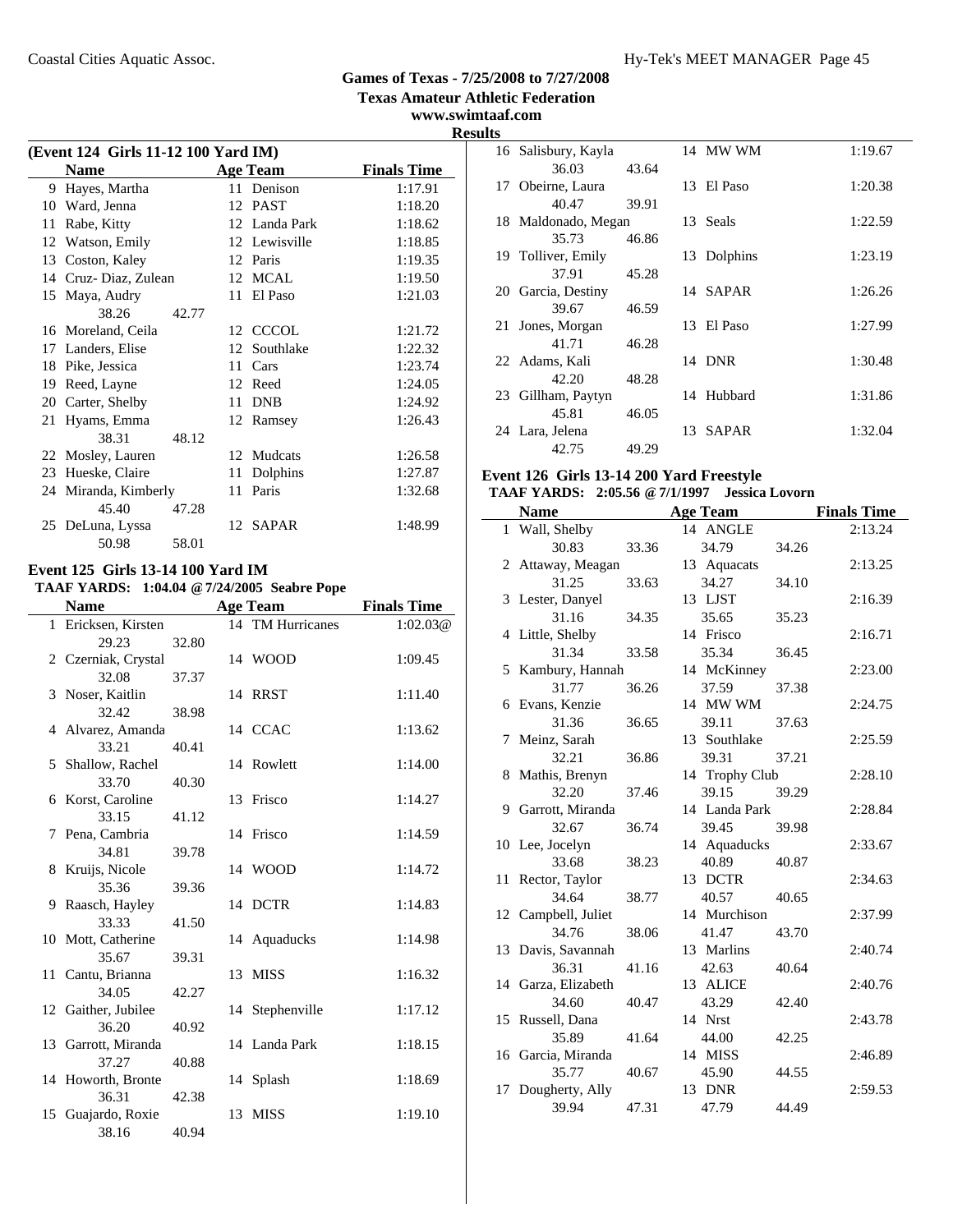**www.swimtaaf.com**

# **Results**

| (Event 124 Girls 11-12 100 Yard IM) |                      |       |    |                 |                    |  |  |
|-------------------------------------|----------------------|-------|----|-----------------|--------------------|--|--|
| <b>Name</b>                         |                      |       |    | <b>Age Team</b> | <b>Finals Time</b> |  |  |
| 9                                   | Hayes, Martha        |       |    | 11 Denison      | 1:17.91            |  |  |
| 10                                  | Ward, Jenna          |       |    | 12 PAST         | 1:18.20            |  |  |
| 11                                  | Rabe, Kitty          |       |    | 12 Landa Park   | 1:18.62            |  |  |
| 12                                  | Watson, Emily        |       |    | 12 Lewisville   | 1:18.85            |  |  |
| 13                                  | Coston, Kaley        |       |    | 12 Paris        | 1:19.35            |  |  |
|                                     | 14 Cruz-Diaz, Zulean |       |    | 12 MCAL         | 1:19.50            |  |  |
| 15                                  | Maya, Audry          |       | 11 | El Paso         | 1:21.03            |  |  |
|                                     | 38.26                | 42.77 |    |                 |                    |  |  |
|                                     | 16 Moreland, Ceila   |       |    | 12 CCCOL        | 1:21.72            |  |  |
| 17                                  | Landers, Elise       |       | 12 | Southlake       | 1:22.32            |  |  |
| 18                                  | Pike, Jessica        |       | 11 | Cars            | 1:23.74            |  |  |
| 19                                  | Reed, Layne          |       |    | 12 Reed         | 1:24.05            |  |  |
| 20                                  | Carter, Shelby       |       | 11 | <b>DNB</b>      | 1:24.92            |  |  |
|                                     | 21 Hyams, Emma       |       |    | 12 Ramsey       | 1:26.43            |  |  |
|                                     | 38.31                | 48.12 |    |                 |                    |  |  |
|                                     | 22 Mosley, Lauren    |       |    | 12 Mudcats      | 1:26.58            |  |  |
| 23                                  | Hueske, Claire       |       | 11 | Dolphins        | 1:27.87            |  |  |
|                                     | 24 Miranda, Kimberly |       | 11 | Paris           | 1:32.68            |  |  |
|                                     | 45.40                | 47.28 |    |                 |                    |  |  |
|                                     | 25 DeLuna, Lyssa     |       |    | 12 SAPAR        | 1:48.99            |  |  |
|                                     | 50.98                | 58.01 |    |                 |                    |  |  |

#### **Event 125 Girls 13-14 100 Yard IM TAAF YARDS: 1:04.04 @7/24/2005 Seabre Pope**

 $\overline{a}$ 

|    | ІААГ ІАКРЭ,               |       | <b>1.04.04</b> $\omega$ //24/2003 Seable Fupe |                    |
|----|---------------------------|-------|-----------------------------------------------|--------------------|
|    | <b>Name</b>               |       | <b>Age Team</b>                               | <b>Finals Time</b> |
|    | 1 Ericksen, Kirsten       |       | 14 TM Hurricanes                              | 1:02.03@           |
|    | 29.23                     | 32.80 |                                               |                    |
|    | 2 Czerniak, Crystal       |       | 14 WOOD                                       | 1:09.45            |
|    | 32.08                     | 37.37 |                                               |                    |
|    | 3 Noser, Kaitlin          |       | 14 RRST                                       | 1:11.40            |
|    | 32.42                     | 38.98 |                                               |                    |
|    | 4 Alvarez, Amanda         |       | 14 CCAC                                       | 1:13.62            |
|    | 33.21                     | 40.41 |                                               |                    |
|    | 5 Shallow, Rachel         |       | 14 Rowlett                                    | 1:14.00            |
|    | 33.70                     | 40.30 |                                               |                    |
|    | 6 Korst, Caroline         |       | 13 Frisco                                     | 1:14.27            |
|    | 33.15                     | 41.12 |                                               |                    |
|    | 7 Pena, Cambria           |       | 14 Frisco                                     | 1:14.59            |
|    | 34.81                     | 39.78 |                                               |                    |
|    | 8 Kruijs, Nicole<br>35.36 |       | 14 WOOD                                       | 1:14.72            |
|    | 9 Raasch, Hayley          | 39.36 | 14 DCTR                                       | 1:14.83            |
|    | 33.33                     | 41.50 |                                               |                    |
|    | 10 Mott, Catherine        |       | 14 Aquaducks                                  | 1:14.98            |
|    | 35.67                     | 39.31 |                                               |                    |
|    | 11 Cantu, Brianna         |       | 13 MISS                                       | 1:16.32            |
|    | 34.05                     | 42.27 |                                               |                    |
|    | 12 Gaither, Jubilee       |       | 14 Stephenville                               | 1:17.12            |
|    | 36.20                     | 40.92 |                                               |                    |
|    | 13 Garrott, Miranda       |       | 14 Landa Park                                 | 1:18.15            |
|    | 37.27                     | 40.88 |                                               |                    |
|    | 14 Howorth, Bronte        |       | 14 Splash                                     | 1:18.69            |
|    | 36.31                     | 42.38 |                                               |                    |
| 15 | Guajardo, Roxie           |       | 13 MISS                                       | 1:19.10            |
|    | 38.16                     | 40.94 |                                               |                    |
|    |                           |       |                                               |                    |

|    | 16 Salisbury, Kayla |       |    | 14 MW WM     | 1:19.67 |
|----|---------------------|-------|----|--------------|---------|
|    | 36.03               | 43.64 |    |              |         |
|    | 17 Obeirne, Laura   |       |    | 13 El Paso   | 1:20.38 |
|    | 40.47               | 39.91 |    |              |         |
|    | 18 Maldonado, Megan |       |    | 13 Seals     | 1:22.59 |
|    | 35.73               | 46.86 |    |              |         |
|    | 19 Tolliver, Emily  |       |    | 13 Dolphins  | 1:23.19 |
|    | 37.91               | 45.28 |    |              |         |
|    | 20 Garcia, Destiny  |       |    | 14 SAPAR     | 1:26.26 |
|    | 39.67               | 46.59 |    |              |         |
| 21 | Jones, Morgan       |       | 13 | El Paso      | 1:27.99 |
|    | 41.71               | 46.28 |    |              |         |
|    | 22 Adams, Kali      |       |    | 14 DNR       | 1:30.48 |
|    | 42.20               | 48.28 |    |              |         |
|    | 23 Gillham, Paytyn  |       |    | 14 Hubbard   | 1:31.86 |
|    | 45.81               | 46.05 |    |              |         |
|    | 24 Lara, Jelena     |       | 13 | <b>SAPAR</b> | 1:32.04 |
|    | 42.75               | 49.29 |    |              |         |

### **Event 126 Girls 13-14 200 Yard Freestyle**

## **TAAF YARDS: 2:05.56 @7/1/1997 Jessica Lovorn**

|    | <b>Name</b>         |       | <b>Age Team</b> |       | <b>Finals Time</b> |
|----|---------------------|-------|-----------------|-------|--------------------|
|    | 1 Wall, Shelby      |       | 14 ANGLE        |       | 2:13.24            |
|    | 30.83               | 33.36 | 34.79           | 34.26 |                    |
|    | 2 Attaway, Meagan   |       | 13 Aquacats     |       | 2:13.25            |
|    | 31.25               | 33.63 | 34.27           | 34.10 |                    |
|    | 3 Lester, Danyel    |       | 13 LJST         |       | 2:16.39            |
|    | 31.16               | 34.35 | 35.65           | 35.23 |                    |
|    | 4 Little, Shelby    |       | 14 Frisco       |       | 2:16.71            |
|    | 31.34               | 33.58 | 35.34           | 36.45 |                    |
|    | 5 Kambury, Hannah   |       | 14 McKinney     |       | 2:23.00            |
|    | 31.77               | 36.26 | 37.59           | 37.38 |                    |
|    | 6 Evans, Kenzie     |       | 14 MW WM        |       | 2:24.75            |
|    | 31.36               | 36.65 | 39.11           | 37.63 |                    |
| 7  | Meinz, Sarah        |       | 13 Southlake    |       | 2:25.59            |
|    | 32.21               | 36.86 | 39.31           | 37.21 |                    |
|    | 8 Mathis, Brenyn    |       | 14 Trophy Club  |       | 2:28.10            |
|    | 32.20               | 37.46 | 39.15           | 39.29 |                    |
|    | 9 Garrott, Miranda  |       | 14 Landa Park   |       | 2:28.84            |
|    | 32.67               | 36.74 | 39.45           | 39.98 |                    |
|    | 10 Lee, Jocelyn     |       | 14 Aquaducks    |       | 2:33.67            |
|    | 33.68               | 38.23 | 40.89           | 40.87 |                    |
|    | 11 Rector, Taylor   |       | 13 DCTR         |       | 2:34.63            |
|    | 34.64               | 38.77 | 40.57           | 40.65 |                    |
|    | 12 Campbell, Juliet |       | 14 Murchison    |       | 2:37.99            |
|    | 34.76               | 38.06 | 41.47           | 43.70 |                    |
|    | 13 Davis, Savannah  |       | 13 Marlins      |       | 2:40.74            |
|    | 36.31               | 41.16 | 42.63           | 40.64 |                    |
|    | 14 Garza, Elizabeth |       | 13 ALICE        |       | 2:40.76            |
|    | 34.60               | 40.47 | 43.29           | 42.40 |                    |
|    | 15 Russell, Dana    |       | 14 Nrst         |       | 2:43.78            |
|    | 35.89               | 41.64 | 44.00           | 42.25 |                    |
|    | 16 Garcia, Miranda  |       | 14 MISS         |       | 2:46.89            |
|    | 35.77               | 40.67 | 45.90           | 44.55 |                    |
| 17 | Dougherty, Ally     |       | 13 DNR          |       | 2:59.53            |
|    | 39.94               | 47.31 | 47.79           | 44.49 |                    |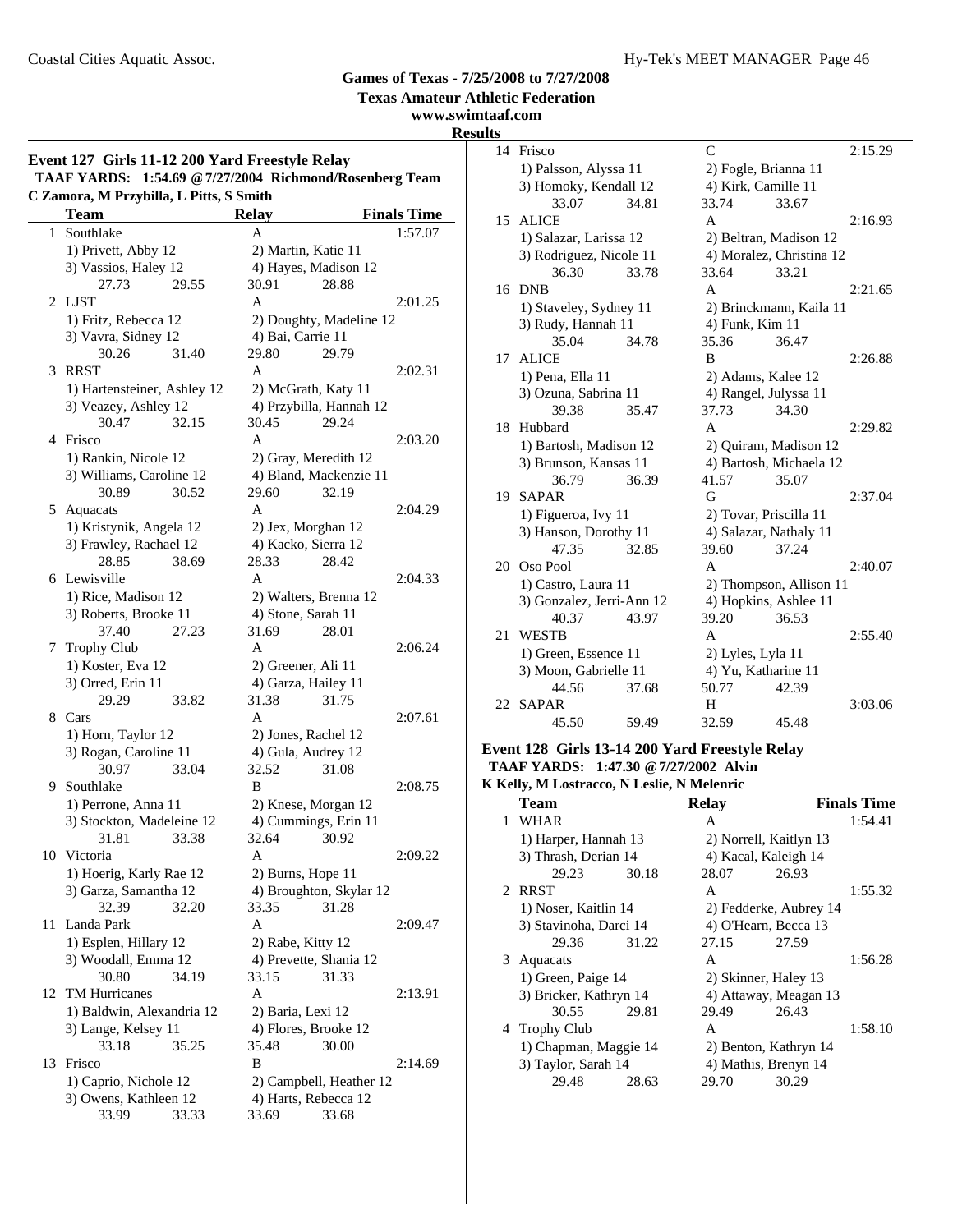**Texas Amateur Athletic Federation**

### **www.swimtaaf.com Results**

|    | Event 127 Girls 11-12 200 Yard Freestyle Relay<br><b>TAAF YARDS:</b><br>C Zamora, M Przybilla, L Pitts, S Smith | 1:54.69 @ 7/27/2004 Richmond/Rosenberg Team |                    |
|----|-----------------------------------------------------------------------------------------------------------------|---------------------------------------------|--------------------|
|    | <b>Team</b>                                                                                                     | Relay                                       | <b>Finals Time</b> |
| 1  | Southlake                                                                                                       | A                                           | 1:57.07            |
|    | 1) Privett, Abby 12                                                                                             | 2) Martin, Katie 11                         |                    |
|    | 3) Vassios, Haley 12                                                                                            | 4) Hayes, Madison 12                        |                    |
|    | 29.55<br>27.73                                                                                                  | 30.91                                       | 28.88              |
| 2  | <b>LJST</b>                                                                                                     | A                                           | 2:01.25            |
|    | 1) Fritz, Rebecca 12                                                                                            | 2) Doughty, Madeline 12                     |                    |
|    | 3) Vavra, Sidney 12                                                                                             | 4) Bai, Carrie 11                           |                    |
|    | 30.26<br>31.40                                                                                                  | 29.80                                       | 29.79              |
| 3  | <b>RRST</b>                                                                                                     | A                                           | 2:02.31            |
|    | 1) Hartensteiner, Ashley 12                                                                                     | 2) McGrath, Katy 11                         |                    |
|    | 3) Veazey, Ashley 12                                                                                            | 4) Przybilla, Hannah 12                     |                    |
|    | 30.47<br>32.15                                                                                                  | 30.45                                       | 29.24              |
|    | 4 Frisco                                                                                                        | A                                           | 2:03.20            |
|    | 1) Rankin, Nicole 12                                                                                            | 2) Gray, Meredith 12                        |                    |
|    | 3) Williams, Caroline 12                                                                                        | 4) Bland, Mackenzie 11                      |                    |
|    | 30.89<br>30.52                                                                                                  | 29.60                                       | 32.19              |
|    | 5 Aquacats                                                                                                      | A                                           | 2:04.29            |
|    | 1) Kristynik, Angela 12                                                                                         | 2) Jex, Morghan 12                          |                    |
|    | 3) Frawley, Rachael 12                                                                                          | 4) Kacko, Sierra 12                         |                    |
|    | 28.85<br>38.69                                                                                                  | 28.33                                       | 28.42              |
|    | 6 Lewisville                                                                                                    | A                                           | 2:04.33            |
|    | 1) Rice, Madison 12                                                                                             | 2) Walters, Brenna 12                       |                    |
|    | 3) Roberts, Brooke 11                                                                                           | 4) Stone, Sarah 11                          |                    |
|    | 37.40<br>27.23                                                                                                  | 31.69                                       | 28.01              |
|    | 7 Trophy Club                                                                                                   | A                                           | 2:06.24            |
|    | 1) Koster, Eva 12                                                                                               | 2) Greener, Ali 11                          |                    |
|    | 3) Orred, Erin 11                                                                                               | 4) Garza, Hailey 11                         |                    |
|    | 29.29<br>33.82                                                                                                  | 31.38                                       | 31.75              |
|    | 8 Cars                                                                                                          | A                                           | 2:07.61            |
|    | 1) Horn, Taylor 12<br>3) Rogan, Caroline 11                                                                     | 2) Jones, Rachel 12                         |                    |
|    | 30.97<br>33.04                                                                                                  | 4) Gula, Audrey 12<br>32.52                 | 31.08              |
| 9  | Southlake                                                                                                       | B                                           | 2:08.75            |
|    | 1) Perrone, Anna 11                                                                                             | 2) Knese, Morgan 12                         |                    |
|    | 3) Stockton, Madeleine 12                                                                                       | 4) Cummings, Erin 11                        |                    |
|    | 33.38<br>31.81                                                                                                  | 32.64                                       | 30.92              |
|    | 10 Victoria                                                                                                     | A                                           | 2:09.22            |
|    | 1) Hoerig, Karly Rae 12                                                                                         | 2) Burns, Hope 11                           |                    |
|    | 3) Garza, Samantha 12                                                                                           | 4) Broughton, Skylar 12                     |                    |
|    | 32.39<br>32.20                                                                                                  | 33.35                                       | 31.28              |
| 11 | Landa Park                                                                                                      | A                                           | 2:09.47            |
|    | 1) Esplen, Hillary 12                                                                                           | 2) Rabe, Kitty 12                           |                    |
|    | 3) Woodall, Emma 12                                                                                             | 4) Prevette, Shania 12                      |                    |
|    | 30.80<br>34.19                                                                                                  | 33.15                                       | 31.33              |
| 12 | <b>TM Hurricanes</b>                                                                                            | A                                           | 2:13.91            |
|    | 1) Baldwin, Alexandria 12                                                                                       | 2) Baria, Lexi 12                           |                    |
|    | 3) Lange, Kelsey 11                                                                                             | 4) Flores, Brooke 12                        |                    |
|    | 33.18<br>35.25                                                                                                  | 35.48                                       | 30.00              |
| 13 | Frisco                                                                                                          | B                                           | 2:14.69            |
|    | 1) Caprio, Nichole 12                                                                                           | 2) Campbell, Heather 12                     |                    |
|    | 3) Owens, Kathleen 12                                                                                           | 4) Harts, Rebecca 12                        |                    |
|    | 33.99<br>33.33                                                                                                  | 33.69                                       | 33.68              |
|    |                                                                                                                 |                                             |                    |

| lS |                           |       |                    |                          |         |
|----|---------------------------|-------|--------------------|--------------------------|---------|
| 14 | Frisco                    |       | $\mathcal{C}$      |                          | 2:15.29 |
|    | 1) Palsson, Alyssa 11     |       |                    | 2) Fogle, Brianna 11     |         |
|    | 3) Homoky, Kendall 12     |       |                    | 4) Kirk, Camille 11      |         |
|    | 33.07                     | 34.81 | 33.74              | 33.67                    |         |
| 15 | <b>ALICE</b>              |       | A                  |                          | 2:16.93 |
|    | 1) Salazar, Larissa 12    |       |                    | 2) Beltran, Madison 12   |         |
|    | 3) Rodriguez, Nicole 11   |       |                    | 4) Moralez, Christina 12 |         |
|    | 36.30                     | 33.78 | 33.64              | 33.21                    |         |
|    | 16 DNB                    |       | A                  |                          | 2:21.65 |
|    | 1) Staveley, Sydney 11    |       |                    | 2) Brinckmann, Kaila 11  |         |
|    | 3) Rudy, Hannah 11        |       | 4) Funk, Kim 11    |                          |         |
|    | 35.04                     | 34.78 | 35.36              | 36.47                    |         |
| 17 | <b>ALICE</b>              |       | B                  |                          | 2:26.88 |
|    | 1) Pena, Ella 11          |       | 2) Adams, Kalee 12 |                          |         |
|    | 3) Ozuna, Sabrina 11      |       |                    | 4) Rangel, Julyssa 11    |         |
|    | 39.38                     | 35.47 | 37.73              | 34.30                    |         |
| 18 | Hubbard                   |       | A                  |                          | 2:29.82 |
|    | 1) Bartosh, Madison 12    |       |                    | 2) Quiram, Madison 12    |         |
|    | 3) Brunson, Kansas 11     |       |                    | 4) Bartosh, Michaela 12  |         |
|    | 36.79                     | 36.39 | 41.57              | 35.07                    |         |
| 19 | <b>SAPAR</b>              |       | G                  |                          | 2:37.04 |
|    | 1) Figueroa, Ivy 11       |       |                    | 2) Tovar, Priscilla 11   |         |
|    | 3) Hanson, Dorothy 11     |       |                    | 4) Salazar, Nathaly 11   |         |
|    | 47.35                     | 32.85 | 39.60              | 37.24                    |         |
| 20 | Oso Pool                  |       | A                  |                          | 2:40.07 |
|    | 1) Castro, Laura 11       |       |                    | 2) Thompson, Allison 11  |         |
|    | 3) Gonzalez, Jerri-Ann 12 |       |                    | 4) Hopkins, Ashlee 11    |         |
|    | 40.37                     | 43.97 | 39.20              | 36.53                    |         |
| 21 | <b>WESTB</b>              |       | A                  |                          | 2:55.40 |
|    | 1) Green, Essence 11      |       | 2) Lyles, Lyla 11  |                          |         |
|    | 3) Moon, Gabrielle 11     |       |                    | 4) Yu, Katharine 11      |         |
|    | 44.56                     | 37.68 | 50.77              | 42.39                    |         |
| 22 | <b>SAPAR</b>              |       | H                  |                          | 3:03.06 |
|    | 45.50                     | 59.49 | 32.59              | 45.48                    |         |

### **Event 128 Girls 13-14 200 Yard Freestyle Relay TAAF YARDS: 1:47.30 @7/27/2002 Alvin**

**K Kelly, M Lostracco, N Leslie, N Melenric**

| Team                   |       | <b>Relay</b>           |                        | <b>Finals Time</b> |
|------------------------|-------|------------------------|------------------------|--------------------|
| 1 WHAR                 |       | A                      |                        | 1:54.41            |
| 1) Harper, Hannah 13   |       | 2) Norrell, Kaitlyn 13 |                        |                    |
| 3) Thrash, Derian 14   |       | 4) Kacal, Kaleigh 14   |                        |                    |
| 29.23                  | 30.18 | 28.07                  | 26.93                  |                    |
| 2 RRST                 |       | A                      |                        | 1:55.32            |
| 1) Noser, Kaitlin 14   |       |                        | 2) Fedderke, Aubrey 14 |                    |
| 3) Stavinoha, Darci 14 |       | 4) O'Hearn, Becca 13   |                        |                    |
| 29.36                  | 31.22 | 27.15                  | 27.59                  |                    |
| 3 Aquacats             |       | A                      |                        | 1:56.28            |
| 1) Green, Paige 14     |       | 2) Skinner, Haley 13   |                        |                    |
| 3) Bricker, Kathryn 14 |       |                        | 4) Attaway, Meagan 13  |                    |
| 30.55                  | 29.81 | 29.49                  | 26.43                  |                    |
| 4 Trophy Club          |       | A                      |                        | 1:58.10            |
| 1) Chapman, Maggie 14  |       | 2) Benton, Kathryn 14  |                        |                    |
| 3) Taylor, Sarah 14    |       | 4) Mathis, Brenyn 14   |                        |                    |
| 29.48                  | 28.63 | 29.70                  | 30.29                  |                    |